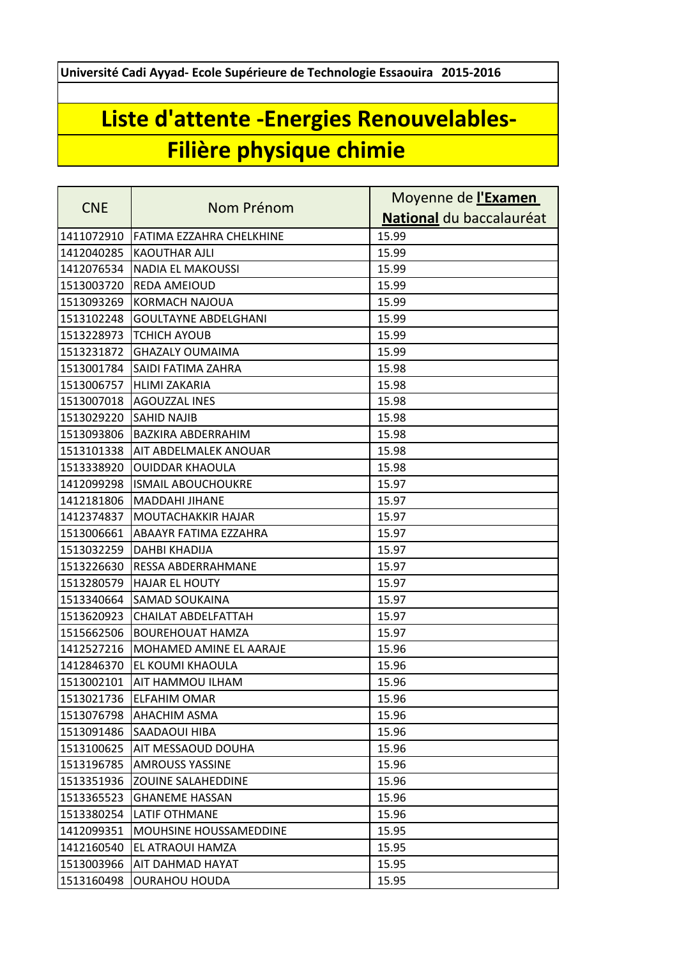**Université Cadi Ayyad- Ecole Supérieure de Technologie Essaouira 2015-2016**

## **Liste d'attente -Energies Renouvelables-Filière physique chimie**

|            | Nom Prénom                  | Moyenne de l'Examen      |
|------------|-----------------------------|--------------------------|
| <b>CNE</b> |                             | National du baccalauréat |
| 1411072910 | FATIMA EZZAHRA CHELKHINE    | 15.99                    |
| 1412040285 | <b>KAOUTHAR AJLI</b>        | 15.99                    |
| 1412076534 | <b>NADIA EL MAKOUSSI</b>    | 15.99                    |
| 1513003720 | <b>REDA AMEIOUD</b>         | 15.99                    |
| 1513093269 | <b>KORMACH NAJOUA</b>       | 15.99                    |
| 1513102248 | <b>GOULTAYNE ABDELGHANI</b> | 15.99                    |
| 1513228973 | <b>TCHICH AYOUB</b>         | 15.99                    |
| 1513231872 | <b>GHAZALY OUMAIMA</b>      | 15.99                    |
| 1513001784 | SAIDI FATIMA ZAHRA          | 15.98                    |
| 1513006757 | <b>HLIMI ZAKARIA</b>        | 15.98                    |
| 1513007018 | <b>AGOUZZAL INES</b>        | 15.98                    |
| 1513029220 | <b>SAHID NAJIB</b>          | 15.98                    |
| 1513093806 | BAZKIRA ABDERRAHIM          | 15.98                    |
| 1513101338 | AIT ABDELMALEK ANOUAR       | 15.98                    |
| 1513338920 | <b>OUIDDAR KHAOULA</b>      | 15.98                    |
| 1412099298 | <b>ISMAIL ABOUCHOUKRE</b>   | 15.97                    |
| 1412181806 | <b>MADDAHI JIHANE</b>       | 15.97                    |
| 1412374837 | <b>MOUTACHAKKIR HAJAR</b>   | 15.97                    |
| 1513006661 | ABAAYR FATIMA EZZAHRA       | 15.97                    |
| 1513032259 | DAHBI KHADIJA               | 15.97                    |
| 1513226630 | <b>RESSA ABDERRAHMANE</b>   | 15.97                    |
| 1513280579 | <b>HAJAR EL HOUTY</b>       | 15.97                    |
| 1513340664 | SAMAD SOUKAINA              | 15.97                    |
| 1513620923 | <b>CHAILAT ABDELFATTAH</b>  | 15.97                    |
| 1515662506 | <b>BOUREHOUAT HAMZA</b>     | 15.97                    |
| 1412527216 | MOHAMED AMINE EL AARAJE     | 15.96                    |
| 1412846370 | EL KOUMI KHAOULA            | 15.96                    |
| 1513002101 | AIT HAMMOU ILHAM            | 15.96                    |
| 1513021736 | <b>ELFAHIM OMAR</b>         | 15.96                    |
| 1513076798 | AHACHIM ASMA                | 15.96                    |
| 1513091486 | SAADAOUI HIBA               | 15.96                    |
| 1513100625 | AIT MESSAOUD DOUHA          | 15.96                    |
| 1513196785 | <b>AMROUSS YASSINE</b>      | 15.96                    |
| 1513351936 | ZOUINE SALAHEDDINE          | 15.96                    |
| 1513365523 | <b>GHANEME HASSAN</b>       | 15.96                    |
| 1513380254 | <b>LATIF OTHMANE</b>        | 15.96                    |
| 1412099351 | MOUHSINE HOUSSAMEDDINE      | 15.95                    |
| 1412160540 | EL ATRAOUI HAMZA            | 15.95                    |
| 1513003966 | AIT DAHMAD HAYAT            | 15.95                    |
| 1513160498 | <b>OURAHOU HOUDA</b>        | 15.95                    |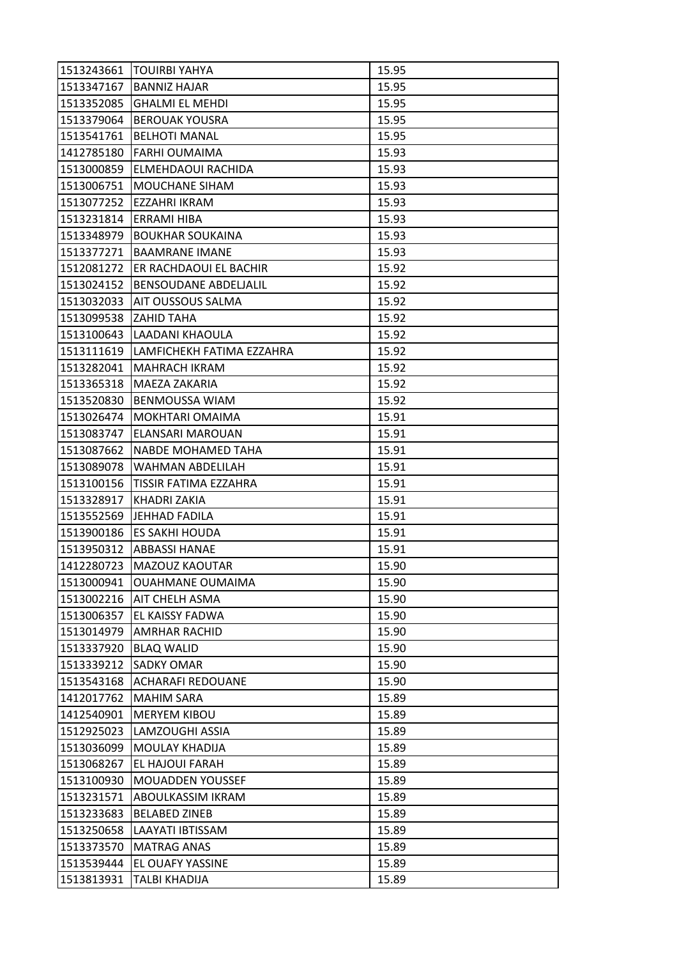| 1513243661            | <b>ITOUIRBI YAHYA</b>        | 15.95 |
|-----------------------|------------------------------|-------|
| 1513347167            | <b>BANNIZ HAJAR</b>          | 15.95 |
| 1513352085            | <b>GHALMI EL MEHDI</b>       | 15.95 |
| 1513379064            | <b>BEROUAK YOUSRA</b>        | 15.95 |
| 1513541761            | <b>BELHOTI MANAL</b>         | 15.95 |
| 1412785180            | <b>FARHI OUMAIMA</b>         | 15.93 |
| 1513000859            | <b>ELMEHDAOUI RACHIDA</b>    | 15.93 |
| 1513006751            | MOUCHANE SIHAM               | 15.93 |
| 1513077252            | EZZAHRI IKRAM                | 15.93 |
| 1513231814            | <b>ERRAMI HIBA</b>           | 15.93 |
| 1513348979            | <b>BOUKHAR SOUKAINA</b>      | 15.93 |
| 1513377271            | <b>BAAMRANE IMANE</b>        | 15.93 |
| 1512081272            | ER RACHDAOUI EL BACHIR       | 15.92 |
| 1513024152            | <b>BENSOUDANE ABDELIALIL</b> | 15.92 |
| 1513032033            | AIT OUSSOUS SALMA            | 15.92 |
| 1513099538 ZAHID TAHA |                              | 15.92 |
| 1513100643            | LAADANI KHAOULA              | 15.92 |
| 1513111619            | LAMFICHEKH FATIMA EZZAHRA    | 15.92 |
| 1513282041            | <b>MAHRACH IKRAM</b>         | 15.92 |
| 1513365318            | MAEZA ZAKARIA                | 15.92 |
| 1513520830            | <b>BENMOUSSA WIAM</b>        | 15.92 |
| 1513026474            | MOKHTARI OMAIMA              | 15.91 |
| 1513083747            | ELANSARI MAROUAN             | 15.91 |
| 1513087662            | NABDE MOHAMED TAHA           | 15.91 |
| 1513089078            | WAHMAN ABDELILAH             | 15.91 |
| 1513100156            | TISSIR FATIMA EZZAHRA        | 15.91 |
| 1513328917            | KHADRI ZAKIA                 | 15.91 |
| 1513552569            | <b>JEHHAD FADILA</b>         | 15.91 |
| 1513900186            | ES SAKHI HOUDA               | 15.91 |
|                       | 1513950312   ABBASSI HANAE   | 15.91 |
| 1412280723            | MAZOUZ KAOUTAR               | 15.90 |
| 1513000941            | <b>OUAHMANE OUMAIMA</b>      | 15.90 |
|                       | 1513002216   AIT CHELH ASMA  | 15.90 |
| 1513006357            | EL KAISSY FADWA              | 15.90 |
| 1513014979            | <b>AMRHAR RACHID</b>         | 15.90 |
| 1513337920            | <b>BLAQ WALID</b>            | 15.90 |
| 1513339212            | <b>SADKY OMAR</b>            | 15.90 |
| 1513543168            | <b>ACHARAFI REDOUANE</b>     | 15.90 |
| 1412017762            | <b>MAHIM SARA</b>            | 15.89 |
| 1412540901            | <b>MERYEM KIBOU</b>          | 15.89 |
| 1512925023            | LAMZOUGHI ASSIA              | 15.89 |
| 1513036099            | MOULAY KHADIJA               | 15.89 |
| 1513068267            | EL HAJOUI FARAH              | 15.89 |
| 1513100930            | <b>MOUADDEN YOUSSEF</b>      | 15.89 |
| 1513231571            | ABOULKASSIM IKRAM            | 15.89 |
| 1513233683            | <b>BELABED ZINEB</b>         | 15.89 |
| 1513250658            | LAAYATI IBTISSAM             | 15.89 |
| 1513373570            | <b>MATRAG ANAS</b>           | 15.89 |
| 1513539444            | EL OUAFY YASSINE             | 15.89 |
| 1513813931            | TALBI KHADIJA                | 15.89 |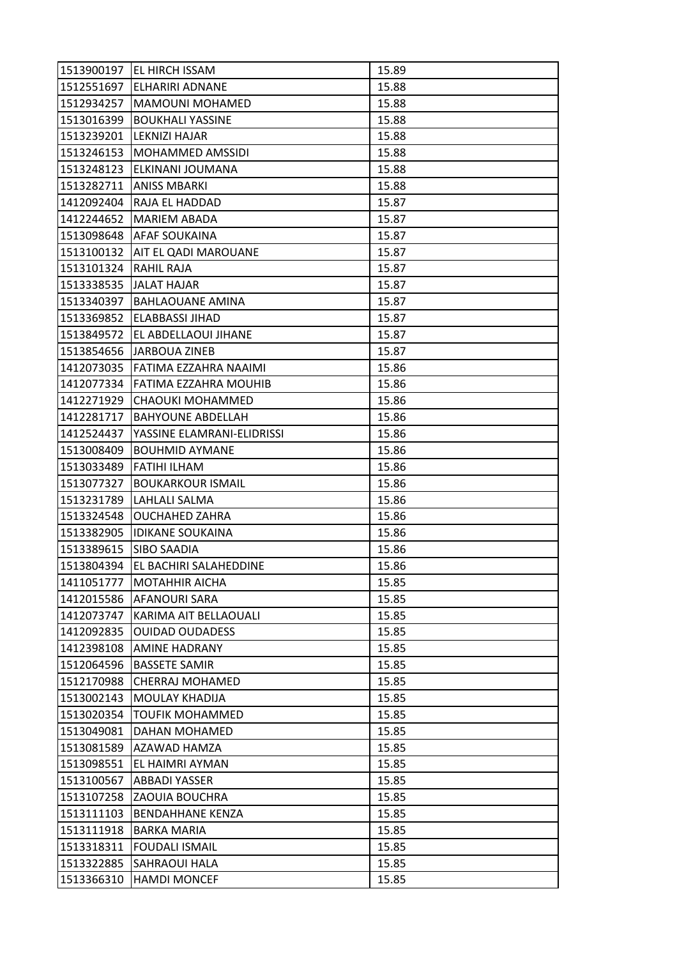| 1513900197 | EL HIRCH ISSAM              | 15.89 |
|------------|-----------------------------|-------|
| 1512551697 | <b>ELHARIRI ADNANE</b>      | 15.88 |
| 1512934257 | <b>MAMOUNI MOHAMED</b>      | 15.88 |
| 1513016399 | <b>BOUKHALI YASSINE</b>     | 15.88 |
| 1513239201 | <b>LEKNIZI HAJAR</b>        | 15.88 |
| 1513246153 | <b>MOHAMMED AMSSIDI</b>     | 15.88 |
| 1513248123 | ELKINANI JOUMANA            | 15.88 |
| 1513282711 | <b>ANISS MBARKI</b>         | 15.88 |
| 1412092404 | RAJA EL HADDAD              | 15.87 |
| 1412244652 | <b>MARIEM ABADA</b>         | 15.87 |
| 1513098648 | <b>AFAF SOUKAINA</b>        | 15.87 |
| 1513100132 | <b>AIT EL QADI MAROUANE</b> | 15.87 |
| 1513101324 | RAHIL RAJA                  | 15.87 |
| 1513338535 | <b>JALAT HAJAR</b>          | 15.87 |
| 1513340397 | <b>BAHLAOUANE AMINA</b>     | 15.87 |
| 1513369852 | ELABBASSI JIHAD             | 15.87 |
| 1513849572 | EL ABDELLAOUI JIHANE        | 15.87 |
| 1513854656 | IJARBOUA ZINEB              | 15.87 |
| 1412073035 | FATIMA EZZAHRA NAAIMI       | 15.86 |
| 1412077334 | IFATIMA EZZAHRA MOUHIB      | 15.86 |
| 1412271929 | CHAOUKI MOHAMMED            | 15.86 |
| 1412281717 | <b>BAHYOUNE ABDELLAH</b>    | 15.86 |
| 1412524437 | YASSINE ELAMRANI-ELIDRISSI  | 15.86 |
| 1513008409 | <b>BOUHMID AYMANE</b>       | 15.86 |
| 1513033489 | <b>FATIHI ILHAM</b>         | 15.86 |
| 1513077327 | <b>BOUKARKOUR ISMAIL</b>    | 15.86 |
| 1513231789 | LAHLALI SALMA               | 15.86 |
| 1513324548 | <b>OUCHAHED ZAHRA</b>       | 15.86 |
| 1513382905 | <b>IDIKANE SOUKAINA</b>     | 15.86 |
| 1513389615 | <b>SIBO SAADIA</b>          | 15.86 |
| 1513804394 | EL BACHIRI SALAHEDDINE      | 15.86 |
| 1411051777 | <b>MOTAHHIR AICHA</b>       | 15.85 |
| 1412015586 | AFANOURI SARA               | 15.85 |
| 1412073747 | KARIMA AIT BELLAOUALI       | 15.85 |
| 1412092835 | <b>OUIDAD OUDADESS</b>      | 15.85 |
| 1412398108 | <b>AMINE HADRANY</b>        | 15.85 |
| 1512064596 | <b>BASSETE SAMIR</b>        | 15.85 |
| 1512170988 | <b>CHERRAJ MOHAMED</b>      | 15.85 |
| 1513002143 | MOULAY KHADIJA              | 15.85 |
| 1513020354 | <b>TOUFIK MOHAMMED</b>      | 15.85 |
| 1513049081 | DAHAN MOHAMED               | 15.85 |
| 1513081589 | AZAWAD HAMZA                | 15.85 |
| 1513098551 | EL HAIMRI AYMAN             | 15.85 |
| 1513100567 | <b>ABBADI YASSER</b>        | 15.85 |
| 1513107258 | <b>ZAOUIA BOUCHRA</b>       | 15.85 |
| 1513111103 | <b>BENDAHHANE KENZA</b>     | 15.85 |
| 1513111918 | <b>BARKA MARIA</b>          | 15.85 |
| 1513318311 | <b>FOUDALI ISMAIL</b>       | 15.85 |
| 1513322885 | SAHRAOUI HALA               | 15.85 |
| 1513366310 | <b>HAMDI MONCEF</b>         | 15.85 |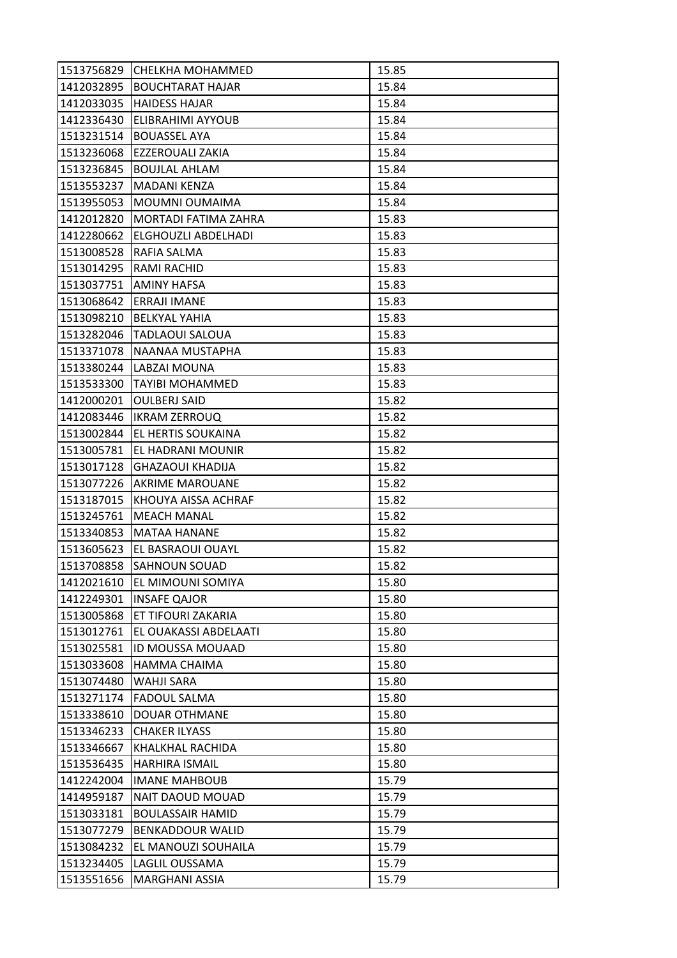| 1513756829 | CHELKHA MOHAMMED        | 15.85 |
|------------|-------------------------|-------|
| 1412032895 | <b>BOUCHTARAT HAJAR</b> | 15.84 |
| 1412033035 | <b>HAIDESS HAJAR</b>    | 15.84 |
| 1412336430 | ELIBRAHIMI AYYOUB       | 15.84 |
| 1513231514 | <b>BOUASSEL AYA</b>     | 15.84 |
| 1513236068 | EZZEROUALI ZAKIA        | 15.84 |
| 1513236845 | <b>BOUJLAL AHLAM</b>    | 15.84 |
| 1513553237 | MADANI KENZA            | 15.84 |
| 1513955053 | MOUMNI OUMAIMA          | 15.84 |
| 1412012820 | MORTADI FATIMA ZAHRA    | 15.83 |
| 1412280662 | ELGHOUZLI ABDELHADI     | 15.83 |
| 1513008528 | RAFIA SALMA             | 15.83 |
| 1513014295 | RAMI RACHID             | 15.83 |
| 1513037751 | <b>AMINY HAFSA</b>      | 15.83 |
| 1513068642 | ERRAJI IMANE            | 15.83 |
| 1513098210 | <b>BELKYAL YAHIA</b>    | 15.83 |
| 1513282046 | <b>TADLAOUI SALOUA</b>  | 15.83 |
| 1513371078 | NAANAA MUSTAPHA         | 15.83 |
| 1513380244 | LABZAI MOUNA            | 15.83 |
| 1513533300 | TAYIBI MOHAMMED         | 15.83 |
| 1412000201 | <b>OULBERJ SAID</b>     | 15.82 |
| 1412083446 | <b>IKRAM ZERROUQ</b>    | 15.82 |
| 1513002844 | EL HERTIS SOUKAINA      | 15.82 |
| 1513005781 | EL HADRANI MOUNIR       | 15.82 |
| 1513017128 | <b>GHAZAOUI KHADIJA</b> | 15.82 |
| 1513077226 | <b>AKRIME MAROUANE</b>  | 15.82 |
| 1513187015 | KHOUYA AISSA ACHRAF     | 15.82 |
| 1513245761 | <b>MEACH MANAL</b>      | 15.82 |
| 1513340853 | <b>MATAA HANANE</b>     | 15.82 |
| 1513605623 | EL BASRAOUI OUAYL       | 15.82 |
| 1513708858 | SAHNOUN SOUAD           | 15.82 |
| 1412021610 | EL MIMOUNI SOMIYA       | 15.80 |
| 1412249301 | <b>INSAFE QAJOR</b>     | 15.80 |
| 1513005868 | ET TIFOURI ZAKARIA      | 15.80 |
| 1513012761 | EL OUAKASSI ABDELAATI   | 15.80 |
| 1513025581 | ID MOUSSA MOUAAD        | 15.80 |
| 1513033608 | <b>HAMMA CHAIMA</b>     | 15.80 |
| 1513074480 | WAHJI SARA              | 15.80 |
| 1513271174 | <b>FADOUL SALMA</b>     | 15.80 |
| 1513338610 | <b>DOUAR OTHMANE</b>    | 15.80 |
| 1513346233 | <b>CHAKER ILYASS</b>    | 15.80 |
| 1513346667 | KHALKHAL RACHIDA        | 15.80 |
| 1513536435 | <b>HARHIRA ISMAIL</b>   | 15.80 |
| 1412242004 | <b>IMANE MAHBOUB</b>    | 15.79 |
| 1414959187 | NAIT DAOUD MOUAD        | 15.79 |
| 1513033181 | <b>BOULASSAIR HAMID</b> | 15.79 |
| 1513077279 | <b>BENKADDOUR WALID</b> | 15.79 |
| 1513084232 | EL MANOUZI SOUHAILA     | 15.79 |
| 1513234405 | LAGLIL OUSSAMA          | 15.79 |
| 1513551656 | MARGHANI ASSIA          | 15.79 |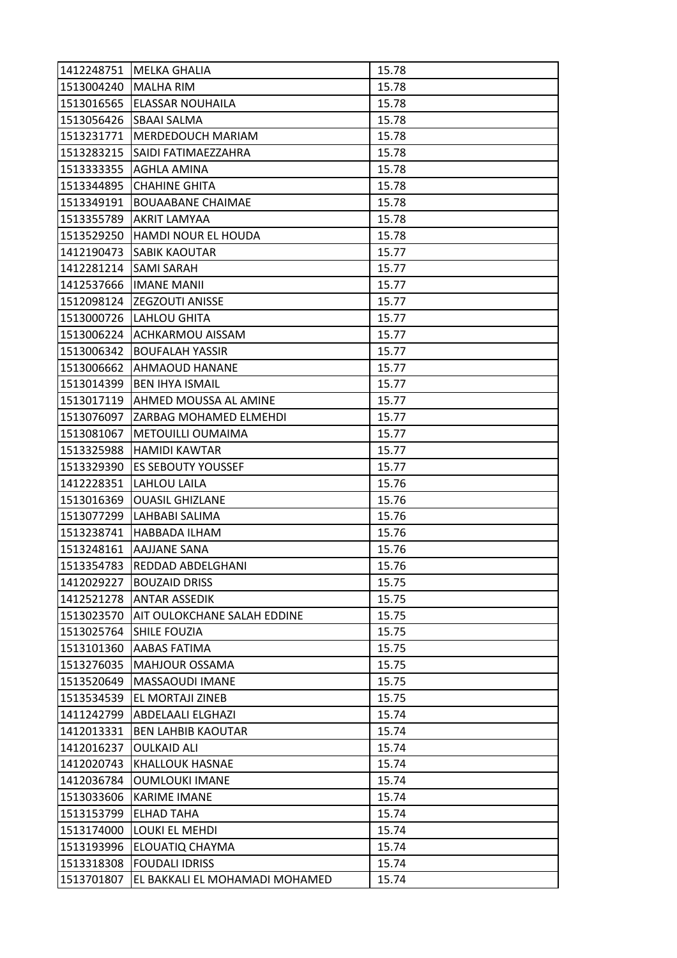| 1412248751 | <b>MELKA GHALIA</b>                | 15.78 |
|------------|------------------------------------|-------|
| 1513004240 | <b>MALHA RIM</b>                   | 15.78 |
| 1513016565 | ELASSAR NOUHAILA                   | 15.78 |
| 1513056426 | <b>SBAAI SALMA</b>                 | 15.78 |
| 1513231771 | <b>MERDEDOUCH MARIAM</b>           | 15.78 |
| 1513283215 | SAIDI FATIMAEZZAHRA                | 15.78 |
| 1513333355 | AGHLA AMINA                        | 15.78 |
| 1513344895 | <b>CHAHINE GHITA</b>               | 15.78 |
| 1513349191 | <b>BOUAABANE CHAIMAE</b>           | 15.78 |
| 1513355789 | <b>AKRIT LAMYAA</b>                | 15.78 |
| 1513529250 | HAMDI NOUR EL HOUDA                | 15.78 |
| 1412190473 | <b>SABIK KAOUTAR</b>               | 15.77 |
| 1412281214 | SAMI SARAH                         | 15.77 |
| 1412537666 | <b>IMANE MANII</b>                 | 15.77 |
| 1512098124 | <b>ZEGZOUTI ANISSE</b>             | 15.77 |
|            | 1513000726   LAHLOU GHITA          | 15.77 |
| 1513006224 | <b>ACHKARMOU AISSAM</b>            | 15.77 |
| 1513006342 | <b>BOUFALAH YASSIR</b>             | 15.77 |
| 1513006662 | <b>AHMAOUD HANANE</b>              | 15.77 |
| 1513014399 | <b>BEN IHYA ISMAIL</b>             | 15.77 |
|            | 1513017119   AHMED MOUSSA AL AMINE | 15.77 |
| 1513076097 | ZARBAG MOHAMED ELMEHDI             | 15.77 |
| 1513081067 | METOUILLI OUMAIMA                  | 15.77 |
| 1513325988 | <b>HAMIDI KAWTAR</b>               | 15.77 |
| 1513329390 | <b>ES SEBOUTY YOUSSEF</b>          | 15.77 |
| 1412228351 | <b>LAHLOU LAILA</b>                | 15.76 |
| 1513016369 | <b>OUASIL GHIZLANE</b>             | 15.76 |
| 1513077299 | LAHBABI SALIMA                     | 15.76 |
| 1513238741 | <b>HABBADA ILHAM</b>               | 15.76 |
| 1513248161 | AAJJANE SANA                       | 15.76 |
| 1513354783 | <b>REDDAD ABDELGHANI</b>           | 15.76 |
| 1412029227 | <b>BOUZAID DRISS</b>               | 15.75 |
| 1412521278 | <b>ANTAR ASSEDIK</b>               | 15.75 |
| 1513023570 | AIT OULOKCHANE SALAH EDDINE        | 15.75 |
| 1513025764 | <b>SHILE FOUZIA</b>                | 15.75 |
| 1513101360 | AABAS FATIMA                       | 15.75 |
| 1513276035 | <b>MAHJOUR OSSAMA</b>              | 15.75 |
| 1513520649 | MASSAOUDI IMANE                    | 15.75 |
| 1513534539 | EL MORTAJI ZINEB                   | 15.75 |
| 1411242799 | <b>ABDELAALI ELGHAZI</b>           | 15.74 |
| 1412013331 | <b>BEN LAHBIB KAOUTAR</b>          | 15.74 |
| 1412016237 | <b>OULKAID ALI</b>                 | 15.74 |
| 1412020743 | <b>KHALLOUK HASNAE</b>             | 15.74 |
| 1412036784 | <b>OUMLOUKI IMANE</b>              | 15.74 |
| 1513033606 | <b>KARIME IMANE</b>                | 15.74 |
| 1513153799 | <b>ELHAD TAHA</b>                  | 15.74 |
| 1513174000 | LOUKI EL MEHDI                     | 15.74 |
| 1513193996 | ELOUATIQ CHAYMA                    | 15.74 |
| 1513318308 | <b>FOUDALI IDRISS</b>              | 15.74 |
| 1513701807 | EL BAKKALI EL MOHAMADI MOHAMED     | 15.74 |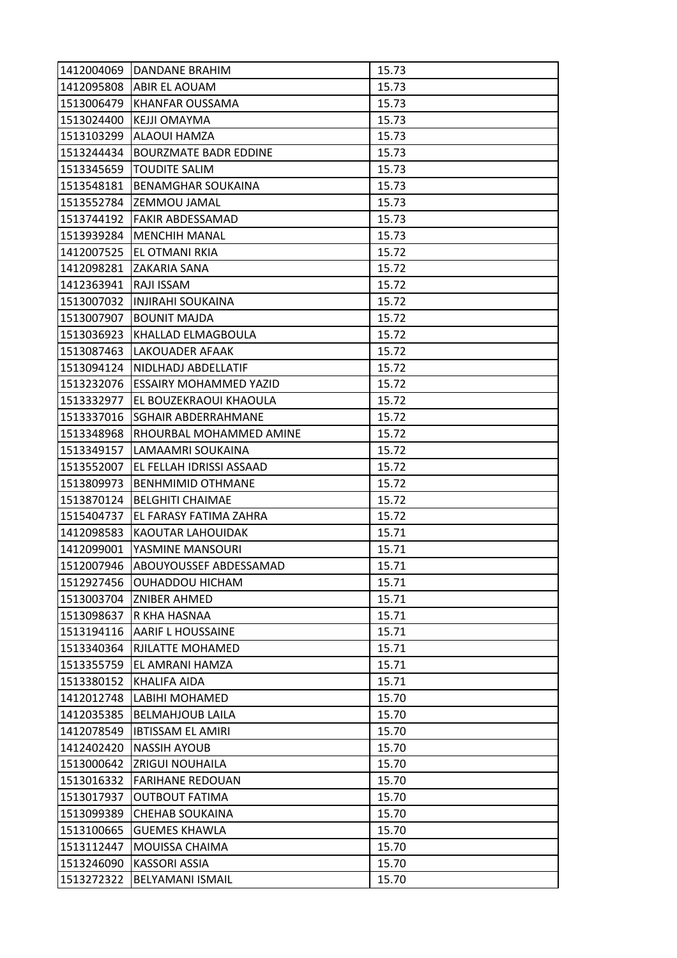| 1412004069 | DANDANE BRAHIM                | 15.73 |
|------------|-------------------------------|-------|
| 1412095808 | <b>ABIR EL AOUAM</b>          | 15.73 |
| 1513006479 | KHANFAR OUSSAMA               | 15.73 |
| 1513024400 | KEJJI OMAYMA                  | 15.73 |
| 1513103299 | ALAOUI HAMZA                  | 15.73 |
| 1513244434 | <b>BOURZMATE BADR EDDINE</b>  | 15.73 |
| 1513345659 | <b>TOUDITE SALIM</b>          | 15.73 |
| 1513548181 | <b>BENAMGHAR SOUKAINA</b>     | 15.73 |
| 1513552784 | <b>ZEMMOU JAMAL</b>           | 15.73 |
| 1513744192 | <b>FAKIR ABDESSAMAD</b>       | 15.73 |
| 1513939284 | <b>MENCHIH MANAL</b>          | 15.73 |
| 1412007525 | EL OTMANI RKIA                | 15.72 |
| 1412098281 | ZAKARIA SANA                  | 15.72 |
| 1412363941 | RAJI ISSAM                    | 15.72 |
| 1513007032 | <b>INJIRAHI SOUKAINA</b>      | 15.72 |
| 1513007907 | <b>BOUNIT MAJDA</b>           | 15.72 |
| 1513036923 | KHALLAD ELMAGBOULA            | 15.72 |
| 1513087463 | LAKOUADER AFAAK               | 15.72 |
| 1513094124 | NIDLHADJ ABDELLATIF           | 15.72 |
| 1513232076 | <b>ESSAIRY MOHAMMED YAZID</b> | 15.72 |
| 1513332977 | EL BOUZEKRAOUI KHAOULA        | 15.72 |
| 1513337016 | SGHAIR ABDERRAHMANE           | 15.72 |
| 1513348968 | RHOURBAL MOHAMMED AMINE       | 15.72 |
| 1513349157 | LAMAAMRI SOUKAINA             | 15.72 |
| 1513552007 | EL FELLAH IDRISSI ASSAAD      | 15.72 |
| 1513809973 | <b>BENHMIMID OTHMANE</b>      | 15.72 |
| 1513870124 | <b>BELGHITI CHAIMAE</b>       | 15.72 |
| 1515404737 | EL FARASY FATIMA ZAHRA        | 15.72 |
| 1412098583 | KAOUTAR LAHOUIDAK             | 15.71 |
| 1412099001 | YASMINE MANSOURI              | 15.71 |
| 1512007946 | ABOUYOUSSEF ABDESSAMAD        | 15.71 |
| 1512927456 | <b>OUHADDOU HICHAM</b>        | 15.71 |
| 1513003704 | <b>ZNIBER AHMED</b>           | 15.71 |
| 1513098637 | R KHA HASNAA                  | 15.71 |
| 1513194116 | <b>AARIF L HOUSSAINE</b>      | 15.71 |
| 1513340364 | RJILATTE MOHAMED              | 15.71 |
| 1513355759 | EL AMRANI HAMZA               | 15.71 |
| 1513380152 | KHALIFA AIDA                  | 15.71 |
| 1412012748 | LABIHI MOHAMED                | 15.70 |
| 1412035385 | <b>BELMAHJOUB LAILA</b>       | 15.70 |
| 1412078549 | <b>IBTISSAM EL AMIRI</b>      | 15.70 |
| 1412402420 | <b>NASSIH AYOUB</b>           | 15.70 |
| 1513000642 | <b>ZRIGUI NOUHAILA</b>        | 15.70 |
| 1513016332 | <b>FARIHANE REDOUAN</b>       | 15.70 |
| 1513017937 | <b>OUTBOUT FATIMA</b>         | 15.70 |
| 1513099389 | <b>CHEHAB SOUKAINA</b>        | 15.70 |
| 1513100665 | <b>GUEMES KHAWLA</b>          | 15.70 |
| 1513112447 | MOUISSA CHAIMA                | 15.70 |
| 1513246090 | <b>KASSORI ASSIA</b>          | 15.70 |
| 1513272322 | BELYAMANI ISMAIL              | 15.70 |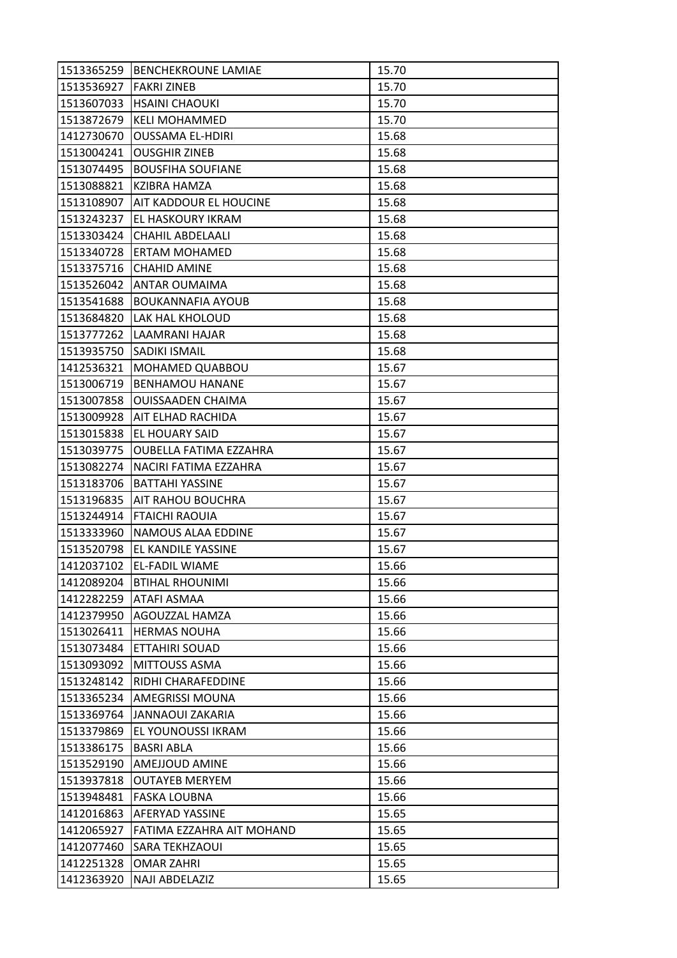| 1513365259 | <b>BENCHEKROUNE LAMIAE</b>    | 15.70 |
|------------|-------------------------------|-------|
| 1513536927 | <b>FAKRI ZINEB</b>            | 15.70 |
| 1513607033 | <b>HSAINI CHAOUKI</b>         | 15.70 |
| 1513872679 | <b>KELI MOHAMMED</b>          | 15.70 |
| 1412730670 | <b>OUSSAMA EL-HDIRI</b>       | 15.68 |
| 1513004241 | <b>OUSGHIR ZINEB</b>          | 15.68 |
| 1513074495 | <b>BOUSFIHA SOUFIANE</b>      | 15.68 |
| 1513088821 | KZIBRA HAMZA                  | 15.68 |
| 1513108907 | <b>AIT KADDOUR EL HOUCINE</b> | 15.68 |
| 1513243237 | EL HASKOURY IKRAM             | 15.68 |
| 1513303424 | <b>CHAHIL ABDELAALI</b>       | 15.68 |
| 1513340728 | <b>ERTAM MOHAMED</b>          | 15.68 |
| 1513375716 | <b>CHAHID AMINE</b>           | 15.68 |
| 1513526042 | <b>ANTAR OUMAIMA</b>          | 15.68 |
| 1513541688 | <b>BOUKANNAFIA AYOUB</b>      | 15.68 |
| 1513684820 | <b>LAK HAL KHOLOUD</b>        | 15.68 |
| 1513777262 | LAAMRANI HAJAR                | 15.68 |
| 1513935750 | <b>SADIKI ISMAIL</b>          | 15.68 |
| 1412536321 | MOHAMED QUABBOU               | 15.67 |
| 1513006719 | <b>BENHAMOU HANANE</b>        | 15.67 |
| 1513007858 | <b>OUISSAADEN CHAIMA</b>      | 15.67 |
| 1513009928 | AIT ELHAD RACHIDA             | 15.67 |
| 1513015838 | EL HOUARY SAID                | 15.67 |
| 1513039775 | <b>OUBELLA FATIMA EZZAHRA</b> | 15.67 |
| 1513082274 | NACIRI FATIMA EZZAHRA         | 15.67 |
| 1513183706 | <b>BATTAHI YASSINE</b>        | 15.67 |
| 1513196835 | <b>AIT RAHOU BOUCHRA</b>      | 15.67 |
| 1513244914 | <b>FTAICHI RAOUIA</b>         | 15.67 |
| 1513333960 | NAMOUS ALAA EDDINE            | 15.67 |
| 1513520798 | EL KANDILE YASSINE            | 15.67 |
| 1412037102 | <b>EL-FADIL WIAME</b>         | 15.66 |
| 1412089204 | <b>BTIHAL RHOUNIMI</b>        | 15.66 |
| 1412282259 | <b>ATAFI ASMAA</b>            | 15.66 |
| 1412379950 | AGOUZZAL HAMZA                | 15.66 |
| 1513026411 | <b>HERMAS NOUHA</b>           | 15.66 |
| 1513073484 | ETTAHIRI SOUAD                | 15.66 |
| 1513093092 | <b>MITTOUSS ASMA</b>          | 15.66 |
| 1513248142 | RIDHI CHARAFEDDINE            | 15.66 |
| 1513365234 | AMEGRISSI MOUNA               | 15.66 |
| 1513369764 | <b>JANNAOUI ZAKARIA</b>       | 15.66 |
| 1513379869 | EL YOUNOUSSI IKRAM            | 15.66 |
| 1513386175 | <b>BASRI ABLA</b>             | 15.66 |
| 1513529190 | <b>AMEJJOUD AMINE</b>         | 15.66 |
| 1513937818 | <b>OUTAYEB MERYEM</b>         | 15.66 |
| 1513948481 | <b>FASKA LOUBNA</b>           | 15.66 |
| 1412016863 | <b>AFERYAD YASSINE</b>        | 15.65 |
| 1412065927 | FATIMA EZZAHRA AIT MOHAND     | 15.65 |
| 1412077460 | <b>SARA TEKHZAOUI</b>         | 15.65 |
| 1412251328 | <b>OMAR ZAHRI</b>             | 15.65 |
| 1412363920 | NAJI ABDELAZIZ                | 15.65 |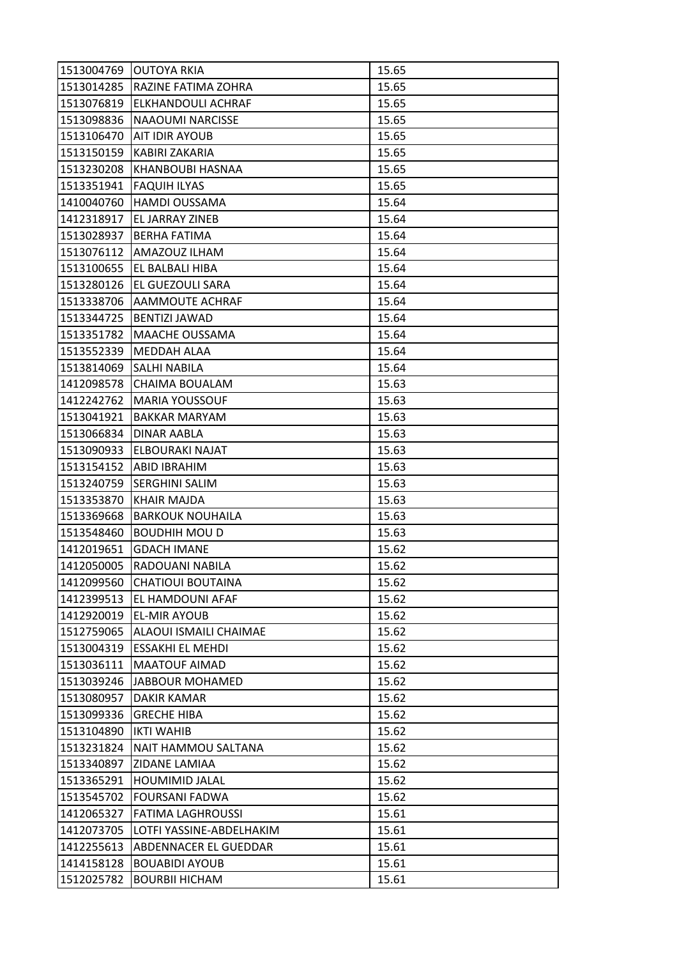| 1513004769 | <b>OUTOYA RKIA</b>             | 15.65 |
|------------|--------------------------------|-------|
|            | 1513014285 RAZINE FATIMA ZOHRA | 15.65 |
| 1513076819 | <b>ELKHANDOULI ACHRAF</b>      | 15.65 |
| 1513098836 | <b>NAAOUMI NARCISSE</b>        | 15.65 |
| 1513106470 | <b>AIT IDIR AYOUB</b>          | 15.65 |
| 1513150159 | KABIRI ZAKARIA                 | 15.65 |
| 1513230208 | KHANBOUBI HASNAA               | 15.65 |
| 1513351941 | <b>FAQUIH ILYAS</b>            | 15.65 |
| 1410040760 | <b>HAMDI OUSSAMA</b>           | 15.64 |
| 1412318917 | EL JARRAY ZINEB                | 15.64 |
| 1513028937 | <b>BERHA FATIMA</b>            | 15.64 |
| 1513076112 | AMAZOUZ ILHAM                  | 15.64 |
| 1513100655 | EL BALBALI HIBA                | 15.64 |
| 1513280126 | <b>EL GUEZOULI SARA</b>        | 15.64 |
| 1513338706 | AAMMOUTE ACHRAF                | 15.64 |
|            | 1513344725   BENTIZI JAWAD     | 15.64 |
| 1513351782 | <b>MAACHE OUSSAMA</b>          | 15.64 |
| 1513552339 | MEDDAH ALAA                    | 15.64 |
| 1513814069 | <b>SALHI NABILA</b>            | 15.64 |
| 1412098578 | CHAIMA BOUALAM                 | 15.63 |
| 1412242762 | <b>MARIA YOUSSOUF</b>          | 15.63 |
| 1513041921 | <b>BAKKAR MARYAM</b>           | 15.63 |
| 1513066834 | DINAR AABLA                    | 15.63 |
| 1513090933 | ELBOURAKI NAJAT                | 15.63 |
| 1513154152 | ABID IBRAHIM                   | 15.63 |
| 1513240759 | <b>SERGHINI SALIM</b>          | 15.63 |
| 1513353870 | <b>KHAIR MAJDA</b>             | 15.63 |
| 1513369668 | <b>BARKOUK NOUHAILA</b>        | 15.63 |
| 1513548460 | <b>BOUDHIH MOU D</b>           | 15.63 |
| 1412019651 | <b>GDACH IMANE</b>             | 15.62 |
| 1412050005 | RADOUANI NABILA                | 15.62 |
| 1412099560 | <b>CHATIOUI BOUTAINA</b>       | 15.62 |
| 1412399513 | <b>EL HAMDOUNI AFAF</b>        | 15.62 |
| 1412920019 | <b>EL-MIR AYOUB</b>            | 15.62 |
| 1512759065 | ALAOUI ISMAILI CHAIMAE         | 15.62 |
| 1513004319 | ESSAKHI EL MEHDI               | 15.62 |
| 1513036111 | <b>MAATOUF AIMAD</b>           | 15.62 |
| 1513039246 | JABBOUR MOHAMED                | 15.62 |
| 1513080957 | DAKIR KAMAR                    | 15.62 |
| 1513099336 | <b>GRECHE HIBA</b>             | 15.62 |
| 1513104890 | <b>IKTI WAHIB</b>              | 15.62 |
| 1513231824 | NAIT HAMMOU SALTANA            | 15.62 |
| 1513340897 | ZIDANE LAMIAA                  | 15.62 |
| 1513365291 | <b>HOUMIMID JALAL</b>          | 15.62 |
| 1513545702 | <b>FOURSANI FADWA</b>          | 15.62 |
| 1412065327 | <b>FATIMA LAGHROUSSI</b>       | 15.61 |
| 1412073705 | LOTFI YASSINE-ABDELHAKIM       | 15.61 |
| 1412255613 | ABDENNACER EL GUEDDAR          | 15.61 |
| 1414158128 | <b>BOUABIDI AYOUB</b>          | 15.61 |
| 1512025782 | <b>BOURBII HICHAM</b>          | 15.61 |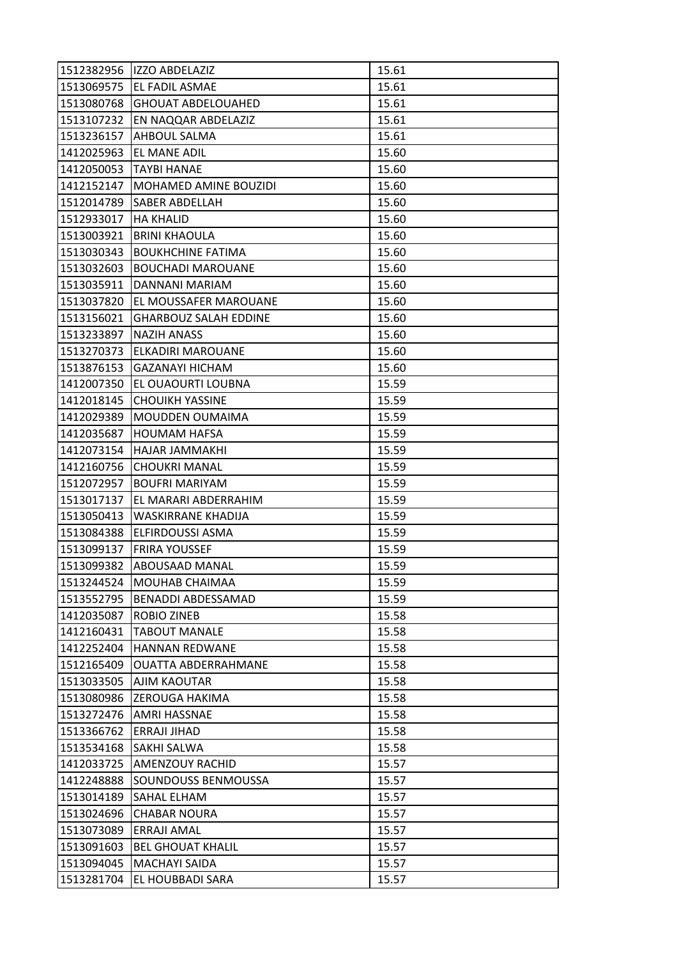| 1512382956 | IZZO ABDELAZIZ               | 15.61 |
|------------|------------------------------|-------|
|            | 1513069575   EL FADIL ASMAE  | 15.61 |
| 1513080768 | <b>GHOUAT ABDELOUAHED</b>    | 15.61 |
| 1513107232 | EN NAQQAR ABDELAZIZ          | 15.61 |
| 1513236157 | <b>AHBOUL SALMA</b>          | 15.61 |
| 1412025963 | EL MANE ADIL                 | 15.60 |
| 1412050053 | <b>TAYBI HANAE</b>           | 15.60 |
| 1412152147 | <b>MOHAMED AMINE BOUZIDI</b> | 15.60 |
| 1512014789 | <b>SABER ABDELLAH</b>        | 15.60 |
| 1512933017 | <b>HA KHALID</b>             | 15.60 |
| 1513003921 | <b>BRINI KHAOULA</b>         | 15.60 |
| 1513030343 | <b>BOUKHCHINE FATIMA</b>     | 15.60 |
| 1513032603 | <b>BOUCHADI MAROUANE</b>     | 15.60 |
| 1513035911 | DANNANI MARIAM               | 15.60 |
| 1513037820 | EL MOUSSAFER MAROUANE        | 15.60 |
| 1513156021 | <b>GHARBOUZ SALAH EDDINE</b> | 15.60 |
| 1513233897 | <b>NAZIH ANASS</b>           | 15.60 |
| 1513270373 | ELKADIRI MAROUANE            | 15.60 |
| 1513876153 | <b>GAZANAYI HICHAM</b>       | 15.60 |
| 1412007350 | EL OUAOURTI LOUBNA           | 15.59 |
| 1412018145 | <b>CHOUIKH YASSINE</b>       | 15.59 |
| 1412029389 | <b>MOUDDEN OUMAIMA</b>       | 15.59 |
| 1412035687 | <b>HOUMAM HAFSA</b>          | 15.59 |
| 1412073154 | HAJAR JAMMAKHI               | 15.59 |
| 1412160756 | <b>CHOUKRI MANAL</b>         | 15.59 |
| 1512072957 | <b>BOUFRI MARIYAM</b>        | 15.59 |
| 1513017137 | EL MARARI ABDERRAHIM         | 15.59 |
| 1513050413 | WASKIRRANE KHADIJA           | 15.59 |
| 1513084388 | <b>ELFIRDOUSSI ASMA</b>      | 15.59 |
| 1513099137 | <b>FRIRA YOUSSEF</b>         | 15.59 |
| 1513099382 | <b>ABOUSAAD MANAL</b>        | 15.59 |
| 1513244524 | MOUHAB CHAIMAA               | 15.59 |
| 1513552795 | <b>BENADDI ABDESSAMAD</b>    | 15.59 |
| 1412035087 | ROBIO ZINEB                  | 15.58 |
| 1412160431 | <b>TABOUT MANALE</b>         | 15.58 |
| 1412252404 | <b>HANNAN REDWANE</b>        | 15.58 |
| 1512165409 | <b>OUATTA ABDERRAHMANE</b>   | 15.58 |
| 1513033505 | <b>AJIM KAOUTAR</b>          | 15.58 |
| 1513080986 | <b>ZEROUGA HAKIMA</b>        | 15.58 |
| 1513272476 | <b>AMRI HASSNAE</b>          | 15.58 |
| 1513366762 | ERRAJI JIHAD                 | 15.58 |
| 1513534168 | <b>SAKHI SALWA</b>           | 15.58 |
| 1412033725 | <b>AMENZOUY RACHID</b>       | 15.57 |
| 1412248888 | SOUNDOUSS BENMOUSSA          | 15.57 |
| 1513014189 | <b>SAHAL ELHAM</b>           | 15.57 |
| 1513024696 | <b>CHABAR NOURA</b>          | 15.57 |
| 1513073089 | <b>ERRAJI AMAL</b>           | 15.57 |
| 1513091603 | <b>BEL GHOUAT KHALIL</b>     | 15.57 |
| 1513094045 | <b>MACHAYI SAIDA</b>         | 15.57 |
| 1513281704 | EL HOUBBADI SARA             | 15.57 |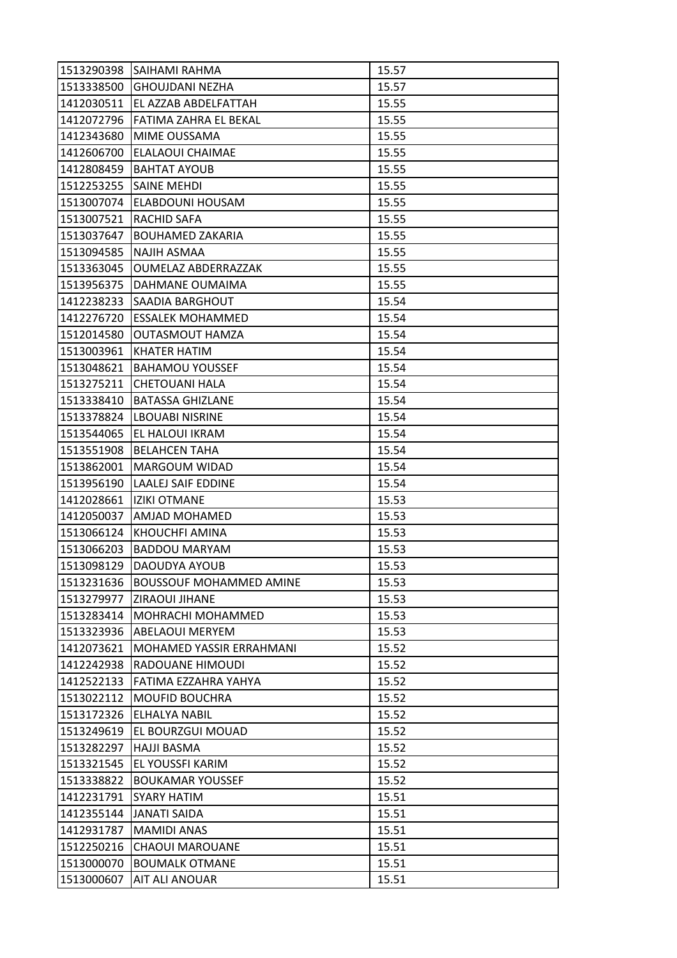| 1513290398 | ISAIHAMI RAHMA                  | 15.57 |
|------------|---------------------------------|-------|
| 1513338500 | <b>GHOUJDANI NEZHA</b>          | 15.57 |
| 1412030511 | EL AZZAB ABDELFATTAH            | 15.55 |
| 1412072796 | FATIMA ZAHRA EL BEKAL           | 15.55 |
| 1412343680 | MIME OUSSAMA                    | 15.55 |
| 1412606700 | ELALAOUI CHAIMAE                | 15.55 |
| 1412808459 | <b>BAHTAT AYOUB</b>             | 15.55 |
| 1512253255 | <b>SAINE MEHDI</b>              | 15.55 |
| 1513007074 | ELABDOUNI HOUSAM                | 15.55 |
| 1513007521 | RACHID SAFA                     | 15.55 |
| 1513037647 | <b>BOUHAMED ZAKARIA</b>         | 15.55 |
| 1513094585 | <b>NAJIH ASMAA</b>              | 15.55 |
| 1513363045 | <b>OUMELAZ ABDERRAZZAK</b>      | 15.55 |
| 1513956375 | DAHMANE OUMAIMA                 | 15.55 |
| 1412238233 | SAADIA BARGHOUT                 | 15.54 |
| 1412276720 | <b>ESSALEK MOHAMMED</b>         | 15.54 |
| 1512014580 | <b>OUTASMOUT HAMZA</b>          | 15.54 |
| 1513003961 | KHATER HATIM                    | 15.54 |
| 1513048621 | <b>BAHAMOU YOUSSEF</b>          | 15.54 |
| 1513275211 | <b>CHETOUANI HALA</b>           | 15.54 |
| 1513338410 | <b>BATASSA GHIZLANE</b>         | 15.54 |
| 1513378824 | <b>LBOUABI NISRINE</b>          | 15.54 |
| 1513544065 | EL HALOUI IKRAM                 | 15.54 |
| 1513551908 | <b>BELAHCEN TAHA</b>            | 15.54 |
| 1513862001 | MARGOUM WIDAD                   | 15.54 |
| 1513956190 | <b>LAALEJ SAIF EDDINE</b>       | 15.54 |
| 1412028661 | <b>IZIKI OTMANE</b>             | 15.53 |
| 1412050037 | <b>AMJAD MOHAMED</b>            | 15.53 |
| 1513066124 | KHOUCHFI AMINA                  | 15.53 |
| 1513066203 | <b>BADDOU MARYAM</b>            | 15.53 |
| 1513098129 | DAOUDYA AYOUB                   | 15.53 |
| 1513231636 | <b>BOUSSOUF MOHAMMED AMINE</b>  | 15.53 |
| 1513279977 | ZIRAOUI JIHANE                  | 15.53 |
| 1513283414 | MOHRACHI MOHAMMED               | 15.53 |
| 1513323936 | <b>ABELAOUI MERYEM</b>          | 15.53 |
| 1412073621 | <b>MOHAMED YASSIR ERRAHMANI</b> | 15.52 |
| 1412242938 | RADOUANE HIMOUDI                | 15.52 |
| 1412522133 | FATIMA EZZAHRA YAHYA            | 15.52 |
| 1513022112 | <b>MOUFID BOUCHRA</b>           | 15.52 |
| 1513172326 | <b>ELHALYA NABIL</b>            | 15.52 |
| 1513249619 | EL BOURZGUI MOUAD               | 15.52 |
| 1513282297 | <b>HAJJI BASMA</b>              | 15.52 |
| 1513321545 | EL YOUSSFI KARIM                | 15.52 |
| 1513338822 | <b>BOUKAMAR YOUSSEF</b>         | 15.52 |
| 1412231791 | <b>SYARY HATIM</b>              | 15.51 |
| 1412355144 | JANATI SAIDA                    | 15.51 |
| 1412931787 | <b>MAMIDI ANAS</b>              | 15.51 |
| 1512250216 | <b>CHAOUI MAROUANE</b>          | 15.51 |
| 1513000070 | <b>BOUMALK OTMANE</b>           | 15.51 |
| 1513000607 | AIT ALI ANOUAR                  | 15.51 |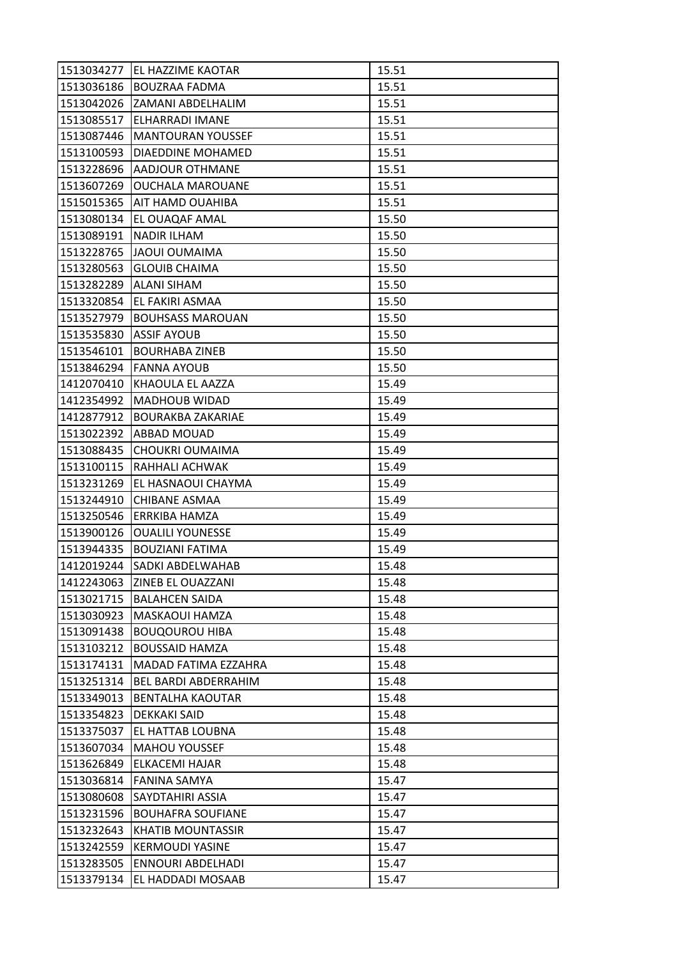| 1513034277 | EL HAZZIME KAOTAR           | 15.51 |
|------------|-----------------------------|-------|
| 1513036186 | <b>BOUZRAA FADMA</b>        | 15.51 |
| 1513042026 | IZAMANI ABDELHALIM          | 15.51 |
| 1513085517 | ELHARRADI IMANE             | 15.51 |
| 1513087446 | <b>MANTOURAN YOUSSEF</b>    | 15.51 |
| 1513100593 | DIAEDDINE MOHAMED           | 15.51 |
| 1513228696 | <b>AADJOUR OTHMANE</b>      | 15.51 |
| 1513607269 | <b>OUCHALA MAROUANE</b>     | 15.51 |
| 1515015365 | <b>AIT HAMD OUAHIBA</b>     | 15.51 |
| 1513080134 | EL OUAQAF AMAL              | 15.50 |
| 1513089191 | <b>NADIR ILHAM</b>          | 15.50 |
| 1513228765 | JAOUI OUMAIMA               | 15.50 |
| 1513280563 | <b>GLOUIB CHAIMA</b>        | 15.50 |
| 1513282289 | <b>ALANI SIHAM</b>          | 15.50 |
| 1513320854 | EL FAKIRI ASMAA             | 15.50 |
| 1513527979 | <b>BOUHSASS MAROUAN</b>     | 15.50 |
| 1513535830 | <b>ASSIF AYOUB</b>          | 15.50 |
| 1513546101 | <b>BOURHABA ZINEB</b>       | 15.50 |
| 1513846294 | <b>FANNA AYOUB</b>          | 15.50 |
| 1412070410 | KHAOULA EL AAZZA            | 15.49 |
| 1412354992 | <b>MADHOUB WIDAD</b>        | 15.49 |
| 1412877912 | <b>BOURAKBA ZAKARIAE</b>    | 15.49 |
| 1513022392 | ABBAD MOUAD                 | 15.49 |
| 1513088435 | CHOUKRI OUMAIMA             | 15.49 |
| 1513100115 | RAHHALI ACHWAK              | 15.49 |
| 1513231269 | EL HASNAOUI CHAYMA          | 15.49 |
| 1513244910 | CHIBANE ASMAA               | 15.49 |
| 1513250546 | ERRKIBA HAMZA               | 15.49 |
| 1513900126 | <b>OUALILI YOUNESSE</b>     | 15.49 |
| 1513944335 | <b>BOUZIANI FATIMA</b>      | 15.49 |
| 1412019244 | SADKI ABDELWAHAB            | 15.48 |
| 1412243063 | <b>ZINEB EL OUAZZANI</b>    | 15.48 |
| 1513021715 | <b>BALAHCEN SAIDA</b>       | 15.48 |
| 1513030923 | MASKAOUI HAMZA              | 15.48 |
| 1513091438 | <b>BOUQOUROU HIBA</b>       | 15.48 |
| 1513103212 | <b>BOUSSAID HAMZA</b>       | 15.48 |
| 1513174131 | MADAD FATIMA EZZAHRA        | 15.48 |
| 1513251314 | <b>BEL BARDI ABDERRAHIM</b> | 15.48 |
| 1513349013 | <b>BENTALHA KAOUTAR</b>     | 15.48 |
| 1513354823 | DEKKAKI SAID                | 15.48 |
| 1513375037 | EL HATTAB LOUBNA            | 15.48 |
| 1513607034 | <b>MAHOU YOUSSEF</b>        | 15.48 |
| 1513626849 | ELKACEMI HAJAR              | 15.48 |
| 1513036814 | FANINA SAMYA                | 15.47 |
| 1513080608 | SAYDTAHIRI ASSIA            | 15.47 |
| 1513231596 | <b>BOUHAFRA SOUFIANE</b>    | 15.47 |
| 1513232643 | <b>KHATIB MOUNTASSIR</b>    | 15.47 |
| 1513242559 | <b>KERMOUDI YASINE</b>      | 15.47 |
| 1513283505 | ENNOURI ABDELHADI           | 15.47 |
| 1513379134 | EL HADDADI MOSAAB           | 15.47 |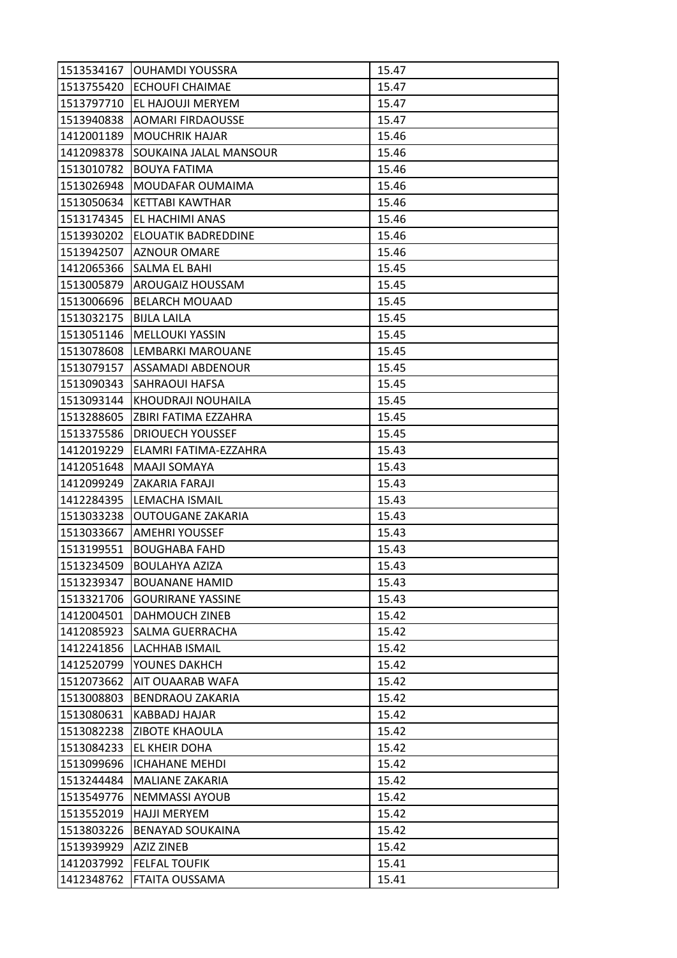| 1513534167               | <b>OUHAMDI YOUSSRA</b>        | 15.47 |
|--------------------------|-------------------------------|-------|
|                          | 1513755420 ECHOUFI CHAIMAE    | 15.47 |
| 1513797710               | EL HAJOUJI MERYEM             | 15.47 |
| 1513940838               | <b>AOMARI FIRDAOUSSE</b>      | 15.47 |
| 1412001189               | <b>MOUCHRIK HAJAR</b>         | 15.46 |
| 1412098378               | SOUKAINA JALAL MANSOUR        | 15.46 |
| 1513010782               | <b>BOUYA FATIMA</b>           | 15.46 |
| 1513026948               | MOUDAFAR OUMAIMA              | 15.46 |
| 1513050634               | <b>KETTABI KAWTHAR</b>        | 15.46 |
| 1513174345               | EL HACHIMI ANAS               | 15.46 |
| 1513930202               | ELOUATIK BADREDDINE           | 15.46 |
| 1513942507               | <b>AZNOUR OMARE</b>           | 15.46 |
| 1412065366               | SALMA EL BAHI                 | 15.45 |
| 1513005879               | <b>AROUGAIZ HOUSSAM</b>       | 15.45 |
| 1513006696               | <b>BELARCH MOUAAD</b>         | 15.45 |
| 1513032175   BIJLA LAILA |                               | 15.45 |
| 1513051146               | <b>MELLOUKI YASSIN</b>        | 15.45 |
| 1513078608               | LEMBARKI MAROUANE             | 15.45 |
| 1513079157               | ASSAMADI ABDENOUR             | 15.45 |
| 1513090343               | <b>SAHRAOUI HAFSA</b>         | 15.45 |
|                          | 1513093144 KHOUDRAJI NOUHAILA | 15.45 |
| 1513288605               | ZBIRI FATIMA EZZAHRA          | 15.45 |
| 1513375586               | <b>DRIOUECH YOUSSEF</b>       | 15.45 |
| 1412019229               | ELAMRI FATIMA-EZZAHRA         | 15.43 |
| 1412051648               | MAAJI SOMAYA                  | 15.43 |
|                          | 1412099249 ZAKARIA FARAJI     | 15.43 |
| 1412284395               | LEMACHA ISMAIL                | 15.43 |
| 1513033238               | OUTOUGANE ZAKARIA             | 15.43 |
| 1513033667               | <b>AMEHRI YOUSSEF</b>         | 15.43 |
| 1513199551               | <b>BOUGHABA FAHD</b>          | 15.43 |
| 1513234509               | <b>BOULAHYA AZIZA</b>         | 15.43 |
| 1513239347               | <b>BOUANANE HAMID</b>         | 15.43 |
| 1513321706               | <b>GOURIRANE YASSINE</b>      | 15.43 |
| 1412004501               | DAHMOUCH ZINEB                | 15.42 |
| 1412085923               | SALMA GUERRACHA               | 15.42 |
| 1412241856               | LACHHAB ISMAIL                | 15.42 |
| 1412520799               | YOUNES DAKHCH                 | 15.42 |
| 1512073662               | AIT OUAARAB WAFA              | 15.42 |
| 1513008803               | <b>BENDRAOU ZAKARIA</b>       | 15.42 |
| 1513080631               | KABBADJ HAJAR                 | 15.42 |
| 1513082238               | <b>ZIBOTE KHAOULA</b>         | 15.42 |
| 1513084233               | EL KHEIR DOHA                 | 15.42 |
| 1513099696               | <b>ICHAHANE MEHDI</b>         | 15.42 |
| 1513244484               | MALIANE ZAKARIA               | 15.42 |
| 1513549776               | <b>NEMMASSI AYOUB</b>         | 15.42 |
| 1513552019               | <b>HAJJI MERYEM</b>           | 15.42 |
| 1513803226               | <b>BENAYAD SOUKAINA</b>       | 15.42 |
| 1513939929               | AZIZ ZINEB                    | 15.42 |
| 1412037992               | <b>FELFAL TOUFIK</b>          | 15.41 |
| 1412348762               | FTAITA OUSSAMA                | 15.41 |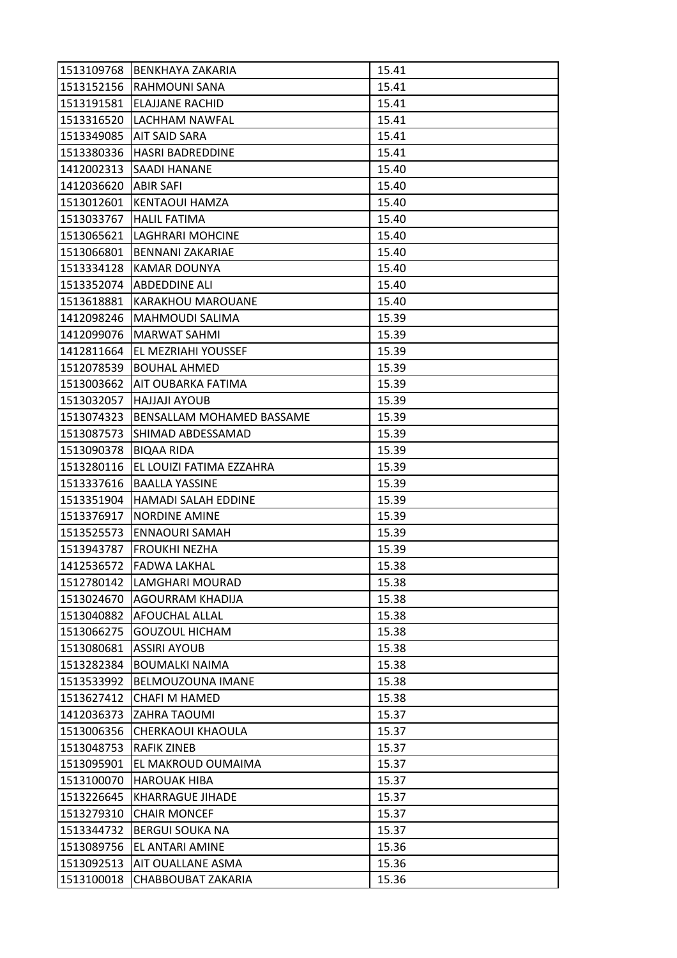| 1513109768 | BENKHAYA ZAKARIA          | 15.41 |
|------------|---------------------------|-------|
| 1513152156 | <b>RAHMOUNI SANA</b>      | 15.41 |
| 1513191581 | ELAJJANE RACHID           | 15.41 |
| 1513316520 | LACHHAM NAWFAL            | 15.41 |
| 1513349085 | <b>AIT SAID SARA</b>      | 15.41 |
| 1513380336 | <b>HASRI BADREDDINE</b>   | 15.41 |
| 1412002313 | <b>SAADI HANANE</b>       | 15.40 |
| 1412036620 | <b>ABIR SAFI</b>          | 15.40 |
| 1513012601 | KENTAOUI HAMZA            | 15.40 |
| 1513033767 | <b>HALIL FATIMA</b>       | 15.40 |
| 1513065621 | LAGHRARI MOHCINE          | 15.40 |
| 1513066801 | <b>BENNANI ZAKARIAE</b>   | 15.40 |
| 1513334128 | KAMAR DOUNYA              | 15.40 |
| 1513352074 | <b>ABDEDDINE ALI</b>      | 15.40 |
| 1513618881 | <b>KARAKHOU MAROUANE</b>  | 15.40 |
| 1412098246 | MAHMOUDI SALIMA           | 15.39 |
| 1412099076 | <b>MARWAT SAHMI</b>       | 15.39 |
| 1412811664 | EL MEZRIAHI YOUSSEF       | 15.39 |
| 1512078539 | <b>BOUHAL AHMED</b>       | 15.39 |
| 1513003662 | AIT OUBARKA FATIMA        | 15.39 |
| 1513032057 | <b>HAJJAJI AYOUB</b>      | 15.39 |
| 1513074323 | BENSALLAM MOHAMED BASSAME | 15.39 |
| 1513087573 | SHIMAD ABDESSAMAD         | 15.39 |
| 1513090378 | <b>BIQAA RIDA</b>         | 15.39 |
| 1513280116 | EL LOUIZI FATIMA EZZAHRA  | 15.39 |
| 1513337616 | <b>BAALLA YASSINE</b>     | 15.39 |
| 1513351904 | HAMADI SALAH EDDINE       | 15.39 |
| 1513376917 | <b>NORDINE AMINE</b>      | 15.39 |
| 1513525573 | <b>ENNAOURI SAMAH</b>     | 15.39 |
| 1513943787 | lFROUKHI NEZHA            | 15.39 |
| 1412536572 | <b>FADWA LAKHAL</b>       | 15.38 |
| 1512780142 | LAMGHARI MOURAD           | 15.38 |
| 1513024670 | <b>AGOURRAM KHADIJA</b>   | 15.38 |
| 1513040882 | AFOUCHAL ALLAL            | 15.38 |
| 1513066275 | <b>GOUZOUL HICHAM</b>     | 15.38 |
| 1513080681 | <b>ASSIRI AYOUB</b>       | 15.38 |
| 1513282384 | <b>BOUMALKI NAIMA</b>     | 15.38 |
| 1513533992 | BELMOUZOUNA IMANE         | 15.38 |
| 1513627412 | CHAFI M HAMED             | 15.38 |
| 1412036373 | <b>ZAHRA TAOUMI</b>       | 15.37 |
| 1513006356 | CHERKAOUI KHAOULA         | 15.37 |
| 1513048753 | RAFIK ZINEB               | 15.37 |
| 1513095901 | EL MAKROUD OUMAIMA        | 15.37 |
| 1513100070 | <b>HAROUAK HIBA</b>       | 15.37 |
| 1513226645 | <b>KHARRAGUE JIHADE</b>   | 15.37 |
| 1513279310 | <b>CHAIR MONCEF</b>       | 15.37 |
| 1513344732 | <b>BERGUI SOUKA NA</b>    | 15.37 |
| 1513089756 | EL ANTARI AMINE           | 15.36 |
| 1513092513 | AIT OUALLANE ASMA         | 15.36 |
| 1513100018 | CHABBOUBAT ZAKARIA        | 15.36 |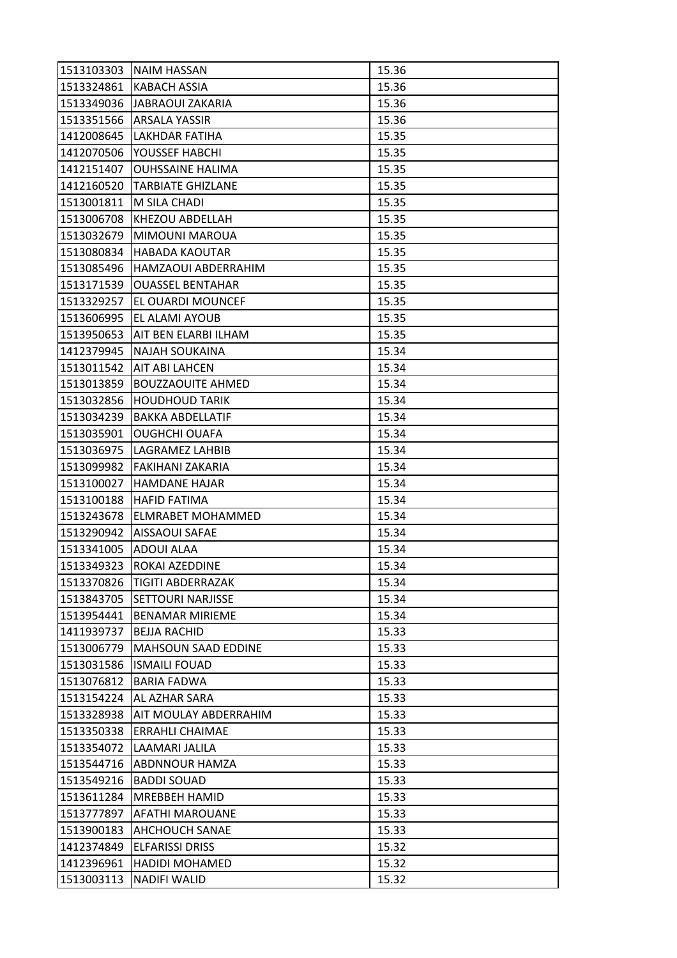| 1513103303 | <b>NAIM HASSAN</b>           | 15.36 |
|------------|------------------------------|-------|
| 1513324861 | <b>KABACH ASSIA</b>          | 15.36 |
| 1513349036 | JABRAOUI ZAKARIA             | 15.36 |
| 1513351566 | <b>ARSALA YASSIR</b>         | 15.36 |
| 1412008645 | LAKHDAR FATIHA               | 15.35 |
| 1412070506 | YOUSSEF HABCHI               | 15.35 |
| 1412151407 | <b>OUHSSAINE HALIMA</b>      | 15.35 |
| 1412160520 | <b>TARBIATE GHIZLANE</b>     | 15.35 |
| 1513001811 | M SILA CHADI                 | 15.35 |
| 1513006708 | KHEZOU ABDELLAH              | 15.35 |
| 1513032679 | MIMOUNI MAROUA               | 15.35 |
| 1513080834 | <b>HABADA KAOUTAR</b>        | 15.35 |
| 1513085496 | HAMZAOUI ABDERRAHIM          | 15.35 |
| 1513171539 | <b>OUASSEL BENTAHAR</b>      | 15.35 |
| 1513329257 | EL OUARDI MOUNCEF            | 15.35 |
| 1513606995 | EL ALAMI AYOUB               | 15.35 |
| 1513950653 | AIT BEN ELARBI ILHAM         | 15.35 |
| 1412379945 | NAJAH SOUKAINA               | 15.34 |
| 1513011542 | <b>AIT ABI LAHCEN</b>        | 15.34 |
| 1513013859 | <b>BOUZZAOUITE AHMED</b>     | 15.34 |
| 1513032856 | <b>HOUDHOUD TARIK</b>        | 15.34 |
| 1513034239 | <b>BAKKA ABDELLATIF</b>      | 15.34 |
| 1513035901 | <b>OUGHCHI OUAFA</b>         | 15.34 |
| 1513036975 | LAGRAMEZ LAHBIB              | 15.34 |
| 1513099982 | FAKIHANI ZAKARIA             | 15.34 |
| 1513100027 | <b>HAMDANE HAJAR</b>         | 15.34 |
| 1513100188 | <b>HAFID FATIMA</b>          | 15.34 |
| 1513243678 | <b>ELMRABET MOHAMMED</b>     | 15.34 |
| 1513290942 | <b>AISSAOUI SAFAE</b>        | 15.34 |
| 1513341005 | <b>ADOUI ALAA</b>            | 15.34 |
| 1513349323 | ROKAI AZEDDINE               | 15.34 |
| 1513370826 | <b>TIGITI ABDERRAZAK</b>     | 15.34 |
| 1513843705 | <b>SETTOURI NARJISSE</b>     | 15.34 |
| 1513954441 | <b>BENAMAR MIRIEME</b>       | 15.34 |
| 1411939737 | <b>BEJJA RACHID</b>          | 15.33 |
| 1513006779 | MAHSOUN SAAD EDDINE          | 15.33 |
| 1513031586 | <b>ISMAILI FOUAD</b>         | 15.33 |
| 1513076812 | <b>BARIA FADWA</b>           | 15.33 |
| 1513154224 | AL AZHAR SARA                | 15.33 |
| 1513328938 | <b>AIT MOULAY ABDERRAHIM</b> | 15.33 |
| 1513350338 | <b>ERRAHLI CHAIMAE</b>       | 15.33 |
| 1513354072 | LAAMARI JALILA               | 15.33 |
| 1513544716 | ABDNNOUR HAMZA               | 15.33 |
| 1513549216 | <b>BADDI SOUAD</b>           | 15.33 |
| 1513611284 | <b>MREBBEH HAMID</b>         | 15.33 |
| 1513777897 | <b>AFATHI MAROUANE</b>       | 15.33 |
| 1513900183 | <b>AHCHOUCH SANAE</b>        | 15.33 |
| 1412374849 | <b>ELFARISSI DRISS</b>       | 15.32 |
| 1412396961 | <b>HADIDI MOHAMED</b>        | 15.32 |
| 1513003113 | <b>NADIFI WALID</b>          | 15.32 |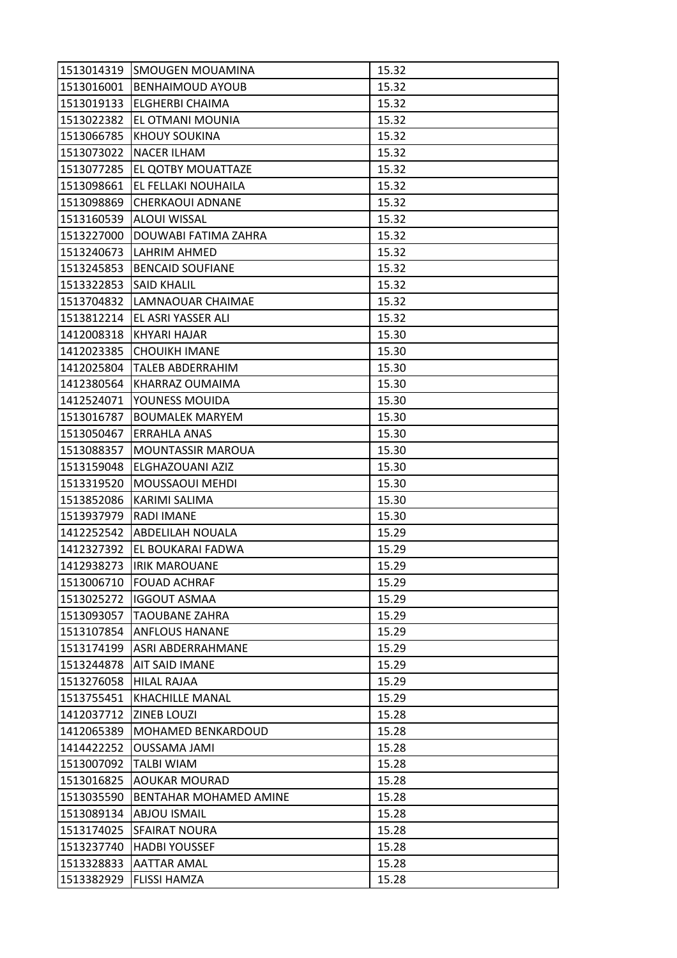| 1513014319 | <b>SMOUGEN MOUAMINA</b>       | 15.32 |
|------------|-------------------------------|-------|
| 1513016001 | <b>BENHAIMOUD AYOUB</b>       | 15.32 |
| 1513019133 | <b>ELGHERBI CHAIMA</b>        | 15.32 |
| 1513022382 | EL OTMANI MOUNIA              | 15.32 |
| 1513066785 | <b>KHOUY SOUKINA</b>          | 15.32 |
| 1513073022 | NACER ILHAM                   | 15.32 |
| 1513077285 | EL QOTBY MOUATTAZE            | 15.32 |
| 1513098661 | EL FELLAKI NOUHAILA           | 15.32 |
| 1513098869 | <b>CHERKAOUI ADNANE</b>       | 15.32 |
| 1513160539 | <b>ALOUI WISSAL</b>           | 15.32 |
| 1513227000 | DOUWABI FATIMA ZAHRA          | 15.32 |
| 1513240673 | LAHRIM AHMED                  | 15.32 |
| 1513245853 | <b>BENCAID SOUFIANE</b>       | 15.32 |
| 1513322853 | <b>SAID KHALIL</b>            | 15.32 |
| 1513704832 | LAMNAOUAR CHAIMAE             | 15.32 |
| 1513812214 | EL ASRI YASSER ALI            | 15.32 |
| 1412008318 | KHYARI HAJAR                  | 15.30 |
| 1412023385 | <b>CHOUIKH IMANE</b>          | 15.30 |
| 1412025804 | <b>TALEB ABDERRAHIM</b>       | 15.30 |
| 1412380564 | KHARRAZ OUMAIMA               | 15.30 |
| 1412524071 | YOUNESS MOUIDA                | 15.30 |
| 1513016787 | <b>BOUMALEK MARYEM</b>        | 15.30 |
| 1513050467 | <b>ERRAHLA ANAS</b>           | 15.30 |
| 1513088357 | MOUNTASSIR MAROUA             | 15.30 |
| 1513159048 | ELGHAZOUANI AZIZ              | 15.30 |
| 1513319520 | <b>MOUSSAOUI MEHDI</b>        | 15.30 |
| 1513852086 | KARIMI SALIMA                 | 15.30 |
| 1513937979 | <b>RADI IMANE</b>             | 15.30 |
| 1412252542 | ABDELILAH NOUALA              | 15.29 |
| 1412327392 | EL BOUKARAI FADWA             | 15.29 |
| 1412938273 | <b>IRIK MAROUANE</b>          | 15.29 |
| 1513006710 | <b>FOUAD ACHRAF</b>           | 15.29 |
| 1513025272 | <b>IGGOUT ASMAA</b>           | 15.29 |
| 1513093057 | <b>TAOUBANE ZAHRA</b>         | 15.29 |
| 1513107854 | <b>ANFLOUS HANANE</b>         | 15.29 |
| 1513174199 | <b>ASRI ABDERRAHMANE</b>      | 15.29 |
| 1513244878 | AIT SAID IMANE                | 15.29 |
| 1513276058 | <b>HILAL RAJAA</b>            | 15.29 |
| 1513755451 | <b>KHACHILLE MANAL</b>        | 15.29 |
| 1412037712 | <b>ZINEB LOUZI</b>            | 15.28 |
| 1412065389 | <b>MOHAMED BENKARDOUD</b>     | 15.28 |
| 1414422252 | OUSSAMA JAMI                  | 15.28 |
| 1513007092 | <b>TALBI WIAM</b>             | 15.28 |
| 1513016825 | <b>AOUKAR MOURAD</b>          | 15.28 |
| 1513035590 | <b>BENTAHAR MOHAMED AMINE</b> | 15.28 |
| 1513089134 | <b>ABJOU ISMAIL</b>           | 15.28 |
| 1513174025 | <b>SFAIRAT NOURA</b>          | 15.28 |
| 1513237740 | <b>HADBI YOUSSEF</b>          | 15.28 |
| 1513328833 | <b>AATTAR AMAL</b>            | 15.28 |
| 1513382929 | <b>FLISSI HAMZA</b>           | 15.28 |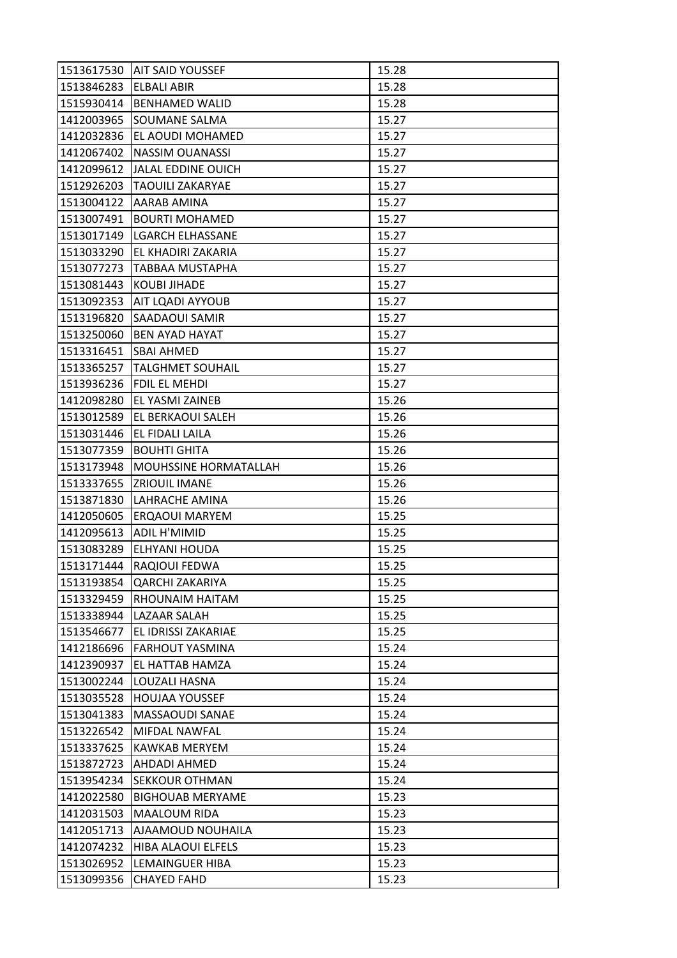| 1513617530 | IAIT SAID YOUSSEF            | 15.28 |
|------------|------------------------------|-------|
| 1513846283 | <b>ELBALI ABIR</b>           | 15.28 |
| 1515930414 | <b>BENHAMED WALID</b>        | 15.28 |
| 1412003965 | SOUMANE SALMA                | 15.27 |
| 1412032836 | EL AOUDI MOHAMED             | 15.27 |
| 1412067402 | <b>NASSIM OUANASSI</b>       | 15.27 |
| 1412099612 | JALAL EDDINE OUICH           | 15.27 |
| 1512926203 | TAOUILI ZAKARYAE             | 15.27 |
| 1513004122 | AARAB AMINA                  | 15.27 |
| 1513007491 | BOURTI MOHAMED               | 15.27 |
| 1513017149 | <b>LGARCH ELHASSANE</b>      | 15.27 |
| 1513033290 | EL KHADIRI ZAKARIA           | 15.27 |
| 1513077273 | TABBAA MUSTAPHA              | 15.27 |
| 1513081443 | <b>KOUBI JIHADE</b>          | 15.27 |
| 1513092353 | AIT LQADI AYYOUB             | 15.27 |
| 1513196820 | <b>SAADAOUI SAMIR</b>        | 15.27 |
| 1513250060 | <b>BEN AYAD HAYAT</b>        | 15.27 |
| 1513316451 | <b>SBAI AHMED</b>            | 15.27 |
| 1513365257 | <b>TALGHMET SOUHAIL</b>      | 15.27 |
| 1513936236 | FDIL EL MEHDI                | 15.27 |
| 1412098280 | <b>EL YASMI ZAINEB</b>       | 15.26 |
| 1513012589 | EL BERKAOUI SALEH            | 15.26 |
| 1513031446 | EL FIDALI LAILA              | 15.26 |
| 1513077359 | <b>BOUHTI GHITA</b>          | 15.26 |
| 1513173948 | <b>MOUHSSINE HORMATALLAH</b> | 15.26 |
| 1513337655 | <b>ZRIOUIL IMANE</b>         | 15.26 |
| 1513871830 | LAHRACHE AMINA               | 15.26 |
| 1412050605 | <b>ERQAOUI MARYEM</b>        | 15.25 |
| 1412095613 | <b>ADIL H'MIMID</b>          | 15.25 |
| 1513083289 | ELHYANI HOUDA                | 15.25 |
| 1513171444 | RAQIOUI FEDWA                | 15.25 |
| 1513193854 | <b>QARCHI ZAKARIYA</b>       | 15.25 |
| 1513329459 | RHOUNAIM HAITAM              | 15.25 |
| 1513338944 | <b>LAZAAR SALAH</b>          | 15.25 |
| 1513546677 | EL IDRISSI ZAKARIAE          | 15.25 |
| 1412186696 | <b>FARHOUT YASMINA</b>       | 15.24 |
| 1412390937 | EL HATTAB HAMZA              | 15.24 |
| 1513002244 | LOUZALI HASNA                | 15.24 |
| 1513035528 | <b>HOUJAA YOUSSEF</b>        | 15.24 |
| 1513041383 | MASSAOUDI SANAE              | 15.24 |
| 1513226542 | MIFDAL NAWFAL                | 15.24 |
| 1513337625 | <b>KAWKAB MERYEM</b>         | 15.24 |
| 1513872723 | <b>AHDADI AHMED</b>          | 15.24 |
| 1513954234 | <b>SEKKOUR OTHMAN</b>        | 15.24 |
| 1412022580 | <b>BIGHOUAB MERYAME</b>      | 15.23 |
| 1412031503 | <b>MAALOUM RIDA</b>          | 15.23 |
| 1412051713 | <b>AJAAMOUD NOUHAILA</b>     | 15.23 |
| 1412074232 | <b>HIBA ALAOUI ELFELS</b>    | 15.23 |
| 1513026952 | LEMAINGUER HIBA              | 15.23 |
| 1513099356 | <b>CHAYED FAHD</b>           | 15.23 |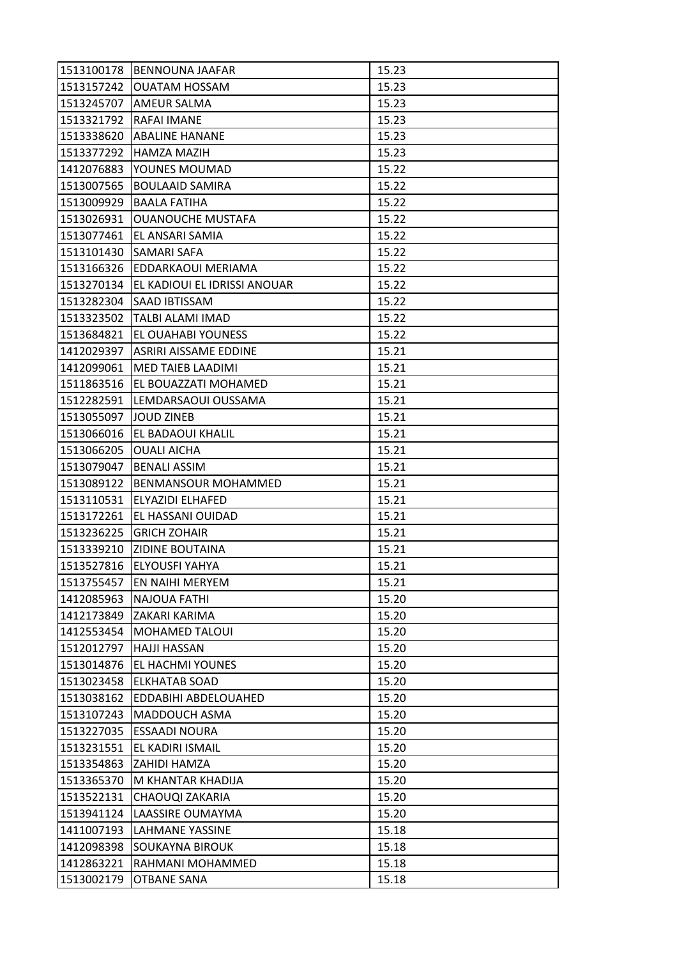| 1513100178 | <b>BENNOUNA JAAFAR</b>       | 15.23 |
|------------|------------------------------|-------|
| 1513157242 | <b>OUATAM HOSSAM</b>         | 15.23 |
| 1513245707 | <b>AMEUR SALMA</b>           | 15.23 |
| 1513321792 | <b>RAFAI IMANE</b>           | 15.23 |
| 1513338620 | <b>ABALINE HANANE</b>        | 15.23 |
| 1513377292 | <b>HAMZA MAZIH</b>           | 15.23 |
| 1412076883 | YOUNES MOUMAD                | 15.22 |
| 1513007565 | <b>BOULAAID SAMIRA</b>       | 15.22 |
| 1513009929 | <b>BAALA FATIHA</b>          | 15.22 |
| 1513026931 | <b>OUANOUCHE MUSTAFA</b>     | 15.22 |
| 1513077461 | EL ANSARI SAMIA              | 15.22 |
| 1513101430 | <b>SAMARI SAFA</b>           | 15.22 |
| 1513166326 | EDDARKAOUI MERIAMA           | 15.22 |
| 1513270134 | EL KADIOUI EL IDRISSI ANOUAR | 15.22 |
| 1513282304 | <b>SAAD IBTISSAM</b>         | 15.22 |
|            | 1513323502 TALBI ALAMI IMAD  | 15.22 |
| 1513684821 | <b>EL OUAHABI YOUNESS</b>    | 15.22 |
| 1412029397 | <b>ASRIRI AISSAME EDDINE</b> | 15.21 |
| 1412099061 | <b>MED TAIEB LAADIMI</b>     | 15.21 |
| 1511863516 | EL BOUAZZATI MOHAMED         | 15.21 |
| 1512282591 | LEMDARSAOUI OUSSAMA          | 15.21 |
| 1513055097 | JOUD ZINEB                   | 15.21 |
| 1513066016 | EL BADAOUI KHALIL            | 15.21 |
| 1513066205 | <b>OUALI AICHA</b>           | 15.21 |
| 1513079047 | <b>BENALI ASSIM</b>          | 15.21 |
| 1513089122 | <b>BENMANSOUR MOHAMMED</b>   | 15.21 |
| 1513110531 | <b>ELYAZIDI ELHAFED</b>      | 15.21 |
| 1513172261 | EL HASSANI OUIDAD            | 15.21 |
| 1513236225 | <b>GRICH ZOHAIR</b>          | 15.21 |
|            | 1513339210 ZIDINE BOUTAINA   | 15.21 |
| 1513527816 | <b>ELYOUSFI YAHYA</b>        | 15.21 |
| 1513755457 | EN NAIHI MERYEM              | 15.21 |
| 1412085963 | <b>NAJOUA FATHI</b>          | 15.20 |
| 1412173849 | ZAKARI KARIMA                | 15.20 |
| 1412553454 | <b>MOHAMED TALOUI</b>        | 15.20 |
| 1512012797 | <b>HAJJI HASSAN</b>          | 15.20 |
| 1513014876 | EL HACHMI YOUNES             | 15.20 |
| 1513023458 | <b>ELKHATAB SOAD</b>         | 15.20 |
| 1513038162 | EDDABIHI ABDELOUAHED         | 15.20 |
| 1513107243 | MADDOUCH ASMA                | 15.20 |
| 1513227035 | <b>ESSAADI NOURA</b>         | 15.20 |
| 1513231551 | EL KADIRI ISMAIL             | 15.20 |
| 1513354863 | ZAHIDI HAMZA                 | 15.20 |
| 1513365370 | M KHANTAR KHADIJA            | 15.20 |
| 1513522131 | CHAOUQI ZAKARIA              | 15.20 |
| 1513941124 | LAASSIRE OUMAYMA             | 15.20 |
| 1411007193 | <b>LAHMANE YASSINE</b>       | 15.18 |
| 1412098398 | <b>SOUKAYNA BIROUK</b>       | 15.18 |
| 1412863221 | RAHMANI MOHAMMED             | 15.18 |
| 1513002179 | <b>OTBANE SANA</b>           | 15.18 |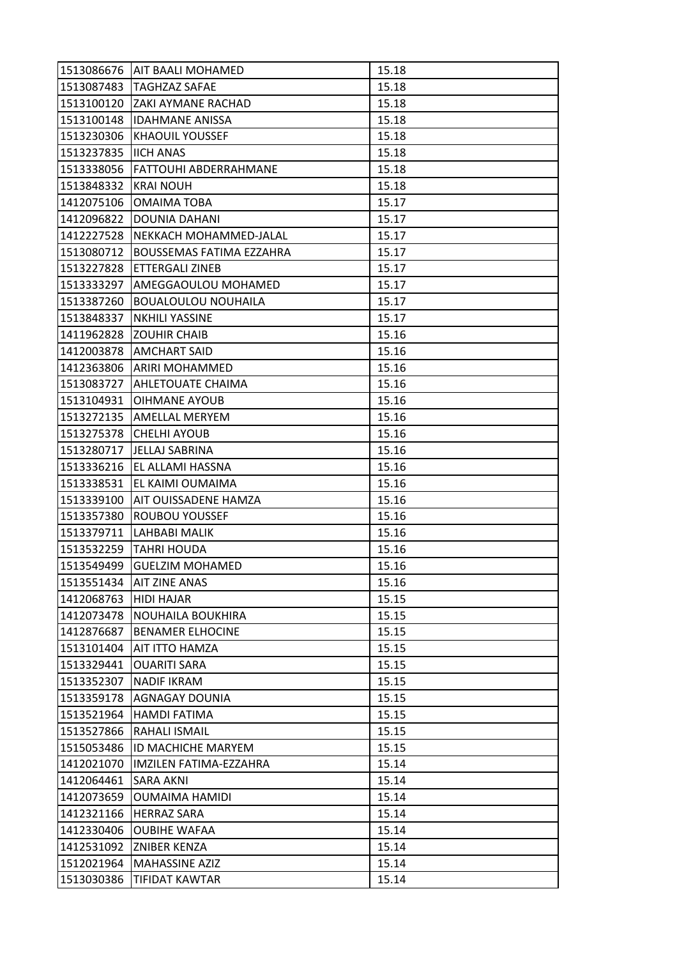| 1513086676 | <b>AIT BAALI MOHAMED</b>        | 15.18 |
|------------|---------------------------------|-------|
| 1513087483 | <b>TAGHZAZ SAFAE</b>            | 15.18 |
| 1513100120 | IZAKI AYMANE RACHAD             | 15.18 |
| 1513100148 | <b>IDAHMANE ANISSA</b>          | 15.18 |
| 1513230306 | <b>KHAOUIL YOUSSEF</b>          | 15.18 |
| 1513237835 | <b>IIICH ANAS</b>               | 15.18 |
| 1513338056 | <b>FATTOUHI ABDERRAHMANE</b>    | 15.18 |
| 1513848332 | <b>KRAI NOUH</b>                | 15.18 |
| 1412075106 | <b>OMAIMA TOBA</b>              | 15.17 |
| 1412096822 | DOUNIA DAHANI                   | 15.17 |
| 1412227528 | NEKKACH MOHAMMED-JALAL          | 15.17 |
| 1513080712 | <b>BOUSSEMAS FATIMA EZZAHRA</b> | 15.17 |
| 1513227828 | ETTERGALI ZINEB                 | 15.17 |
| 1513333297 | <b>AMEGGAOULOU MOHAMED</b>      | 15.17 |
| 1513387260 | <b>BOUALOULOU NOUHAILA</b>      | 15.17 |
| 1513848337 | <b>NKHILI YASSINE</b>           | 15.17 |
| 1411962828 | <b>ZOUHIR CHAIB</b>             | 15.16 |
| 1412003878 | <b>AMCHART SAID</b>             | 15.16 |
| 1412363806 | <b>ARIRI MOHAMMED</b>           | 15.16 |
| 1513083727 | <b>AHLETOUATE CHAIMA</b>        | 15.16 |
| 1513104931 | <b>OIHMANE AYOUB</b>            | 15.16 |
| 1513272135 | <b>AMELLAL MERYEM</b>           | 15.16 |
| 1513275378 | <b>CHELHI AYOUB</b>             | 15.16 |
| 1513280717 | JELLAJ SABRINA                  | 15.16 |
| 1513336216 | EL ALLAMI HASSNA                | 15.16 |
| 1513338531 | EL KAIMI OUMAIMA                | 15.16 |
| 1513339100 | AIT OUISSADENE HAMZA            | 15.16 |
| 1513357380 | <b>ROUBOU YOUSSEF</b>           | 15.16 |
| 1513379711 | LAHBABI MALIK                   | 15.16 |
| 1513532259 | <b>TAHRI HOUDA</b>              | 15.16 |
| 1513549499 | <b>GUELZIM MOHAMED</b>          | 15.16 |
| 1513551434 | <b>AIT ZINE ANAS</b>            | 15.16 |
| 1412068763 | <b>HIDI HAJAR</b>               | 15.15 |
| 1412073478 | NOUHAILA BOUKHIRA               | 15.15 |
| 1412876687 | <b>BENAMER ELHOCINE</b>         | 15.15 |
| 1513101404 | AIT ITTO HAMZA                  | 15.15 |
| 1513329441 | <b>OUARITI SARA</b>             | 15.15 |
| 1513352307 | <b>NADIF IKRAM</b>              | 15.15 |
| 1513359178 | <b>AGNAGAY DOUNIA</b>           | 15.15 |
| 1513521964 | <b>HAMDI FATIMA</b>             | 15.15 |
| 1513527866 | RAHALI ISMAIL                   | 15.15 |
| 1515053486 | <b>ID MACHICHE MARYEM</b>       | 15.15 |
| 1412021070 | <b>IMZILEN FATIMA-EZZAHRA</b>   | 15.14 |
| 1412064461 | SARA AKNI                       | 15.14 |
| 1412073659 | <b>OUMAIMA HAMIDI</b>           | 15.14 |
| 1412321166 | <b>HERRAZ SARA</b>              | 15.14 |
| 1412330406 | <b>OUBIHE WAFAA</b>             | 15.14 |
| 1412531092 | <b>ZNIBER KENZA</b>             | 15.14 |
| 1512021964 | <b>MAHASSINE AZIZ</b>           | 15.14 |
| 1513030386 | TIFIDAT KAWTAR                  | 15.14 |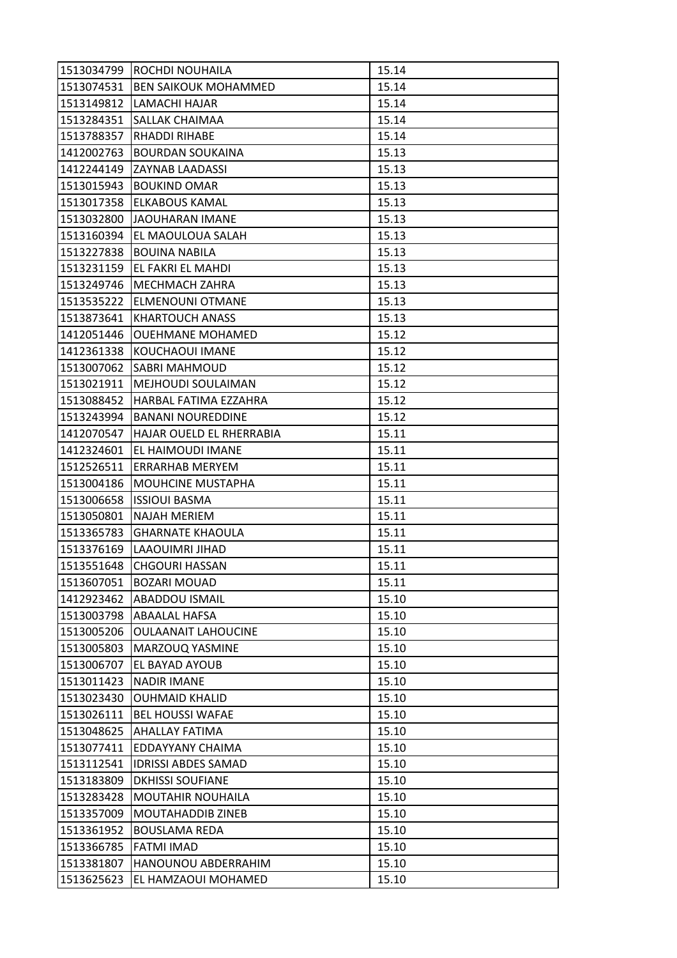| 1513034799 | ROCHDI NOUHAILA             | 15.14 |
|------------|-----------------------------|-------|
| 1513074531 | <b>BEN SAIKOUK MOHAMMED</b> | 15.14 |
| 1513149812 | LAMACHI HAJAR               | 15.14 |
| 1513284351 | SALLAK CHAIMAA              | 15.14 |
| 1513788357 | RHADDI RIHABE               | 15.14 |
| 1412002763 | <b>BOURDAN SOUKAINA</b>     | 15.13 |
| 1412244149 | <b>ZAYNAB LAADASSI</b>      | 15.13 |
| 1513015943 | <b>BOUKIND OMAR</b>         | 15.13 |
| 1513017358 | <b>ELKABOUS KAMAL</b>       | 15.13 |
| 1513032800 | JAOUHARAN IMANE             | 15.13 |
| 1513160394 | EL MAOULOUA SALAH           | 15.13 |
| 1513227838 | <b>BOUINA NABILA</b>        | 15.13 |
| 1513231159 | EL FAKRI EL MAHDI           | 15.13 |
| 1513249746 | <b>MECHMACH ZAHRA</b>       | 15.13 |
| 1513535222 | <b>ELMENOUNI OTMANE</b>     | 15.13 |
| 1513873641 | <b>KHARTOUCH ANASS</b>      | 15.13 |
| 1412051446 | <b>OUEHMANE MOHAMED</b>     | 15.12 |
| 1412361338 | KOUCHAOUI IMANE             | 15.12 |
| 1513007062 | <b>SABRI MAHMOUD</b>        | 15.12 |
| 1513021911 | MEJHOUDI SOULAIMAN          | 15.12 |
| 1513088452 | HARBAL FATIMA EZZAHRA       | 15.12 |
| 1513243994 | <b>BANANI NOUREDDINE</b>    | 15.12 |
| 1412070547 | HAJAR OUELD EL RHERRABIA    | 15.11 |
| 1412324601 | EL HAIMOUDI IMANE           | 15.11 |
| 1512526511 | ERRARHAB MERYEM             | 15.11 |
| 1513004186 | <b>MOUHCINE MUSTAPHA</b>    | 15.11 |
| 1513006658 | <b>ISSIOUI BASMA</b>        | 15.11 |
| 1513050801 | <b>NAJAH MERIEM</b>         | 15.11 |
| 1513365783 | <b>GHARNATE KHAOULA</b>     | 15.11 |
| 1513376169 | LAAOUIMRI JIHAD             | 15.11 |
| 1513551648 | <b>CHGOURI HASSAN</b>       | 15.11 |
| 1513607051 | <b>BOZARI MOUAD</b>         | 15.11 |
| 1412923462 | <b>ABADDOU ISMAIL</b>       | 15.10 |
| 1513003798 | ABAALAL HAFSA               | 15.10 |
| 1513005206 | <b>OULAANAIT LAHOUCINE</b>  | 15.10 |
| 1513005803 | MARZOUQ YASMINE             | 15.10 |
| 1513006707 | EL BAYAD AYOUB              | 15.10 |
| 1513011423 | <b>NADIR IMANE</b>          | 15.10 |
| 1513023430 | <b>OUHMAID KHALID</b>       | 15.10 |
| 1513026111 | <b>BEL HOUSSI WAFAE</b>     | 15.10 |
| 1513048625 | <b>AHALLAY FATIMA</b>       | 15.10 |
| 1513077411 | EDDAYYANY CHAIMA            | 15.10 |
| 1513112541 | <b>IDRISSI ABDES SAMAD</b>  | 15.10 |
| 1513183809 | <b>DKHISSI SOUFIANE</b>     | 15.10 |
| 1513283428 | MOUTAHIR NOUHAILA           | 15.10 |
| 1513357009 | <b>MOUTAHADDIB ZINEB</b>    | 15.10 |
| 1513361952 | <b>BOUSLAMA REDA</b>        | 15.10 |
| 1513366785 | <b>FATMI IMAD</b>           | 15.10 |
| 1513381807 | HANOUNOU ABDERRAHIM         | 15.10 |
| 1513625623 | EL HAMZAOUI MOHAMED         | 15.10 |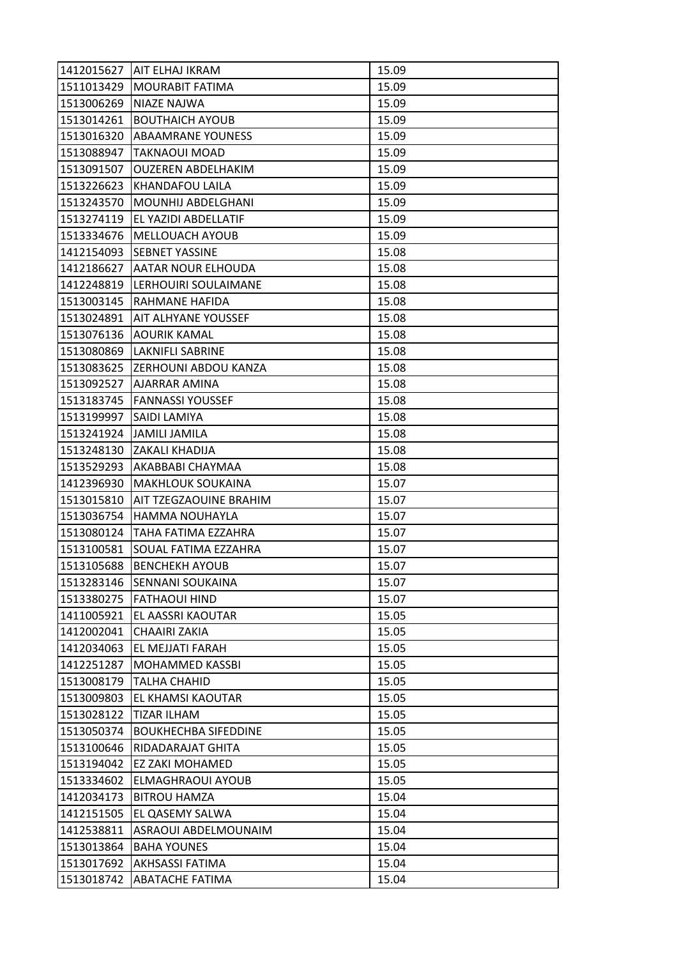| 1412015627 | IAIT ELHAJ IKRAM              | 15.09 |
|------------|-------------------------------|-------|
| 1511013429 | <b>MOURABIT FATIMA</b>        | 15.09 |
| 1513006269 | NIAZE NAJWA                   | 15.09 |
| 1513014261 | <b>BOUTHAICH AYOUB</b>        | 15.09 |
| 1513016320 | <b>ABAAMRANE YOUNESS</b>      | 15.09 |
| 1513088947 | <b>TAKNAOUI MOAD</b>          | 15.09 |
| 1513091507 | <b>OUZEREN ABDELHAKIM</b>     | 15.09 |
| 1513226623 | KHANDAFOU LAILA               | 15.09 |
| 1513243570 | MOUNHIJ ABDELGHANI            | 15.09 |
| 1513274119 | EL YAZIDI ABDELLATIF          | 15.09 |
| 1513334676 | MELLOUACH AYOUB               | 15.09 |
| 1412154093 | <b>SEBNET YASSINE</b>         | 15.08 |
| 1412186627 | AATAR NOUR ELHOUDA            | 15.08 |
| 1412248819 | LERHOUIRI SOULAIMANE          | 15.08 |
| 1513003145 | RAHMANE HAFIDA                | 15.08 |
| 1513024891 | <b>AIT ALHYANE YOUSSEF</b>    | 15.08 |
| 1513076136 | AOURIK KAMAL                  | 15.08 |
| 1513080869 | LAKNIFLI SABRINE              | 15.08 |
| 1513083625 | <b>ZERHOUNI ABDOU KANZA</b>   | 15.08 |
| 1513092527 | AJARRAR AMINA                 | 15.08 |
|            | 1513183745   FANNASSI YOUSSEF | 15.08 |
| 1513199997 | <b>SAIDI LAMIYA</b>           | 15.08 |
| 1513241924 | <b>JAMILI JAMILA</b>          | 15.08 |
| 1513248130 | IZAKALI KHADIJA               | 15.08 |
| 1513529293 | AKABBABI CHAYMAA              | 15.08 |
| 1412396930 | <b>MAKHLOUK SOUKAINA</b>      | 15.07 |
| 1513015810 | AIT TZEGZAOUINE BRAHIM        | 15.07 |
| 1513036754 | <b>HAMMA NOUHAYLA</b>         | 15.07 |
| 1513080124 | TAHA FATIMA EZZAHRA           | 15.07 |
| 1513100581 | SOUAL FATIMA EZZAHRA          | 15.07 |
| 1513105688 | <b>BENCHEKH AYOUB</b>         | 15.07 |
| 1513283146 | <b>SENNANI SOUKAINA</b>       | 15.07 |
| 1513380275 | <b>FATHAOUI HIND</b>          | 15.07 |
| 1411005921 | EL AASSRI KAOUTAR             | 15.05 |
| 1412002041 | <b>CHAAIRI ZAKIA</b>          | 15.05 |
| 1412034063 | EL MEJJATI FARAH              | 15.05 |
| 1412251287 | MOHAMMED KASSBI               | 15.05 |
| 1513008179 | TALHA CHAHID                  | 15.05 |
| 1513009803 | EL KHAMSI KAOUTAR             | 15.05 |
| 1513028122 | <b>TIZAR ILHAM</b>            | 15.05 |
| 1513050374 | <b>BOUKHECHBA SIFEDDINE</b>   | 15.05 |
| 1513100646 | RIDADARAJAT GHITA             | 15.05 |
| 1513194042 | EZ ZAKI MOHAMED               | 15.05 |
| 1513334602 | ELMAGHRAOUI AYOUB             | 15.05 |
| 1412034173 | <b>BITROU HAMZA</b>           | 15.04 |
| 1412151505 | EL QASEMY SALWA               | 15.04 |
| 1412538811 | ASRAOUI ABDELMOUNAIM          | 15.04 |
| 1513013864 | <b>BAHA YOUNES</b>            | 15.04 |
| 1513017692 | AKHSASSI FATIMA               | 15.04 |
| 1513018742 | <b>ABATACHE FATIMA</b>        | 15.04 |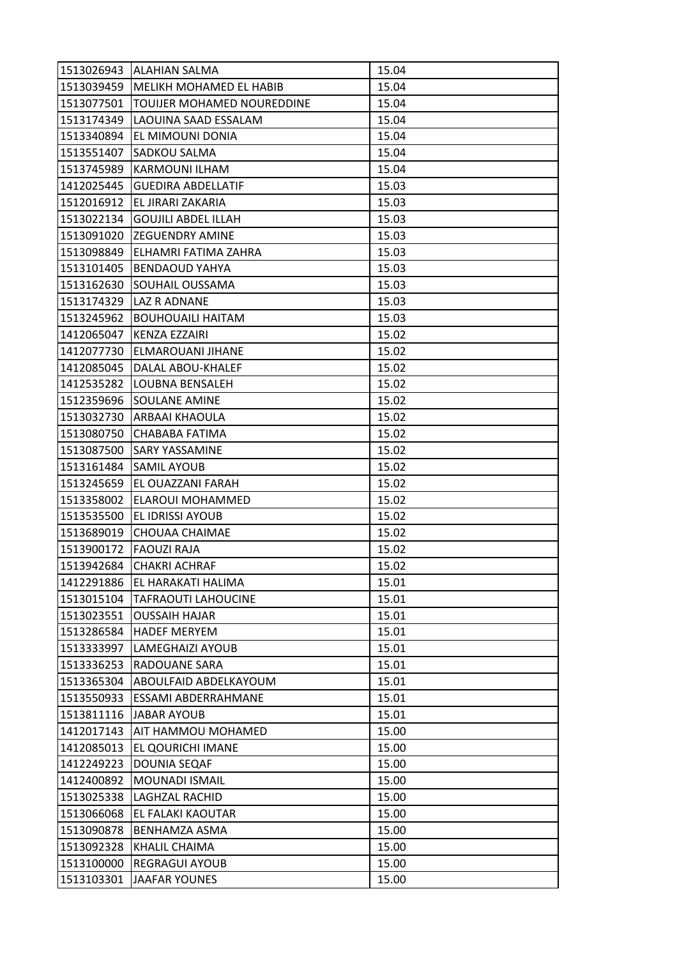| 1513026943 | <b>ALAHIAN SALMA</b>       | 15.04 |
|------------|----------------------------|-------|
| 1513039459 | MELIKH MOHAMED EL HABIB    | 15.04 |
| 1513077501 | TOUIJER MOHAMED NOUREDDINE | 15.04 |
| 1513174349 | LAOUINA SAAD ESSALAM       | 15.04 |
| 1513340894 | EL MIMOUNI DONIA           | 15.04 |
| 1513551407 | SADKOU SALMA               | 15.04 |
| 1513745989 | <b>KARMOUNI ILHAM</b>      | 15.04 |
| 1412025445 | <b>GUEDIRA ABDELLATIF</b>  | 15.03 |
| 1512016912 | EL JIRARI ZAKARIA          | 15.03 |
| 1513022134 | <b>GOUJILI ABDEL ILLAH</b> | 15.03 |
| 1513091020 | <b>IZEGUENDRY AMINE</b>    | 15.03 |
| 1513098849 | ELHAMRI FATIMA ZAHRA       | 15.03 |
| 1513101405 | <b>BENDAOUD YAHYA</b>      | 15.03 |
| 1513162630 | SOUHAIL OUSSAMA            | 15.03 |
| 1513174329 | <b>LAZ R ADNANE</b>        | 15.03 |
| 1513245962 | <b>BOUHOUAILI HAITAM</b>   | 15.03 |
| 1412065047 | KENZA EZZAIRI              | 15.02 |
| 1412077730 | ELMAROUANI JIHANE          | 15.02 |
| 1412085045 | DALAL ABOU-KHALEF          | 15.02 |
| 1412535282 | <b>LOUBNA BENSALEH</b>     | 15.02 |
| 1512359696 | <b>SOULANE AMINE</b>       | 15.02 |
| 1513032730 | ARBAAI KHAOULA             | 15.02 |
| 1513080750 | CHABABA FATIMA             | 15.02 |
| 1513087500 | <b>SARY YASSAMINE</b>      | 15.02 |
| 1513161484 | <b>SAMIL AYOUB</b>         | 15.02 |
| 1513245659 | EL OUAZZANI FARAH          | 15.02 |
| 1513358002 | ELAROUI MOHAMMED           | 15.02 |
| 1513535500 | <b>EL IDRISSI AYOUB</b>    | 15.02 |
| 1513689019 | CHOUAA CHAIMAE             | 15.02 |
| 1513900172 | <b>FAOUZI RAJA</b>         | 15.02 |
| 1513942684 | CHAKRI ACHRAF              | 15.02 |
| 1412291886 | EL HARAKATI HALIMA         | 15.01 |
| 1513015104 | <b>TAFRAOUTI LAHOUCINE</b> | 15.01 |
| 1513023551 | <b>OUSSAIH HAJAR</b>       | 15.01 |
| 1513286584 | <b>HADEF MERYEM</b>        | 15.01 |
| 1513333997 | LAMEGHAIZI AYOUB           | 15.01 |
| 1513336253 | <b>RADOUANE SARA</b>       | 15.01 |
| 1513365304 | ABOULFAID ABDELKAYOUM      | 15.01 |
| 1513550933 | ESSAMI ABDERRAHMANE        | 15.01 |
| 1513811116 | JABAR AYOUB                | 15.01 |
| 1412017143 | AIT HAMMOU MOHAMED         | 15.00 |
| 1412085013 | EL QOURICHI IMANE          | 15.00 |
| 1412249223 | DOUNIA SEQAF               | 15.00 |
| 1412400892 | MOUNADI ISMAIL             | 15.00 |
| 1513025338 | LAGHZAL RACHID             | 15.00 |
| 1513066068 | EL FALAKI KAOUTAR          | 15.00 |
| 1513090878 | <b>BENHAMZA ASMA</b>       | 15.00 |
| 1513092328 | KHALIL CHAIMA              | 15.00 |
| 1513100000 | <b>REGRAGUI AYOUB</b>      | 15.00 |
| 1513103301 | <b>JAAFAR YOUNES</b>       | 15.00 |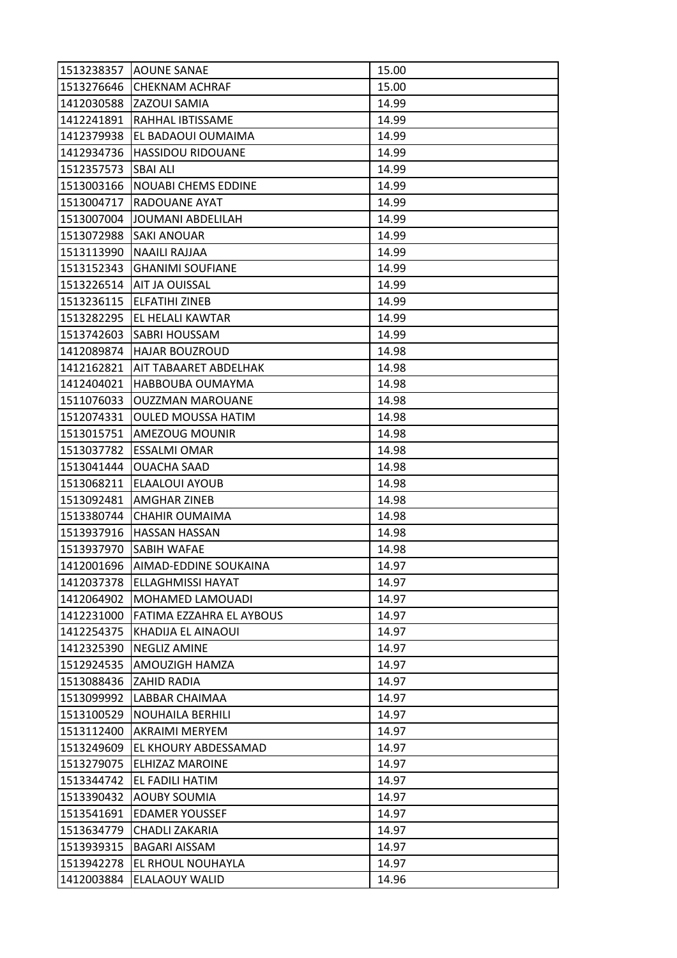| 1513238357 | <b>AOUNE SANAE</b>          | 15.00 |
|------------|-----------------------------|-------|
| 1513276646 | <b>CHEKNAM ACHRAF</b>       | 15.00 |
| 1412030588 | ZAZOUI SAMIA                | 14.99 |
| 1412241891 | RAHHAL IBTISSAME            | 14.99 |
| 1412379938 | EL BADAOUI OUMAIMA          | 14.99 |
| 1412934736 | <b>HASSIDOU RIDOUANE</b>    | 14.99 |
| 1512357573 | <b>SBAI ALI</b>             | 14.99 |
| 1513003166 | <b>NOUABI CHEMS EDDINE</b>  | 14.99 |
| 1513004717 | <b>RADOUANE AYAT</b>        | 14.99 |
| 1513007004 | JOUMANI ABDELILAH           | 14.99 |
|            | 1513072988 SAKI ANOUAR      | 14.99 |
| 1513113990 | NAAILI RAJJAA               | 14.99 |
| 1513152343 | <b>GHANIMI SOUFIANE</b>     | 14.99 |
| 1513226514 | <b>AIT JA OUISSAL</b>       | 14.99 |
| 1513236115 | <b>ELFATIHI ZINEB</b>       | 14.99 |
|            | 1513282295 EL HELALI KAWTAR | 14.99 |
| 1513742603 | <b>SABRI HOUSSAM</b>        | 14.99 |
| 1412089874 | <b>HAJAR BOUZROUD</b>       | 14.98 |
| 1412162821 | AIT TABAARET ABDELHAK       | 14.98 |
| 1412404021 | HABBOUBA OUMAYMA            | 14.98 |
| 1511076033 | <b>OUZZMAN MAROUANE</b>     | 14.98 |
| 1512074331 | <b>OULED MOUSSA HATIM</b>   | 14.98 |
| 1513015751 | AMEZOUG MOUNIR              | 14.98 |
| 1513037782 | <b>ESSALMI OMAR</b>         | 14.98 |
| 1513041444 | <b>OUACHA SAAD</b>          | 14.98 |
| 1513068211 | <b>ELAALOUI AYOUB</b>       | 14.98 |
| 1513092481 | AMGHAR ZINEB                | 14.98 |
| 1513380744 | <b>CHAHIR OUMAIMA</b>       | 14.98 |
| 1513937916 | <b>HASSAN HASSAN</b>        | 14.98 |
| 1513937970 | <b>SABIH WAFAE</b>          | 14.98 |
| 1412001696 | AIMAD-EDDINE SOUKAINA       | 14.97 |
| 1412037378 | <b>ELLAGHMISSI HAYAT</b>    | 14.97 |
| 1412064902 | MOHAMED LAMOUADI            | 14.97 |
| 1412231000 | FATIMA EZZAHRA EL AYBOUS    | 14.97 |
| 1412254375 | KHADIJA EL AINAOUI          | 14.97 |
| 1412325390 | NEGLIZ AMINE                | 14.97 |
| 1512924535 | AMOUZIGH HAMZA              | 14.97 |
| 1513088436 | <b>ZAHID RADIA</b>          | 14.97 |
| 1513099992 | LABBAR CHAIMAA              | 14.97 |
| 1513100529 | <b>NOUHAILA BERHILI</b>     | 14.97 |
| 1513112400 | AKRAIMI MERYEM              | 14.97 |
| 1513249609 | EL KHOURY ABDESSAMAD        | 14.97 |
| 1513279075 | ELHIZAZ MAROINE             | 14.97 |
| 1513344742 | EL FADILI HATIM             | 14.97 |
| 1513390432 | <b>AOUBY SOUMIA</b>         | 14.97 |
| 1513541691 | <b>EDAMER YOUSSEF</b>       | 14.97 |
| 1513634779 | CHADLI ZAKARIA              | 14.97 |
| 1513939315 | <b>BAGARI AISSAM</b>        | 14.97 |
| 1513942278 | EL RHOUL NOUHAYLA           | 14.97 |
| 1412003884 | ELALAOUY WALID              | 14.96 |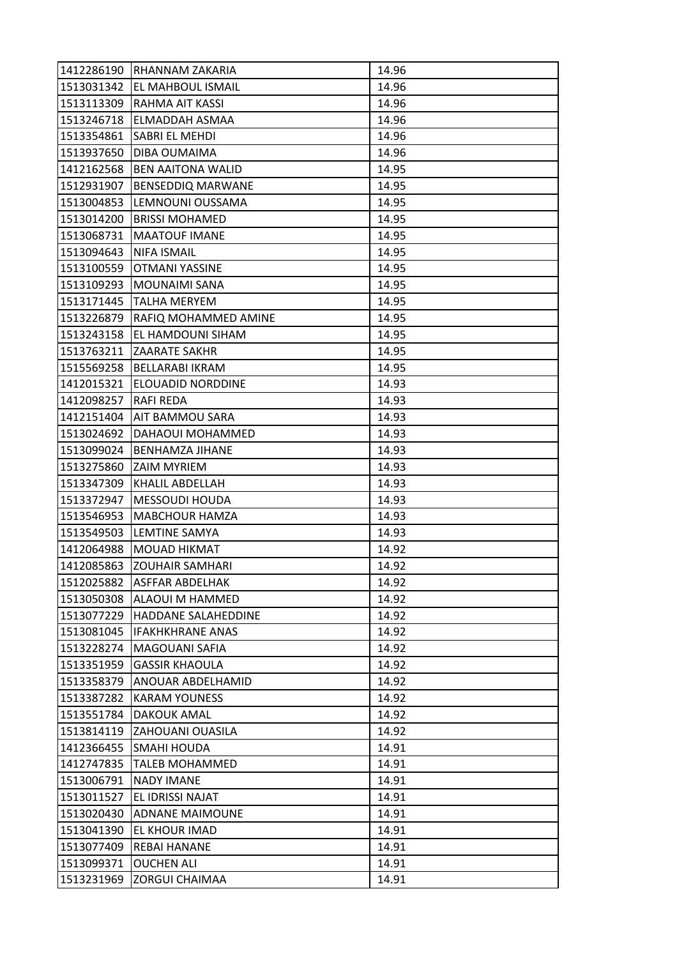| 1412286190 | RHANNAM ZAKARIA          | 14.96 |
|------------|--------------------------|-------|
| 1513031342 | <b>EL MAHBOUL ISMAIL</b> | 14.96 |
| 1513113309 | RAHMA AIT KASSI          | 14.96 |
| 1513246718 | ELMADDAH ASMAA           | 14.96 |
| 1513354861 | SABRI EL MEHDI           | 14.96 |
| 1513937650 | DIBA OUMAIMA             | 14.96 |
| 1412162568 | <b>BEN AAITONA WALID</b> | 14.95 |
| 1512931907 | <b>BENSEDDIQ MARWANE</b> | 14.95 |
| 1513004853 | LEMNOUNI OUSSAMA         | 14.95 |
| 1513014200 | <b>BRISSI MOHAMED</b>    | 14.95 |
| 1513068731 | <b>MAATOUF IMANE</b>     | 14.95 |
| 1513094643 | <b>NIFA ISMAIL</b>       | 14.95 |
| 1513100559 | OTMANI YASSINE           | 14.95 |
| 1513109293 | <b>MOUNAIMI SANA</b>     | 14.95 |
| 1513171445 | <b>TALHA MERYEM</b>      | 14.95 |
| 1513226879 | RAFIQ MOHAMMED AMINE     | 14.95 |
| 1513243158 | EL HAMDOUNI SIHAM        | 14.95 |
| 1513763211 | <b>ZAARATE SAKHR</b>     | 14.95 |
| 1515569258 | <b>BELLARABI IKRAM</b>   | 14.95 |
| 1412015321 | ELOUADID NORDDINE        | 14.93 |
| 1412098257 | <b>RAFI REDA</b>         | 14.93 |
| 1412151404 | <b>AIT BAMMOU SARA</b>   | 14.93 |
| 1513024692 | DAHAOUI MOHAMMED         | 14.93 |
| 1513099024 | BENHAMZA JIHANE          | 14.93 |
| 1513275860 | <b>ZAIM MYRIEM</b>       | 14.93 |
| 1513347309 | <b>KHALIL ABDELLAH</b>   | 14.93 |
| 1513372947 | <b>MESSOUDI HOUDA</b>    | 14.93 |
| 1513546953 | <b>MABCHOUR HAMZA</b>    | 14.93 |
| 1513549503 | LEMTINE SAMYA            | 14.93 |
| 1412064988 | <b>MOUAD HIKMAT</b>      | 14.92 |
| 1412085863 | <b>ZOUHAIR SAMHARI</b>   | 14.92 |
| 1512025882 | <b>ASFFAR ABDELHAK</b>   | 14.92 |
| 1513050308 | <b>ALAOUI M HAMMED</b>   | 14.92 |
| 1513077229 | HADDANE SALAHEDDINE      | 14.92 |
| 1513081045 | <b>IFAKHKHRANE ANAS</b>  | 14.92 |
| 1513228274 | MAGOUANI SAFIA           | 14.92 |
| 1513351959 | <b>GASSIR KHAOULA</b>    | 14.92 |
| 1513358379 | ANOUAR ABDELHAMID        | 14.92 |
| 1513387282 | <b>KARAM YOUNESS</b>     | 14.92 |
| 1513551784 | <b>DAKOUK AMAL</b>       | 14.92 |
| 1513814119 | <b>ZAHOUANI OUASILA</b>  | 14.92 |
| 1412366455 | <b>SMAHI HOUDA</b>       | 14.91 |
| 1412747835 | <b>TALEB MOHAMMED</b>    | 14.91 |
| 1513006791 | <b>NADY IMANE</b>        | 14.91 |
| 1513011527 | EL IDRISSI NAJAT         | 14.91 |
| 1513020430 | <b>ADNANE MAIMOUNE</b>   | 14.91 |
| 1513041390 | EL KHOUR IMAD            | 14.91 |
| 1513077409 | <b>REBAI HANANE</b>      | 14.91 |
| 1513099371 | <b>OUCHEN ALI</b>        | 14.91 |
| 1513231969 | <b>ZORGUI CHAIMAA</b>    | 14.91 |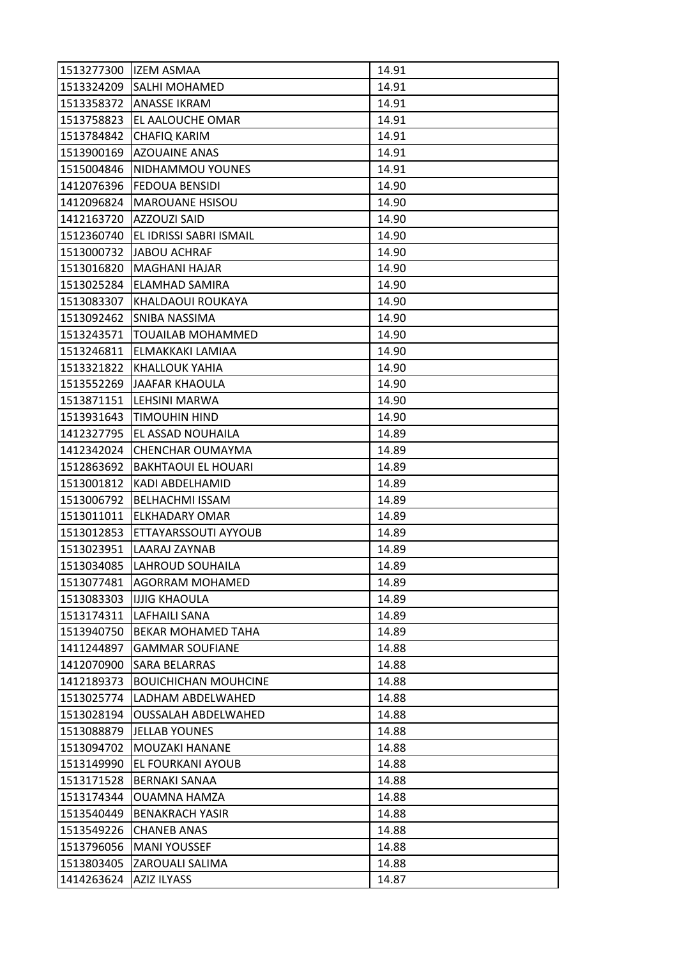| 1513277300 | <b>IZEM ASMAA</b>           | 14.91 |
|------------|-----------------------------|-------|
| 1513324209 | <b>SALHI MOHAMED</b>        | 14.91 |
| 1513358372 | <b>ANASSE IKRAM</b>         | 14.91 |
| 1513758823 | EL AALOUCHE OMAR            | 14.91 |
| 1513784842 | <b>CHAFIQ KARIM</b>         | 14.91 |
| 1513900169 | <b>AZOUAINE ANAS</b>        | 14.91 |
| 1515004846 | NIDHAMMOU YOUNES            | 14.91 |
| 1412076396 | <b>FEDOUA BENSIDI</b>       | 14.90 |
| 1412096824 | <b>MAROUANE HSISOU</b>      | 14.90 |
| 1412163720 | <b>AZZOUZI SAID</b>         | 14.90 |
| 1512360740 | EL IDRISSI SABRI ISMAIL     | 14.90 |
| 1513000732 | JABOU ACHRAF                | 14.90 |
| 1513016820 | <b>MAGHANI HAJAR</b>        | 14.90 |
| 1513025284 | <b>ELAMHAD SAMIRA</b>       | 14.90 |
| 1513083307 | KHALDAOUI ROUKAYA           | 14.90 |
| 1513092462 | <b>SNIBA NASSIMA</b>        | 14.90 |
| 1513243571 | <b>TOUAILAB MOHAMMED</b>    | 14.90 |
| 1513246811 | ELMAKKAKI LAMIAA            | 14.90 |
| 1513321822 | <b>KHALLOUK YAHIA</b>       | 14.90 |
| 1513552269 | JAAFAR KHAOULA              | 14.90 |
| 1513871151 | LEHSINI MARWA               | 14.90 |
| 1513931643 | TIMOUHIN HIND               | 14.90 |
| 1412327795 | EL ASSAD NOUHAILA           | 14.89 |
| 1412342024 | CHENCHAR OUMAYMA            | 14.89 |
| 1512863692 | <b>BAKHTAOUI EL HOUARI</b>  | 14.89 |
| 1513001812 | KADI ABDELHAMID             | 14.89 |
| 1513006792 | <b>BELHACHMI ISSAM</b>      | 14.89 |
| 1513011011 | <b>ELKHADARY OMAR</b>       | 14.89 |
| 1513012853 | ETTAYARSSOUTI AYYOUB        | 14.89 |
| 1513023951 | LAARAJ ZAYNAB               | 14.89 |
| 1513034085 | LAHROUD SOUHAILA            | 14.89 |
| 1513077481 | <b>AGORRAM MOHAMED</b>      | 14.89 |
| 1513083303 | <b>IJJIG KHAOULA</b>        | 14.89 |
| 1513174311 | LAFHAILI SANA               | 14.89 |
| 1513940750 | <b>BEKAR MOHAMED TAHA</b>   | 14.89 |
| 1411244897 | <b>GAMMAR SOUFIANE</b>      | 14.88 |
| 1412070900 | <b>SARA BELARRAS</b>        | 14.88 |
| 1412189373 | <b>BOUICHICHAN MOUHCINE</b> | 14.88 |
| 1513025774 | LADHAM ABDELWAHED           | 14.88 |
| 1513028194 | <b>OUSSALAH ABDELWAHED</b>  | 14.88 |
| 1513088879 | <b>JELLAB YOUNES</b>        | 14.88 |
| 1513094702 | MOUZAKI HANANE              | 14.88 |
| 1513149990 | EL FOURKANI AYOUB           | 14.88 |
| 1513171528 | <b>BERNAKI SANAA</b>        | 14.88 |
| 1513174344 | <b>OUAMNA HAMZA</b>         | 14.88 |
| 1513540449 | <b>BENAKRACH YASIR</b>      | 14.88 |
| 1513549226 | <b>CHANEB ANAS</b>          | 14.88 |
| 1513796056 | <b>MANI YOUSSEF</b>         | 14.88 |
| 1513803405 | <b>ZAROUALI SALIMA</b>      | 14.88 |
| 1414263624 | AZIZ ILYASS                 | 14.87 |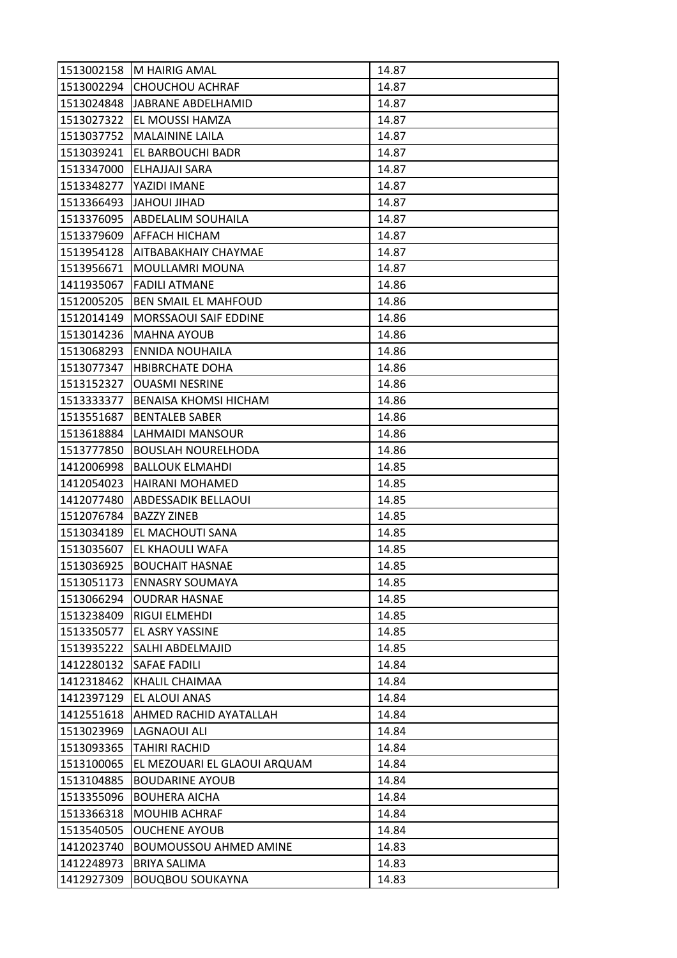| 1513002158 | M HAIRIG AMAL                 | 14.87 |
|------------|-------------------------------|-------|
| 1513002294 | <b>CHOUCHOU ACHRAF</b>        | 14.87 |
| 1513024848 | JABRANE ABDELHAMID            | 14.87 |
| 1513027322 | EL MOUSSI HAMZA               | 14.87 |
| 1513037752 | MALAININE LAILA               | 14.87 |
| 1513039241 | EL BARBOUCHI BADR             | 14.87 |
| 1513347000 | ELHAJJAJI SARA                | 14.87 |
| 1513348277 | YAZIDI IMANE                  | 14.87 |
| 1513366493 | JAHOUI JIHAD                  | 14.87 |
| 1513376095 | ABDELALIM SOUHAILA            | 14.87 |
|            | 1513379609 AFFACH HICHAM      | 14.87 |
| 1513954128 | <b>AITBABAKHAIY CHAYMAE</b>   | 14.87 |
| 1513956671 | MOULLAMRI MOUNA               | 14.87 |
| 1411935067 | <b>FADILI ATMANE</b>          | 14.86 |
| 1512005205 | BEN SMAIL EL MAHFOUD          | 14.86 |
| 1512014149 | MORSSAOUI SAIF EDDINE         | 14.86 |
| 1513014236 | <b>MAHNA AYOUB</b>            | 14.86 |
| 1513068293 | ENNIDA NOUHAILA               | 14.86 |
| 1513077347 | <b>HBIBRCHATE DOHA</b>        | 14.86 |
| 1513152327 | <b>OUASMI NESRINE</b>         | 14.86 |
| 1513333377 | BENAISA KHOMSI HICHAM         | 14.86 |
| 1513551687 | <b>BENTALEB SABER</b>         | 14.86 |
| 1513618884 | LAHMAIDI MANSOUR              | 14.86 |
| 1513777850 | <b>BOUSLAH NOURELHODA</b>     | 14.86 |
| 1412006998 | <b>BALLOUK ELMAHDI</b>        | 14.85 |
| 1412054023 | HAIRANI MOHAMED               | 14.85 |
| 1412077480 | ABDESSADIK BELLAOUI           | 14.85 |
| 1512076784 | <b>BAZZY ZINEB</b>            | 14.85 |
| 1513034189 | EL MACHOUTI SANA              | 14.85 |
| 1513035607 | EL KHAOULI WAFA               | 14.85 |
| 1513036925 | <b>BOUCHAIT HASNAE</b>        | 14.85 |
| 1513051173 | <b>ENNASRY SOUMAYA</b>        | 14.85 |
| 1513066294 | <b>OUDRAR HASNAE</b>          | 14.85 |
| 1513238409 | RIGUI ELMEHDI                 | 14.85 |
| 1513350577 | EL ASRY YASSINE               | 14.85 |
| 1513935222 | SALHI ABDELMAJID              | 14.85 |
| 1412280132 | <b>SAFAE FADILI</b>           | 14.84 |
| 1412318462 | <b>KHALIL CHAIMAA</b>         | 14.84 |
| 1412397129 | EL ALOUI ANAS                 | 14.84 |
| 1412551618 | AHMED RACHID AYATALLAH        | 14.84 |
| 1513023969 | LAGNAOUI ALI                  | 14.84 |
| 1513093365 | TAHIRI RACHID                 | 14.84 |
| 1513100065 | EL MEZOUARI EL GLAOUI ARQUAM  | 14.84 |
| 1513104885 | <b>BOUDARINE AYOUB</b>        | 14.84 |
| 1513355096 | <b>BOUHERA AICHA</b>          | 14.84 |
| 1513366318 | <b>MOUHIB ACHRAF</b>          | 14.84 |
| 1513540505 | <b>OUCHENE AYOUB</b>          | 14.84 |
| 1412023740 | <b>BOUMOUSSOU AHMED AMINE</b> | 14.83 |
| 1412248973 | <b>BRIYA SALIMA</b>           | 14.83 |
| 1412927309 | <b>BOUQBOU SOUKAYNA</b>       | 14.83 |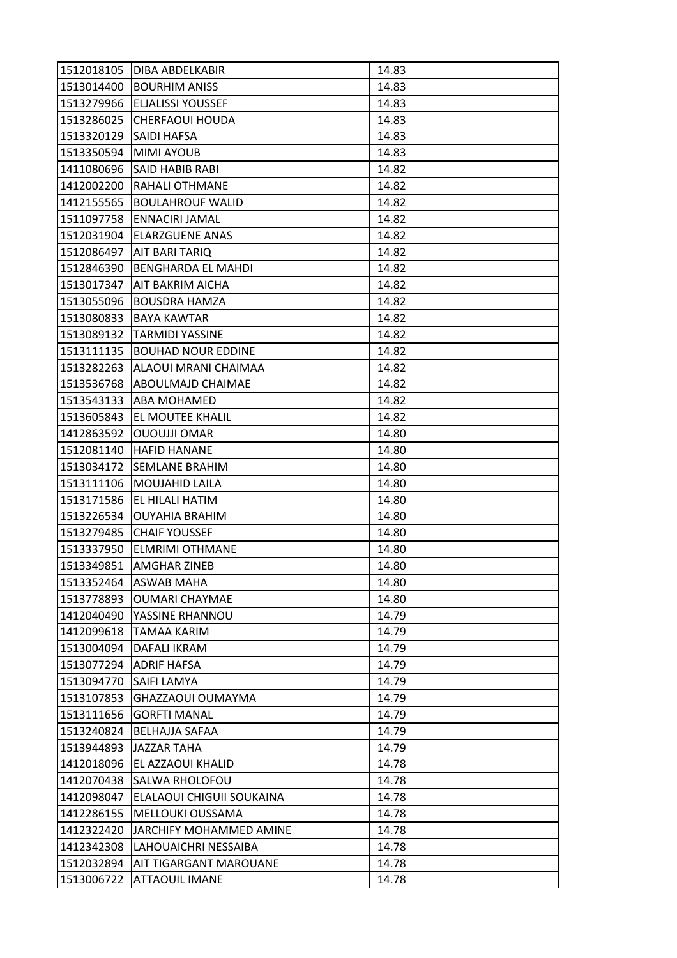| 1512018105 | DIBA ABDELKABIR           | 14.83 |
|------------|---------------------------|-------|
| 1513014400 | <b>BOURHIM ANISS</b>      | 14.83 |
| 1513279966 | <b>ELJALISSI YOUSSEF</b>  | 14.83 |
| 1513286025 | <b>CHERFAOUI HOUDA</b>    | 14.83 |
| 1513320129 | SAIDI HAFSA               | 14.83 |
| 1513350594 | <b>MIMI AYOUB</b>         | 14.83 |
| 1411080696 | SAID HABIB RABI           | 14.82 |
| 1412002200 | <b>RAHALI OTHMANE</b>     | 14.82 |
| 1412155565 | <b>BOULAHROUF WALID</b>   | 14.82 |
| 1511097758 | ENNACIRI JAMAL            | 14.82 |
| 1512031904 | <b>ELARZGUENE ANAS</b>    | 14.82 |
| 1512086497 | <b>AIT BARI TARIQ</b>     | 14.82 |
| 1512846390 | <b>BENGHARDA EL MAHDI</b> | 14.82 |
| 1513017347 | AIT BAKRIM AICHA          | 14.82 |
| 1513055096 | <b>BOUSDRA HAMZA</b>      | 14.82 |
| 1513080833 | <b>BAYA KAWTAR</b>        | 14.82 |
| 1513089132 | <b>TARMIDI YASSINE</b>    | 14.82 |
| 1513111135 | <b>BOUHAD NOUR EDDINE</b> | 14.82 |
| 1513282263 | ALAOUI MRANI CHAIMAA      | 14.82 |
| 1513536768 | <b>ABOULMAJD CHAIMAE</b>  | 14.82 |
| 1513543133 | <b>ABA MOHAMED</b>        | 14.82 |
| 1513605843 | EL MOUTEE KHALIL          | 14.82 |
| 1412863592 | <b>OUOUJJI OMAR</b>       | 14.80 |
| 1512081140 | <b>HAFID HANANE</b>       | 14.80 |
| 1513034172 | <b>SEMLANE BRAHIM</b>     | 14.80 |
| 1513111106 | <b>MOUJAHID LAILA</b>     | 14.80 |
| 1513171586 | EL HILALI HATIM           | 14.80 |
| 1513226534 | <b>OUYAHIA BRAHIM</b>     | 14.80 |
| 1513279485 | <b>CHAIF YOUSSEF</b>      | 14.80 |
| 1513337950 | ELMRIMI OTHMANE           | 14.80 |
| 1513349851 | AMGHAR ZINEB              | 14.80 |
| 1513352464 | <b>ASWAB MAHA</b>         | 14.80 |
| 1513778893 | <b>OUMARI CHAYMAE</b>     | 14.80 |
| 1412040490 | YASSINE RHANNOU           | 14.79 |
| 1412099618 | TAMAA KARIM               | 14.79 |
| 1513004094 | DAFALI IKRAM              | 14.79 |
| 1513077294 | <b>ADRIF HAFSA</b>        | 14.79 |
| 1513094770 | <b>SAIFI LAMYA</b>        | 14.79 |
| 1513107853 | GHAZZAOUI OUMAYMA         | 14.79 |
| 1513111656 | <b>GORFTI MANAL</b>       | 14.79 |
| 1513240824 | <b>BELHAJJA SAFAA</b>     | 14.79 |
| 1513944893 | JAZZAR TAHA               | 14.79 |
| 1412018096 | EL AZZAOUI KHALID         | 14.78 |
| 1412070438 | SALWA RHOLOFOU            | 14.78 |
| 1412098047 | ELALAOUI CHIGUII SOUKAINA | 14.78 |
| 1412286155 | MELLOUKI OUSSAMA          | 14.78 |
| 1412322420 | JARCHIFY MOHAMMED AMINE   | 14.78 |
| 1412342308 | LAHOUAICHRI NESSAIBA      | 14.78 |
| 1512032894 | AIT TIGARGANT MAROUANE    | 14.78 |
| 1513006722 | <b>ATTAOUIL IMANE</b>     | 14.78 |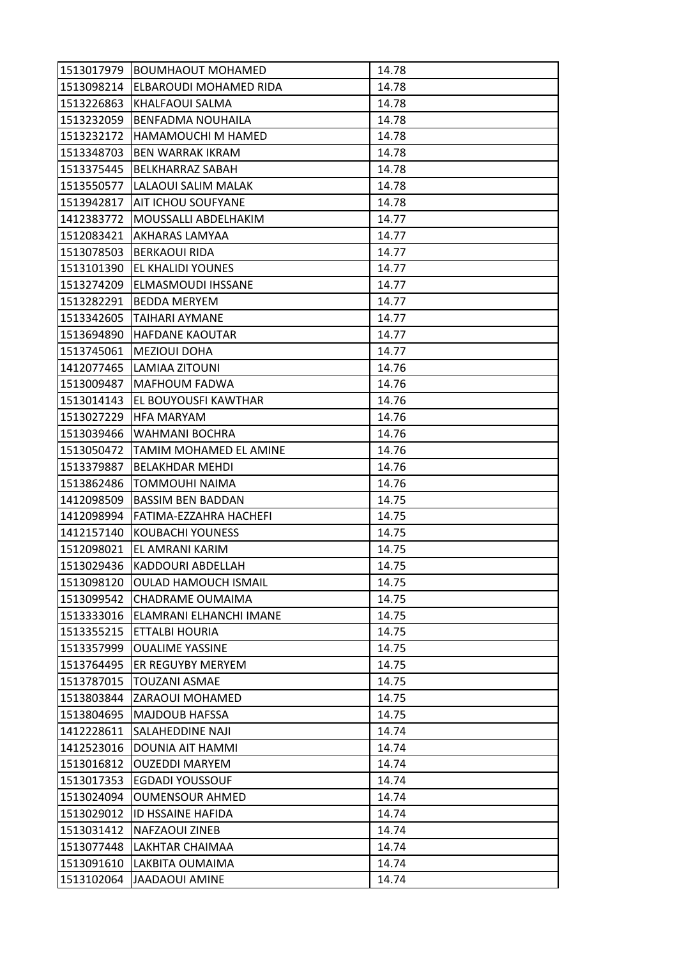| 1513017979 | <b>BOUMHAOUT MOHAMED</b>      | 14.78 |
|------------|-------------------------------|-------|
| 1513098214 | <b>ELBAROUDI MOHAMED RIDA</b> | 14.78 |
| 1513226863 | KHALFAOUI SALMA               | 14.78 |
| 1513232059 | <b>BENFADMA NOUHAILA</b>      | 14.78 |
| 1513232172 | HAMAMOUCHI M HAMED            | 14.78 |
| 1513348703 | <b>BEN WARRAK IKRAM</b>       | 14.78 |
| 1513375445 | <b>BELKHARRAZ SABAH</b>       | 14.78 |
| 1513550577 | LALAOUI SALIM MALAK           | 14.78 |
| 1513942817 | <b>AIT ICHOU SOUFYANE</b>     | 14.78 |
| 1412383772 | MOUSSALLI ABDELHAKIM          | 14.77 |
| 1512083421 | <b>AKHARAS LAMYAA</b>         | 14.77 |
| 1513078503 | <b>BERKAOUI RIDA</b>          | 14.77 |
| 1513101390 | EL KHALIDI YOUNES             | 14.77 |
| 1513274209 | ELMASMOUDI IHSSANE            | 14.77 |
| 1513282291 | <b>BEDDA MERYEM</b>           | 14.77 |
| 1513342605 | ITAIHARI AYMANE               | 14.77 |
| 1513694890 | <b>HAFDANE KAOUTAR</b>        | 14.77 |
| 1513745061 | <b>MEZIOUI DOHA</b>           | 14.77 |
| 1412077465 | LAMIAA ZITOUNI                | 14.76 |
| 1513009487 | MAFHOUM FADWA                 | 14.76 |
| 1513014143 | <b>EL BOUYOUSFI KAWTHAR</b>   | 14.76 |
| 1513027229 | <b>HFA MARYAM</b>             | 14.76 |
| 1513039466 | WAHMANI BOCHRA                | 14.76 |
| 1513050472 | TAMIM MOHAMED EL AMINE        | 14.76 |
| 1513379887 | <b>BELAKHDAR MEHDI</b>        | 14.76 |
| 1513862486 | <b>TOMMOUHI NAIMA</b>         | 14.76 |
| 1412098509 | <b>BASSIM BEN BADDAN</b>      | 14.75 |
| 1412098994 | FATIMA-EZZAHRA HACHEFI        | 14.75 |
| 1412157140 | KOUBACHI YOUNESS              | 14.75 |
| 1512098021 | EL AMRANI KARIM               | 14.75 |
| 1513029436 | KADDOURI ABDELLAH             | 14.75 |
| 1513098120 | <b>OULAD HAMOUCH ISMAIL</b>   | 14.75 |
| 1513099542 | <b>CHADRAME OUMAIMA</b>       | 14.75 |
| 1513333016 | ELAMRANI ELHANCHI IMANE       | 14.75 |
| 1513355215 | ETTALBI HOURIA                | 14.75 |
| 1513357999 | <b>OUALIME YASSINE</b>        | 14.75 |
| 1513764495 | ER REGUYBY MERYEM             | 14.75 |
| 1513787015 | <b>TOUZANI ASMAE</b>          | 14.75 |
| 1513803844 | ZARAOUI MOHAMED               | 14.75 |
| 1513804695 | <b>MAJDOUB HAFSSA</b>         | 14.75 |
| 1412228611 | SALAHEDDINE NAJI              | 14.74 |
| 1412523016 | DOUNIA AIT HAMMI              | 14.74 |
| 1513016812 | <b>OUZEDDI MARYEM</b>         | 14.74 |
| 1513017353 | EGDADI YOUSSOUF               | 14.74 |
| 1513024094 | <b>OUMENSOUR AHMED</b>        | 14.74 |
| 1513029012 | ID HSSAINE HAFIDA             | 14.74 |
| 1513031412 | <b>NAFZAOUI ZINEB</b>         | 14.74 |
| 1513077448 | LAKHTAR CHAIMAA               | 14.74 |
| 1513091610 | LAKBITA OUMAIMA               | 14.74 |
| 1513102064 | <b>JAADAOUI AMINE</b>         | 14.74 |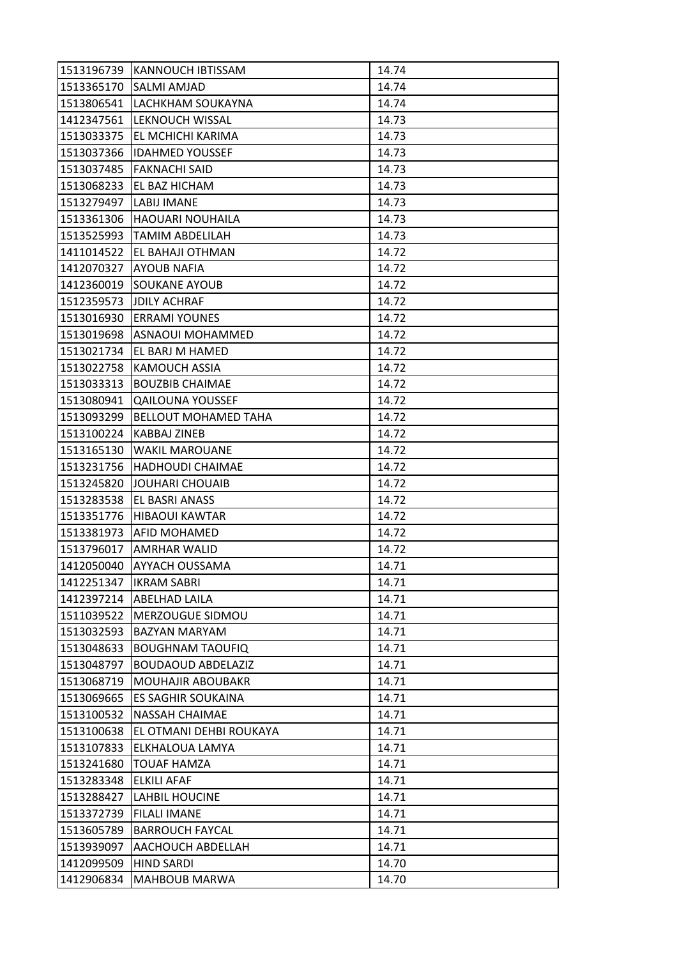| 1513196739 | KANNOUCH IBTISSAM           | 14.74 |
|------------|-----------------------------|-------|
| 1513365170 | <b>SALMI AMJAD</b>          | 14.74 |
| 1513806541 | LACHKHAM SOUKAYNA           | 14.74 |
| 1412347561 | LEKNOUCH WISSAL             | 14.73 |
| 1513033375 | EL MCHICHI KARIMA           | 14.73 |
| 1513037366 | <b>IDAHMED YOUSSEF</b>      | 14.73 |
| 1513037485 | <b>FAKNACHI SAID</b>        | 14.73 |
| 1513068233 | EL BAZ HICHAM               | 14.73 |
| 1513279497 | <b>LABIJ IMANE</b>          | 14.73 |
| 1513361306 | <b>HAOUARI NOUHAILA</b>     | 14.73 |
| 1513525993 | <b>TAMIM ABDELILAH</b>      | 14.73 |
| 1411014522 | EL BAHAJI OTHMAN            | 14.72 |
| 1412070327 | <b>AYOUB NAFIA</b>          | 14.72 |
| 1412360019 | <b>SOUKANE AYOUB</b>        | 14.72 |
| 1512359573 | <b>JDILY ACHRAF</b>         | 14.72 |
|            | 1513016930 ERRAMI YOUNES    | 14.72 |
| 1513019698 | ASNAOUI MOHAMMED            | 14.72 |
| 1513021734 | EL BARJ M HAMED             | 14.72 |
| 1513022758 | <b>KAMOUCH ASSIA</b>        | 14.72 |
| 1513033313 | <b>BOUZBIB CHAIMAE</b>      | 14.72 |
| 1513080941 | <b>QAILOUNA YOUSSEF</b>     | 14.72 |
| 1513093299 | <b>BELLOUT MOHAMED TAHA</b> | 14.72 |
| 1513100224 | KABBAJ ZINEB                | 14.72 |
| 1513165130 | <b>WAKIL MAROUANE</b>       | 14.72 |
| 1513231756 | <b>HADHOUDI CHAIMAE</b>     | 14.72 |
| 1513245820 | JOUHARI CHOUAIB             | 14.72 |
| 1513283538 | EL BASRI ANASS              | 14.72 |
| 1513351776 | <b>HIBAOUI KAWTAR</b>       | 14.72 |
| 1513381973 | AFID MOHAMED                | 14.72 |
| 1513796017 | AMRHAR WALID                | 14.72 |
| 1412050040 | AYYACH OUSSAMA              | 14.71 |
| 1412251347 | <b>IKRAM SABRI</b>          | 14.71 |
| 1412397214 | <b>ABELHAD LAILA</b>        | 14.71 |
| 1511039522 | MERZOUGUE SIDMOU            | 14.71 |
| 1513032593 | <b>BAZYAN MARYAM</b>        | 14.71 |
| 1513048633 | <b>BOUGHNAM TAOUFIQ</b>     | 14.71 |
| 1513048797 | <b>BOUDAOUD ABDELAZIZ</b>   | 14.71 |
| 1513068719 | <b>MOUHAJIR ABOUBAKR</b>    | 14.71 |
| 1513069665 | ES SAGHIR SOUKAINA          | 14.71 |
| 1513100532 | <b>NASSAH CHAIMAE</b>       | 14.71 |
| 1513100638 | EL OTMANI DEHBI ROUKAYA     | 14.71 |
| 1513107833 | ELKHALOUA LAMYA             | 14.71 |
| 1513241680 | <b>TOUAF HAMZA</b>          | 14.71 |
| 1513283348 | <b>ELKILI AFAF</b>          | 14.71 |
| 1513288427 | <b>LAHBIL HOUCINE</b>       | 14.71 |
| 1513372739 | <b>FILALI IMANE</b>         | 14.71 |
| 1513605789 | <b>BARROUCH FAYCAL</b>      | 14.71 |
| 1513939097 | AACHOUCH ABDELLAH           | 14.71 |
| 1412099509 | <b>HIND SARDI</b>           | 14.70 |
| 1412906834 | <b>MAHBOUB MARWA</b>        | 14.70 |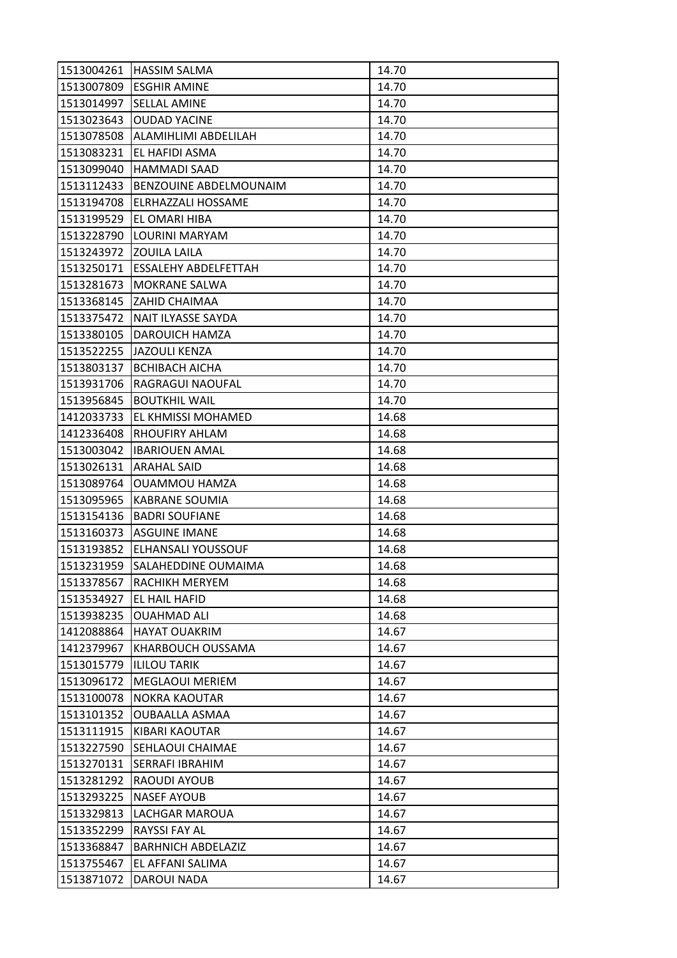| 1513004261 | <b>HASSIM SALMA</b>       | 14.70 |
|------------|---------------------------|-------|
| 1513007809 | <b>ESGHIR AMINE</b>       | 14.70 |
| 1513014997 | <b>SELLAL AMINE</b>       | 14.70 |
| 1513023643 | <b>OUDAD YACINE</b>       | 14.70 |
| 1513078508 | ALAMIHLIMI ABDELILAH      | 14.70 |
| 1513083231 | EL HAFIDI ASMA            | 14.70 |
| 1513099040 | <b>HAMMADI SAAD</b>       | 14.70 |
| 1513112433 | BENZOUINE ABDELMOUNAIM    | 14.70 |
| 1513194708 | ELRHAZZALI HOSSAME        | 14.70 |
| 1513199529 | EL OMARI HIBA             | 14.70 |
| 1513228790 | LOURINI MARYAM            | 14.70 |
| 1513243972 | <b>ZOUILA LAILA</b>       | 14.70 |
| 1513250171 | ESSALEHY ABDELFETTAH      | 14.70 |
| 1513281673 | <b>MOKRANE SALWA</b>      | 14.70 |
| 1513368145 | ZAHID CHAIMAA             | 14.70 |
| 1513375472 | NAIT ILYASSE SAYDA        | 14.70 |
| 1513380105 | DAROUICH HAMZA            | 14.70 |
| 1513522255 | <b>JAZOULI KENZA</b>      | 14.70 |
| 1513803137 | <b>BCHIBACH AICHA</b>     | 14.70 |
| 1513931706 | RAGRAGUI NAOUFAL          | 14.70 |
| 1513956845 | <b>BOUTKHIL WAIL</b>      | 14.70 |
| 1412033733 | EL KHMISSI MOHAMED        | 14.68 |
| 1412336408 | RHOUFIRY AHLAM            | 14.68 |
| 1513003042 | <b>IBARIOUEN AMAL</b>     | 14.68 |
| 1513026131 | <b>ARAHAL SAID</b>        | 14.68 |
| 1513089764 | OUAMMOU HAMZA             | 14.68 |
| 1513095965 | <b>KABRANE SOUMIA</b>     | 14.68 |
| 1513154136 | <b>BADRI SOUFIANE</b>     | 14.68 |
| 1513160373 | <b>ASGUINE IMANE</b>      | 14.68 |
| 1513193852 | <b>ELHANSALI YOUSSOUF</b> | 14.68 |
| 1513231959 | SALAHEDDINE OUMAIMA       | 14.68 |
| 1513378567 | RACHIKH MERYEM            | 14.68 |
| 1513534927 | EL HAIL HAFID             | 14.68 |
| 1513938235 | <b>OUAHMAD ALI</b>        | 14.68 |
| 1412088864 | <b>HAYAT OUAKRIM</b>      | 14.67 |
| 1412379967 | KHARBOUCH OUSSAMA         | 14.67 |
| 1513015779 | <b>ILILOU TARIK</b>       | 14.67 |
| 1513096172 | <b>MEGLAOUI MERIEM</b>    | 14.67 |
| 1513100078 | <b>NOKRA KAOUTAR</b>      | 14.67 |
| 1513101352 | <b>OUBAALLA ASMAA</b>     | 14.67 |
| 1513111915 | KIBARI KAOUTAR            | 14.67 |
| 1513227590 | <b>SEHLAOUI CHAIMAE</b>   | 14.67 |
| 1513270131 | <b>SERRAFI IBRAHIM</b>    | 14.67 |
| 1513281292 | RAOUDI AYOUB              | 14.67 |
| 1513293225 | <b>NASEF AYOUB</b>        | 14.67 |
| 1513329813 | LACHGAR MAROUA            | 14.67 |
| 1513352299 | <b>RAYSSI FAY AL</b>      | 14.67 |
| 1513368847 | <b>BARHNICH ABDELAZIZ</b> | 14.67 |
| 1513755467 | EL AFFANI SALIMA          | 14.67 |
| 1513871072 | DAROUI NADA               | 14.67 |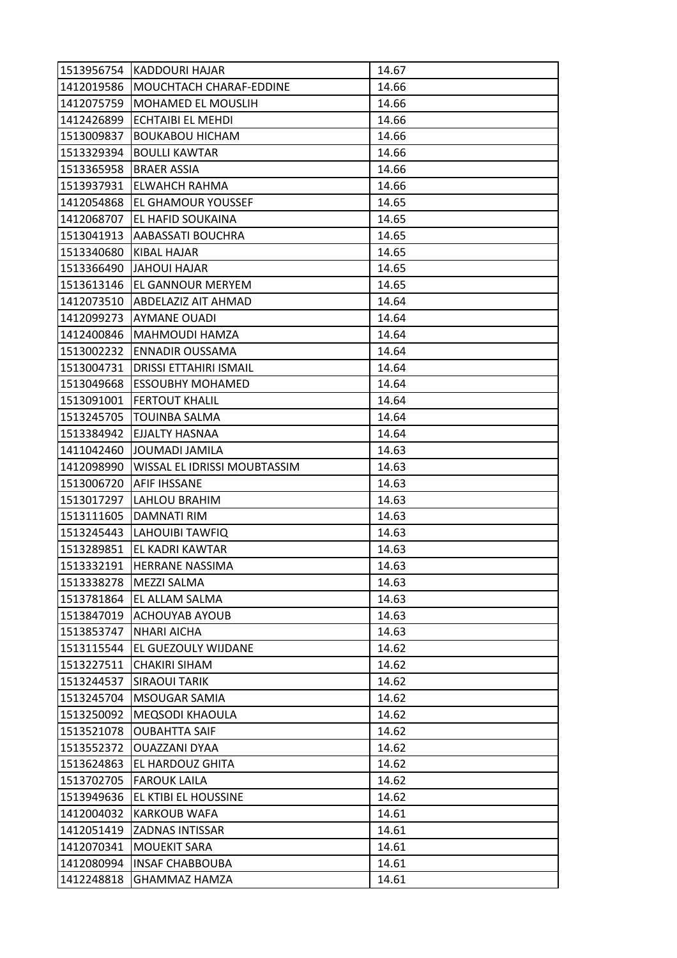| 1513956754 | <b>KADDOURI HAJAR</b>         | 14.67 |
|------------|-------------------------------|-------|
| 1412019586 | MOUCHTACH CHARAF-EDDINE       | 14.66 |
| 1412075759 | <b>MOHAMED EL MOUSLIH</b>     | 14.66 |
| 1412426899 | <b>ECHTAIBI EL MEHDI</b>      | 14.66 |
| 1513009837 | <b>BOUKABOU HICHAM</b>        | 14.66 |
| 1513329394 | <b>BOULLI KAWTAR</b>          | 14.66 |
| 1513365958 | <b>BRAER ASSIA</b>            | 14.66 |
| 1513937931 | ELWAHCH RAHMA                 | 14.66 |
| 1412054868 | <b>EL GHAMOUR YOUSSEF</b>     | 14.65 |
| 1412068707 | EL HAFID SOUKAINA             | 14.65 |
| 1513041913 | AABASSATI BOUCHRA             | 14.65 |
| 1513340680 | KIBAL HAJAR                   | 14.65 |
| 1513366490 | JAHOUI HAJAR                  | 14.65 |
| 1513613146 | <b>EL GANNOUR MERYEM</b>      | 14.65 |
| 1412073510 | <b>ABDELAZIZ AIT AHMAD</b>    | 14.64 |
|            | 1412099273 AYMANE OUADI       | 14.64 |
| 1412400846 | MAHMOUDI HAMZA                | 14.64 |
| 1513002232 | <b>ENNADIR OUSSAMA</b>        | 14.64 |
| 1513004731 | <b>DRISSI ETTAHIRI ISMAIL</b> | 14.64 |
| 1513049668 | <b>ESSOUBHY MOHAMED</b>       | 14.64 |
| 1513091001 | <b>FERTOUT KHALIL</b>         | 14.64 |
| 1513245705 | <b>TOUINBA SALMA</b>          | 14.64 |
| 1513384942 | <b>EJJALTY HASNAA</b>         | 14.64 |
| 1411042460 | JOUMADI JAMILA                | 14.63 |
| 1412098990 | WISSAL EL IDRISSI MOUBTASSIM  | 14.63 |
| 1513006720 | <b>AFIF IHSSANE</b>           | 14.63 |
| 1513017297 | LAHLOU BRAHIM                 | 14.63 |
| 1513111605 | <b>DAMNATI RIM</b>            | 14.63 |
| 1513245443 | LAHOUIBI TAWFIQ               | 14.63 |
| 1513289851 | EL KADRI KAWTAR               | 14.63 |
| 1513332191 | <b>HERRANE NASSIMA</b>        |       |
|            |                               | 14.63 |
| 1513338278 | <b>MEZZI SALMA</b>            | 14.63 |
| 1513781864 | <b>EL ALLAM SALMA</b>         | 14.63 |
| 1513847019 | ACHOUYAB AYOUB                | 14.63 |
| 1513853747 | <b>NHARI AICHA</b>            | 14.63 |
| 1513115544 | EL GUEZOULY WIJDANE           | 14.62 |
| 1513227511 | CHAKIRI SIHAM                 | 14.62 |
| 1513244537 | <b>SIRAOUI TARIK</b>          | 14.62 |
| 1513245704 | <b>MSOUGAR SAMIA</b>          | 14.62 |
| 1513250092 | <b>MEQSODI KHAOULA</b>        | 14.62 |
| 1513521078 | <b>OUBAHTTA SAIF</b>          | 14.62 |
| 1513552372 | OUAZZANI DYAA                 | 14.62 |
| 1513624863 | EL HARDOUZ GHITA              | 14.62 |
| 1513702705 | <b>FAROUK LAILA</b>           | 14.62 |
| 1513949636 | EL KTIBI EL HOUSSINE          | 14.62 |
| 1412004032 | <b>KARKOUB WAFA</b>           | 14.61 |
| 1412051419 | <b>ZADNAS INTISSAR</b>        | 14.61 |
| 1412070341 | <b>MOUEKIT SARA</b>           | 14.61 |
| 1412080994 | <b>INSAF CHABBOUBA</b>        | 14.61 |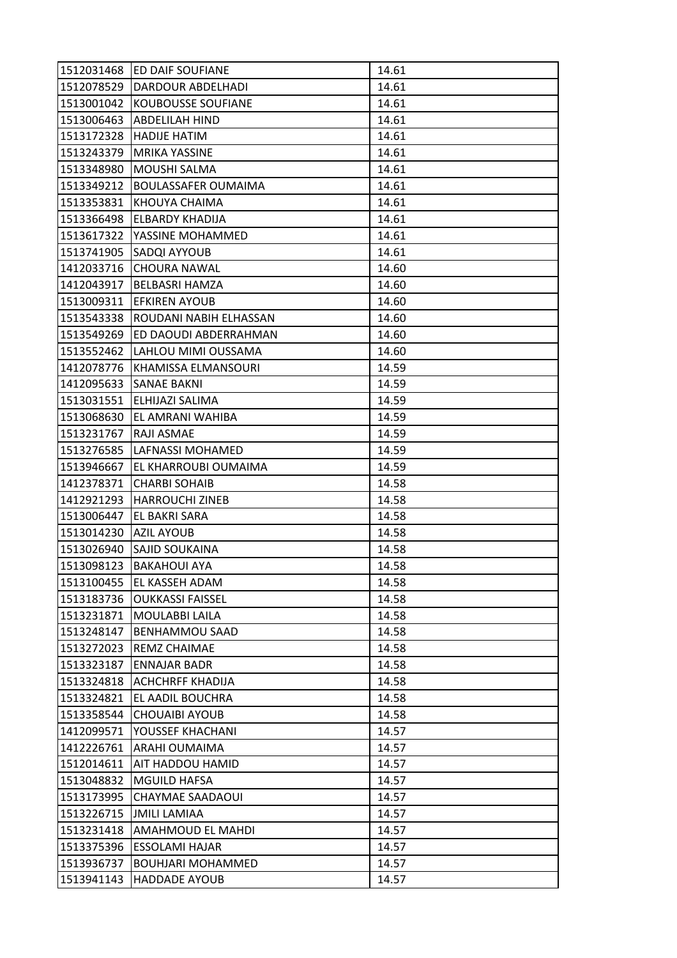| 1512031468 | <b>ED DAIF SOUFIANE</b>    | 14.61 |
|------------|----------------------------|-------|
| 1512078529 | <b>DARDOUR ABDELHADI</b>   | 14.61 |
| 1513001042 | <b>KOUBOUSSE SOUFIANE</b>  | 14.61 |
| 1513006463 | <b>ABDELILAH HIND</b>      | 14.61 |
| 1513172328 | <b>HADIJE HATIM</b>        | 14.61 |
| 1513243379 | <b>MRIKA YASSINE</b>       | 14.61 |
| 1513348980 | <b>MOUSHI SALMA</b>        | 14.61 |
| 1513349212 | <b>BOULASSAFER OUMAIMA</b> | 14.61 |
| 1513353831 | KHOUYA CHAIMA              | 14.61 |
| 1513366498 | <b>ELBARDY KHADIJA</b>     | 14.61 |
| 1513617322 | YASSINE MOHAMMED           | 14.61 |
| 1513741905 | SADQI AYYOUB               | 14.61 |
| 1412033716 | CHOURA NAWAL               | 14.60 |
| 1412043917 | <b>BELBASRI HAMZA</b>      | 14.60 |
| 1513009311 | <b>EFKIREN AYOUB</b>       | 14.60 |
| 1513543338 | ROUDANI NABIH ELHASSAN     | 14.60 |
| 1513549269 | ED DAOUDI ABDERRAHMAN      | 14.60 |
| 1513552462 | LAHLOU MIMI OUSSAMA        | 14.60 |
| 1412078776 | KHAMISSA ELMANSOURI        | 14.59 |
| 1412095633 | ISANAE BAKNI               | 14.59 |
|            | 1513031551 ELHIJAZI SALIMA | 14.59 |
| 1513068630 | EL AMRANI WAHIBA           | 14.59 |
| 1513231767 | RAJI ASMAE                 | 14.59 |
| 1513276585 | LAFNASSI MOHAMED           | 14.59 |
| 1513946667 | EL KHARROUBI OUMAIMA       | 14.59 |
| 1412378371 | <b>CHARBI SOHAIB</b>       | 14.58 |
| 1412921293 | <b>HARROUCHI ZINEB</b>     | 14.58 |
| 1513006447 | EL BAKRI SARA              | 14.58 |
| 1513014230 | <b>AZIL AYOUB</b>          | 14.58 |
| 1513026940 | <b>SAJID SOUKAINA</b>      | 14.58 |
| 1513098123 | <b>BAKAHOUI AYA</b>        | 14.58 |
| 1513100455 | EL KASSEH ADAM             | 14.58 |
| 1513183736 | <b>OUKKASSI FAISSEL</b>    | 14.58 |
| 1513231871 | MOULABBI LAILA             | 14.58 |
| 1513248147 | <b>BENHAMMOU SAAD</b>      | 14.58 |
| 1513272023 | REMZ CHAIMAE               | 14.58 |
| 1513323187 | <b>ENNAJAR BADR</b>        | 14.58 |
| 1513324818 | <b>ACHCHRFF KHADIJA</b>    | 14.58 |
| 1513324821 | EL AADIL BOUCHRA           | 14.58 |
| 1513358544 | <b>CHOUAIBI AYOUB</b>      | 14.58 |
| 1412099571 | YOUSSEF KHACHANI           | 14.57 |
| 1412226761 | <b>ARAHI OUMAIMA</b>       | 14.57 |
| 1512014611 | <b>AIT HADDOU HAMID</b>    | 14.57 |
| 1513048832 | <b>MGUILD HAFSA</b>        | 14.57 |
| 1513173995 | <b>CHAYMAE SAADAOUI</b>    | 14.57 |
| 1513226715 | <b>JMILI LAMIAA</b>        | 14.57 |
| 1513231418 | <b>AMAHMOUD EL MAHDI</b>   | 14.57 |
| 1513375396 | ESSOLAMI HAJAR             | 14.57 |
| 1513936737 | <b>BOUHJARI MOHAMMED</b>   | 14.57 |
| 1513941143 | <b>HADDADE AYOUB</b>       | 14.57 |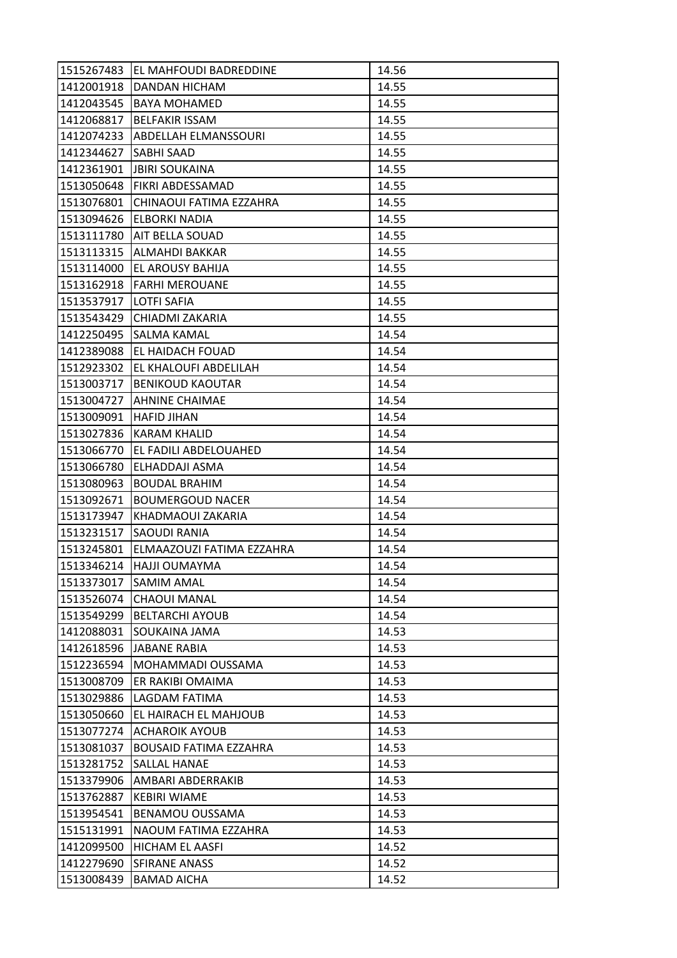| 1515267483 | EL MAHFOUDI BADREDDINE        | 14.56 |
|------------|-------------------------------|-------|
| 1412001918 | <b>DANDAN HICHAM</b>          | 14.55 |
| 1412043545 | <b>BAYA MOHAMED</b>           | 14.55 |
| 1412068817 | <b>BELFAKIR ISSAM</b>         | 14.55 |
| 1412074233 | <b>ABDELLAH ELMANSSOURI</b>   | 14.55 |
| 1412344627 | SABHI SAAD                    | 14.55 |
| 1412361901 | <b>JBIRI SOUKAINA</b>         | 14.55 |
| 1513050648 | <b>FIKRI ABDESSAMAD</b>       | 14.55 |
| 1513076801 | CHINAOUI FATIMA EZZAHRA       | 14.55 |
| 1513094626 | <b>ELBORKI NADIA</b>          | 14.55 |
|            | 1513111780 AIT BELLA SOUAD    | 14.55 |
| 1513113315 | ALMAHDI BAKKAR                | 14.55 |
| 1513114000 | EL AROUSY BAHIJA              | 14.55 |
| 1513162918 | <b>FARHI MEROUANE</b>         | 14.55 |
| 1513537917 | LOTFI SAFIA                   | 14.55 |
|            | 1513543429 CHIADMI ZAKARIA    | 14.55 |
| 1412250495 | ISALMA KAMAL                  | 14.54 |
| 1412389088 | EL HAIDACH FOUAD              | 14.54 |
| 1512923302 | EL KHALOUFI ABDELILAH         | 14.54 |
| 1513003717 | <b>BENIKOUD KAOUTAR</b>       | 14.54 |
|            | 1513004727 AHNINE CHAIMAE     | 14.54 |
| 1513009091 | <b>HAFID JIHAN</b>            | 14.54 |
| 1513027836 | <b>KARAM KHALID</b>           | 14.54 |
| 1513066770 | EL FADILI ABDELOUAHED         | 14.54 |
| 1513066780 | ELHADDAJI ASMA                | 14.54 |
| 1513080963 | <b>BOUDAL BRAHIM</b>          | 14.54 |
| 1513092671 | <b>BOUMERGOUD NACER</b>       | 14.54 |
| 1513173947 | KHADMAOUI ZAKARIA             | 14.54 |
| 1513231517 | <b>SAOUDI RANIA</b>           | 14.54 |
| 1513245801 | ELMAAZOUZI FATIMA EZZAHRA     | 14.54 |
| 1513346214 | HAJJI OUMAYMA                 | 14.54 |
| 1513373017 | <b>SAMIM AMAL</b>             | 14.54 |
| 1513526074 | <b>CHAOUI MANAL</b>           | 14.54 |
| 1513549299 | <b>BELTARCHI AYOUB</b>        | 14.54 |
| 1412088031 | SOUKAINA JAMA                 | 14.53 |
| 1412618596 | JABANE RABIA                  | 14.53 |
| 1512236594 | MOHAMMADI OUSSAMA             | 14.53 |
| 1513008709 | ER RAKIBI OMAIMA              | 14.53 |
| 1513029886 | LAGDAM FATIMA                 | 14.53 |
| 1513050660 | EL HAIRACH EL MAHJOUB         | 14.53 |
| 1513077274 | <b>ACHAROIK AYOUB</b>         | 14.53 |
| 1513081037 | <b>BOUSAID FATIMA EZZAHRA</b> | 14.53 |
| 1513281752 | <b>SALLAL HANAE</b>           | 14.53 |
| 1513379906 | AMBARI ABDERRAKIB             | 14.53 |
| 1513762887 | <b>KEBIRI WIAME</b>           | 14.53 |
| 1513954541 | <b>BENAMOU OUSSAMA</b>        | 14.53 |
| 1515131991 | NAOUM FATIMA EZZAHRA          | 14.53 |
| 1412099500 | HICHAM EL AASFI               | 14.52 |
| 1412279690 | <b>SFIRANE ANASS</b>          | 14.52 |
| 1513008439 | <b>BAMAD AICHA</b>            | 14.52 |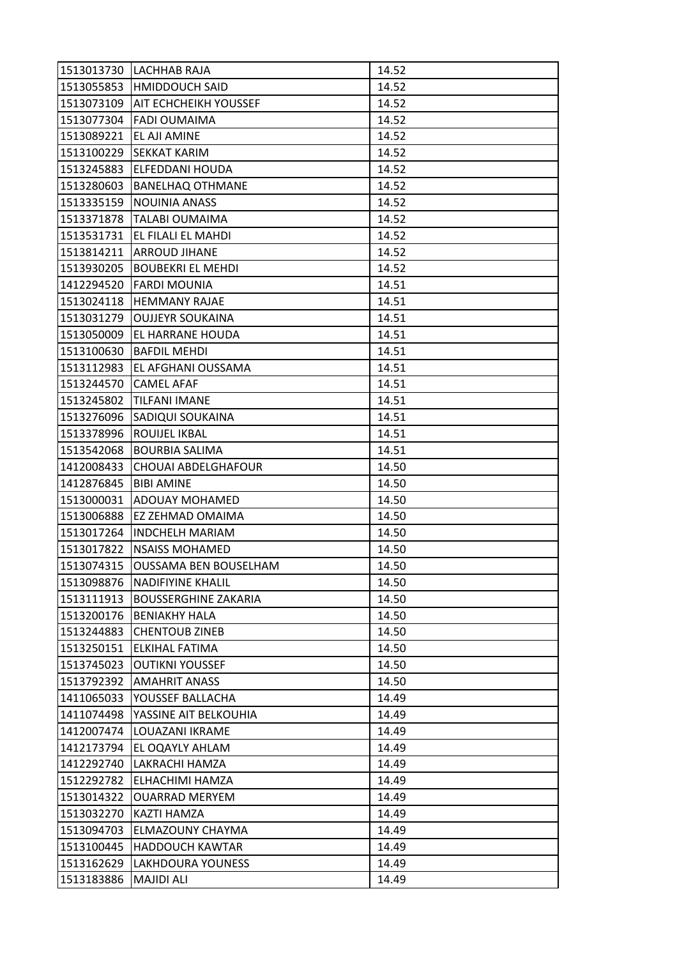| 1513013730 | LACHHAB RAJA                  | 14.52 |
|------------|-------------------------------|-------|
|            | 1513055853 HMIDDOUCH SAID     | 14.52 |
| 1513073109 | <b>JAIT ECHCHEIKH YOUSSEF</b> | 14.52 |
| 1513077304 | <b>FADI OUMAIMA</b>           | 14.52 |
| 1513089221 | EL AJI AMINE                  | 14.52 |
| 1513100229 | <b>SEKKAT KARIM</b>           | 14.52 |
| 1513245883 | <b>ELFEDDANI HOUDA</b>        | 14.52 |
| 1513280603 | <b>BANELHAQ OTHMANE</b>       | 14.52 |
| 1513335159 | <b>NOUINIA ANASS</b>          | 14.52 |
| 1513371878 | <b>TALABI OUMAIMA</b>         | 14.52 |
| 1513531731 | EL FILALI EL MAHDI            | 14.52 |
| 1513814211 | <b>ARROUD JIHANE</b>          | 14.52 |
| 1513930205 | <b>BOUBEKRI EL MEHDI</b>      | 14.52 |
| 1412294520 | <b>FARDI MOUNIA</b>           | 14.51 |
| 1513024118 | <b>HEMMANY RAJAE</b>          | 14.51 |
| 1513031279 | <b>OUJJEYR SOUKAINA</b>       | 14.51 |
| 1513050009 | EL HARRANE HOUDA              | 14.51 |
| 1513100630 | <b>BAFDIL MEHDI</b>           | 14.51 |
| 1513112983 | EL AFGHANI OUSSAMA            | 14.51 |
| 1513244570 | <b>CAMEL AFAF</b>             | 14.51 |
| 1513245802 | <b>TILFANI IMANE</b>          | 14.51 |
| 1513276096 | SADIQUI SOUKAINA              | 14.51 |
| 1513378996 | ROUIJEL IKBAL                 | 14.51 |
| 1513542068 | <b>BOURBIA SALIMA</b>         | 14.51 |
| 1412008433 | <b>CHOUAI ABDELGHAFOUR</b>    | 14.50 |
| 1412876845 | <b>BIBI AMINE</b>             | 14.50 |
| 1513000031 | ADOUAY MOHAMED                | 14.50 |
| 1513006888 | EZ ZEHMAD OMAIMA              | 14.50 |
| 1513017264 | <b>INDCHELH MARIAM</b>        | 14.50 |
| 1513017822 | <b>NSAISS MOHAMED</b>         | 14.50 |
| 1513074315 | <b>OUSSAMA BEN BOUSELHAM</b>  | 14.50 |
| 1513098876 | <b>NADIFIYINE KHALIL</b>      | 14.50 |
| 1513111913 | <b>BOUSSERGHINE ZAKARIA</b>   | 14.50 |
| 1513200176 | <b>BENIAKHY HALA</b>          | 14.50 |
| 1513244883 | <b>CHENTOUB ZINEB</b>         | 14.50 |
| 1513250151 | ELKIHAL FATIMA                | 14.50 |
| 1513745023 | <b>OUTIKNI YOUSSEF</b>        | 14.50 |
| 1513792392 | <b>AMAHRIT ANASS</b>          | 14.50 |
| 1411065033 | YOUSSEF BALLACHA              | 14.49 |
| 1411074498 | YASSINE AIT BELKOUHIA         | 14.49 |
| 1412007474 | LOUAZANI IKRAME               | 14.49 |
| 1412173794 | EL OQAYLY AHLAM               | 14.49 |
| 1412292740 | LAKRACHI HAMZA                | 14.49 |
| 1512292782 | ELHACHIMI HAMZA               | 14.49 |
| 1513014322 | <b>OUARRAD MERYEM</b>         | 14.49 |
| 1513032270 | KAZTI HAMZA                   | 14.49 |
| 1513094703 | ELMAZOUNY CHAYMA              | 14.49 |
| 1513100445 | <b>HADDOUCH KAWTAR</b>        | 14.49 |
| 1513162629 | <b>LAKHDOURA YOUNESS</b>      | 14.49 |
| 1513183886 | <b>MAJIDI ALI</b>             | 14.49 |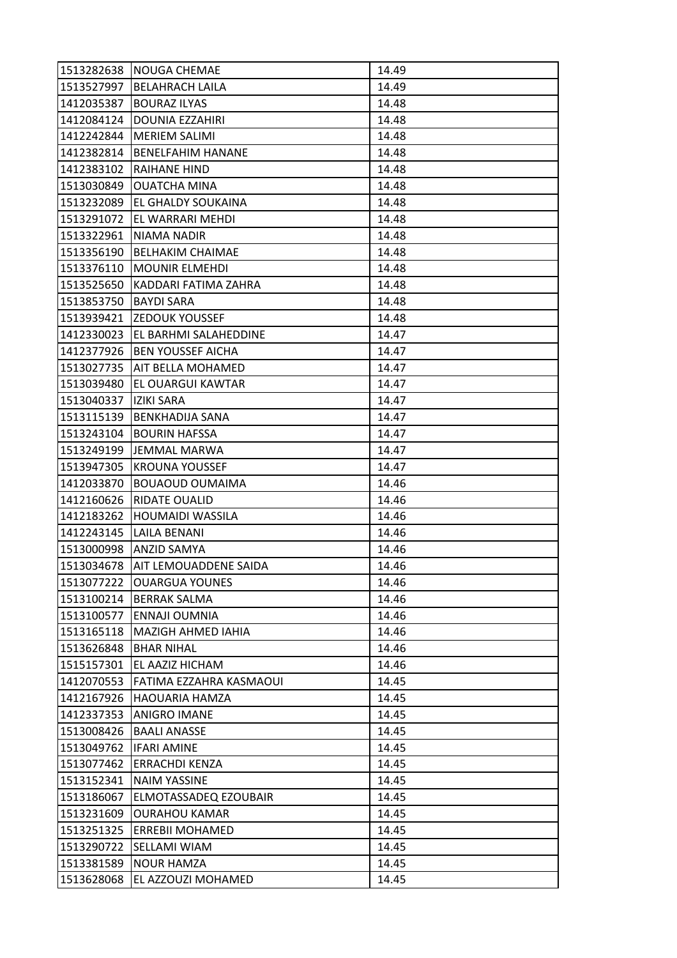| 1513282638 | NOUGA CHEMAE              | 14.49 |
|------------|---------------------------|-------|
| 1513527997 | <b>BELAHRACH LAILA</b>    | 14.49 |
| 1412035387 | <b>BOURAZ ILYAS</b>       | 14.48 |
| 1412084124 | <b>DOUNIA EZZAHIRI</b>    | 14.48 |
| 1412242844 | <b>MERIEM SALIMI</b>      | 14.48 |
| 1412382814 | <b>BENELFAHIM HANANE</b>  | 14.48 |
| 1412383102 | <b>RAIHANE HIND</b>       | 14.48 |
| 1513030849 | <b>OUATCHA MINA</b>       | 14.48 |
| 1513232089 | EL GHALDY SOUKAINA        | 14.48 |
| 1513291072 | EL WARRARI MEHDI          | 14.48 |
| 1513322961 | NIAMA NADIR               | 14.48 |
| 1513356190 | <b>BELHAKIM CHAIMAE</b>   | 14.48 |
| 1513376110 | <b>MOUNIR ELMEHDI</b>     | 14.48 |
| 1513525650 | KADDARI FATIMA ZAHRA      | 14.48 |
| 1513853750 | <b>BAYDI SARA</b>         | 14.48 |
|            | 1513939421 ZEDOUK YOUSSEF | 14.48 |
| 1412330023 | EL BARHMI SALAHEDDINE     | 14.47 |
| 1412377926 | <b>BEN YOUSSEF AICHA</b>  | 14.47 |
| 1513027735 | <b>AIT BELLA MOHAMED</b>  | 14.47 |
| 1513039480 | EL OUARGUI KAWTAR         | 14.47 |
| 1513040337 | IZIKI SARA                | 14.47 |
| 1513115139 | <b>BENKHADIJA SANA</b>    | 14.47 |
| 1513243104 | <b>BOURIN HAFSSA</b>      | 14.47 |
| 1513249199 | JEMMAL MARWA              | 14.47 |
| 1513947305 | <b>KROUNA YOUSSEF</b>     | 14.47 |
| 1412033870 | <b>BOUAOUD OUMAIMA</b>    | 14.46 |
| 1412160626 | RIDATE OUALID             | 14.46 |
| 1412183262 | <b>HOUMAIDI WASSILA</b>   | 14.46 |
| 1412243145 | LAILA BENANI              | 14.46 |
|            | 1513000998   ANZID SAMYA  | 14.46 |
| 1513034678 | AIT LEMOUADDENE SAIDA     | 14.46 |
| 1513077222 | <b>OUARGUA YOUNES</b>     | 14.46 |
|            | 1513100214   BERRAK SALMA | 14.46 |
| 1513100577 | ENNAJI OUMNIA             | 14.46 |
| 1513165118 | MAZIGH AHMED IAHIA        | 14.46 |
| 1513626848 | <b>BHAR NIHAL</b>         | 14.46 |
| 1515157301 | EL AAZIZ HICHAM           | 14.46 |
| 1412070553 | FATIMA EZZAHRA KASMAOUI   | 14.45 |
| 1412167926 | <b>HAOUARIA HAMZA</b>     | 14.45 |
| 1412337353 | <b>ANIGRO IMANE</b>       | 14.45 |
| 1513008426 | <b>BAALI ANASSE</b>       | 14.45 |
| 1513049762 | <b>IFARI AMINE</b>        | 14.45 |
| 1513077462 | <b>ERRACHDI KENZA</b>     | 14.45 |
| 1513152341 | <b>NAIM YASSINE</b>       | 14.45 |
| 1513186067 | ELMOTASSADEQ EZOUBAIR     | 14.45 |
| 1513231609 | <b>OURAHOU KAMAR</b>      | 14.45 |
| 1513251325 | <b>ERREBII MOHAMED</b>    | 14.45 |
| 1513290722 | SELLAMI WIAM              | 14.45 |
| 1513381589 | <b>NOUR HAMZA</b>         | 14.45 |
| 1513628068 | EL AZZOUZI MOHAMED        | 14.45 |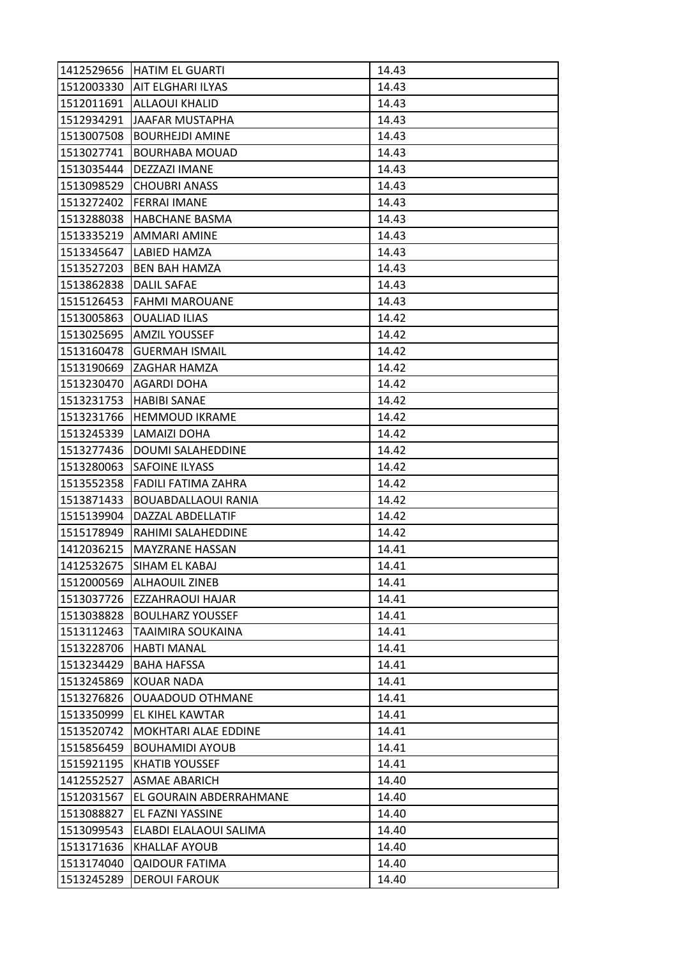| 1412529656 | HATIM EL GUARTI            | 14.43 |
|------------|----------------------------|-------|
| 1512003330 | <b>AIT ELGHARI ILYAS</b>   | 14.43 |
| 1512011691 | <b>ALLAOUI KHALID</b>      | 14.43 |
| 1512934291 | <b>JAAFAR MUSTAPHA</b>     | 14.43 |
| 1513007508 | <b>BOURHEJDI AMINE</b>     | 14.43 |
| 1513027741 | <b>BOURHABA MOUAD</b>      | 14.43 |
| 1513035444 | <b>DEZZAZI IMANE</b>       | 14.43 |
| 1513098529 | <b>CHOUBRI ANASS</b>       | 14.43 |
| 1513272402 | <b>FERRAI IMANE</b>        | 14.43 |
| 1513288038 | <b>HABCHANE BASMA</b>      | 14.43 |
|            | 1513335219   AMMARI AMINE  | 14.43 |
| 1513345647 | LABIED HAMZA               | 14.43 |
| 1513527203 | <b>BEN BAH HAMZA</b>       | 14.43 |
| 1513862838 | <b>DALIL SAFAE</b>         | 14.43 |
| 1515126453 | <b>FAHMI MAROUANE</b>      | 14.43 |
| 1513005863 | <b>OUALIAD ILIAS</b>       | 14.42 |
| 1513025695 | <b>AMZIL YOUSSEF</b>       | 14.42 |
| 1513160478 | <b>GUERMAH ISMAIL</b>      | 14.42 |
| 1513190669 | IZAGHAR HAMZA              | 14.42 |
| 1513230470 | AGARDI DOHA                | 14.42 |
| 1513231753 | <b>HABIBI SANAE</b>        | 14.42 |
| 1513231766 | <b>HEMMOUD IKRAME</b>      | 14.42 |
| 1513245339 | LAMAIZI DOHA               | 14.42 |
| 1513277436 | DOUMI SALAHEDDINE          | 14.42 |
| 1513280063 | ISAFOINE ILYASS            | 14.42 |
| 1513552358 | <b>FADILI FATIMA ZAHRA</b> | 14.42 |
| 1513871433 | <b>BOUABDALLAOUI RANIA</b> | 14.42 |
| 1515139904 | DAZZAL ABDELLATIF          | 14.42 |
| 1515178949 | RAHIMI SALAHEDDINE         | 14.42 |
| 1412036215 | <b>MAYZRANE HASSAN</b>     | 14.41 |
| 1412532675 | SIHAM EL KABAJ             | 14.41 |
| 1512000569 | <b>ALHAOUIL ZINEB</b>      | 14.41 |
| 1513037726 | <b>EZZAHRAOUI HAJAR</b>    | 14.41 |
| 1513038828 | <b>BOULHARZ YOUSSEF</b>    | 14.41 |
| 1513112463 | TAAIMIRA SOUKAINA          | 14.41 |
| 1513228706 | <b>HABTI MANAL</b>         | 14.41 |
| 1513234429 | <b>BAHA HAFSSA</b>         | 14.41 |
| 1513245869 | <b>KOUAR NADA</b>          | 14.41 |
| 1513276826 | <b>OUAADOUD OTHMANE</b>    | 14.41 |
| 1513350999 | EL KIHEL KAWTAR            | 14.41 |
| 1513520742 | MOKHTARI ALAE EDDINE       | 14.41 |
| 1515856459 | <b>BOUHAMIDI AYOUB</b>     | 14.41 |
| 1515921195 | <b>KHATIB YOUSSEF</b>      | 14.41 |
| 1412552527 | ASMAE ABARICH              | 14.40 |
| 1512031567 | EL GOURAIN ABDERRAHMANE    | 14.40 |
| 1513088827 | EL FAZNI YASSINE           | 14.40 |
| 1513099543 | ELABDI ELALAOUI SALIMA     | 14.40 |
| 1513171636 | <b>KHALLAF AYOUB</b>       | 14.40 |
| 1513174040 | <b>QAIDOUR FATIMA</b>      | 14.40 |
| 1513245289 | <b>DEROUI FAROUK</b>       | 14.40 |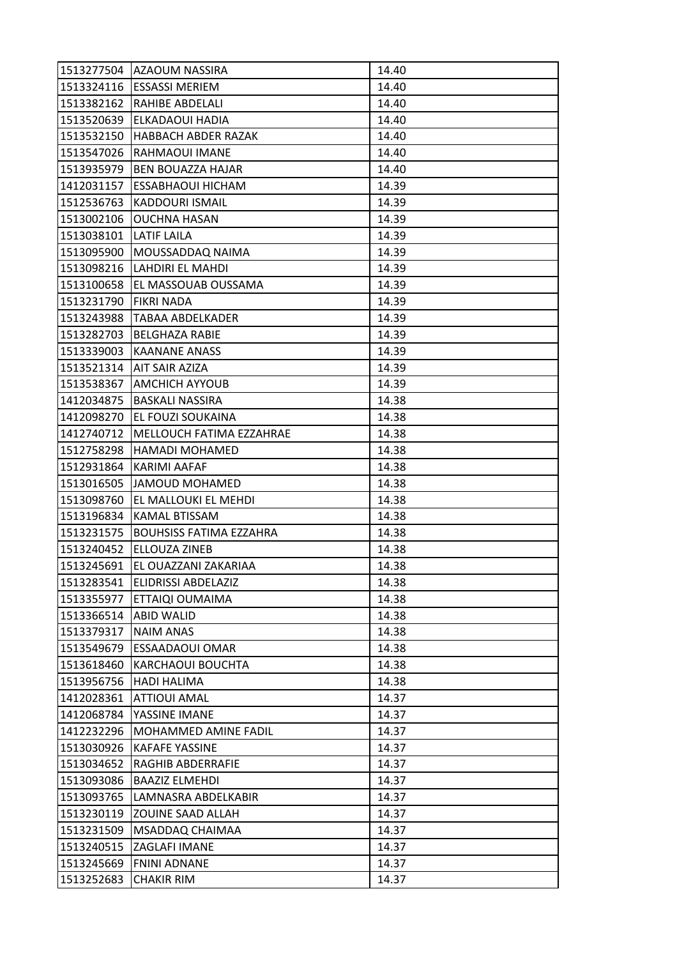| 1513277504 | IAZAOUM NASSIRA                | 14.40 |
|------------|--------------------------------|-------|
|            | 1513324116   ESSASSI MERIEM    | 14.40 |
| 1513382162 | <b>RAHIBE ABDELALI</b>         | 14.40 |
| 1513520639 | ELKADAOUI HADIA                | 14.40 |
| 1513532150 | <b>HABBACH ABDER RAZAK</b>     | 14.40 |
| 1513547026 | RAHMAOUI IMANE                 | 14.40 |
| 1513935979 | <b>BEN BOUAZZA HAJAR</b>       | 14.40 |
| 1412031157 | ESSABHAOUI HICHAM              | 14.39 |
| 1512536763 | <b>KADDOURI ISMAIL</b>         | 14.39 |
| 1513002106 | <b>OUCHNA HASAN</b>            | 14.39 |
| 1513038101 | <b>LATIF LAILA</b>             | 14.39 |
| 1513095900 | MOUSSADDAQ NAIMA               | 14.39 |
| 1513098216 | LAHDIRI EL MAHDI               | 14.39 |
| 1513100658 | EL MASSOUAB OUSSAMA            | 14.39 |
| 1513231790 | <b>FIKRI NADA</b>              | 14.39 |
| 1513243988 | <b>TABAA ABDELKADER</b>        | 14.39 |
| 1513282703 | <b>BELGHAZA RABIE</b>          | 14.39 |
| 1513339003 | KAANANE ANASS                  | 14.39 |
| 1513521314 | <b>AIT SAIR AZIZA</b>          | 14.39 |
| 1513538367 | <b>AMCHICH AYYOUB</b>          | 14.39 |
| 1412034875 | <b>BASKALI NASSIRA</b>         | 14.38 |
| 1412098270 | EL FOUZI SOUKAINA              | 14.38 |
| 1412740712 | MELLOUCH FATIMA EZZAHRAE       | 14.38 |
| 1512758298 | <b>HAMADI MOHAMED</b>          | 14.38 |
| 1512931864 | KARIMI AAFAF                   | 14.38 |
| 1513016505 | JAMOUD MOHAMED                 | 14.38 |
| 1513098760 | EL MALLOUKI EL MEHDI           | 14.38 |
| 1513196834 | KAMAL BTISSAM                  | 14.38 |
| 1513231575 | <b>BOUHSISS FATIMA EZZAHRA</b> | 14.38 |
| 1513240452 | ELLOUZA ZINEB                  | 14.38 |
| 1513245691 | EL OUAZZANI ZAKARIAA           | 14.38 |
| 1513283541 | ELIDRISSI ABDELAZIZ            | 14.38 |
| 1513355977 | ETTAIQI OUMAIMA                | 14.38 |
| 1513366514 | <b>ABID WALID</b>              | 14.38 |
| 1513379317 | <b>NAIM ANAS</b>               | 14.38 |
| 1513549679 | ESSAADAOUI OMAR                | 14.38 |
| 1513618460 | KARCHAOUI BOUCHTA              | 14.38 |
| 1513956756 | <b>HADI HALIMA</b>             | 14.38 |
| 1412028361 | <b>ATTIOUI AMAL</b>            | 14.37 |
| 1412068784 | YASSINE IMANE                  | 14.37 |
| 1412232296 | MOHAMMED AMINE FADIL           | 14.37 |
| 1513030926 | <b>KAFAFE YASSINE</b>          | 14.37 |
| 1513034652 | RAGHIB ABDERRAFIE              | 14.37 |
| 1513093086 | <b>BAAZIZ ELMEHDI</b>          | 14.37 |
| 1513093765 | LAMNASRA ABDELKABIR            | 14.37 |
| 1513230119 | <b>ZOUINE SAAD ALLAH</b>       | 14.37 |
| 1513231509 | MSADDAQ CHAIMAA                | 14.37 |
| 1513240515 | ZAGLAFI IMANE                  | 14.37 |
| 1513245669 | <b>FNINI ADNANE</b>            | 14.37 |
| 1513252683 | <b>CHAKIR RIM</b>              | 14.37 |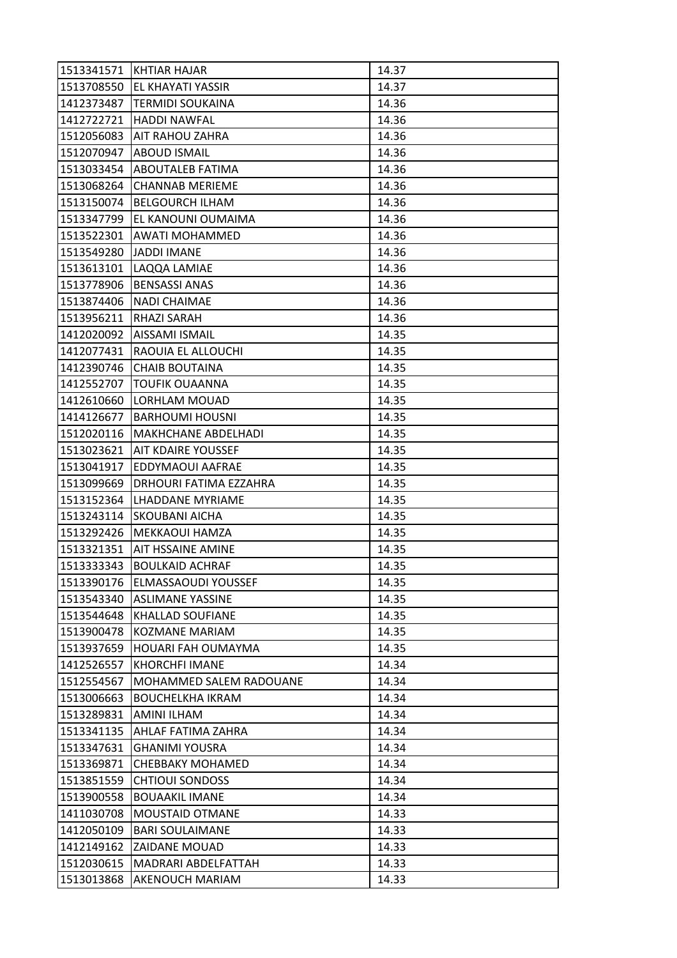| 1513341571 | KHTIAR HAJAR                  | 14.37 |
|------------|-------------------------------|-------|
| 1513708550 | EL KHAYATI YASSIR             | 14.37 |
| 1412373487 | <b>TERMIDI SOUKAINA</b>       | 14.36 |
| 1412722721 | <b>HADDI NAWFAL</b>           | 14.36 |
| 1512056083 | <b>AIT RAHOU ZAHRA</b>        | 14.36 |
| 1512070947 | <b>ABOUD ISMAIL</b>           | 14.36 |
| 1513033454 | <b>ABOUTALEB FATIMA</b>       | 14.36 |
| 1513068264 | <b>CHANNAB MERIEME</b>        | 14.36 |
| 1513150074 | <b>BELGOURCH ILHAM</b>        | 14.36 |
| 1513347799 | EL KANOUNI OUMAIMA            | 14.36 |
|            | 1513522301 AWATI MOHAMMED     | 14.36 |
| 1513549280 | <b>JADDI IMANE</b>            | 14.36 |
| 1513613101 | LAQQA LAMIAE                  | 14.36 |
| 1513778906 | <b>BENSASSI ANAS</b>          | 14.36 |
| 1513874406 | NADI CHAIMAE                  | 14.36 |
| 1513956211 | RHAZI SARAH                   | 14.36 |
| 1412020092 | AISSAMI ISMAIL                | 14.35 |
| 1412077431 | RAOUIA EL ALLOUCHI            | 14.35 |
| 1412390746 | <b>CHAIB BOUTAINA</b>         | 14.35 |
| 1412552707 | <b>TOUFIK OUAANNA</b>         | 14.35 |
| 1412610660 | LORHLAM MOUAD                 | 14.35 |
| 1414126677 | <b>BARHOUMI HOUSNI</b>        | 14.35 |
| 1512020116 | <b>MAKHCHANE ABDELHADI</b>    | 14.35 |
| 1513023621 | <b>AIT KDAIRE YOUSSEF</b>     | 14.35 |
| 1513041917 | EDDYMAOUI AAFRAE              | 14.35 |
| 1513099669 | <b>DRHOURI FATIMA EZZAHRA</b> | 14.35 |
| 1513152364 | LHADDANE MYRIAME              | 14.35 |
| 1513243114 | <b>SKOUBANI AICHA</b>         | 14.35 |
| 1513292426 | MEKKAOUI HAMZA                | 14.35 |
| 1513321351 | <b>AIT HSSAINE AMINE</b>      | 14.35 |
| 1513333343 | <b>BOULKAID ACHRAF</b>        | 14.35 |
| 1513390176 | ELMASSAOUDI YOUSSEF           | 14.35 |
| 1513543340 | <b>ASLIMANE YASSINE</b>       | 14.35 |
| 1513544648 | <b>KHALLAD SOUFIANE</b>       | 14.35 |
| 1513900478 | <b>KOZMANE MARIAM</b>         | 14.35 |
| 1513937659 | HOUARI FAH OUMAYMA            | 14.35 |
| 1412526557 | <b>KHORCHFI IMANE</b>         | 14.34 |
| 1512554567 | MOHAMMED SALEM RADOUANE       | 14.34 |
| 1513006663 | <b>BOUCHELKHA IKRAM</b>       | 14.34 |
| 1513289831 | AMINI ILHAM                   | 14.34 |
| 1513341135 | AHLAF FATIMA ZAHRA            | 14.34 |
| 1513347631 | <b>GHANIMI YOUSRA</b>         | 14.34 |
| 1513369871 | <b>CHEBBAKY MOHAMED</b>       | 14.34 |
| 1513851559 | <b>CHTIOUI SONDOSS</b>        | 14.34 |
| 1513900558 | <b>BOUAAKIL IMANE</b>         | 14.34 |
| 1411030708 | <b>MOUSTAID OTMANE</b>        | 14.33 |
| 1412050109 | <b>BARI SOULAIMANE</b>        | 14.33 |
| 1412149162 | <b>ZAIDANE MOUAD</b>          | 14.33 |
| 1512030615 | MADRARI ABDELFATTAH           | 14.33 |
| 1513013868 | <b>AKENOUCH MARIAM</b>        | 14.33 |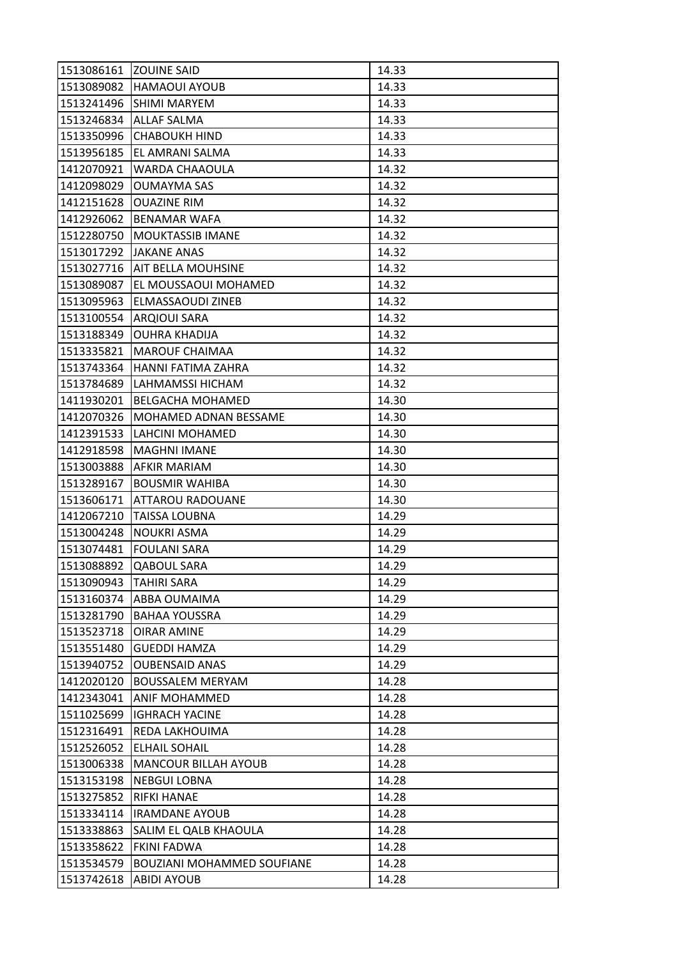| 1513086161 ZOUINE SAID |                                   | 14.33 |
|------------------------|-----------------------------------|-------|
| 1513089082             | <b>HAMAOUI AYOUB</b>              | 14.33 |
| 1513241496             | <b>SHIMI MARYEM</b>               | 14.33 |
| 1513246834             | <b>ALLAF SALMA</b>                | 14.33 |
| 1513350996             | <b>CHABOUKH HIND</b>              | 14.33 |
| 1513956185             | EL AMRANI SALMA                   | 14.33 |
| 1412070921             | WARDA CHAAOULA                    | 14.32 |
| 1412098029             | <b>OUMAYMA SAS</b>                | 14.32 |
| 1412151628             | <b>OUAZINE RIM</b>                | 14.32 |
| 1412926062             | <b>BENAMAR WAFA</b>               | 14.32 |
| 1512280750             | <b>MOUKTASSIB IMANE</b>           | 14.32 |
| 1513017292             | <b>JAKANE ANAS</b>                | 14.32 |
| 1513027716             | <b>AIT BELLA MOUHSINE</b>         | 14.32 |
| 1513089087             | EL MOUSSAOUI MOHAMED              | 14.32 |
| 1513095963             | ELMASSAOUDI ZINEB                 | 14.32 |
|                        | 1513100554 ARQIOUI SARA           | 14.32 |
| 1513188349             | <b>OUHRA KHADIJA</b>              | 14.32 |
| 1513335821             | <b>MAROUF CHAIMAA</b>             | 14.32 |
| 1513743364             | HANNI FATIMA ZAHRA                | 14.32 |
| 1513784689             | LAHMAMSSI HICHAM                  | 14.32 |
| 1411930201             | <b>BELGACHA MOHAMED</b>           | 14.30 |
| 1412070326             | MOHAMED ADNAN BESSAME             | 14.30 |
| 1412391533             | LAHCINI MOHAMED                   | 14.30 |
| 1412918598             | <b>MAGHNI IMANE</b>               | 14.30 |
| 1513003888             | <b>AFKIR MARIAM</b>               | 14.30 |
| 1513289167             | <b>BOUSMIR WAHIBA</b>             | 14.30 |
| 1513606171             | ATTAROU RADOUANE                  | 14.30 |
| 1412067210             | <b>TAISSA LOUBNA</b>              | 14.29 |
| 1513004248             | <b>NOUKRI ASMA</b>                | 14.29 |
| 1513074481             | <b>FOULANI SARA</b>               | 14.29 |
| 1513088892             | <b>QABOUL SARA</b>                | 14.29 |
| 1513090943             | <b>TAHIRI SARA</b>                | 14.29 |
| 1513160374             | ABBA OUMAIMA                      | 14.29 |
| 1513281790             | <b>BAHAA YOUSSRA</b>              | 14.29 |
| 1513523718             | <b>OIRAR AMINE</b>                | 14.29 |
| 1513551480             | <b>GUEDDI HAMZA</b>               | 14.29 |
| 1513940752             | <b>OUBENSAID ANAS</b>             | 14.29 |
| 1412020120             | <b>BOUSSALEM MERYAM</b>           | 14.28 |
| 1412343041             | ANIF MOHAMMED                     | 14.28 |
| 1511025699             | <b>IGHRACH YACINE</b>             | 14.28 |
| 1512316491             | REDA LAKHOUIMA                    | 14.28 |
| 1512526052             | <b>ELHAIL SOHAIL</b>              | 14.28 |
| 1513006338             | <b>MANCOUR BILLAH AYOUB</b>       | 14.28 |
| 1513153198             | <b>NEBGUI LOBNA</b>               | 14.28 |
| 1513275852             | <b>RIFKI HANAE</b>                | 14.28 |
| 1513334114             | <b>IRAMDANE AYOUB</b>             | 14.28 |
| 1513338863             | SALIM EL QALB KHAOULA             | 14.28 |
| 1513358622             | FKINI FADWA                       | 14.28 |
| 1513534579             | <b>BOUZIANI MOHAMMED SOUFIANE</b> | 14.28 |
| 1513742618             | <b>ABIDI AYOUB</b>                | 14.28 |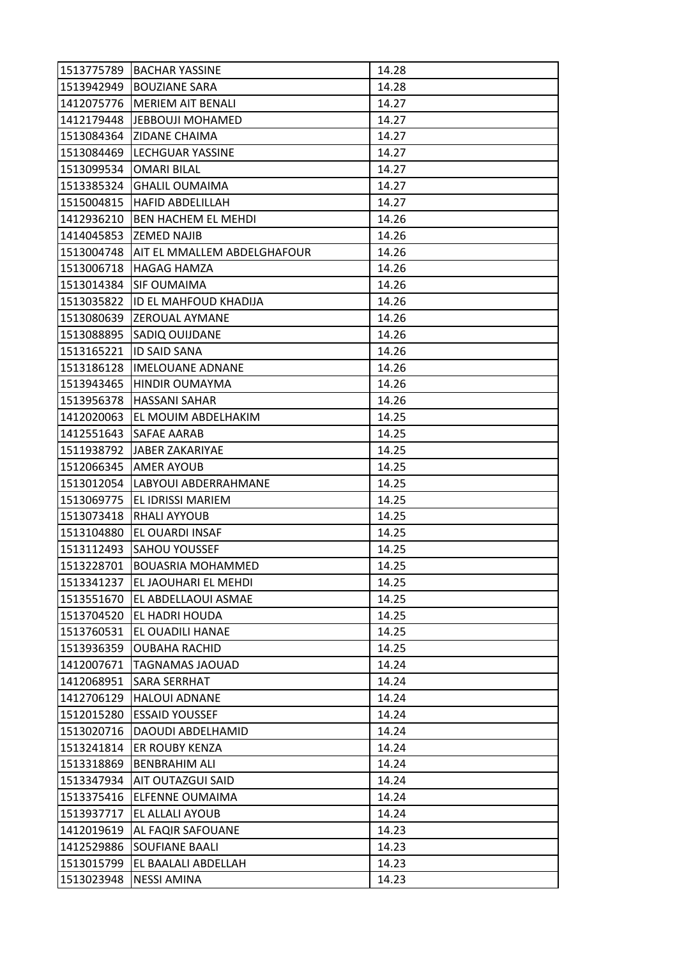| 1513775789 | <b>BACHAR YASSINE</b>              | 14.28 |
|------------|------------------------------------|-------|
|            | 1513942949 BOUZIANE SARA           | 14.28 |
|            | 1412075776   MERIEM AIT BENALI     | 14.27 |
|            | 1412179448 JEBBOUJI MOHAMED        | 14.27 |
| 1513084364 | <b>ZIDANE CHAIMA</b>               | 14.27 |
|            | 1513084469  LECHGUAR YASSINE       | 14.27 |
| 1513099534 | <b>OMARI BILAL</b>                 | 14.27 |
| 1513385324 | <b>GHALIL OUMAIMA</b>              | 14.27 |
|            | 1515004815   HAFID ABDELILLAH      | 14.27 |
| 1412936210 | BEN HACHEM EL MEHDI                | 14.26 |
|            | 1414045853 ZEMED NAJIB             | 14.26 |
| 1513004748 | <b>AIT EL MMALLEM ABDELGHAFOUR</b> | 14.26 |
| 1513006718 | <b>HAGAG HAMZA</b>                 | 14.26 |
| 1513014384 | <b>SIF OUMAIMA</b>                 | 14.26 |
| 1513035822 | ID EL MAHFOUD KHADIJA              | 14.26 |
|            | 1513080639 ZEROUAL AYMANE          | 14.26 |
| 1513088895 | <b>SADIQ OUIJDANE</b>              | 14.26 |
| 1513165221 | <b>ID SAID SANA</b>                | 14.26 |
| 1513186128 | <b>IMELOUANE ADNANE</b>            | 14.26 |
| 1513943465 | <b>HINDIR OUMAYMA</b>              | 14.26 |
|            | 1513956378   HASSANI SAHAR         | 14.26 |
| 1412020063 | EL MOUIM ABDELHAKIM                | 14.25 |
| 1412551643 | <b>SAFAE AARAB</b>                 | 14.25 |
|            | 1511938792 JJABER ZAKARIYAE        | 14.25 |
|            | 1512066345  AMER AYOUB             | 14.25 |
|            | 1513012054   LABYOUI ABDERRAHMANE  | 14.25 |
| 1513069775 | <b>EL IDRISSI MARIEM</b>           | 14.25 |
| 1513073418 | <b>RHALI AYYOUB</b>                | 14.25 |
| 1513104880 | <b>EL OUARDI INSAF</b>             | 14.25 |
|            | 1513112493 SAHOU YOUSSEF           | 14.25 |
| 1513228701 | <b>BOUASRIA MOHAMMED</b>           | 14.25 |
| 1513341237 | EL JAOUHARI EL MEHDI               | 14.25 |
| 1513551670 | EL ABDELLAOUI ASMAE                | 14.25 |
| 1513704520 | EL HADRI HOUDA                     | 14.25 |
| 1513760531 | EL OUADILI HANAE                   | 14.25 |
| 1513936359 | <b>OUBAHA RACHID</b>               | 14.25 |
| 1412007671 | <b>TAGNAMAS JAOUAD</b>             | 14.24 |
| 1412068951 | SARA SERRHAT                       | 14.24 |
| 1412706129 | <b>HALOUI ADNANE</b>               | 14.24 |
| 1512015280 | <b>ESSAID YOUSSEF</b>              | 14.24 |
| 1513020716 | DAOUDI ABDELHAMID                  | 14.24 |
| 1513241814 | ER ROUBY KENZA                     | 14.24 |
| 1513318869 | <b>BENBRAHIM ALI</b>               | 14.24 |
| 1513347934 | AIT OUTAZGUI SAID                  | 14.24 |
| 1513375416 | <b>ELFENNE OUMAIMA</b>             | 14.24 |
| 1513937717 | EL ALLALI AYOUB                    | 14.24 |
| 1412019619 | AL FAQIR SAFOUANE                  | 14.23 |
| 1412529886 | <b>SOUFIANE BAALI</b>              | 14.23 |
| 1513015799 | EL BAALALI ABDELLAH                | 14.23 |
| 1513023948 | <b>NESSI AMINA</b>                 | 14.23 |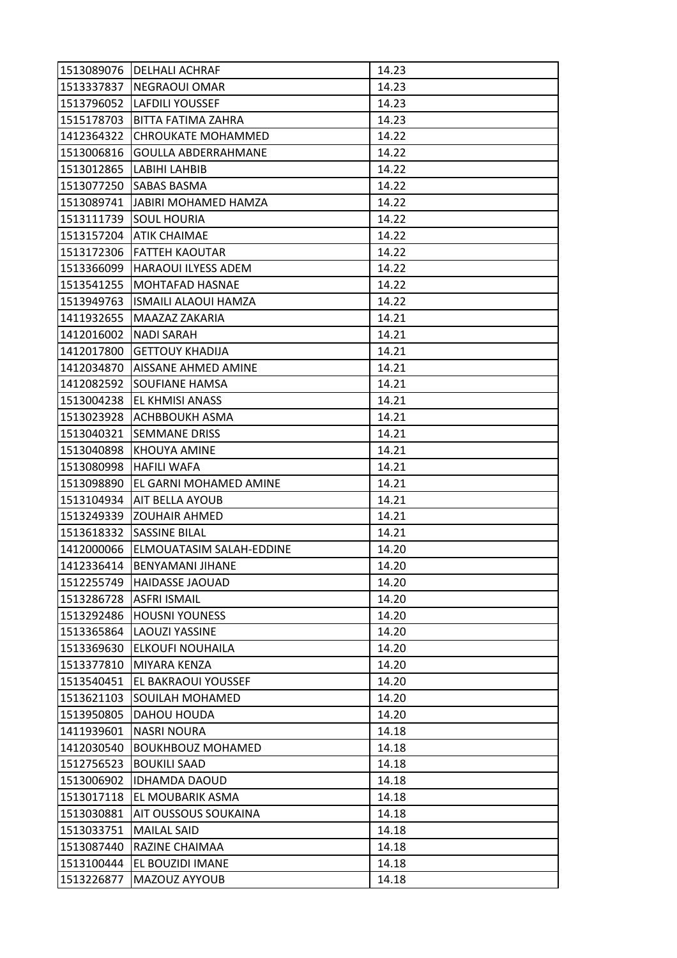| 1513089076 | <b>DELHALI ACHRAF</b>       | 14.23 |
|------------|-----------------------------|-------|
| 1513337837 | <b>NEGRAOUI OMAR</b>        | 14.23 |
| 1513796052 | LAFDILI YOUSSEF             | 14.23 |
| 1515178703 | BITTA FATIMA ZAHRA          | 14.23 |
| 1412364322 | <b>CHROUKATE MOHAMMED</b>   | 14.22 |
| 1513006816 | <b>GOULLA ABDERRAHMANE</b>  | 14.22 |
| 1513012865 | LABIHI LAHBIB               | 14.22 |
| 1513077250 | <b>ISABAS BASMA</b>         | 14.22 |
| 1513089741 | <b>JABIRI MOHAMED HAMZA</b> | 14.22 |
| 1513111739 | <b>SOUL HOURIA</b>          | 14.22 |
|            | 1513157204 ATIK CHAIMAE     | 14.22 |
| 1513172306 | <b>FATTEH KAOUTAR</b>       | 14.22 |
| 1513366099 | <b>HARAOUI ILYESS ADEM</b>  | 14.22 |
| 1513541255 | <b>MOHTAFAD HASNAE</b>      | 14.22 |
| 1513949763 | <b>ISMAILI ALAOUI HAMZA</b> | 14.22 |
| 1411932655 | MAAZAZ ZAKARIA              | 14.21 |
| 1412016002 | <b>NADI SARAH</b>           | 14.21 |
| 1412017800 | <b>GETTOUY KHADIJA</b>      | 14.21 |
| 1412034870 | AISSANE AHMED AMINE         | 14.21 |
| 1412082592 | <b>SOUFIANE HAMSA</b>       | 14.21 |
|            | 1513004238 EL KHMISI ANASS  | 14.21 |
| 1513023928 | ACHBBOUKH ASMA              | 14.21 |
| 1513040321 | <b>SEMMANE DRISS</b>        | 14.21 |
| 1513040898 | <b>KHOUYA AMINE</b>         | 14.21 |
| 1513080998 | <b>HAFILI WAFA</b>          | 14.21 |
| 1513098890 | EL GARNI MOHAMED AMINE      | 14.21 |
| 1513104934 | <b>AIT BELLA AYOUB</b>      | 14.21 |
| 1513249339 | <b>ZOUHAIR AHMED</b>        | 14.21 |
| 1513618332 | ISASSINE BILAL              | 14.21 |
| 1412000066 | ELMOUATASIM SALAH-EDDINE    | 14.20 |
| 1412336414 | <b>BENYAMANI JIHANE</b>     | 14.20 |
| 1512255749 | <b>HAIDASSE JAOUAD</b>      | 14.20 |
| 1513286728 | <b>ASFRI ISMAIL</b>         | 14.20 |
| 1513292486 | <b>HOUSNI YOUNESS</b>       | 14.20 |
| 1513365864 | <b>LAOUZI YASSINE</b>       | 14.20 |
| 1513369630 | ELKOUFI NOUHAILA            | 14.20 |
| 1513377810 | <b>MIYARA KENZA</b>         | 14.20 |
| 1513540451 | <b>EL BAKRAOUI YOUSSEF</b>  | 14.20 |
| 1513621103 | SOUILAH MOHAMED             | 14.20 |
| 1513950805 | DAHOU HOUDA                 | 14.20 |
| 1411939601 | <b>NASRI NOURA</b>          | 14.18 |
| 1412030540 | <b>BOUKHBOUZ MOHAMED</b>    | 14.18 |
| 1512756523 | <b>BOUKILI SAAD</b>         | 14.18 |
| 1513006902 | <b>IDHAMDA DAOUD</b>        | 14.18 |
| 1513017118 | EL MOUBARIK ASMA            | 14.18 |
| 1513030881 | AIT OUSSOUS SOUKAINA        | 14.18 |
| 1513033751 | <b>MAILAL SAID</b>          | 14.18 |
| 1513087440 | RAZINE CHAIMAA              | 14.18 |
| 1513100444 | EL BOUZIDI IMANE            | 14.18 |
| 1513226877 | MAZOUZ AYYOUB               | 14.18 |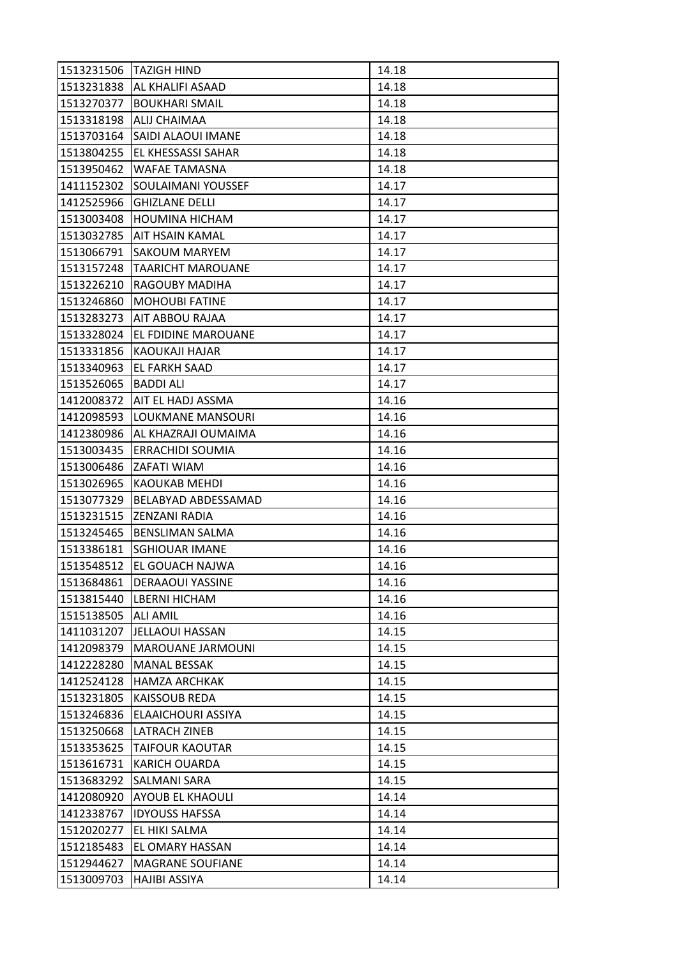| 1513231506 | <b>TAZIGH HIND</b>             | 14.18 |
|------------|--------------------------------|-------|
| 1513231838 | <b>AL KHALIFI ASAAD</b>        | 14.18 |
| 1513270377 | <b>BOUKHARI SMAIL</b>          | 14.18 |
| 1513318198 | <b>ALIJ CHAIMAA</b>            | 14.18 |
| 1513703164 | SAIDI ALAOUI IMANE             | 14.18 |
| 1513804255 | EL KHESSASSI SAHAR             | 14.18 |
| 1513950462 | <b>WAFAE TAMASNA</b>           | 14.18 |
| 1411152302 | SOULAIMANI YOUSSEF             | 14.17 |
| 1412525966 | <b>GHIZLANE DELLI</b>          | 14.17 |
| 1513003408 | <b>HOUMINA HICHAM</b>          | 14.17 |
| 1513032785 | <b>AIT HSAIN KAMAL</b>         | 14.17 |
| 1513066791 | <b>SAKOUM MARYEM</b>           | 14.17 |
| 1513157248 | <b>TAARICHT MAROUANE</b>       | 14.17 |
| 1513226210 | <b>RAGOUBY MADIHA</b>          | 14.17 |
| 1513246860 | <b>MOHOUBI FATINE</b>          | 14.17 |
|            | 1513283273   AIT ABBOU RAJAA   | 14.17 |
| 1513328024 | EL FDIDINE MAROUANE            | 14.17 |
| 1513331856 | KAOUKAJI HAJAR                 | 14.17 |
| 1513340963 | <b>EL FARKH SAAD</b>           | 14.17 |
| 1513526065 | <b>BADDI ALI</b>               | 14.17 |
|            | 1412008372   AIT EL HADJ ASSMA | 14.16 |
| 1412098593 | LOUKMANE MANSOURI              | 14.16 |
| 1412380986 | AL KHAZRAJI OUMAIMA            | 14.16 |
| 1513003435 | <b>ERRACHIDI SOUMIA</b>        | 14.16 |
| 1513006486 | IZAFATI WIAM                   | 14.16 |
| 1513026965 | KAOUKAB MEHDI                  | 14.16 |
| 1513077329 | BELABYAD ABDESSAMAD            | 14.16 |
| 1513231515 | <b>ZENZANI RADIA</b>           | 14.16 |
| 1513245465 | <b>BENSLIMAN SALMA</b>         | 14.16 |
| 1513386181 | <b>SGHIOUAR IMANE</b>          | 14.16 |
| 1513548512 | <b>EL GOUACH NAJWA</b>         | 14.16 |
| 1513684861 | <b>DERAAOUI YASSINE</b>        | 14.16 |
| 1513815440 | <b>LBERNI HICHAM</b>           | 14.16 |
| 1515138505 | <b>ALI AMIL</b>                | 14.16 |
| 1411031207 | JELLAOUI HASSAN                | 14.15 |
| 1412098379 | <b>MAROUANE JARMOUNI</b>       | 14.15 |
| 1412228280 | <b>MANAL BESSAK</b>            | 14.15 |
| 1412524128 | <b>HAMZA ARCHKAK</b>           | 14.15 |
| 1513231805 | <b>KAISSOUB REDA</b>           | 14.15 |
| 1513246836 | ELAAICHOURI ASSIYA             | 14.15 |
| 1513250668 | LATRACH ZINEB                  | 14.15 |
| 1513353625 | <b>TAIFOUR KAOUTAR</b>         | 14.15 |
| 1513616731 | <b>KARICH OUARDA</b>           | 14.15 |
| 1513683292 | SALMANI SARA                   | 14.15 |
| 1412080920 | <b>AYOUB EL KHAOULI</b>        | 14.14 |
| 1412338767 | <b>IDYOUSS HAFSSA</b>          | 14.14 |
| 1512020277 | EL HIKI SALMA                  | 14.14 |
| 1512185483 | EL OMARY HASSAN                | 14.14 |
| 1512944627 | <b>MAGRANE SOUFIANE</b>        | 14.14 |
| 1513009703 | HAJIBI ASSIYA                  | 14.14 |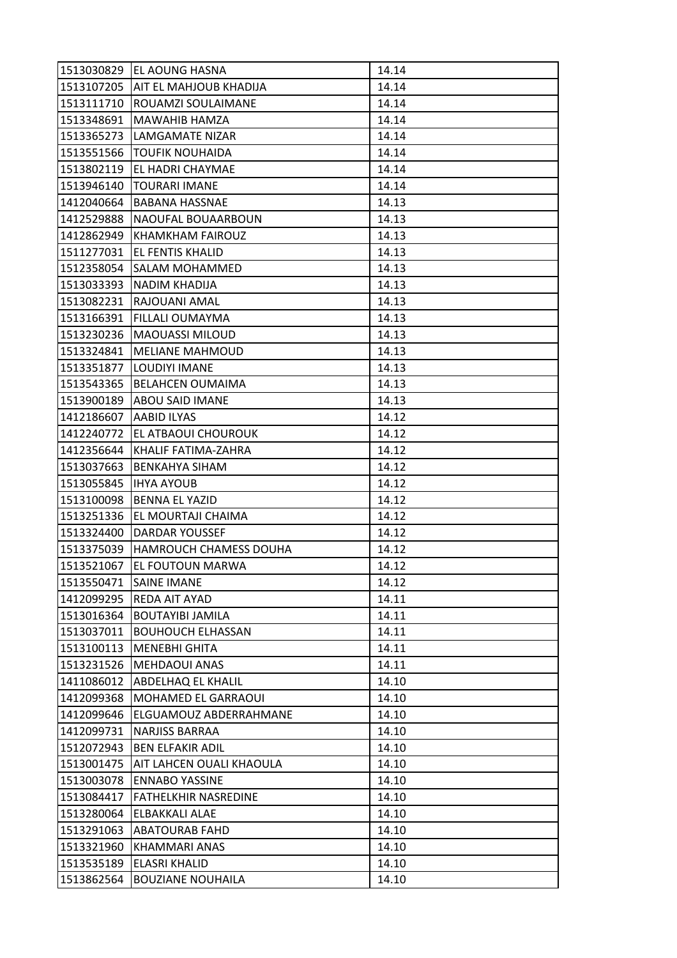| 1513030829 | EL AOUNG HASNA                    | 14.14 |
|------------|-----------------------------------|-------|
|            | 1513107205 AIT EL MAHJOUB KHADIJA | 14.14 |
| 1513111710 | ROUAMZI SOULAIMANE                | 14.14 |
| 1513348691 | <b>MAWAHIB HAMZA</b>              | 14.14 |
| 1513365273 | LAMGAMATE NIZAR                   | 14.14 |
| 1513551566 | <b>TOUFIK NOUHAIDA</b>            | 14.14 |
| 1513802119 | <b>EL HADRI CHAYMAE</b>           | 14.14 |
| 1513946140 | <b>TOURARI IMANE</b>              | 14.14 |
| 1412040664 | <b>BABANA HASSNAE</b>             | 14.13 |
| 1412529888 | NAOUFAL BOUAARBOUN                | 14.13 |
| 1412862949 | <b>KHAMKHAM FAIROUZ</b>           | 14.13 |
| 1511277031 | <b>EL FENTIS KHALID</b>           | 14.13 |
| 1512358054 | SALAM MOHAMMED                    | 14.13 |
| 1513033393 | <b>NADIM KHADIJA</b>              | 14.13 |
| 1513082231 | RAJOUANI AMAL                     | 14.13 |
| 1513166391 | <b>FILLALI OUMAYMA</b>            | 14.13 |
| 1513230236 | <b>MAOUASSI MILOUD</b>            | 14.13 |
| 1513324841 | <b>MELIANE MAHMOUD</b>            | 14.13 |
| 1513351877 | LOUDIYI IMANE                     | 14.13 |
| 1513543365 | <b>BELAHCEN OUMAIMA</b>           | 14.13 |
| 1513900189 | <b>ABOU SAID IMANE</b>            | 14.13 |
| 1412186607 | AABID ILYAS                       | 14.12 |
| 1412240772 | EL ATBAOUI CHOUROUK               | 14.12 |
| 1412356644 | KHALIF FATIMA-ZAHRA               | 14.12 |
| 1513037663 | <b>BENKAHYA SIHAM</b>             | 14.12 |
| 1513055845 | <b>IHYA AYOUB</b>                 | 14.12 |
| 1513100098 | <b>BENNA EL YAZID</b>             | 14.12 |
| 1513251336 | EL MOURTAJI CHAIMA                | 14.12 |
| 1513324400 | DARDAR YOUSSEF                    | 14.12 |
| 1513375039 | HAMROUCH CHAMESS DOUHA            | 14.12 |
| 1513521067 | EL FOUTOUN MARWA                  | 14.12 |
| 1513550471 | <b>SAINE IMANE</b>                | 14.12 |
| 1412099295 | <b>REDA AIT AYAD</b>              | 14.11 |
| 1513016364 | <b>BOUTAYIBI JAMILA</b>           | 14.11 |
| 1513037011 | <b>BOUHOUCH ELHASSAN</b>          | 14.11 |
| 1513100113 | MENEBHI GHITA                     | 14.11 |
| 1513231526 | <b>MEHDAOUI ANAS</b>              | 14.11 |
| 1411086012 | <b>ABDELHAQ EL KHALIL</b>         | 14.10 |
| 1412099368 | MOHAMED EL GARRAOUI               | 14.10 |
| 1412099646 | ELGUAMOUZ ABDERRAHMANE            | 14.10 |
| 1412099731 | NARJISS BARRAA                    | 14.10 |
| 1512072943 | <b>BEN ELFAKIR ADIL</b>           | 14.10 |
| 1513001475 | AIT LAHCEN OUALI KHAOULA          | 14.10 |
| 1513003078 | <b>ENNABO YASSINE</b>             | 14.10 |
| 1513084417 | <b>FATHELKHIR NASREDINE</b>       | 14.10 |
| 1513280064 | <b>ELBAKKALI ALAE</b>             | 14.10 |
| 1513291063 | <b>ABATOURAB FAHD</b>             | 14.10 |
| 1513321960 | KHAMMARI ANAS                     | 14.10 |
| 1513535189 | ELASRI KHALID                     | 14.10 |
| 1513862564 | <b>BOUZIANE NOUHAILA</b>          | 14.10 |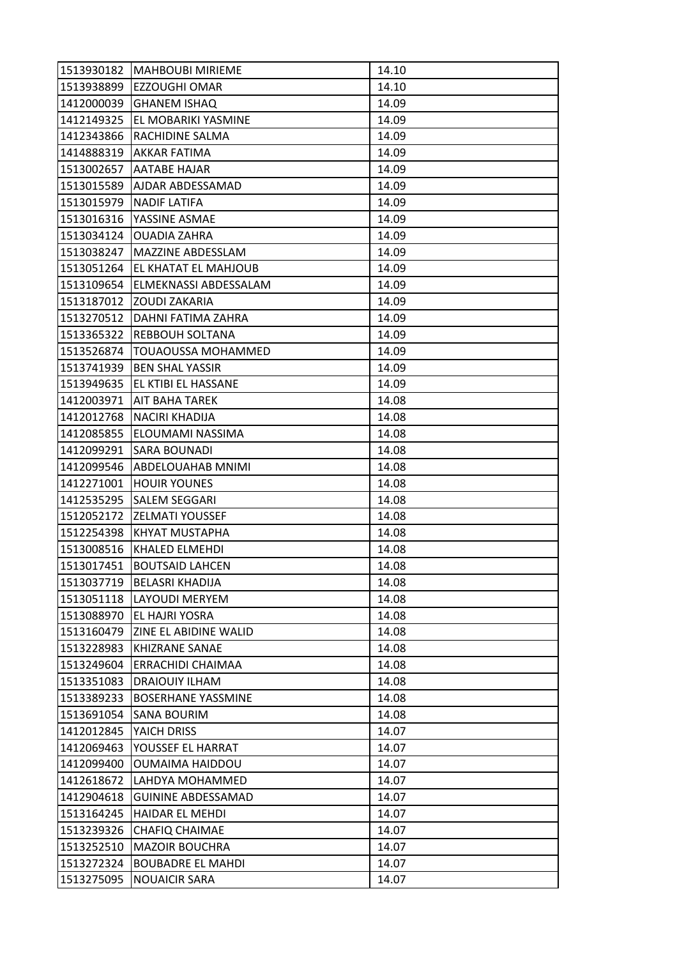| 1513930182 | <b>MAHBOUBI MIRIEME</b>   | 14.10 |
|------------|---------------------------|-------|
| 1513938899 | <b>EZZOUGHI OMAR</b>      | 14.10 |
| 1412000039 | <b>GHANEM ISHAQ</b>       | 14.09 |
| 1412149325 | EL MOBARIKI YASMINE       | 14.09 |
| 1412343866 | RACHIDINE SALMA           | 14.09 |
| 1414888319 | AKKAR FATIMA              | 14.09 |
| 1513002657 | <b>AATABE HAJAR</b>       | 14.09 |
| 1513015589 | AJDAR ABDESSAMAD          | 14.09 |
| 1513015979 | <b>NADIF LATIFA</b>       | 14.09 |
| 1513016316 | YASSINE ASMAE             | 14.09 |
| 1513034124 | <b>OUADIA ZAHRA</b>       | 14.09 |
| 1513038247 | <b>MAZZINE ABDESSLAM</b>  | 14.09 |
| 1513051264 | EL KHATAT EL MAHJOUB      | 14.09 |
| 1513109654 | ELMEKNASSI ABDESSALAM     | 14.09 |
| 1513187012 | IZOUDI ZAKARIA            | 14.09 |
| 1513270512 | DAHNI FATIMA ZAHRA        | 14.09 |
| 1513365322 | <b>REBBOUH SOLTANA</b>    | 14.09 |
| 1513526874 | TOUAOUSSA MOHAMMED        | 14.09 |
| 1513741939 | <b>BEN SHAL YASSIR</b>    | 14.09 |
| 1513949635 | EL KTIBI EL HASSANE       | 14.09 |
| 1412003971 | <b>AIT BAHA TAREK</b>     | 14.08 |
| 1412012768 | NACIRI KHADIJA            | 14.08 |
| 1412085855 | ELOUMAMI NASSIMA          | 14.08 |
| 1412099291 | <b>SARA BOUNADI</b>       | 14.08 |
| 1412099546 | <b>ABDELOUAHAB MNIMI</b>  | 14.08 |
| 1412271001 | <b>HOUIR YOUNES</b>       | 14.08 |
| 1412535295 | SALEM SEGGARI             | 14.08 |
| 1512052172 | <b>ZELMATI YOUSSEF</b>    | 14.08 |
| 1512254398 | KHYAT MUSTAPHA            | 14.08 |
| 1513008516 | KHALED ELMEHDI            | 14.08 |
| 1513017451 | <b>BOUTSAID LAHCEN</b>    | 14.08 |
| 1513037719 | <b>BELASRI KHADIJA</b>    | 14.08 |
| 1513051118 | <b>LAYOUDI MERYEM</b>     | 14.08 |
| 1513088970 | EL HAJRI YOSRA            | 14.08 |
| 1513160479 | ZINE EL ABIDINE WALID     | 14.08 |
| 1513228983 | <b>KHIZRANE SANAE</b>     | 14.08 |
| 1513249604 | ERRACHIDI CHAIMAA         | 14.08 |
| 1513351083 | DRAIOUIY ILHAM            | 14.08 |
| 1513389233 | <b>BOSERHANE YASSMINE</b> | 14.08 |
| 1513691054 | <b>SANA BOURIM</b>        | 14.08 |
| 1412012845 | YAICH DRISS               | 14.07 |
| 1412069463 | YOUSSEF EL HARRAT         | 14.07 |
| 1412099400 | OUMAIMA HAIDDOU           | 14.07 |
| 1412618672 | LAHDYA MOHAMMED           | 14.07 |
| 1412904618 | <b>GUININE ABDESSAMAD</b> | 14.07 |
| 1513164245 | <b>HAIDAR EL MEHDI</b>    | 14.07 |
| 1513239326 | <b>CHAFIQ CHAIMAE</b>     | 14.07 |
| 1513252510 | <b>MAZOIR BOUCHRA</b>     | 14.07 |
| 1513272324 | <b>BOUBADRE EL MAHDI</b>  | 14.07 |
| 1513275095 | <b>NOUAICIR SARA</b>      | 14.07 |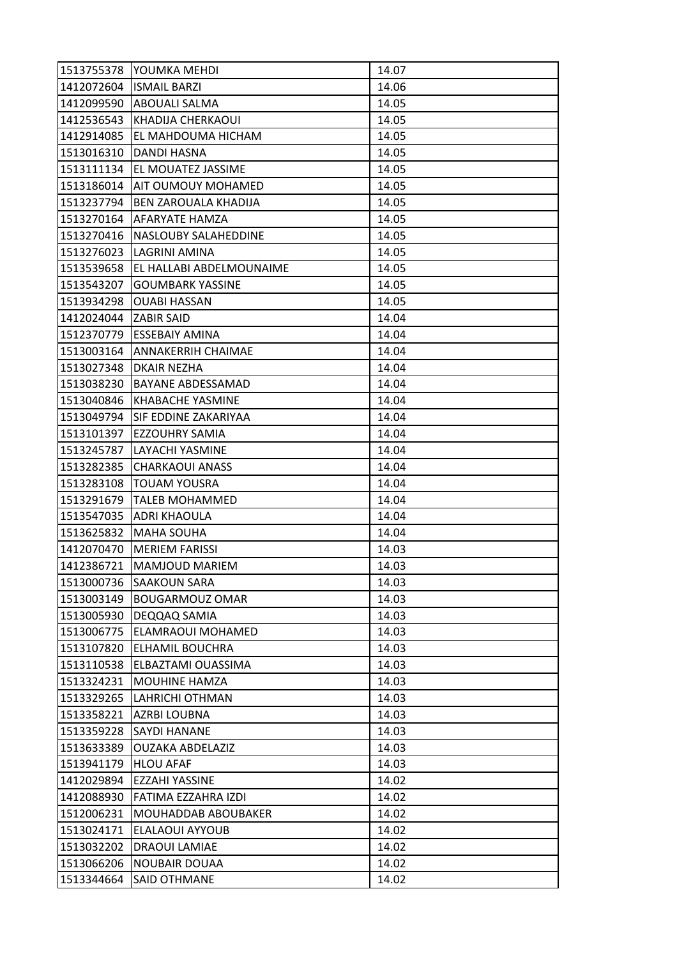| 1513755378            | lYOUMKA MEHDI               | 14.07 |
|-----------------------|-----------------------------|-------|
|                       | 1412072604   ISMAIL BARZI   | 14.06 |
| 1412099590            | ABOUALI SALMA               | 14.05 |
| 1412536543            | KHADIJA CHERKAOUI           | 14.05 |
| 1412914085            | EL MAHDOUMA HICHAM          | 14.05 |
| 1513016310            | DANDI HASNA                 | 14.05 |
| 1513111134            | <b>EL MOUATEZ JASSIME</b>   | 14.05 |
| 1513186014            | AIT OUMOUY MOHAMED          | 14.05 |
| 1513237794            | <b>BEN ZAROUALA KHADIJA</b> | 14.05 |
| 1513270164            | <b>AFARYATE HAMZA</b>       | 14.05 |
| 1513270416            | <b>NASLOUBY SALAHEDDINE</b> | 14.05 |
| 1513276023            | LAGRINI AMINA               | 14.05 |
| 1513539658            | EL HALLABI ABDELMOUNAIME    | 14.05 |
| 1513543207            | <b>GOUMBARK YASSINE</b>     | 14.05 |
| 1513934298            | <b>OUABI HASSAN</b>         | 14.05 |
| 1412024044 ZABIR SAID |                             | 14.04 |
| 1512370779            | <b>ESSEBAIY AMINA</b>       | 14.04 |
| 1513003164            | <b>ANNAKERRIH CHAIMAE</b>   | 14.04 |
| 1513027348            | <b>DKAIR NEZHA</b>          | 14.04 |
| 1513038230            | <b>BAYANE ABDESSAMAD</b>    | 14.04 |
| 1513040846            | <b>KHABACHE YASMINE</b>     | 14.04 |
| 1513049794            | SIF EDDINE ZAKARIYAA        | 14.04 |
| 1513101397            | <b>EZZOUHRY SAMIA</b>       | 14.04 |
| 1513245787            | LAYACHI YASMINE             | 14.04 |
| 1513282385            | <b>CHARKAOUI ANASS</b>      | 14.04 |
| 1513283108            | <b>TOUAM YOUSRA</b>         | 14.04 |
| 1513291679            | TALEB MOHAMMED              | 14.04 |
| 1513547035            | <b>ADRI KHAOULA</b>         | 14.04 |
| 1513625832            | <b>MAHA SOUHA</b>           | 14.04 |
| 1412070470            | <b>MERIEM FARISSI</b>       | 14.03 |
| 1412386721            | <b>MAMJOUD MARIEM</b>       | 14.03 |
| 1513000736            | <b>SAAKOUN SARA</b>         | 14.03 |
| 1513003149            | <b>BOUGARMOUZ OMAR</b>      | 14.03 |
| 1513005930            | DEQQAQ SAMIA                | 14.03 |
| 1513006775            | ELAMRAOUI MOHAMED           | 14.03 |
| 1513107820            | ELHAMIL BOUCHRA             | 14.03 |
| 1513110538            | ELBAZTAMI OUASSIMA          | 14.03 |
| 1513324231            | <b>MOUHINE HAMZA</b>        | 14.03 |
| 1513329265            | LAHRICHI OTHMAN             | 14.03 |
| 1513358221            | <b>AZRBI LOUBNA</b>         | 14.03 |
| 1513359228            | <b>SAYDI HANANE</b>         | 14.03 |
| 1513633389            | OUZAKA ABDELAZIZ            | 14.03 |
| 1513941179            | <b>HLOU AFAF</b>            | 14.03 |
| 1412029894            | EZZAHI YASSINE              | 14.02 |
| 1412088930            | FATIMA EZZAHRA IZDI         | 14.02 |
| 1512006231            | MOUHADDAB ABOUBAKER         | 14.02 |
| 1513024171            | ELALAOUI AYYOUB             | 14.02 |
| 1513032202            | <b>DRAOUI LAMIAE</b>        | 14.02 |
| 1513066206            | <b>NOUBAIR DOUAA</b>        | 14.02 |
| 1513344664            | SAID OTHMANE                | 14.02 |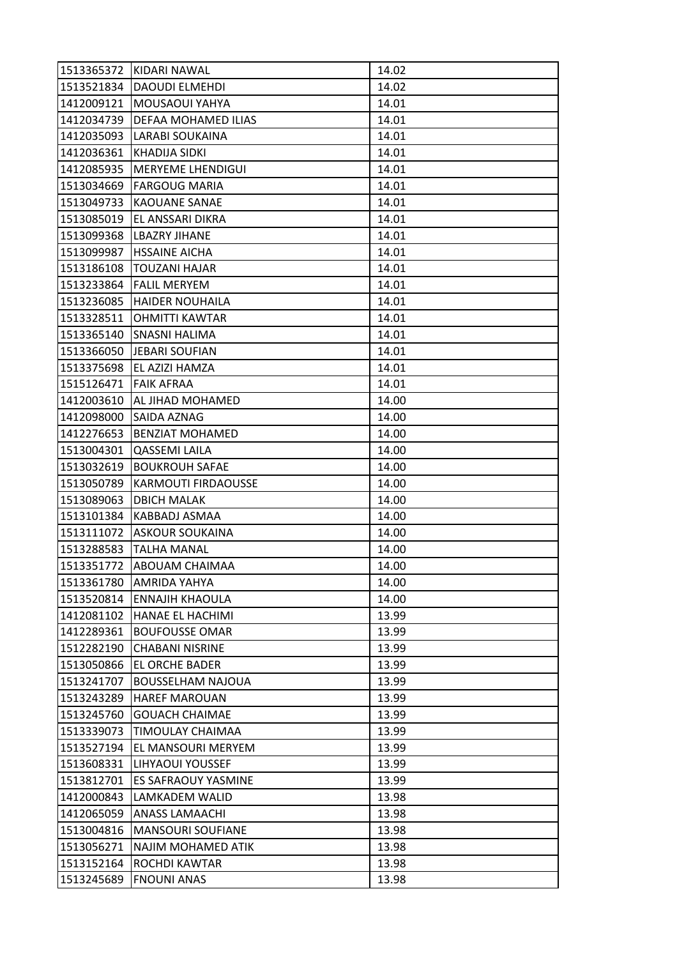| 1513365372 | KIDARI NAWAL               | 14.02 |
|------------|----------------------------|-------|
| 1513521834 | <b>DAOUDI ELMEHDI</b>      | 14.02 |
| 1412009121 | MOUSAOUI YAHYA             | 14.01 |
| 1412034739 | DEFAA MOHAMED ILIAS        | 14.01 |
| 1412035093 | LARABI SOUKAINA            | 14.01 |
| 1412036361 | KHADIJA SIDKI              | 14.01 |
| 1412085935 | <b>MERYEME LHENDIGUI</b>   | 14.01 |
| 1513034669 | <b>FARGOUG MARIA</b>       | 14.01 |
| 1513049733 | <b>KAOUANE SANAE</b>       | 14.01 |
| 1513085019 | EL ANSSARI DIKRA           | 14.01 |
| 1513099368 | LBAZRY JIHANE              | 14.01 |
| 1513099987 | <b>HSSAINE AICHA</b>       | 14.01 |
| 1513186108 | TOUZANI HAJAR              | 14.01 |
| 1513233864 | <b>FALIL MERYEM</b>        | 14.01 |
| 1513236085 | <b>HAIDER NOUHAILA</b>     | 14.01 |
| 1513328511 | <b>OHMITTI KAWTAR</b>      | 14.01 |
| 1513365140 | <b>SNASNI HALIMA</b>       | 14.01 |
| 1513366050 | <b>JEBARI SOUFIAN</b>      | 14.01 |
| 1513375698 | EL AZIZI HAMZA             | 14.01 |
| 1515126471 | <b>FAIK AFRAA</b>          | 14.01 |
| 1412003610 | AL JIHAD MOHAMED           | 14.00 |
| 1412098000 | SAIDA AZNAG                | 14.00 |
| 1412276653 | <b>BENZIAT MOHAMED</b>     | 14.00 |
| 1513004301 | <b>QASSEMI LAILA</b>       | 14.00 |
| 1513032619 | <b>BOUKROUH SAFAE</b>      | 14.00 |
| 1513050789 | <b>KARMOUTI FIRDAOUSSE</b> | 14.00 |
| 1513089063 | <b>DBICH MALAK</b>         | 14.00 |
| 1513101384 | KABBADJ ASMAA              | 14.00 |
| 1513111072 | <b>ASKOUR SOUKAINA</b>     | 14.00 |
| 1513288583 | <b>TALHA MANAL</b>         | 14.00 |
| 1513351772 | ABOUAM CHAIMAA             | 14.00 |
| 1513361780 | AMRIDA YAHYA               | 14.00 |
| 1513520814 | <b>ENNAJIH KHAOULA</b>     | 14.00 |
| 1412081102 | HANAE EL HACHIMI           | 13.99 |
| 1412289361 | <b>BOUFOUSSE OMAR</b>      | 13.99 |
| 1512282190 | <b>CHABANI NISRINE</b>     | 13.99 |
| 1513050866 | EL ORCHE BADER             | 13.99 |
| 1513241707 | <b>BOUSSELHAM NAJOUA</b>   | 13.99 |
| 1513243289 | <b>HAREF MAROUAN</b>       | 13.99 |
| 1513245760 | <b>GOUACH CHAIMAE</b>      | 13.99 |
| 1513339073 | TIMOULAY CHAIMAA           | 13.99 |
| 1513527194 | EL MANSOURI MERYEM         | 13.99 |
| 1513608331 | LIHYAOUI YOUSSEF           | 13.99 |
| 1513812701 | <b>ES SAFRAOUY YASMINE</b> | 13.99 |
| 1412000843 | LAMKADEM WALID             | 13.98 |
| 1412065059 | <b>ANASS LAMAACHI</b>      | 13.98 |
| 1513004816 | <b>MANSOURI SOUFIANE</b>   | 13.98 |
| 1513056271 | NAJIM MOHAMED ATIK         | 13.98 |
| 1513152164 | ROCHDI KAWTAR              | 13.98 |
| 1513245689 | <b>FNOUNI ANAS</b>         | 13.98 |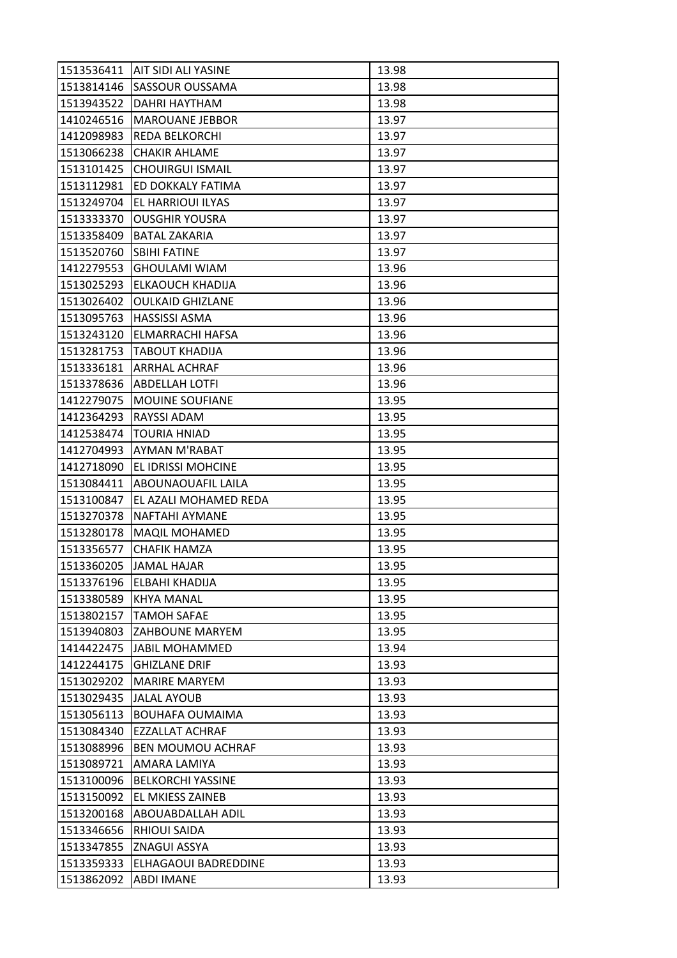| 1513814146<br><b>SASSOUR OUSSAMA</b><br>13.98<br>DAHRI HAYTHAM<br>1513943522<br>13.98<br>1410246516<br><b>MAROUANE JEBBOR</b><br>13.97<br>REDA BELKORCHI<br>13.97<br>1412098983 |  |
|---------------------------------------------------------------------------------------------------------------------------------------------------------------------------------|--|
|                                                                                                                                                                                 |  |
|                                                                                                                                                                                 |  |
|                                                                                                                                                                                 |  |
|                                                                                                                                                                                 |  |
| 1513066238<br><b>CHAKIR AHLAME</b><br>13.97                                                                                                                                     |  |
| 13.97<br>1513101425<br><b>CHOUIRGUI ISMAIL</b>                                                                                                                                  |  |
| 13.97<br>1513112981<br>ED DOKKALY FATIMA                                                                                                                                        |  |
| 1513249704<br>EL HARRIOUI ILYAS<br>13.97                                                                                                                                        |  |
| 1513333370<br><b>OUSGHIR YOUSRA</b><br>13.97                                                                                                                                    |  |
| 1513358409<br><b>BATAL ZAKARIA</b><br>13.97                                                                                                                                     |  |
| 1513520760<br>13.97<br><b>SBIHI FATINE</b>                                                                                                                                      |  |
| 1412279553<br><b>GHOULAMI WIAM</b><br>13.96                                                                                                                                     |  |
| 1513025293<br>ELKAOUCH KHADIJA<br>13.96                                                                                                                                         |  |
| 1513026402<br>13.96<br><b>OULKAID GHIZLANE</b>                                                                                                                                  |  |
| 1513095763<br><b>HASSISSI ASMA</b><br>13.96                                                                                                                                     |  |
| 13.96<br>1513243120<br>ELMARRACHI HAFSA                                                                                                                                         |  |
| 1513281753<br>13.96<br><b>TABOUT KHADIJA</b>                                                                                                                                    |  |
| 1513336181<br><b>ARRHAL ACHRAF</b><br>13.96                                                                                                                                     |  |
| 1513378636<br>13.96<br><b>ABDELLAH LOTFI</b>                                                                                                                                    |  |
| 1412279075<br><b>MOUINE SOUFIANE</b><br>13.95                                                                                                                                   |  |
| RAYSSI ADAM<br>1412364293<br>13.95                                                                                                                                              |  |
| 1412538474<br><b>TOURIA HNIAD</b><br>13.95                                                                                                                                      |  |
| AYMAN M'RABAT<br>13.95<br>1412704993                                                                                                                                            |  |
| EL IDRISSI MOHCINE<br>1412718090<br>13.95                                                                                                                                       |  |
| 13.95<br>1513084411<br><b>ABOUNAOUAFIL LAILA</b>                                                                                                                                |  |
| 1513100847<br>EL AZALI MOHAMED REDA<br>13.95                                                                                                                                    |  |
| 1513270378<br><b>NAFTAHI AYMANE</b><br>13.95                                                                                                                                    |  |
| 13.95<br>1513280178<br><b>MAQIL MOHAMED</b>                                                                                                                                     |  |
| 1513356577<br><b>CHAFIK HAMZA</b><br>13.95                                                                                                                                      |  |
| 1513360205<br><b>JAMAL HAJAR</b><br>13.95                                                                                                                                       |  |
| 1513376196<br>ELBAHI KHADIJA<br>13.95                                                                                                                                           |  |
| 1513380589<br><b>KHYA MANAL</b><br>13.95                                                                                                                                        |  |
| 13.95<br>1513802157<br>TAMOH SAFAE                                                                                                                                              |  |
| 1513940803<br><b>ZAHBOUNE MARYEM</b><br>13.95                                                                                                                                   |  |
| 1414422475<br><b>JABIL MOHAMMED</b><br>13.94                                                                                                                                    |  |
| 1412244175<br><b>GHIZLANE DRIF</b><br>13.93                                                                                                                                     |  |
| 13.93<br>1513029202<br><b>MARIRE MARYEM</b>                                                                                                                                     |  |
| 1513029435<br><b>JALAL AYOUB</b><br>13.93                                                                                                                                       |  |
| 1513056113<br><b>BOUHAFA OUMAIMA</b><br>13.93                                                                                                                                   |  |
| 1513084340<br>EZZALLAT ACHRAF<br>13.93                                                                                                                                          |  |
| 1513088996<br><b>BEN MOUMOU ACHRAF</b><br>13.93                                                                                                                                 |  |
| 13.93<br>1513089721<br>AMARA LAMIYA                                                                                                                                             |  |
| 1513100096<br><b>BELKORCHI YASSINE</b><br>13.93                                                                                                                                 |  |
| 1513150092<br><b>EL MKIESS ZAINEB</b><br>13.93                                                                                                                                  |  |
| 1513200168<br><b>ABOUABDALLAH ADIL</b><br>13.93                                                                                                                                 |  |
| 1513346656<br><b>RHIOUI SAIDA</b><br>13.93                                                                                                                                      |  |
| 1513347855<br>ZNAGUI ASSYA<br>13.93                                                                                                                                             |  |
| 1513359333<br>ELHAGAOUI BADREDDINE<br>13.93                                                                                                                                     |  |
| 1513862092<br><b>ABDI IMANE</b><br>13.93                                                                                                                                        |  |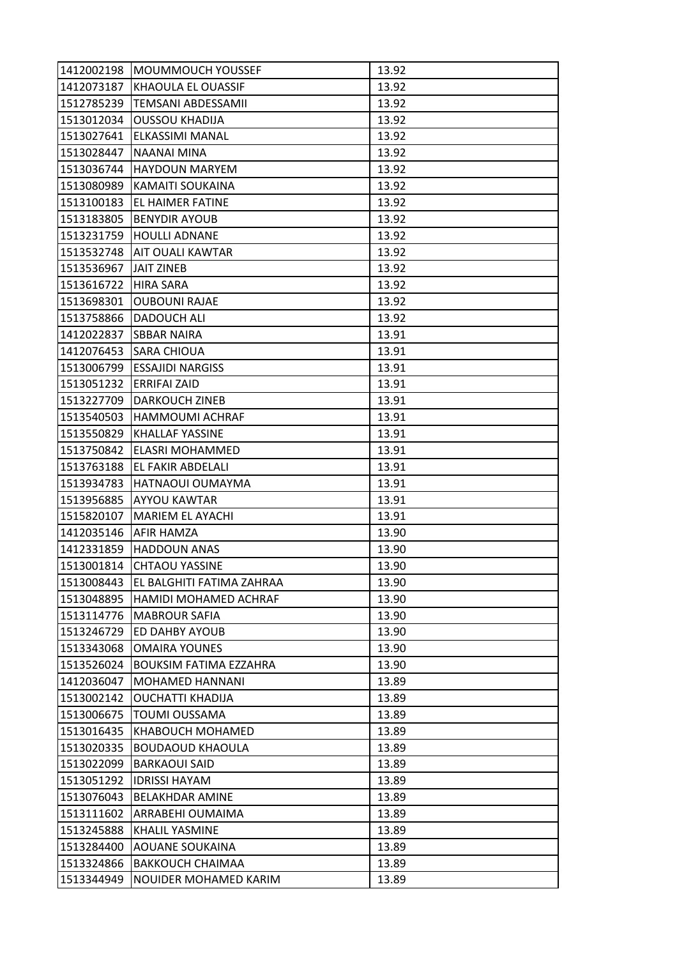| 1412002198 | <b>MOUMMOUCH YOUSSEF</b>      | 13.92 |
|------------|-------------------------------|-------|
| 1412073187 | KHAOULA EL OUASSIF            | 13.92 |
| 1512785239 | <b>TEMSANI ABDESSAMII</b>     | 13.92 |
| 1513012034 | <b>OUSSOU KHADIJA</b>         | 13.92 |
| 1513027641 | ELKASSIMI MANAL               | 13.92 |
| 1513028447 | <b>NAANAI MINA</b>            | 13.92 |
| 1513036744 | <b>HAYDOUN MARYEM</b>         | 13.92 |
| 1513080989 | KAMAITI SOUKAINA              | 13.92 |
| 1513100183 | EL HAIMER FATINE              | 13.92 |
| 1513183805 | <b>BENYDIR AYOUB</b>          | 13.92 |
| 1513231759 | <b>HOULLI ADNANE</b>          | 13.92 |
| 1513532748 | <b>AIT OUALI KAWTAR</b>       | 13.92 |
| 1513536967 | JAIT ZINEB                    | 13.92 |
| 1513616722 | <b>HIRA SARA</b>              | 13.92 |
| 1513698301 | <b>OUBOUNI RAJAE</b>          | 13.92 |
| 1513758866 | <b>DADOUCH ALI</b>            | 13.92 |
| 1412022837 | <b>SBBAR NAIRA</b>            | 13.91 |
| 1412076453 | SARA CHIOUA                   | 13.91 |
| 1513006799 | <b>ESSAJIDI NARGISS</b>       | 13.91 |
| 1513051232 | <b>ERRIFAI ZAID</b>           | 13.91 |
| 1513227709 | <b>DARKOUCH ZINEB</b>         | 13.91 |
| 1513540503 | HAMMOUMI ACHRAF               | 13.91 |
| 1513550829 | <b>KHALLAF YASSINE</b>        | 13.91 |
| 1513750842 | ELASRI MOHAMMED               | 13.91 |
| 1513763188 | EL FAKIR ABDELALI             | 13.91 |
| 1513934783 | HATNAOUI OUMAYMA              | 13.91 |
| 1513956885 | AYYOU KAWTAR                  | 13.91 |
| 1515820107 | MARIEM EL AYACHI              | 13.91 |
| 1412035146 | <b>AFIR HAMZA</b>             | 13.90 |
| 1412331859 | <b>HADDOUN ANAS</b>           | 13.90 |
| 1513001814 | <b>CHTAOU YASSINE</b>         | 13.90 |
| 1513008443 | EL BALGHITI FATIMA ZAHRAA     | 13.90 |
| 1513048895 | HAMIDI MOHAMED ACHRAF         | 13.90 |
| 1513114776 | <b>MABROUR SAFIA</b>          | 13.90 |
| 1513246729 | ED DAHBY AYOUB                | 13.90 |
| 1513343068 | <b>OMAIRA YOUNES</b>          | 13.90 |
| 1513526024 | <b>BOUKSIM FATIMA EZZAHRA</b> | 13.90 |
| 1412036047 | MOHAMED HANNANI               | 13.89 |
| 1513002142 | <b>OUCHATTI KHADIJA</b>       | 13.89 |
| 1513006675 | <b>TOUMI OUSSAMA</b>          | 13.89 |
| 1513016435 | KHABOUCH MOHAMED              | 13.89 |
| 1513020335 | <b>BOUDAOUD KHAOULA</b>       | 13.89 |
| 1513022099 | <b>BARKAOUI SAID</b>          | 13.89 |
| 1513051292 | <b>IDRISSI HAYAM</b>          | 13.89 |
| 1513076043 | <b>BELAKHDAR AMINE</b>        | 13.89 |
| 1513111602 | ARRABEHI OUMAIMA              | 13.89 |
| 1513245888 | KHALIL YASMINE                | 13.89 |
| 1513284400 | <b>AOUANE SOUKAINA</b>        | 13.89 |
| 1513324866 | <b>BAKKOUCH CHAIMAA</b>       | 13.89 |
| 1513344949 | NOUIDER MOHAMED KARIM         | 13.89 |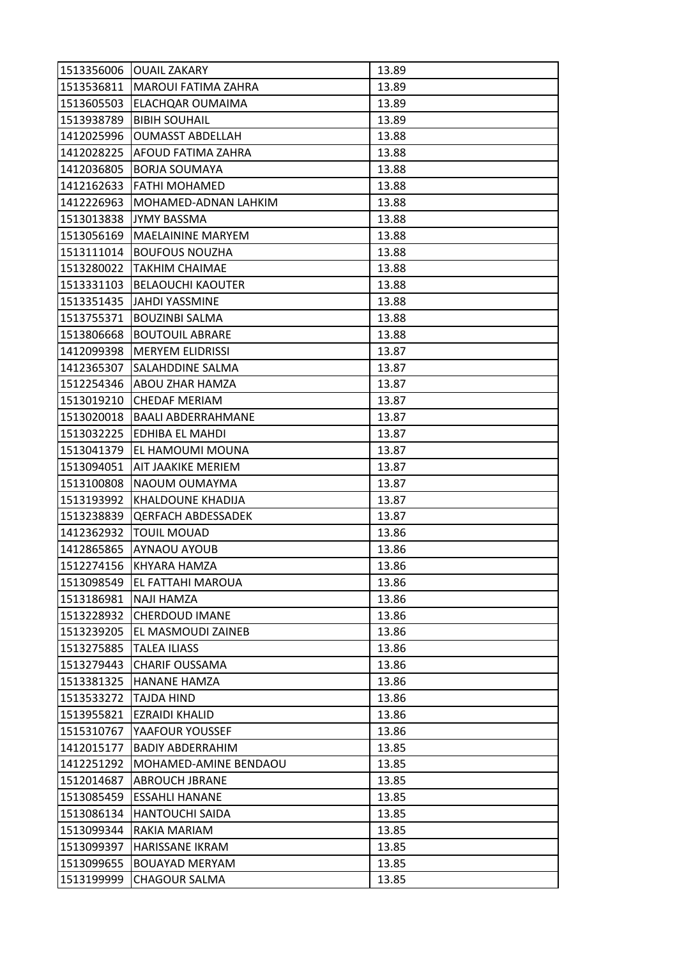| 1513356006 | <b>OUAIL ZAKARY</b>       | 13.89 |
|------------|---------------------------|-------|
| 1513536811 | MAROUI FATIMA ZAHRA       | 13.89 |
| 1513605503 | ELACHQAR OUMAIMA          | 13.89 |
| 1513938789 | <b>BIBIH SOUHAIL</b>      | 13.89 |
| 1412025996 | <b>OUMASST ABDELLAH</b>   | 13.88 |
| 1412028225 | AFOUD FATIMA ZAHRA        | 13.88 |
| 1412036805 | <b>BORJA SOUMAYA</b>      | 13.88 |
| 1412162633 | FATHI MOHAMED             | 13.88 |
| 1412226963 | MOHAMED-ADNAN LAHKIM      | 13.88 |
| 1513013838 | JYMY BASSMA               | 13.88 |
| 1513056169 | <b>MAELAININE MARYEM</b>  | 13.88 |
| 1513111014 | <b>BOUFOUS NOUZHA</b>     | 13.88 |
| 1513280022 | TAKHIM CHAIMAE            | 13.88 |
| 1513331103 | <b>BELAOUCHI KAOUTER</b>  | 13.88 |
| 1513351435 | JAHDI YASSMINE            | 13.88 |
| 1513755371 | <b>BOUZINBI SALMA</b>     | 13.88 |
| 1513806668 | <b>BOUTOUIL ABRARE</b>    | 13.88 |
| 1412099398 | <b>MERYEM ELIDRISSI</b>   | 13.87 |
| 1412365307 | SALAHDDINE SALMA          | 13.87 |
| 1512254346 | ABOU ZHAR HAMZA           | 13.87 |
| 1513019210 | <b>CHEDAF MERIAM</b>      | 13.87 |
| 1513020018 | <b>BAALI ABDERRAHMANE</b> | 13.87 |
| 1513032225 | EDHIBA EL MAHDI           | 13.87 |
| 1513041379 | EL HAMOUMI MOUNA          | 13.87 |
| 1513094051 | AIT JAAKIKE MERIEM        | 13.87 |
| 1513100808 | NAOUM OUMAYMA             | 13.87 |
| 1513193992 | KHALDOUNE KHADIJA         | 13.87 |
| 1513238839 | <b>QERFACH ABDESSADEK</b> | 13.87 |
| 1412362932 | <b>TOUIL MOUAD</b>        | 13.86 |
| 1412865865 | <b>AYNAOU AYOUB</b>       | 13.86 |
| 1512274156 | KHYARA HAMZA              | 13.86 |
| 1513098549 | EL FATTAHI MAROUA         | 13.86 |
| 1513186981 | NAJI HAMZA                | 13.86 |
| 1513228932 | <b>CHERDOUD IMANE</b>     | 13.86 |
| 1513239205 | EL MASMOUDI ZAINEB        | 13.86 |
| 1513275885 | <b>TALEA ILIASS</b>       | 13.86 |
| 1513279443 | <b>CHARIF OUSSAMA</b>     | 13.86 |
| 1513381325 | <b>HANANE HAMZA</b>       | 13.86 |
| 1513533272 | <b>TAJDA HIND</b>         | 13.86 |
| 1513955821 | <b>EZRAIDI KHALID</b>     | 13.86 |
| 1515310767 | YAAFOUR YOUSSEF           | 13.86 |
| 1412015177 | <b>BADIY ABDERRAHIM</b>   | 13.85 |
| 1412251292 | MOHAMED-AMINE BENDAOU     | 13.85 |
| 1512014687 | <b>ABROUCH JBRANE</b>     | 13.85 |
| 1513085459 | <b>ESSAHLI HANANE</b>     | 13.85 |
| 1513086134 | <b>HANTOUCHI SAIDA</b>    | 13.85 |
| 1513099344 | RAKIA MARIAM              | 13.85 |
| 1513099397 | <b>HARISSANE IKRAM</b>    | 13.85 |
| 1513099655 | <b>BOUAYAD MERYAM</b>     | 13.85 |
| 1513199999 | <b>CHAGOUR SALMA</b>      | 13.85 |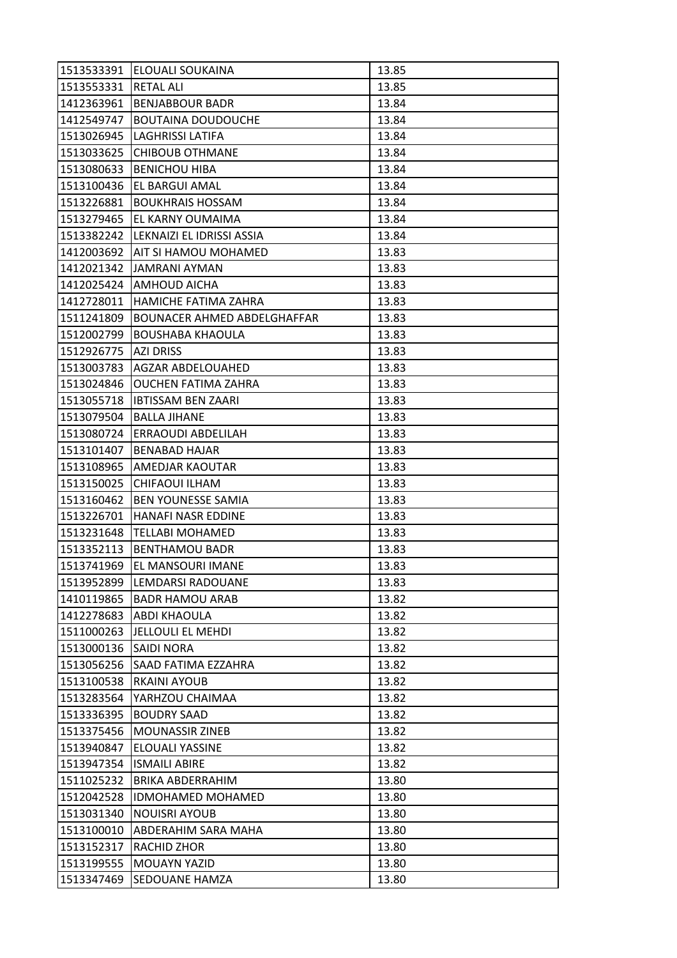| 1513533391 | <b>ELOUALI SOUKAINA</b>              | 13.85 |
|------------|--------------------------------------|-------|
| 1513553331 | <b>RETAL ALI</b>                     | 13.85 |
| 1412363961 | <b>BENJABBOUR BADR</b>               | 13.84 |
| 1412549747 | <b>BOUTAINA DOUDOUCHE</b>            | 13.84 |
| 1513026945 | <b>LAGHRISSI LATIFA</b>              | 13.84 |
| 1513033625 | <b>CHIBOUB OTHMANE</b>               | 13.84 |
| 1513080633 | <b>BENICHOU HIBA</b>                 | 13.84 |
| 1513100436 | EL BARGUI AMAL                       | 13.84 |
| 1513226881 | <b>BOUKHRAIS HOSSAM</b>              | 13.84 |
| 1513279465 | EL KARNY OUMAIMA                     | 13.84 |
|            | 1513382242 LEKNAIZI EL IDRISSI ASSIA | 13.84 |
| 1412003692 | <b>AIT SI HAMOU MOHAMED</b>          | 13.83 |
| 1412021342 | JAMRANI AYMAN                        | 13.83 |
|            | 1412025424 AMHOUD AICHA              | 13.83 |
| 1412728011 | HAMICHE FATIMA ZAHRA                 | 13.83 |
| 1511241809 | <b>BOUNACER AHMED ABDELGHAFFAR</b>   | 13.83 |
| 1512002799 | <b>BOUSHABA KHAOULA</b>              | 13.83 |
| 1512926775 | <b>AZI DRISS</b>                     | 13.83 |
| 1513003783 | <b>AGZAR ABDELOUAHED</b>             | 13.83 |
| 1513024846 | <b>OUCHEN FATIMA ZAHRA</b>           | 13.83 |
|            | 1513055718   IBTISSAM BEN ZAARI      | 13.83 |
| 1513079504 | <b>BALLA JIHANE</b>                  | 13.83 |
| 1513080724 | <b>ERRAOUDI ABDELILAH</b>            | 13.83 |
| 1513101407 | <b>BENABAD HAJAR</b>                 | 13.83 |
|            | 1513108965  AMEDJAR KAOUTAR          | 13.83 |
| 1513150025 | <b>CHIFAOUI ILHAM</b>                | 13.83 |
| 1513160462 | <b>BEN YOUNESSE SAMIA</b>            | 13.83 |
| 1513226701 | <b>HANAFI NASR EDDINE</b>            | 13.83 |
| 1513231648 | <b>TELLABI MOHAMED</b>               | 13.83 |
| 1513352113 | <b>BENTHAMOU BADR</b>                | 13.83 |
| 1513741969 | EL MANSOURI IMANE                    | 13.83 |
| 1513952899 | LEMDARSI RADOUANE                    | 13.83 |
| 1410119865 | <b>BADR HAMOU ARAB</b>               | 13.82 |
| 1412278683 | <b>ABDI KHAOULA</b>                  | 13.82 |
| 1511000263 | JELLOULI EL MEHDI                    | 13.82 |
| 1513000136 | <b>SAIDI NORA</b>                    | 13.82 |
| 1513056256 | <b>SAAD FATIMA EZZAHRA</b>           | 13.82 |
| 1513100538 | <b>RKAINI AYOUB</b>                  | 13.82 |
| 1513283564 | YARHZOU CHAIMAA                      | 13.82 |
| 1513336395 | <b>BOUDRY SAAD</b>                   | 13.82 |
| 1513375456 | <b>MOUNASSIR ZINEB</b>               | 13.82 |
| 1513940847 | ELOUALI YASSINE                      | 13.82 |
| 1513947354 | <b>ISMAILI ABIRE</b>                 | 13.82 |
| 1511025232 | BRIKA ABDERRAHIM                     | 13.80 |
| 1512042528 | <b>IDMOHAMED MOHAMED</b>             | 13.80 |
| 1513031340 | <b>NOUISRI AYOUB</b>                 | 13.80 |
| 1513100010 | <b>ABDERAHIM SARA MAHA</b>           | 13.80 |
| 1513152317 | RACHID ZHOR                          | 13.80 |
| 1513199555 | <b>MOUAYN YAZID</b>                  | 13.80 |
| 1513347469 | SEDOUANE HAMZA                       | 13.80 |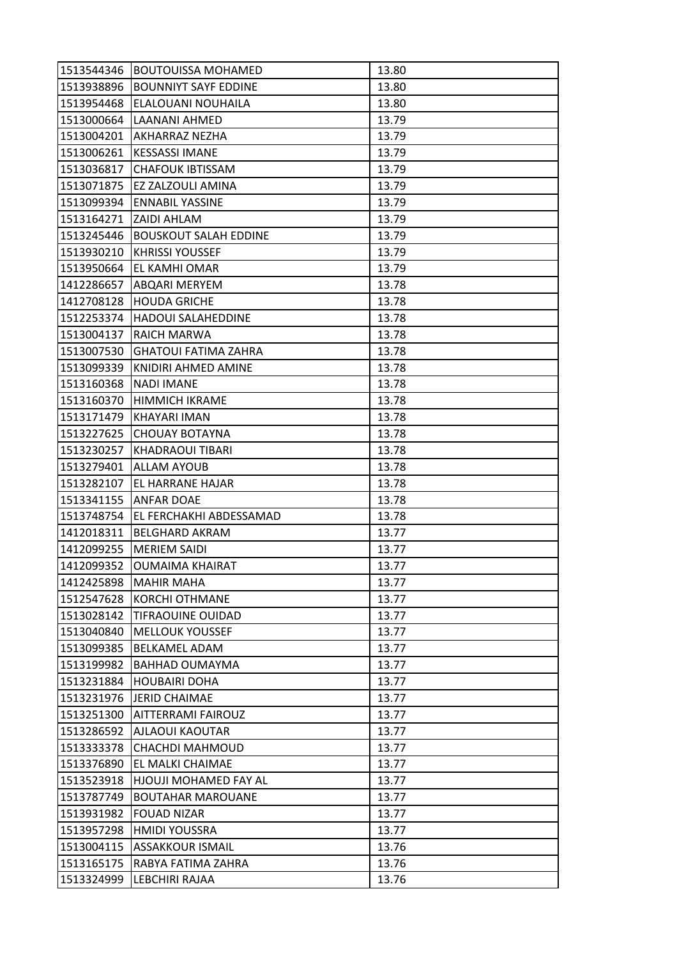| 1513544346 | <b>BOUTOUISSA MOHAMED</b>    | 13.80 |
|------------|------------------------------|-------|
| 1513938896 | <b>BOUNNIYT SAYF EDDINE</b>  | 13.80 |
| 1513954468 | ELALOUANI NOUHAILA           | 13.80 |
| 1513000664 | LAANANI AHMED                | 13.79 |
| 1513004201 | AKHARRAZ NEZHA               | 13.79 |
| 1513006261 | <b>KESSASSI IMANE</b>        | 13.79 |
| 1513036817 | <b>CHAFOUK IBTISSAM</b>      | 13.79 |
| 1513071875 | EZ ZALZOULI AMINA            | 13.79 |
| 1513099394 | <b>ENNABIL YASSINE</b>       | 13.79 |
| 1513164271 | <b>ZAIDI AHLAM</b>           | 13.79 |
| 1513245446 | <b>BOUSKOUT SALAH EDDINE</b> | 13.79 |
| 1513930210 | <b>KHRISSI YOUSSEF</b>       | 13.79 |
| 1513950664 | EL KAMHI OMAR                | 13.79 |
| 1412286657 | <b>ABQARI MERYEM</b>         | 13.78 |
| 1412708128 | <b>HOUDA GRICHE</b>          | 13.78 |
| 1512253374 | <b>HADOUI SALAHEDDINE</b>    | 13.78 |
| 1513004137 | RAICH MARWA                  | 13.78 |
| 1513007530 | <b>GHATOUI FATIMA ZAHRA</b>  | 13.78 |
| 1513099339 | KNIDIRI AHMED AMINE          | 13.78 |
| 1513160368 | <b>NADI IMANE</b>            | 13.78 |
| 1513160370 | <b>HIMMICH IKRAME</b>        | 13.78 |
| 1513171479 | KHAYARI IMAN                 | 13.78 |
| 1513227625 | <b>CHOUAY BOTAYNA</b>        | 13.78 |
| 1513230257 | KHADRAOUI TIBARI             | 13.78 |
| 1513279401 | ALLAM AYOUB                  | 13.78 |
| 1513282107 | <b>EL HARRANE HAJAR</b>      | 13.78 |
| 1513341155 | <b>ANFAR DOAE</b>            | 13.78 |
| 1513748754 | EL FERCHAKHI ABDESSAMAD      | 13.78 |
| 1412018311 | <b>BELGHARD AKRAM</b>        | 13.77 |
| 1412099255 | <b>MERIEM SAIDI</b>          | 13.77 |
| 1412099352 | <b>OUMAIMA KHAIRAT</b>       | 13.77 |
| 1412425898 | <b>MAHIR MAHA</b>            | 13.77 |
| 1512547628 | <b>KORCHI OTHMANE</b>        | 13.77 |
| 1513028142 | <b>TIFRAOUINE OUIDAD</b>     | 13.77 |
| 1513040840 | <b>MELLOUK YOUSSEF</b>       | 13.77 |
| 1513099385 | <b>BELKAMEL ADAM</b>         | 13.77 |
| 1513199982 | <b>BAHHAD OUMAYMA</b>        | 13.77 |
| 1513231884 | <b>HOUBAIRI DOHA</b>         | 13.77 |
| 1513231976 | <b>JERID CHAIMAE</b>         | 13.77 |
| 1513251300 | <b>AITTERRAMI FAIROUZ</b>    | 13.77 |
| 1513286592 | <b>AJLAOUI KAOUTAR</b>       | 13.77 |
| 1513333378 | <b>CHACHDI MAHMOUD</b>       | 13.77 |
| 1513376890 | EL MALKI CHAIMAE             | 13.77 |
| 1513523918 | HJOUJI MOHAMED FAY AL        | 13.77 |
| 1513787749 | <b>BOUTAHAR MAROUANE</b>     | 13.77 |
| 1513931982 | <b>FOUAD NIZAR</b>           | 13.77 |
| 1513957298 | <b>HMIDI YOUSSRA</b>         | 13.77 |
| 1513004115 | <b>ASSAKKOUR ISMAIL</b>      | 13.76 |
| 1513165175 | RABYA FATIMA ZAHRA           | 13.76 |
| 1513324999 | LEBCHIRI RAJAA               | 13.76 |
|            |                              |       |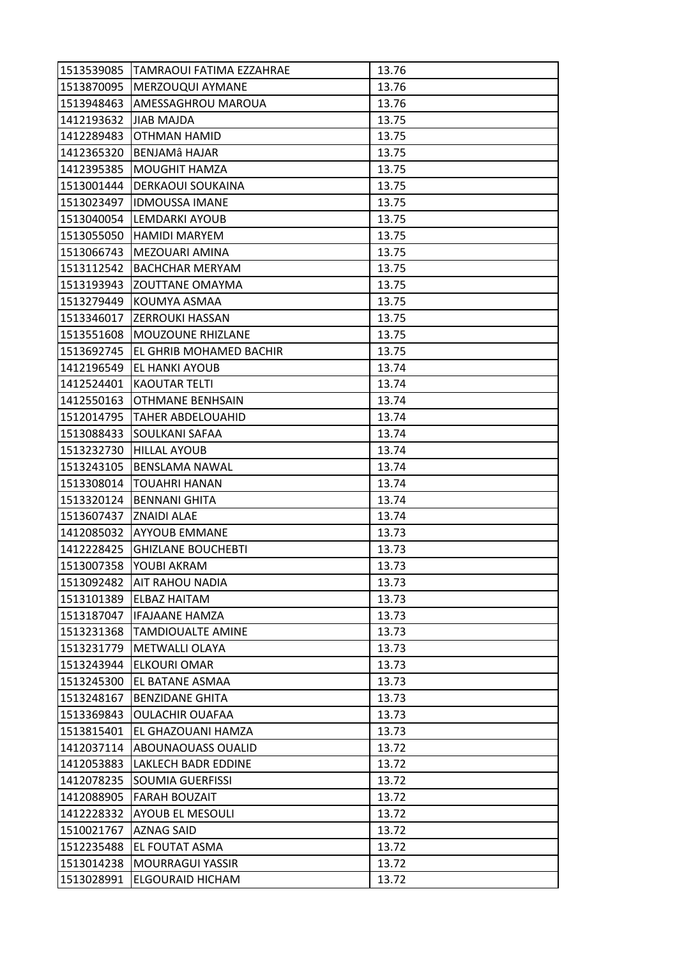| 1513539085 | TAMRAOUI FATIMA EZZAHRAE   | 13.76 |
|------------|----------------------------|-------|
| 1513870095 | MERZOUQUI AYMANE           | 13.76 |
| 1513948463 | AMESSAGHROU MAROUA         | 13.76 |
| 1412193632 | <b>JIAB MAJDA</b>          | 13.75 |
| 1412289483 | OTHMAN HAMID               | 13.75 |
| 1412365320 | BENJAMÂ HAJAR              | 13.75 |
| 1412395385 | <b>MOUGHIT HAMZA</b>       | 13.75 |
| 1513001444 | <b>DERKAOUI SOUKAINA</b>   | 13.75 |
| 1513023497 | <b>IDMOUSSA IMANE</b>      | 13.75 |
| 1513040054 | LEMDARKI AYOUB             | 13.75 |
| 1513055050 | <b>HAMIDI MARYEM</b>       | 13.75 |
| 1513066743 | MEZOUARI AMINA             | 13.75 |
| 1513112542 | <b>BACHCHAR MERYAM</b>     | 13.75 |
| 1513193943 | <b>ZOUTTANE OMAYMA</b>     | 13.75 |
| 1513279449 | KOUMYA ASMAA               | 13.75 |
|            | 1513346017 ZERROUKI HASSAN | 13.75 |
| 1513551608 | IMOUZOUNE RHIZLANE         | 13.75 |
| 1513692745 | EL GHRIB MOHAMED BACHIR    | 13.75 |
| 1412196549 | EL HANKI AYOUB             | 13.74 |
| 1412524401 | <b>KAOUTAR TELTI</b>       | 13.74 |
| 1412550163 | OTHMANE BENHSAIN           | 13.74 |
| 1512014795 | <b>TAHER ABDELOUAHID</b>   | 13.74 |
| 1513088433 | SOULKANI SAFAA             | 13.74 |
| 1513232730 | <b>HILLAL AYOUB</b>        | 13.74 |
| 1513243105 | <b>BENSLAMA NAWAL</b>      | 13.74 |
| 1513308014 | <b>TOUAHRI HANAN</b>       | 13.74 |
| 1513320124 | <b>BENNANI GHITA</b>       | 13.74 |
| 1513607437 | <b>ZNAIDI ALAE</b>         | 13.74 |
| 1412085032 | <b>AYYOUB EMMANE</b>       | 13.73 |
| 1412228425 | <b>GHIZLANE BOUCHEBTI</b>  | 13.73 |
| 1513007358 | YOUBI AKRAM                | 13.73 |
| 1513092482 | AIT RAHOU NADIA            | 13.73 |
| 1513101389 | <b>ELBAZ HAITAM</b>        | 13.73 |
| 1513187047 | <b>IFAJAANE HAMZA</b>      | 13.73 |
| 1513231368 | <b>TAMDIOUALTE AMINE</b>   | 13.73 |
| 1513231779 | <b>METWALLI OLAYA</b>      | 13.73 |
| 1513243944 | <b>ELKOURI OMAR</b>        | 13.73 |
| 1513245300 | <b>EL BATANE ASMAA</b>     | 13.73 |
| 1513248167 | <b>BENZIDANE GHITA</b>     | 13.73 |
| 1513369843 | <b>OULACHIR OUAFAA</b>     | 13.73 |
| 1513815401 | EL GHAZOUANI HAMZA         | 13.73 |
| 1412037114 | <b>ABOUNAOUASS OUALID</b>  | 13.72 |
| 1412053883 | LAKLECH BADR EDDINE        | 13.72 |
| 1412078235 | <b>SOUMIA GUERFISSI</b>    | 13.72 |
| 1412088905 | <b>FARAH BOUZAIT</b>       | 13.72 |
| 1412228332 | <b>AYOUB EL MESOULI</b>    | 13.72 |
| 1510021767 | <b>AZNAG SAID</b>          | 13.72 |
| 1512235488 | EL FOUTAT ASMA             | 13.72 |
| 1513014238 | <b>MOURRAGUI YASSIR</b>    | 13.72 |
| 1513028991 | <b>ELGOURAID HICHAM</b>    | 13.72 |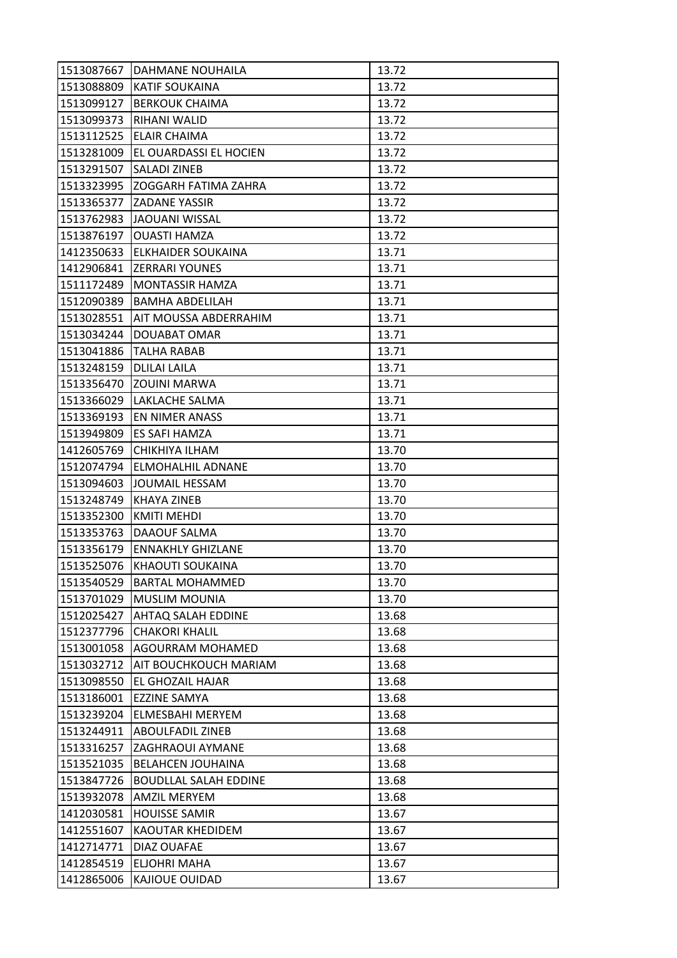| 1513087667 | <b>DAHMANE NOUHAILA</b>      | 13.72 |
|------------|------------------------------|-------|
| 1513088809 | <b>KATIF SOUKAINA</b>        | 13.72 |
| 1513099127 | <b>BERKOUK CHAIMA</b>        | 13.72 |
| 1513099373 | RIHANI WALID                 | 13.72 |
| 1513112525 | <b>ELAIR CHAIMA</b>          | 13.72 |
| 1513281009 | EL OUARDASSI EL HOCIEN       | 13.72 |
| 1513291507 | <b>SALADI ZINEB</b>          | 13.72 |
| 1513323995 | ZOGGARH FATIMA ZAHRA         | 13.72 |
| 1513365377 | <b>ZADANE YASSIR</b>         | 13.72 |
| 1513762983 | JAOUANI WISSAL               | 13.72 |
| 1513876197 | <b>OUASTI HAMZA</b>          | 13.72 |
| 1412350633 | <b>ELKHAIDER SOUKAINA</b>    | 13.71 |
| 1412906841 | <b>ZERRARI YOUNES</b>        | 13.71 |
| 1511172489 | <b>MONTASSIR HAMZA</b>       | 13.71 |
| 1512090389 | <b>BAMHA ABDELILAH</b>       | 13.71 |
| 1513028551 | AIT MOUSSA ABDERRAHIM        | 13.71 |
| 1513034244 | DOUABAT OMAR                 | 13.71 |
| 1513041886 | TALHA RABAB                  | 13.71 |
| 1513248159 | <b>DLILAI LAILA</b>          | 13.71 |
| 1513356470 | <b>ZOUINI MARWA</b>          | 13.71 |
| 1513366029 | LAKLACHE SALMA               | 13.71 |
| 1513369193 | <b>EN NIMER ANASS</b>        | 13.71 |
| 1513949809 | <b>ES SAFI HAMZA</b>         | 13.71 |
| 1412605769 | CHIKHIYA ILHAM               | 13.70 |
| 1512074794 | ELMOHALHIL ADNANE            | 13.70 |
| 1513094603 | JOUMAIL HESSAM               | 13.70 |
| 1513248749 | <b>KHAYA ZINEB</b>           | 13.70 |
| 1513352300 | <b>KMITI MEHDI</b>           | 13.70 |
| 1513353763 | DAAOUF SALMA                 | 13.70 |
| 1513356179 | <b>ENNAKHLY GHIZLANE</b>     | 13.70 |
| 1513525076 | KHAOUTI SOUKAINA             | 13.70 |
| 1513540529 | <b>BARTAL MOHAMMED</b>       | 13.70 |
| 1513701029 | <b>MUSLIM MOUNIA</b>         | 13.70 |
| 1512025427 | <b>AHTAQ SALAH EDDINE</b>    | 13.68 |
| 1512377796 | <b>CHAKORI KHALIL</b>        | 13.68 |
| 1513001058 | <b>AGOURRAM MOHAMED</b>      | 13.68 |
| 1513032712 | AIT BOUCHKOUCH MARIAM        | 13.68 |
| 1513098550 | EL GHOZAIL HAJAR             | 13.68 |
| 1513186001 | <b>EZZINE SAMYA</b>          | 13.68 |
| 1513239204 | <b>ELMESBAHI MERYEM</b>      | 13.68 |
| 1513244911 | <b>ABOULFADIL ZINEB</b>      | 13.68 |
| 1513316257 | <b>ZAGHRAOUI AYMANE</b>      | 13.68 |
| 1513521035 | <b>BELAHCEN JOUHAINA</b>     | 13.68 |
| 1513847726 | <b>BOUDLLAL SALAH EDDINE</b> | 13.68 |
| 1513932078 | <b>AMZIL MERYEM</b>          | 13.68 |
| 1412030581 | <b>HOUISSE SAMIR</b>         | 13.67 |
| 1412551607 | KAOUTAR KHEDIDEM             | 13.67 |
| 1412714771 | DIAZ OUAFAE                  | 13.67 |
| 1412854519 | <b>ELJOHRI MAHA</b>          | 13.67 |
| 1412865006 | KAJIOUE OUIDAD               | 13.67 |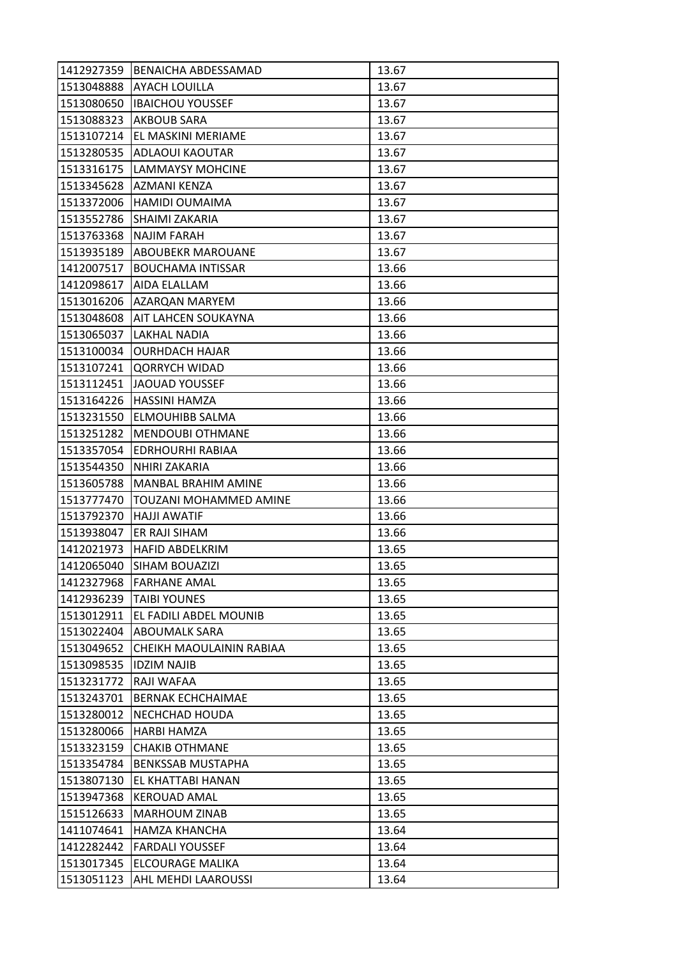| 1412927359 | BENAICHA ABDESSAMAD              | 13.67 |
|------------|----------------------------------|-------|
| 1513048888 | <b>AYACH LOUILLA</b>             | 13.67 |
| 1513080650 | <b>IBAICHOU YOUSSEF</b>          | 13.67 |
| 1513088323 | AKBOUB SARA                      | 13.67 |
| 1513107214 | EL MASKINI MERIAME               | 13.67 |
|            | 1513280535  ADLAOUI KAOUTAR      | 13.67 |
| 1513316175 | <b>LAMMAYSY MOHCINE</b>          | 13.67 |
| 1513345628 | AZMANI KENZA                     | 13.67 |
| 1513372006 | <b>HAMIDI OUMAIMA</b>            | 13.67 |
| 1513552786 | <b>SHAIMI ZAKARIA</b>            | 13.67 |
| 1513763368 | <b>NAJIM FARAH</b>               | 13.67 |
| 1513935189 | <b>ABOUBEKR MAROUANE</b>         | 13.67 |
| 1412007517 | <b>BOUCHAMA INTISSAR</b>         | 13.66 |
| 1412098617 | <b>AIDA ELALLAM</b>              | 13.66 |
| 1513016206 | AZARQAN MARYEM                   | 13.66 |
|            | 1513048608   AIT LAHCEN SOUKAYNA | 13.66 |
| 1513065037 | <b>LAKHAL NADIA</b>              | 13.66 |
| 1513100034 | <b>OURHDACH HAJAR</b>            | 13.66 |
| 1513107241 | <b>QORRYCH WIDAD</b>             | 13.66 |
| 1513112451 | JAOUAD YOUSSEF                   | 13.66 |
| 1513164226 | HASSINI HAMZA                    | 13.66 |
| 1513231550 | <b>ELMOUHIBB SALMA</b>           | 13.66 |
| 1513251282 | <b>MENDOUBI OTHMANE</b>          | 13.66 |
| 1513357054 | EDRHOURHI RABIAA                 | 13.66 |
| 1513544350 | NHIRI ZAKARIA                    | 13.66 |
| 1513605788 | <b>MANBAL BRAHIM AMINE</b>       | 13.66 |
| 1513777470 | TOUZANI MOHAMMED AMINE           | 13.66 |
| 1513792370 | <b>HAJJI AWATIF</b>              | 13.66 |
| 1513938047 | ER RAJI SIHAM                    | 13.66 |
| 1412021973 | <b>HAFID ABDELKRIM</b>           | 13.65 |
| 1412065040 | SIHAM BOUAZIZI                   | 13.65 |
| 1412327968 | <b>FARHANE AMAL</b>              | 13.65 |
| 1412936239 | <b>TAIBI YOUNES</b>              | 13.65 |
| 1513012911 | EL FADILI ABDEL MOUNIB           | 13.65 |
| 1513022404 | <b>ABOUMALK SARA</b>             | 13.65 |
| 1513049652 | CHEIKH MAOULAININ RABIAA         | 13.65 |
| 1513098535 | <b>IDZIM NAJIB</b>               | 13.65 |
| 1513231772 | RAJI WAFAA                       | 13.65 |
| 1513243701 | <b>BERNAK ECHCHAIMAE</b>         | 13.65 |
| 1513280012 | NECHCHAD HOUDA                   | 13.65 |
| 1513280066 | <b>HARBI HAMZA</b>               | 13.65 |
| 1513323159 | <b>CHAKIB OTHMANE</b>            | 13.65 |
| 1513354784 | <b>BENKSSAB MUSTAPHA</b>         | 13.65 |
| 1513807130 | EL KHATTABI HANAN                | 13.65 |
| 1513947368 | <b>KEROUAD AMAL</b>              | 13.65 |
| 1515126633 | <b>MARHOUM ZINAB</b>             | 13.65 |
| 1411074641 | <b>HAMZA KHANCHA</b>             | 13.64 |
| 1412282442 | <b>FARDALI YOUSSEF</b>           | 13.64 |
| 1513017345 | ELCOURAGE MALIKA                 | 13.64 |
| 1513051123 | <b>AHL MEHDI LAAROUSSI</b>       | 13.64 |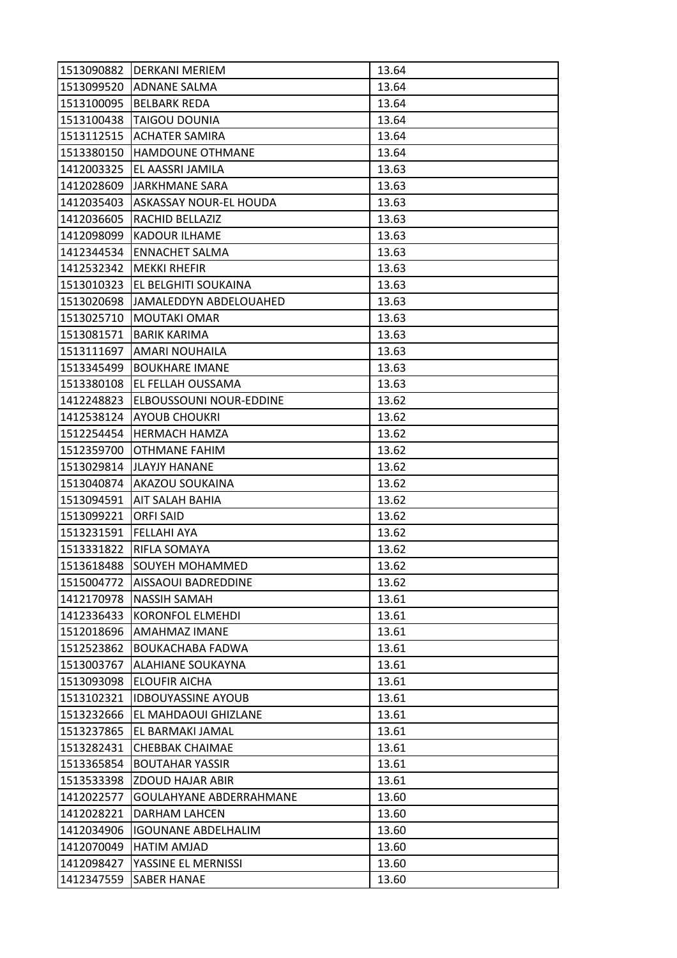| 1513090882 | <b>DERKANI MERIEM</b>          | 13.64 |
|------------|--------------------------------|-------|
|            | 1513099520 ADNANE SALMA        | 13.64 |
| 1513100095 | <b>BELBARK REDA</b>            | 13.64 |
| 1513100438 | <b>TAIGOU DOUNIA</b>           | 13.64 |
| 1513112515 | <b>ACHATER SAMIRA</b>          | 13.64 |
| 1513380150 | HAMDOUNE OTHMANE               | 13.64 |
| 1412003325 | EL AASSRI JAMILA               | 13.63 |
| 1412028609 | <b>JARKHMANE SARA</b>          | 13.63 |
| 1412035403 | ASKASSAY NOUR-EL HOUDA         | 13.63 |
| 1412036605 | RACHID BELLAZIZ                | 13.63 |
| 1412098099 | KADOUR ILHAME                  | 13.63 |
| 1412344534 | <b>ENNACHET SALMA</b>          | 13.63 |
| 1412532342 | <b>MEKKI RHEFIR</b>            | 13.63 |
| 1513010323 | EL BELGHITI SOUKAINA           | 13.63 |
| 1513020698 | JAMALEDDYN ABDELOUAHED         | 13.63 |
| 1513025710 | <b>MOUTAKI OMAR</b>            | 13.63 |
| 1513081571 | <b>BARIK KARIMA</b>            | 13.63 |
| 1513111697 | AMARI NOUHAILA                 | 13.63 |
| 1513345499 | <b>BOUKHARE IMANE</b>          | 13.63 |
| 1513380108 | EL FELLAH OUSSAMA              | 13.63 |
| 1412248823 | <b>ELBOUSSOUNI NOUR-EDDINE</b> | 13.62 |
| 1412538124 | <b>AYOUB CHOUKRI</b>           | 13.62 |
| 1512254454 | <b>HERMACH HAMZA</b>           | 13.62 |
| 1512359700 | OTHMANE FAHIM                  | 13.62 |
| 1513029814 | <b>JLAYJY HANANE</b>           | 13.62 |
|            | 1513040874 AKAZOU SOUKAINA     | 13.62 |
| 1513094591 | AIT SALAH BAHIA                | 13.62 |
| 1513099221 | <b>ORFI SAID</b>               | 13.62 |
| 1513231591 | <b>FELLAHI AYA</b>             | 13.62 |
| 1513331822 | RIFLA SOMAYA                   | 13.62 |
| 1513618488 | SOUYEH MOHAMMED                | 13.62 |
| 1515004772 | AISSAOUI BADREDDINE            | 13.62 |
| 1412170978 | <b>NASSIH SAMAH</b>            | 13.61 |
| 1412336433 | KORONFOL ELMEHDI               | 13.61 |
| 1512018696 | AMAHMAZ IMANE                  | 13.61 |
| 1512523862 | <b>BOUKACHABA FADWA</b>        | 13.61 |
| 1513003767 | <b>ALAHIANE SOUKAYNA</b>       | 13.61 |
| 1513093098 | <b>ELOUFIR AICHA</b>           | 13.61 |
| 1513102321 | <b>IDBOUYASSINE AYOUB</b>      | 13.61 |
| 1513232666 | EL MAHDAOUI GHIZLANE           | 13.61 |
| 1513237865 | EL BARMAKI JAMAL               | 13.61 |
| 1513282431 | CHEBBAK CHAIMAE                | 13.61 |
| 1513365854 | <b>BOUTAHAR YASSIR</b>         | 13.61 |
| 1513533398 | ZDOUD HAJAR ABIR               | 13.61 |
| 1412022577 | <b>GOULAHYANE ABDERRAHMANE</b> | 13.60 |
| 1412028221 | DARHAM LAHCEN                  | 13.60 |
| 1412034906 | <b>IGOUNANE ABDELHALIM</b>     | 13.60 |
| 1412070049 | HATIM AMJAD                    | 13.60 |
| 1412098427 | YASSINE EL MERNISSI            | 13.60 |
| 1412347559 | <b>SABER HANAE</b>             | 13.60 |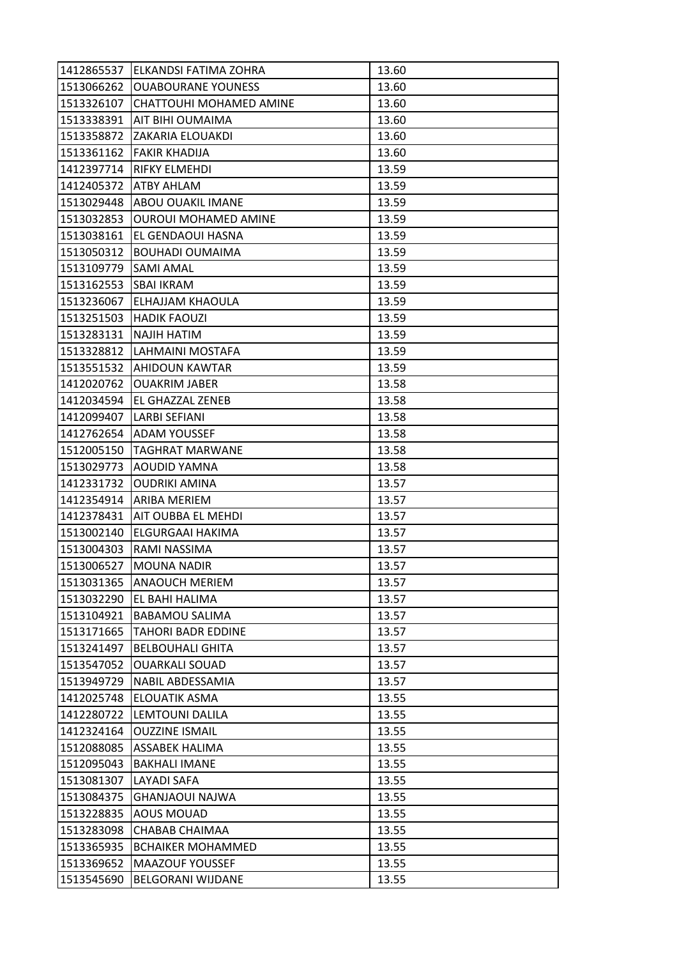| 1513066262<br><b>OUABOURANE YOUNESS</b><br>13.60<br>1513326107<br>CHATTOUHI MOHAMED AMINE<br>13.60<br>1513338391<br>AIT BIHI OUMAIMA<br>13.60<br>13.60<br>1513358872<br><b>ZAKARIA ELOUAKDI</b><br>1513361162<br><b>FAKIR KHADIJA</b><br>13.60<br>13.59<br>1412397714<br><b>RIFKY ELMEHDI</b><br>1412405372<br>13.59<br>ATBY AHLAM<br>1513029448 ABOU OUAKIL IMANE<br>13.59<br>1513032853<br><b>OUROUI MOHAMED AMINE</b><br>13.59<br>1513038161<br>EL GENDAOUI HASNA<br>13.59<br>13.59<br>1513050312<br><b>BOUHADI OUMAIMA</b><br>1513109779<br><b>SAMI AMAL</b><br>13.59<br>1513162553<br><b>SBAI IKRAM</b><br>13.59<br>13.59<br>1513236067<br>ELHAJJAM KHAOULA<br>1513251503 HADIK FAOUZI<br>13.59<br>1513283131<br>INAJIH HATIM<br>13.59<br>1513328812<br>LAHMAINI MOSTAFA<br>13.59<br>1513551532<br>13.59<br>IAHIDOUN KAWTAR<br>1412020762<br>13.58<br><b>OUAKRIM JABER</b><br>1412034594 EL GHAZZAL ZENEB<br>13.58<br>1412099407<br>LARBI SEFIANI<br>13.58<br>1412762654<br>ADAM YOUSSEF<br>13.58<br>13.58<br>1512005150<br><b>TAGHRAT MARWANE</b><br>1513029773<br>AOUDID YAMNA<br>13.58<br>13.57<br>1412331732<br><b>OUDRIKI AMINA</b><br>1412354914<br>13.57<br>ARIBA MERIEM<br>1412378431<br>IAIT OUBBA EL MEHDI<br>13.57<br>1513002140<br>ELGURGAAI HAKIMA<br>13.57<br>1513004303<br>13.57<br>RAMI NASSIMA<br>1513006527<br><b>MOUNA NADIR</b><br>13.57<br>1513031365<br><b>ANAOUCH MERIEM</b><br>13.57<br>1513032290<br>EL BAHI HALIMA<br>13.57<br>1513104921<br><b>BABAMOU SALIMA</b><br>13.57<br>1513171665<br><b>TAHORI BADR EDDINE</b><br>13.57<br>1513241497<br><b>BELBOUHALI GHITA</b><br>13.57<br>1513547052<br><b>OUARKALI SOUAD</b><br>13.57<br>13.57<br>1513949729<br>NABIL ABDESSAMIA<br>1412025748<br>13.55<br>ELOUATIK ASMA<br>1412280722<br>LEMTOUNI DALILA<br>13.55<br>1412324164<br><b>OUZZINE ISMAIL</b><br>13.55<br>1512088085<br><b>ASSABEK HALIMA</b><br>13.55<br><b>BAKHALI IMANE</b><br>13.55<br>1512095043<br>1513081307<br>LAYADI SAFA<br>13.55<br>1513084375<br>13.55<br><b>GHANJAOUI NAJWA</b><br>1513228835<br>AOUS MOUAD<br>13.55<br>CHABAB CHAIMAA<br>1513283098<br>13.55<br><b>BCHAIKER MOHAMMED</b><br>1513365935<br>13.55<br>1513369652<br><b>MAAZOUF YOUSSEF</b><br>13.55 | 1412865537 | ELKANDSI FATIMA ZOHRA    | 13.60 |
|-----------------------------------------------------------------------------------------------------------------------------------------------------------------------------------------------------------------------------------------------------------------------------------------------------------------------------------------------------------------------------------------------------------------------------------------------------------------------------------------------------------------------------------------------------------------------------------------------------------------------------------------------------------------------------------------------------------------------------------------------------------------------------------------------------------------------------------------------------------------------------------------------------------------------------------------------------------------------------------------------------------------------------------------------------------------------------------------------------------------------------------------------------------------------------------------------------------------------------------------------------------------------------------------------------------------------------------------------------------------------------------------------------------------------------------------------------------------------------------------------------------------------------------------------------------------------------------------------------------------------------------------------------------------------------------------------------------------------------------------------------------------------------------------------------------------------------------------------------------------------------------------------------------------------------------------------------------------------------------------------------------------------------------------------------------------------------------------------------------------------------------------------------------------------------------------------------------------------|------------|--------------------------|-------|
|                                                                                                                                                                                                                                                                                                                                                                                                                                                                                                                                                                                                                                                                                                                                                                                                                                                                                                                                                                                                                                                                                                                                                                                                                                                                                                                                                                                                                                                                                                                                                                                                                                                                                                                                                                                                                                                                                                                                                                                                                                                                                                                                                                                                                       |            |                          |       |
|                                                                                                                                                                                                                                                                                                                                                                                                                                                                                                                                                                                                                                                                                                                                                                                                                                                                                                                                                                                                                                                                                                                                                                                                                                                                                                                                                                                                                                                                                                                                                                                                                                                                                                                                                                                                                                                                                                                                                                                                                                                                                                                                                                                                                       |            |                          |       |
|                                                                                                                                                                                                                                                                                                                                                                                                                                                                                                                                                                                                                                                                                                                                                                                                                                                                                                                                                                                                                                                                                                                                                                                                                                                                                                                                                                                                                                                                                                                                                                                                                                                                                                                                                                                                                                                                                                                                                                                                                                                                                                                                                                                                                       |            |                          |       |
|                                                                                                                                                                                                                                                                                                                                                                                                                                                                                                                                                                                                                                                                                                                                                                                                                                                                                                                                                                                                                                                                                                                                                                                                                                                                                                                                                                                                                                                                                                                                                                                                                                                                                                                                                                                                                                                                                                                                                                                                                                                                                                                                                                                                                       |            |                          |       |
|                                                                                                                                                                                                                                                                                                                                                                                                                                                                                                                                                                                                                                                                                                                                                                                                                                                                                                                                                                                                                                                                                                                                                                                                                                                                                                                                                                                                                                                                                                                                                                                                                                                                                                                                                                                                                                                                                                                                                                                                                                                                                                                                                                                                                       |            |                          |       |
|                                                                                                                                                                                                                                                                                                                                                                                                                                                                                                                                                                                                                                                                                                                                                                                                                                                                                                                                                                                                                                                                                                                                                                                                                                                                                                                                                                                                                                                                                                                                                                                                                                                                                                                                                                                                                                                                                                                                                                                                                                                                                                                                                                                                                       |            |                          |       |
|                                                                                                                                                                                                                                                                                                                                                                                                                                                                                                                                                                                                                                                                                                                                                                                                                                                                                                                                                                                                                                                                                                                                                                                                                                                                                                                                                                                                                                                                                                                                                                                                                                                                                                                                                                                                                                                                                                                                                                                                                                                                                                                                                                                                                       |            |                          |       |
|                                                                                                                                                                                                                                                                                                                                                                                                                                                                                                                                                                                                                                                                                                                                                                                                                                                                                                                                                                                                                                                                                                                                                                                                                                                                                                                                                                                                                                                                                                                                                                                                                                                                                                                                                                                                                                                                                                                                                                                                                                                                                                                                                                                                                       |            |                          |       |
|                                                                                                                                                                                                                                                                                                                                                                                                                                                                                                                                                                                                                                                                                                                                                                                                                                                                                                                                                                                                                                                                                                                                                                                                                                                                                                                                                                                                                                                                                                                                                                                                                                                                                                                                                                                                                                                                                                                                                                                                                                                                                                                                                                                                                       |            |                          |       |
|                                                                                                                                                                                                                                                                                                                                                                                                                                                                                                                                                                                                                                                                                                                                                                                                                                                                                                                                                                                                                                                                                                                                                                                                                                                                                                                                                                                                                                                                                                                                                                                                                                                                                                                                                                                                                                                                                                                                                                                                                                                                                                                                                                                                                       |            |                          |       |
|                                                                                                                                                                                                                                                                                                                                                                                                                                                                                                                                                                                                                                                                                                                                                                                                                                                                                                                                                                                                                                                                                                                                                                                                                                                                                                                                                                                                                                                                                                                                                                                                                                                                                                                                                                                                                                                                                                                                                                                                                                                                                                                                                                                                                       |            |                          |       |
|                                                                                                                                                                                                                                                                                                                                                                                                                                                                                                                                                                                                                                                                                                                                                                                                                                                                                                                                                                                                                                                                                                                                                                                                                                                                                                                                                                                                                                                                                                                                                                                                                                                                                                                                                                                                                                                                                                                                                                                                                                                                                                                                                                                                                       |            |                          |       |
|                                                                                                                                                                                                                                                                                                                                                                                                                                                                                                                                                                                                                                                                                                                                                                                                                                                                                                                                                                                                                                                                                                                                                                                                                                                                                                                                                                                                                                                                                                                                                                                                                                                                                                                                                                                                                                                                                                                                                                                                                                                                                                                                                                                                                       |            |                          |       |
|                                                                                                                                                                                                                                                                                                                                                                                                                                                                                                                                                                                                                                                                                                                                                                                                                                                                                                                                                                                                                                                                                                                                                                                                                                                                                                                                                                                                                                                                                                                                                                                                                                                                                                                                                                                                                                                                                                                                                                                                                                                                                                                                                                                                                       |            |                          |       |
|                                                                                                                                                                                                                                                                                                                                                                                                                                                                                                                                                                                                                                                                                                                                                                                                                                                                                                                                                                                                                                                                                                                                                                                                                                                                                                                                                                                                                                                                                                                                                                                                                                                                                                                                                                                                                                                                                                                                                                                                                                                                                                                                                                                                                       |            |                          |       |
|                                                                                                                                                                                                                                                                                                                                                                                                                                                                                                                                                                                                                                                                                                                                                                                                                                                                                                                                                                                                                                                                                                                                                                                                                                                                                                                                                                                                                                                                                                                                                                                                                                                                                                                                                                                                                                                                                                                                                                                                                                                                                                                                                                                                                       |            |                          |       |
|                                                                                                                                                                                                                                                                                                                                                                                                                                                                                                                                                                                                                                                                                                                                                                                                                                                                                                                                                                                                                                                                                                                                                                                                                                                                                                                                                                                                                                                                                                                                                                                                                                                                                                                                                                                                                                                                                                                                                                                                                                                                                                                                                                                                                       |            |                          |       |
|                                                                                                                                                                                                                                                                                                                                                                                                                                                                                                                                                                                                                                                                                                                                                                                                                                                                                                                                                                                                                                                                                                                                                                                                                                                                                                                                                                                                                                                                                                                                                                                                                                                                                                                                                                                                                                                                                                                                                                                                                                                                                                                                                                                                                       |            |                          |       |
|                                                                                                                                                                                                                                                                                                                                                                                                                                                                                                                                                                                                                                                                                                                                                                                                                                                                                                                                                                                                                                                                                                                                                                                                                                                                                                                                                                                                                                                                                                                                                                                                                                                                                                                                                                                                                                                                                                                                                                                                                                                                                                                                                                                                                       |            |                          |       |
|                                                                                                                                                                                                                                                                                                                                                                                                                                                                                                                                                                                                                                                                                                                                                                                                                                                                                                                                                                                                                                                                                                                                                                                                                                                                                                                                                                                                                                                                                                                                                                                                                                                                                                                                                                                                                                                                                                                                                                                                                                                                                                                                                                                                                       |            |                          |       |
|                                                                                                                                                                                                                                                                                                                                                                                                                                                                                                                                                                                                                                                                                                                                                                                                                                                                                                                                                                                                                                                                                                                                                                                                                                                                                                                                                                                                                                                                                                                                                                                                                                                                                                                                                                                                                                                                                                                                                                                                                                                                                                                                                                                                                       |            |                          |       |
|                                                                                                                                                                                                                                                                                                                                                                                                                                                                                                                                                                                                                                                                                                                                                                                                                                                                                                                                                                                                                                                                                                                                                                                                                                                                                                                                                                                                                                                                                                                                                                                                                                                                                                                                                                                                                                                                                                                                                                                                                                                                                                                                                                                                                       |            |                          |       |
|                                                                                                                                                                                                                                                                                                                                                                                                                                                                                                                                                                                                                                                                                                                                                                                                                                                                                                                                                                                                                                                                                                                                                                                                                                                                                                                                                                                                                                                                                                                                                                                                                                                                                                                                                                                                                                                                                                                                                                                                                                                                                                                                                                                                                       |            |                          |       |
|                                                                                                                                                                                                                                                                                                                                                                                                                                                                                                                                                                                                                                                                                                                                                                                                                                                                                                                                                                                                                                                                                                                                                                                                                                                                                                                                                                                                                                                                                                                                                                                                                                                                                                                                                                                                                                                                                                                                                                                                                                                                                                                                                                                                                       |            |                          |       |
|                                                                                                                                                                                                                                                                                                                                                                                                                                                                                                                                                                                                                                                                                                                                                                                                                                                                                                                                                                                                                                                                                                                                                                                                                                                                                                                                                                                                                                                                                                                                                                                                                                                                                                                                                                                                                                                                                                                                                                                                                                                                                                                                                                                                                       |            |                          |       |
|                                                                                                                                                                                                                                                                                                                                                                                                                                                                                                                                                                                                                                                                                                                                                                                                                                                                                                                                                                                                                                                                                                                                                                                                                                                                                                                                                                                                                                                                                                                                                                                                                                                                                                                                                                                                                                                                                                                                                                                                                                                                                                                                                                                                                       |            |                          |       |
|                                                                                                                                                                                                                                                                                                                                                                                                                                                                                                                                                                                                                                                                                                                                                                                                                                                                                                                                                                                                                                                                                                                                                                                                                                                                                                                                                                                                                                                                                                                                                                                                                                                                                                                                                                                                                                                                                                                                                                                                                                                                                                                                                                                                                       |            |                          |       |
|                                                                                                                                                                                                                                                                                                                                                                                                                                                                                                                                                                                                                                                                                                                                                                                                                                                                                                                                                                                                                                                                                                                                                                                                                                                                                                                                                                                                                                                                                                                                                                                                                                                                                                                                                                                                                                                                                                                                                                                                                                                                                                                                                                                                                       |            |                          |       |
|                                                                                                                                                                                                                                                                                                                                                                                                                                                                                                                                                                                                                                                                                                                                                                                                                                                                                                                                                                                                                                                                                                                                                                                                                                                                                                                                                                                                                                                                                                                                                                                                                                                                                                                                                                                                                                                                                                                                                                                                                                                                                                                                                                                                                       |            |                          |       |
|                                                                                                                                                                                                                                                                                                                                                                                                                                                                                                                                                                                                                                                                                                                                                                                                                                                                                                                                                                                                                                                                                                                                                                                                                                                                                                                                                                                                                                                                                                                                                                                                                                                                                                                                                                                                                                                                                                                                                                                                                                                                                                                                                                                                                       |            |                          |       |
|                                                                                                                                                                                                                                                                                                                                                                                                                                                                                                                                                                                                                                                                                                                                                                                                                                                                                                                                                                                                                                                                                                                                                                                                                                                                                                                                                                                                                                                                                                                                                                                                                                                                                                                                                                                                                                                                                                                                                                                                                                                                                                                                                                                                                       |            |                          |       |
|                                                                                                                                                                                                                                                                                                                                                                                                                                                                                                                                                                                                                                                                                                                                                                                                                                                                                                                                                                                                                                                                                                                                                                                                                                                                                                                                                                                                                                                                                                                                                                                                                                                                                                                                                                                                                                                                                                                                                                                                                                                                                                                                                                                                                       |            |                          |       |
|                                                                                                                                                                                                                                                                                                                                                                                                                                                                                                                                                                                                                                                                                                                                                                                                                                                                                                                                                                                                                                                                                                                                                                                                                                                                                                                                                                                                                                                                                                                                                                                                                                                                                                                                                                                                                                                                                                                                                                                                                                                                                                                                                                                                                       |            |                          |       |
|                                                                                                                                                                                                                                                                                                                                                                                                                                                                                                                                                                                                                                                                                                                                                                                                                                                                                                                                                                                                                                                                                                                                                                                                                                                                                                                                                                                                                                                                                                                                                                                                                                                                                                                                                                                                                                                                                                                                                                                                                                                                                                                                                                                                                       |            |                          |       |
|                                                                                                                                                                                                                                                                                                                                                                                                                                                                                                                                                                                                                                                                                                                                                                                                                                                                                                                                                                                                                                                                                                                                                                                                                                                                                                                                                                                                                                                                                                                                                                                                                                                                                                                                                                                                                                                                                                                                                                                                                                                                                                                                                                                                                       |            |                          |       |
|                                                                                                                                                                                                                                                                                                                                                                                                                                                                                                                                                                                                                                                                                                                                                                                                                                                                                                                                                                                                                                                                                                                                                                                                                                                                                                                                                                                                                                                                                                                                                                                                                                                                                                                                                                                                                                                                                                                                                                                                                                                                                                                                                                                                                       |            |                          |       |
|                                                                                                                                                                                                                                                                                                                                                                                                                                                                                                                                                                                                                                                                                                                                                                                                                                                                                                                                                                                                                                                                                                                                                                                                                                                                                                                                                                                                                                                                                                                                                                                                                                                                                                                                                                                                                                                                                                                                                                                                                                                                                                                                                                                                                       |            |                          |       |
|                                                                                                                                                                                                                                                                                                                                                                                                                                                                                                                                                                                                                                                                                                                                                                                                                                                                                                                                                                                                                                                                                                                                                                                                                                                                                                                                                                                                                                                                                                                                                                                                                                                                                                                                                                                                                                                                                                                                                                                                                                                                                                                                                                                                                       |            |                          |       |
|                                                                                                                                                                                                                                                                                                                                                                                                                                                                                                                                                                                                                                                                                                                                                                                                                                                                                                                                                                                                                                                                                                                                                                                                                                                                                                                                                                                                                                                                                                                                                                                                                                                                                                                                                                                                                                                                                                                                                                                                                                                                                                                                                                                                                       |            |                          |       |
|                                                                                                                                                                                                                                                                                                                                                                                                                                                                                                                                                                                                                                                                                                                                                                                                                                                                                                                                                                                                                                                                                                                                                                                                                                                                                                                                                                                                                                                                                                                                                                                                                                                                                                                                                                                                                                                                                                                                                                                                                                                                                                                                                                                                                       |            |                          |       |
|                                                                                                                                                                                                                                                                                                                                                                                                                                                                                                                                                                                                                                                                                                                                                                                                                                                                                                                                                                                                                                                                                                                                                                                                                                                                                                                                                                                                                                                                                                                                                                                                                                                                                                                                                                                                                                                                                                                                                                                                                                                                                                                                                                                                                       |            |                          |       |
|                                                                                                                                                                                                                                                                                                                                                                                                                                                                                                                                                                                                                                                                                                                                                                                                                                                                                                                                                                                                                                                                                                                                                                                                                                                                                                                                                                                                                                                                                                                                                                                                                                                                                                                                                                                                                                                                                                                                                                                                                                                                                                                                                                                                                       |            |                          |       |
|                                                                                                                                                                                                                                                                                                                                                                                                                                                                                                                                                                                                                                                                                                                                                                                                                                                                                                                                                                                                                                                                                                                                                                                                                                                                                                                                                                                                                                                                                                                                                                                                                                                                                                                                                                                                                                                                                                                                                                                                                                                                                                                                                                                                                       |            |                          |       |
|                                                                                                                                                                                                                                                                                                                                                                                                                                                                                                                                                                                                                                                                                                                                                                                                                                                                                                                                                                                                                                                                                                                                                                                                                                                                                                                                                                                                                                                                                                                                                                                                                                                                                                                                                                                                                                                                                                                                                                                                                                                                                                                                                                                                                       |            |                          |       |
|                                                                                                                                                                                                                                                                                                                                                                                                                                                                                                                                                                                                                                                                                                                                                                                                                                                                                                                                                                                                                                                                                                                                                                                                                                                                                                                                                                                                                                                                                                                                                                                                                                                                                                                                                                                                                                                                                                                                                                                                                                                                                                                                                                                                                       |            |                          |       |
|                                                                                                                                                                                                                                                                                                                                                                                                                                                                                                                                                                                                                                                                                                                                                                                                                                                                                                                                                                                                                                                                                                                                                                                                                                                                                                                                                                                                                                                                                                                                                                                                                                                                                                                                                                                                                                                                                                                                                                                                                                                                                                                                                                                                                       |            |                          |       |
|                                                                                                                                                                                                                                                                                                                                                                                                                                                                                                                                                                                                                                                                                                                                                                                                                                                                                                                                                                                                                                                                                                                                                                                                                                                                                                                                                                                                                                                                                                                                                                                                                                                                                                                                                                                                                                                                                                                                                                                                                                                                                                                                                                                                                       |            |                          |       |
|                                                                                                                                                                                                                                                                                                                                                                                                                                                                                                                                                                                                                                                                                                                                                                                                                                                                                                                                                                                                                                                                                                                                                                                                                                                                                                                                                                                                                                                                                                                                                                                                                                                                                                                                                                                                                                                                                                                                                                                                                                                                                                                                                                                                                       |            |                          |       |
|                                                                                                                                                                                                                                                                                                                                                                                                                                                                                                                                                                                                                                                                                                                                                                                                                                                                                                                                                                                                                                                                                                                                                                                                                                                                                                                                                                                                                                                                                                                                                                                                                                                                                                                                                                                                                                                                                                                                                                                                                                                                                                                                                                                                                       | 1513545690 | <b>BELGORANI WIJDANE</b> | 13.55 |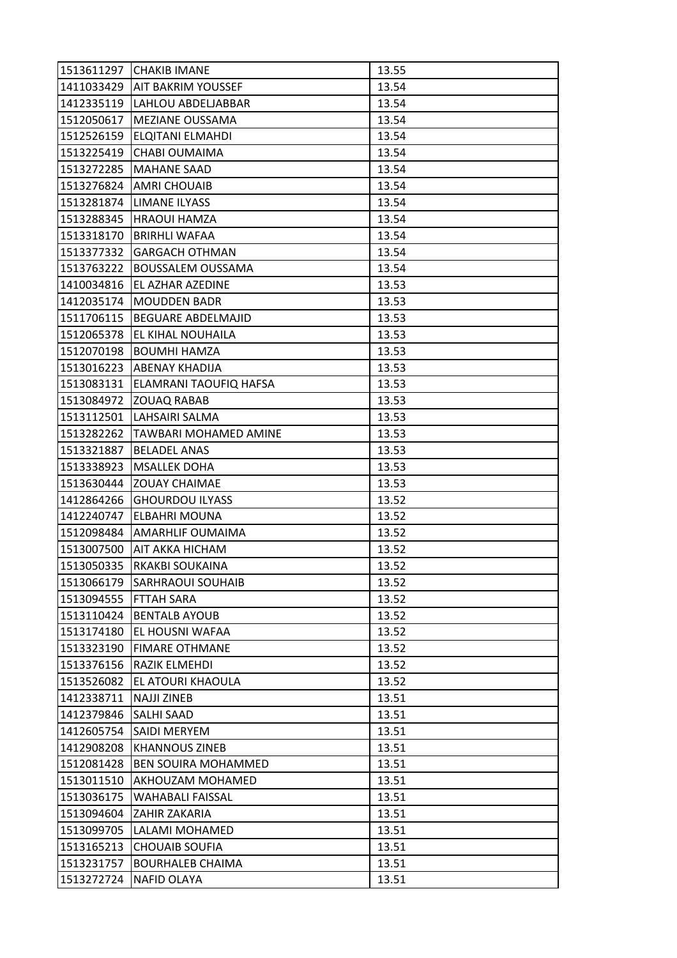| 1513611297 | <b>CHAKIB IMANE</b>             | 13.55 |
|------------|---------------------------------|-------|
|            | 1411033429   AIT BAKRIM YOUSSEF | 13.54 |
| 1412335119 | LAHLOU ABDELJABBAR              | 13.54 |
| 1512050617 | MEZIANE OUSSAMA                 | 13.54 |
| 1512526159 | <b>ELQITANI ELMAHDI</b>         | 13.54 |
| 1513225419 | CHABI OUMAIMA                   | 13.54 |
| 1513272285 | <b>MAHANE SAAD</b>              | 13.54 |
| 1513276824 | AMRI CHOUAIB                    | 13.54 |
| 1513281874 | <b>LIMANE ILYASS</b>            | 13.54 |
| 1513288345 | <b>HRAOUI HAMZA</b>             | 13.54 |
| 1513318170 | <b>BRIRHLI WAFAA</b>            | 13.54 |
| 1513377332 | <b>GARGACH OTHMAN</b>           | 13.54 |
| 1513763222 | <b>BOUSSALEM OUSSAMA</b>        | 13.54 |
| 1410034816 | EL AZHAR AZEDINE                | 13.53 |
| 1412035174 | <b>MOUDDEN BADR</b>             | 13.53 |
| 1511706115 | <b>BEGUARE ABDELMAJID</b>       | 13.53 |
| 1512065378 | EL KIHAL NOUHAILA               | 13.53 |
| 1512070198 | <b>BOUMHI HAMZA</b>             | 13.53 |
| 1513016223 | <b>ABENAY KHADIJA</b>           | 13.53 |
| 1513083131 | ELAMRANI TAOUFIQ HAFSA          | 13.53 |
| 1513084972 | <b>ZOUAQ RABAB</b>              | 13.53 |
| 1513112501 | LAHSAIRI SALMA                  | 13.53 |
| 1513282262 | TAWBARI MOHAMED AMINE           | 13.53 |
| 1513321887 | <b>BELADEL ANAS</b>             | 13.53 |
| 1513338923 | <b>MSALLEK DOHA</b>             | 13.53 |
| 1513630444 | <b>ZOUAY CHAIMAE</b>            | 13.53 |
| 1412864266 | <b>GHOURDOU ILYASS</b>          | 13.52 |
| 1412240747 | <b>ELBAHRI MOUNA</b>            | 13.52 |
| 1512098484 | <b>AMARHLIF OUMAIMA</b>         | 13.52 |
| 1513007500 | IAIT AKKA HICHAM                | 13.52 |
| 1513050335 | RKAKBI SOUKAINA                 | 13.52 |
| 1513066179 | <b>SARHRAOUI SOUHAIB</b>        | 13.52 |
| 1513094555 | <b>FTTAH SARA</b>               | 13.52 |
| 1513110424 | <b>BENTALB AYOUB</b>            | 13.52 |
| 1513174180 | EL HOUSNI WAFAA                 | 13.52 |
| 1513323190 | <b>FIMARE OTHMANE</b>           | 13.52 |
| 1513376156 | RAZIK ELMEHDI                   | 13.52 |
| 1513526082 | EL ATOURI KHAOULA               | 13.52 |
| 1412338711 | <b>NAJJI ZINEB</b>              | 13.51 |
| 1412379846 | <b>SALHI SAAD</b>               | 13.51 |
| 1412605754 | <b>SAIDI MERYEM</b>             | 13.51 |
| 1412908208 | <b>KHANNOUS ZINEB</b>           | 13.51 |
| 1512081428 | <b>BEN SOUIRA MOHAMMED</b>      | 13.51 |
| 1513011510 | AKHOUZAM MOHAMED                | 13.51 |
| 1513036175 | <b>WAHABALI FAISSAL</b>         | 13.51 |
| 1513094604 | ZAHIR ZAKARIA                   | 13.51 |
| 1513099705 | LALAMI MOHAMED                  | 13.51 |
| 1513165213 | <b>CHOUAIB SOUFIA</b>           | 13.51 |
| 1513231757 | <b>BOURHALEB CHAIMA</b>         | 13.51 |
| 1513272724 | <b>NAFID OLAYA</b>              | 13.51 |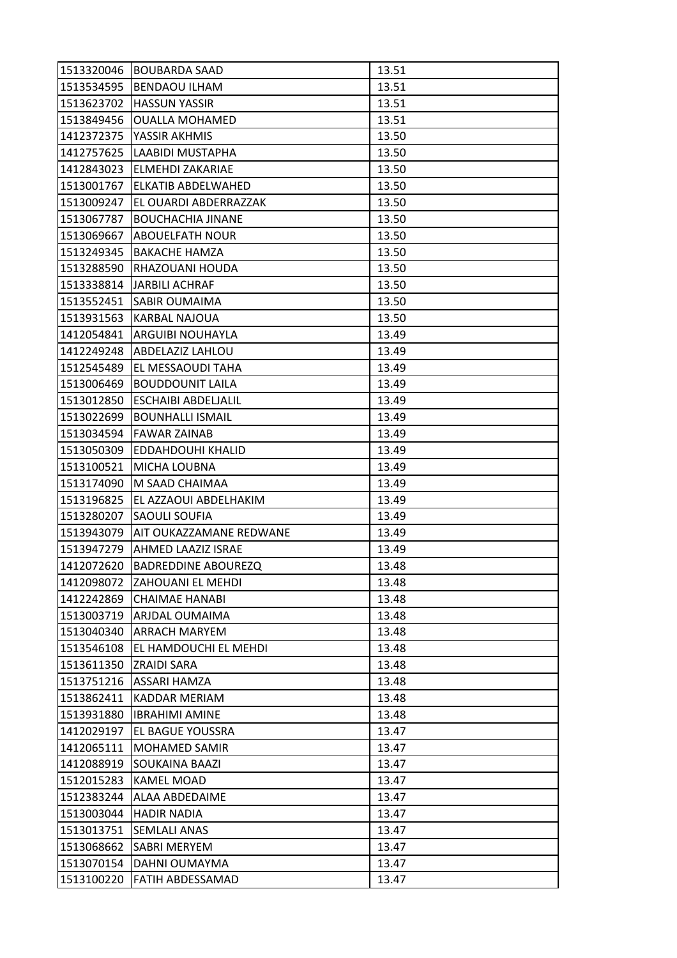| 1513320046 | <b>BOUBARDA SAAD</b>       | 13.51 |
|------------|----------------------------|-------|
| 1513534595 | <b>BENDAOU ILHAM</b>       | 13.51 |
| 1513623702 | <b>HASSUN YASSIR</b>       | 13.51 |
| 1513849456 | <b>OUALLA MOHAMED</b>      | 13.51 |
| 1412372375 | YASSIR AKHMIS              | 13.50 |
| 1412757625 | LAABIDI MUSTAPHA           | 13.50 |
| 1412843023 | <b>ELMEHDI ZAKARIAE</b>    | 13.50 |
| 1513001767 | ELKATIB ABDELWAHED         | 13.50 |
| 1513009247 | EL OUARDI ABDERRAZZAK      | 13.50 |
| 1513067787 | <b>BOUCHACHIA JINANE</b>   | 13.50 |
| 1513069667 | <b>ABOUELFATH NOUR</b>     | 13.50 |
| 1513249345 | <b>BAKACHE HAMZA</b>       | 13.50 |
| 1513288590 | RHAZOUANI HOUDA            | 13.50 |
| 1513338814 | <b>JARBILI ACHRAF</b>      | 13.50 |
| 1513552451 | <b>SABIR OUMAIMA</b>       | 13.50 |
| 1513931563 | KARBAL NAJOUA              | 13.50 |
| 1412054841 | ARGUIBI NOUHAYLA           | 13.49 |
| 1412249248 | <b>ABDELAZIZ LAHLOU</b>    | 13.49 |
| 1512545489 | EL MESSAOUDI TAHA          | 13.49 |
| 1513006469 | <b>BOUDDOUNIT LAILA</b>    | 13.49 |
| 1513012850 | <b>ESCHAIBI ABDELIALIL</b> | 13.49 |
| 1513022699 | <b>BOUNHALLI ISMAIL</b>    | 13.49 |
| 1513034594 | <b>FAWAR ZAINAB</b>        | 13.49 |
| 1513050309 | EDDAHDOUHI KHALID          | 13.49 |
| 1513100521 | MICHA LOUBNA               | 13.49 |
| 1513174090 | M SAAD CHAIMAA             | 13.49 |
| 1513196825 | EL AZZAOUI ABDELHAKIM      | 13.49 |
| 1513280207 | SAOULI SOUFIA              | 13.49 |
| 1513943079 | AIT OUKAZZAMANE REDWANE    | 13.49 |
| 1513947279 | <b>AHMED LAAZIZ ISRAE</b>  | 13.49 |
| 1412072620 | BADREDDINE ABOUREZQ        | 13.48 |
| 1412098072 | ZAHOUANI EL MEHDI          | 13.48 |
| 1412242869 | <b>CHAIMAE HANABI</b>      | 13.48 |
| 1513003719 | ARJDAL OUMAIMA             | 13.48 |
| 1513040340 | <b>ARRACH MARYEM</b>       | 13.48 |
| 1513546108 | EL HAMDOUCHI EL MEHDI      | 13.48 |
| 1513611350 | <b>ZRAIDI SARA</b>         | 13.48 |
| 1513751216 | <b>ASSARI HAMZA</b>        | 13.48 |
| 1513862411 | KADDAR MERIAM              | 13.48 |
| 1513931880 | <b>IBRAHIMI AMINE</b>      | 13.48 |
| 1412029197 | EL BAGUE YOUSSRA           | 13.47 |
| 1412065111 | MOHAMED SAMIR              | 13.47 |
| 1412088919 | <b>SOUKAINA BAAZI</b>      | 13.47 |
| 1512015283 | <b>KAMEL MOAD</b>          | 13.47 |
| 1512383244 | <b>ALAA ABDEDAIME</b>      | 13.47 |
| 1513003044 | <b>HADIR NADIA</b>         | 13.47 |
| 1513013751 | <b>SEMLALI ANAS</b>        | 13.47 |
| 1513068662 | SABRI MERYEM               | 13.47 |
| 1513070154 | DAHNI OUMAYMA              | 13.47 |
| 1513100220 | FATIH ABDESSAMAD           | 13.47 |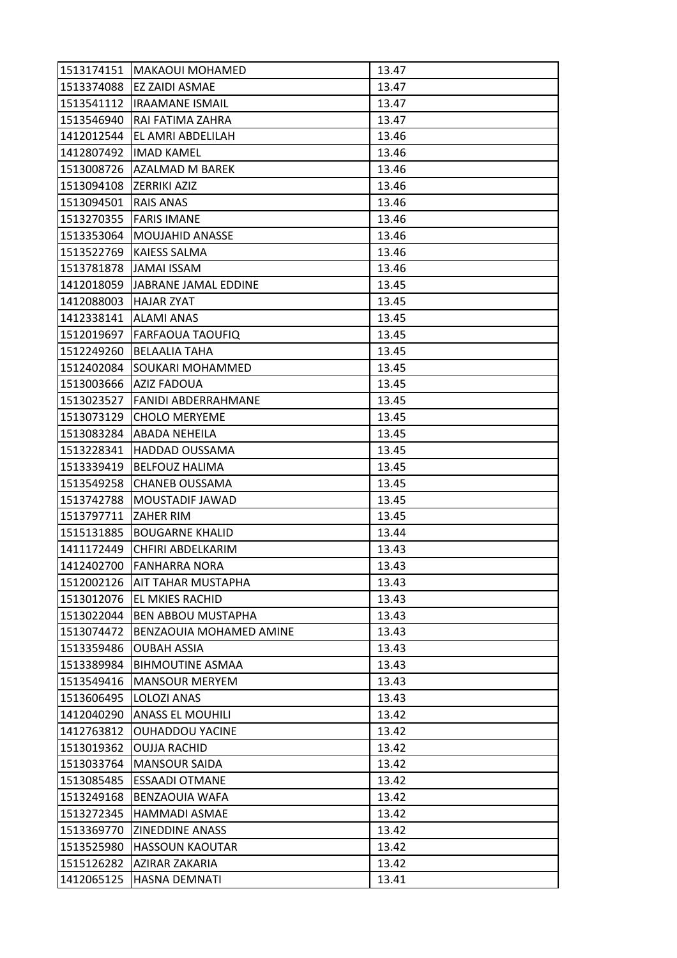| 1513174151              | <b>MAKAOUI MOHAMED</b>      | 13.47 |
|-------------------------|-----------------------------|-------|
| 1513374088              | <b>EZ ZAIDI ASMAE</b>       | 13.47 |
|                         | 1513541112  IRAAMANE ISMAIL | 13.47 |
| 1513546940              | RAI FATIMA ZAHRA            | 13.47 |
| 1412012544              | EL AMRI ABDELILAH           | 13.46 |
| 1412807492              | <b>IMAD KAMEL</b>           | 13.46 |
| 1513008726              | AZALMAD M BAREK             | 13.46 |
| 1513094108              | <b>ZERRIKI AZIZ</b>         | 13.46 |
| 1513094501              | <b>RAIS ANAS</b>            | 13.46 |
| 1513270355              | <b>FARIS IMANE</b>          | 13.46 |
| 1513353064              | <b>MOUJAHID ANASSE</b>      | 13.46 |
| 1513522769              | <b>KAIESS SALMA</b>         | 13.46 |
| 1513781878              | JAMAI ISSAM                 | 13.46 |
| 1412018059              | JABRANE JAMAL EDDINE        | 13.45 |
| 1412088003              | <b>HAJAR ZYAT</b>           | 13.45 |
| 1412338141   ALAMI ANAS |                             | 13.45 |
| 1512019697              | <b>FARFAOUA TAOUFIQ</b>     | 13.45 |
| 1512249260              | <b>BELAALIA TAHA</b>        | 13.45 |
| 1512402084              | SOUKARI MOHAMMED            | 13.45 |
| 1513003666              | AZIZ FADOUA                 | 13.45 |
| 1513023527              | <b>FANIDI ABDERRAHMANE</b>  | 13.45 |
| 1513073129              | <b>CHOLO MERYEME</b>        | 13.45 |
| 1513083284              | <b>ABADA NEHEILA</b>        | 13.45 |
| 1513228341              | <b>HADDAD OUSSAMA</b>       | 13.45 |
| 1513339419              | <b>BELFOUZ HALIMA</b>       | 13.45 |
| 1513549258              | <b>CHANEB OUSSAMA</b>       | 13.45 |
| 1513742788              | MOUSTADIF JAWAD             | 13.45 |
| 1513797711              | <b>ZAHER RIM</b>            | 13.45 |
| 1515131885              | <b>BOUGARNE KHALID</b>      | 13.44 |
| 1411172449              | CHFIRI ABDELKARIM           | 13.43 |
| 1412402700              | <b>FANHARRA NORA</b>        | 13.43 |
| 1512002126              | <b>AIT TAHAR MUSTAPHA</b>   | 13.43 |
| 1513012076              | <b>EL MKIES RACHID</b>      | 13.43 |
| 1513022044              | <b>BEN ABBOU MUSTAPHA</b>   | 13.43 |
| 1513074472              | BENZAOUIA MOHAMED AMINE     | 13.43 |
| 1513359486              | <b>OUBAH ASSIA</b>          | 13.43 |
| 1513389984              | <b>BIHMOUTINE ASMAA</b>     | 13.43 |
| 1513549416              | <b>MANSOUR MERYEM</b>       | 13.43 |
| 1513606495              | LOLOZI ANAS                 | 13.43 |
| 1412040290              | <b>ANASS EL MOUHILI</b>     | 13.42 |
| 1412763812              | <b>OUHADDOU YACINE</b>      | 13.42 |
| 1513019362              | OUJJA RACHID                | 13.42 |
| 1513033764              | <b>MANSOUR SAIDA</b>        | 13.42 |
| 1513085485              | <b>ESSAADI OTMANE</b>       | 13.42 |
| 1513249168              | <b>BENZAOUIA WAFA</b>       | 13.42 |
| 1513272345              | <b>HAMMADI ASMAE</b>        | 13.42 |
| 1513369770              | <b>ZINEDDINE ANASS</b>      | 13.42 |
| 1513525980              | <b>HASSOUN KAOUTAR</b>      | 13.42 |
| 1515126282              | AZIRAR ZAKARIA              | 13.42 |
| 1412065125              | HASNA DEMNATI               | 13.41 |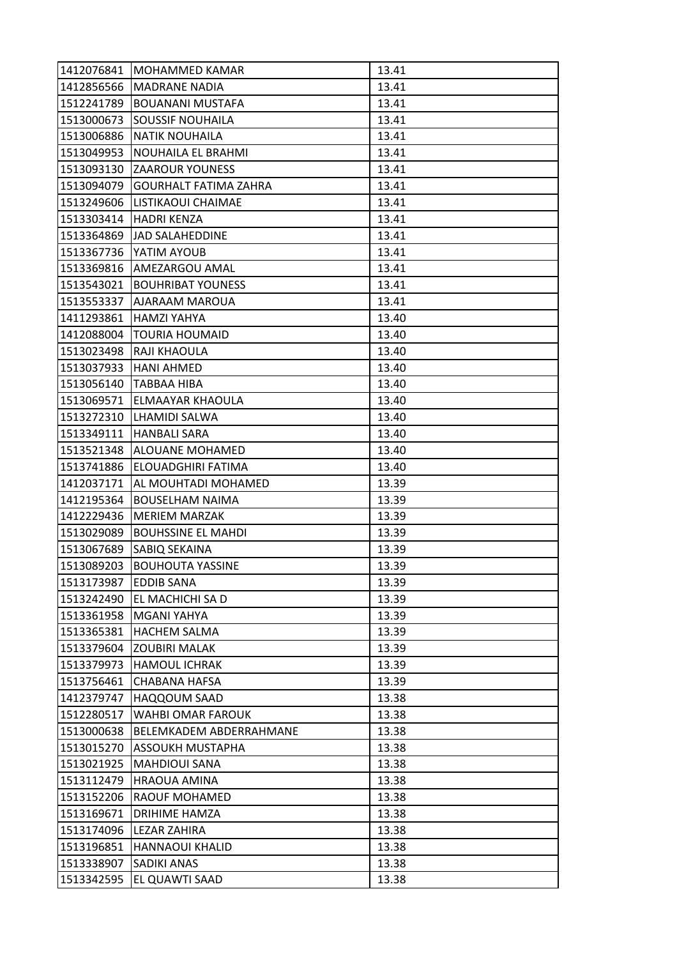| 1412076841 | MOHAMMED KAMAR               | 13.41 |
|------------|------------------------------|-------|
| 1412856566 | <b>MADRANE NADIA</b>         | 13.41 |
| 1512241789 | <b>BOUANANI MUSTAFA</b>      | 13.41 |
| 1513000673 | <b>SOUSSIF NOUHAILA</b>      | 13.41 |
| 1513006886 | <b>NATIK NOUHAILA</b>        | 13.41 |
| 1513049953 | NOUHAILA EL BRAHMI           | 13.41 |
| 1513093130 | <b>ZAAROUR YOUNESS</b>       | 13.41 |
| 1513094079 | <b>GOURHALT FATIMA ZAHRA</b> | 13.41 |
| 1513249606 | LISTIKAOUI CHAIMAE           | 13.41 |
| 1513303414 | <b>HADRI KENZA</b>           | 13.41 |
| 1513364869 | JAD SALAHEDDINE              | 13.41 |
| 1513367736 | YATIM AYOUB                  | 13.41 |
| 1513369816 | AMEZARGOU AMAL               | 13.41 |
| 1513543021 | <b>BOUHRIBAT YOUNESS</b>     | 13.41 |
| 1513553337 | AJARAAM MAROUA               | 13.41 |
| 1411293861 | <b>HAMZI YAHYA</b>           | 13.40 |
| 1412088004 | <b>TOURIA HOUMAID</b>        | 13.40 |
| 1513023498 | RAJI KHAOULA                 | 13.40 |
| 1513037933 | <b>HANI AHMED</b>            | 13.40 |
| 1513056140 | <b>TABBAA HIBA</b>           | 13.40 |
| 1513069571 | <b>ELMAAYAR KHAOULA</b>      | 13.40 |
| 1513272310 | LHAMIDI SALWA                | 13.40 |
| 1513349111 | <b>HANBALI SARA</b>          | 13.40 |
| 1513521348 | ALOUANE MOHAMED              | 13.40 |
| 1513741886 | ELOUADGHIRI FATIMA           | 13.40 |
| 1412037171 | AL MOUHTADI MOHAMED          | 13.39 |
| 1412195364 | <b>BOUSELHAM NAIMA</b>       | 13.39 |
| 1412229436 | <b>MERIEM MARZAK</b>         | 13.39 |
| 1513029089 | <b>BOUHSSINE EL MAHDI</b>    | 13.39 |
| 1513067689 | SABIQ SEKAINA                | 13.39 |
| 1513089203 | <b>BOUHOUTA YASSINE</b>      | 13.39 |
| 1513173987 | <b>EDDIB SANA</b>            | 13.39 |
| 1513242490 | EL MACHICHI SA D             | 13.39 |
| 1513361958 | MGANI YAHYA                  | 13.39 |
| 1513365381 | <b>HACHEM SALMA</b>          | 13.39 |
| 1513379604 | <b>ZOUBIRI MALAK</b>         | 13.39 |
| 1513379973 | <b>HAMOUL ICHRAK</b>         | 13.39 |
| 1513756461 | CHABANA HAFSA                | 13.39 |
| 1412379747 | <b>HAQQOUM SAAD</b>          | 13.38 |
| 1512280517 | WAHBI OMAR FAROUK            | 13.38 |
| 1513000638 | BELEMKADEM ABDERRAHMANE      | 13.38 |
| 1513015270 | ASSOUKH MUSTAPHA             | 13.38 |
| 1513021925 | <b>MAHDIOUI SANA</b>         | 13.38 |
| 1513112479 | <b>HRAOUA AMINA</b>          | 13.38 |
| 1513152206 | <b>RAOUF MOHAMED</b>         | 13.38 |
| 1513169671 | DRIHIME HAMZA                | 13.38 |
| 1513174096 | LEZAR ZAHIRA                 | 13.38 |
| 1513196851 | <b>HANNAOUI KHALID</b>       | 13.38 |
| 1513338907 | <b>SADIKI ANAS</b>           | 13.38 |
| 1513342595 | EL QUAWTI SAAD               | 13.38 |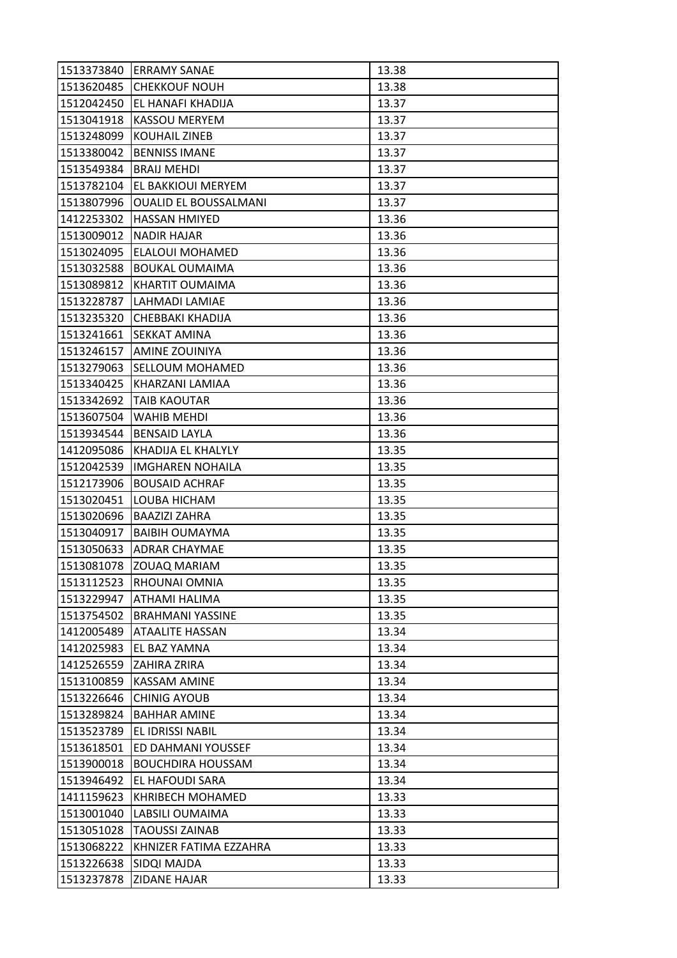| 1513373840 | <b>ERRAMY SANAE</b>          | 13.38 |
|------------|------------------------------|-------|
| 1513620485 | <b>CHEKKOUF NOUH</b>         | 13.38 |
| 1512042450 | EL HANAFI KHADIJA            | 13.37 |
| 1513041918 | <b>KASSOU MERYEM</b>         | 13.37 |
| 1513248099 | <b>KOUHAIL ZINEB</b>         | 13.37 |
| 1513380042 | <b>BENNISS IMANE</b>         | 13.37 |
| 1513549384 | <b>BRAIJ MEHDI</b>           | 13.37 |
| 1513782104 | EL BAKKIOUI MERYEM           | 13.37 |
| 1513807996 | <b>OUALID EL BOUSSALMANI</b> | 13.37 |
| 1412253302 | <b>HASSAN HMIYED</b>         | 13.36 |
| 1513009012 | <b>NADIR HAJAR</b>           | 13.36 |
| 1513024095 | ELALOUI MOHAMED              | 13.36 |
| 1513032588 | <b>BOUKAL OUMAIMA</b>        | 13.36 |
| 1513089812 | KHARTIT OUMAIMA              | 13.36 |
| 1513228787 | LAHMADI LAMIAE               | 13.36 |
| 1513235320 | CHEBBAKI KHADIJA             | 13.36 |
| 1513241661 | <b>SEKKAT AMINA</b>          | 13.36 |
| 1513246157 | AMINE ZOUINIYA               | 13.36 |
| 1513279063 | <b>SELLOUM MOHAMED</b>       | 13.36 |
| 1513340425 | KHARZANI LAMIAA              | 13.36 |
| 1513342692 | <b>TAIB KAOUTAR</b>          | 13.36 |
| 1513607504 | WAHIB MEHDI                  | 13.36 |
| 1513934544 | <b>BENSAID LAYLA</b>         | 13.36 |
| 1412095086 | KHADIJA EL KHALYLY           | 13.35 |
| 1512042539 | <b>IMGHAREN NOHAILA</b>      | 13.35 |
| 1512173906 | <b>BOUSAID ACHRAF</b>        | 13.35 |
| 1513020451 | LOUBA HICHAM                 | 13.35 |
| 1513020696 | <b>BAAZIZI ZAHRA</b>         | 13.35 |
| 1513040917 | <b>BAIBIH OUMAYMA</b>        | 13.35 |
| 1513050633 | <b>ADRAR CHAYMAE</b>         | 13.35 |
| 1513081078 | ZOUAQ MARIAM                 | 13.35 |
| 1513112523 | RHOUNAI OMNIA                | 13.35 |
| 1513229947 | <b>ATHAMI HALIMA</b>         | 13.35 |
| 1513754502 | <b>BRAHMANI YASSINE</b>      | 13.35 |
| 1412005489 | <b>ATAALITE HASSAN</b>       | 13.34 |
| 1412025983 | EL BAZ YAMNA                 | 13.34 |
| 1412526559 | ZAHIRA ZRIRA                 | 13.34 |
| 1513100859 | <b>KASSAM AMINE</b>          | 13.34 |
| 1513226646 | <b>CHINIG AYOUB</b>          | 13.34 |
| 1513289824 | <b>BAHHAR AMINE</b>          | 13.34 |
| 1513523789 | EL IDRISSI NABIL             | 13.34 |
| 1513618501 | ED DAHMANI YOUSSEF           | 13.34 |
| 1513900018 | <b>BOUCHDIRA HOUSSAM</b>     | 13.34 |
| 1513946492 | EL HAFOUDI SARA              | 13.34 |
| 1411159623 | <b>KHRIBECH MOHAMED</b>      | 13.33 |
| 1513001040 | LABSILI OUMAIMA              | 13.33 |
| 1513051028 | <b>TAOUSSI ZAINAB</b>        | 13.33 |
| 1513068222 | KHNIZER FATIMA EZZAHRA       | 13.33 |
| 1513226638 | SIDQI MAJDA                  | 13.33 |
| 1513237878 | <b>ZIDANE HAJAR</b>          | 13.33 |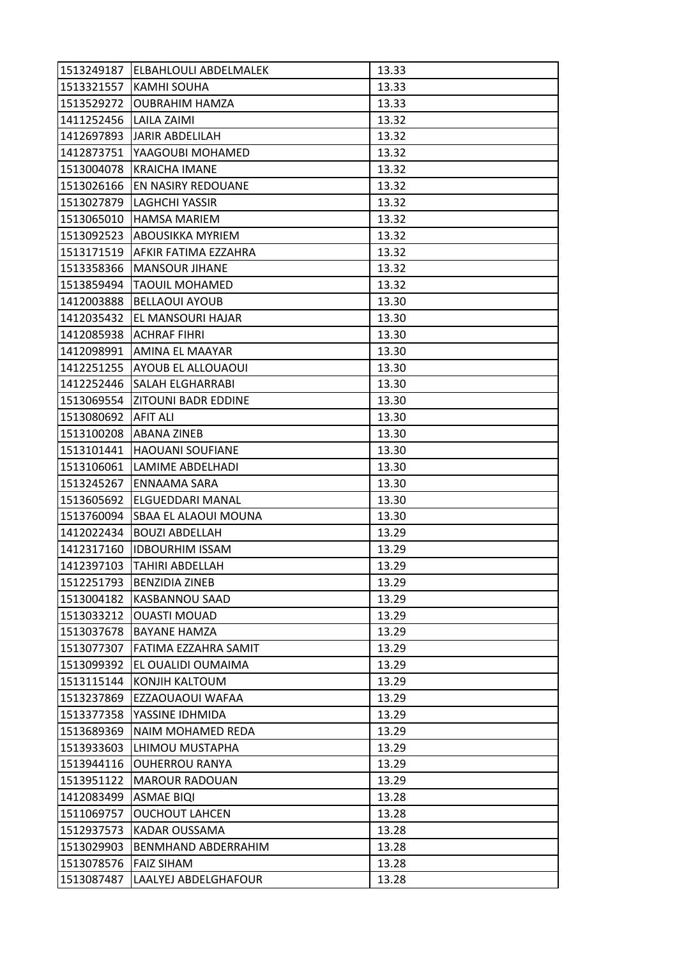| <b>KAMHI SOUHA</b><br>13.33<br>1513529272<br><b>OUBRAHIM HAMZA</b><br>13.33<br>1411252456<br>LAILA ZAIMI<br>13.32<br>13.32<br>1412697893<br>JARIR ABDELILAH<br>1412873751<br>YAAGOUBI MOHAMED<br>13.32<br>13.32<br>1513004078<br><b>KRAICHA IMANE</b><br>1513026166<br>EN NASIRY REDOUANE<br>13.32<br>1513027879<br><b>LAGHCHI YASSIR</b><br>13.32<br><b>HAMSA MARIEM</b><br>1513065010<br>13.32<br>1513092523 ABOUSIKKA MYRIEM<br>13.32<br>1513171519<br><b>AFKIR FATIMA EZZAHRA</b><br>13.32<br>1513358366<br><b>MANSOUR JIHANE</b><br>13.32<br>1513859494<br><b>TAOUIL MOHAMED</b><br>13.32<br>13.30<br>1412003888<br><b>BELLAOUI AYOUB</b><br>EL MANSOURI HAJAR<br>1412035432<br>13.30<br>1412085938<br>ACHRAF FIHRI<br>13.30<br>13.30<br>1412098991<br>AMINA EL MAAYAR<br>1412251255<br><b>AYOUB EL ALLOUAOUI</b><br>13.30<br><b>SALAH ELGHARRABI</b><br>13.30<br>1412252446<br>1513069554   ZITOUNI BADR EDDINE<br>13.30<br><b>AFIT ALI</b><br>1513080692<br>13.30<br>1513100208<br><b>ABANA ZINEB</b><br>13.30<br>13.30<br>1513101441<br><b>HAOUANI SOUFIANE</b><br>LAMIME ABDELHADI<br>13.30<br>13.30<br>1513245267<br><b>ENNAAMA SARA</b><br>1513605692<br>ELGUEDDARI MANAL<br>13.30<br>1513760094<br><b>SBAA EL ALAOUI MOUNA</b><br>13.30<br><b>BOUZI ABDELLAH</b><br>1412022434<br>13.29<br>1412317160<br><b>IDBOURHIM ISSAM</b><br>13.29<br>13.29<br>1412397103<br><b>TAHIRI ABDELLAH</b><br>1512251793<br><b>BENZIDIA ZINEB</b><br>13.29<br>1513004182<br><b>KASBANNOU SAAD</b><br>13.29<br>1513033212<br><b>OUASTI MOUAD</b><br>13.29<br>1513037678<br><b>BAYANE HAMZA</b><br>13.29<br>13.29<br>1513077307<br>FATIMA EZZAHRA SAMIT<br>1513099392<br>EL OUALIDI OUMAIMA<br>13.29<br>13.29<br>1513115144<br>KONJIH KALTOUM<br>1513237869<br>EZZAOUAOUI WAFAA<br>13.29<br>1513377358<br>YASSINE IDHMIDA<br>13.29<br>1513689369<br>NAIM MOHAMED REDA<br>13.29<br>1513933603<br>LHIMOU MUSTAPHA<br>13.29<br>13.29<br>1513944116<br><b>OUHERROU RANYA</b><br>1513951122<br><b>MAROUR RADOUAN</b><br>13.29<br>1412083499<br>13.28<br><b>ASMAE BIQI</b><br>1511069757<br><b>OUCHOUT LAHCEN</b><br>13.28<br>1512937573<br><b>KADAR OUSSAMA</b><br>13.28<br>BENMHAND ABDERRAHIM<br>1513029903<br>13.28<br>1513078576<br><b>FAIZ SIHAM</b><br>13.28<br>1513087487<br>LAALYEJ ABDELGHAFOUR<br>13.28 | 1513249187 | ELBAHLOULI ABDELMALEK | 13.33 |
|-------------------------------------------------------------------------------------------------------------------------------------------------------------------------------------------------------------------------------------------------------------------------------------------------------------------------------------------------------------------------------------------------------------------------------------------------------------------------------------------------------------------------------------------------------------------------------------------------------------------------------------------------------------------------------------------------------------------------------------------------------------------------------------------------------------------------------------------------------------------------------------------------------------------------------------------------------------------------------------------------------------------------------------------------------------------------------------------------------------------------------------------------------------------------------------------------------------------------------------------------------------------------------------------------------------------------------------------------------------------------------------------------------------------------------------------------------------------------------------------------------------------------------------------------------------------------------------------------------------------------------------------------------------------------------------------------------------------------------------------------------------------------------------------------------------------------------------------------------------------------------------------------------------------------------------------------------------------------------------------------------------------------------------------------------------------------------------------------------------------------------------------------------------------------------------------------------------------------------------------------------------------------------------------------------|------------|-----------------------|-------|
|                                                                                                                                                                                                                                                                                                                                                                                                                                                                                                                                                                                                                                                                                                                                                                                                                                                                                                                                                                                                                                                                                                                                                                                                                                                                                                                                                                                                                                                                                                                                                                                                                                                                                                                                                                                                                                                                                                                                                                                                                                                                                                                                                                                                                                                                                                       | 1513321557 |                       |       |
|                                                                                                                                                                                                                                                                                                                                                                                                                                                                                                                                                                                                                                                                                                                                                                                                                                                                                                                                                                                                                                                                                                                                                                                                                                                                                                                                                                                                                                                                                                                                                                                                                                                                                                                                                                                                                                                                                                                                                                                                                                                                                                                                                                                                                                                                                                       |            |                       |       |
|                                                                                                                                                                                                                                                                                                                                                                                                                                                                                                                                                                                                                                                                                                                                                                                                                                                                                                                                                                                                                                                                                                                                                                                                                                                                                                                                                                                                                                                                                                                                                                                                                                                                                                                                                                                                                                                                                                                                                                                                                                                                                                                                                                                                                                                                                                       |            |                       |       |
|                                                                                                                                                                                                                                                                                                                                                                                                                                                                                                                                                                                                                                                                                                                                                                                                                                                                                                                                                                                                                                                                                                                                                                                                                                                                                                                                                                                                                                                                                                                                                                                                                                                                                                                                                                                                                                                                                                                                                                                                                                                                                                                                                                                                                                                                                                       |            |                       |       |
|                                                                                                                                                                                                                                                                                                                                                                                                                                                                                                                                                                                                                                                                                                                                                                                                                                                                                                                                                                                                                                                                                                                                                                                                                                                                                                                                                                                                                                                                                                                                                                                                                                                                                                                                                                                                                                                                                                                                                                                                                                                                                                                                                                                                                                                                                                       |            |                       |       |
|                                                                                                                                                                                                                                                                                                                                                                                                                                                                                                                                                                                                                                                                                                                                                                                                                                                                                                                                                                                                                                                                                                                                                                                                                                                                                                                                                                                                                                                                                                                                                                                                                                                                                                                                                                                                                                                                                                                                                                                                                                                                                                                                                                                                                                                                                                       |            |                       |       |
|                                                                                                                                                                                                                                                                                                                                                                                                                                                                                                                                                                                                                                                                                                                                                                                                                                                                                                                                                                                                                                                                                                                                                                                                                                                                                                                                                                                                                                                                                                                                                                                                                                                                                                                                                                                                                                                                                                                                                                                                                                                                                                                                                                                                                                                                                                       |            |                       |       |
|                                                                                                                                                                                                                                                                                                                                                                                                                                                                                                                                                                                                                                                                                                                                                                                                                                                                                                                                                                                                                                                                                                                                                                                                                                                                                                                                                                                                                                                                                                                                                                                                                                                                                                                                                                                                                                                                                                                                                                                                                                                                                                                                                                                                                                                                                                       |            |                       |       |
|                                                                                                                                                                                                                                                                                                                                                                                                                                                                                                                                                                                                                                                                                                                                                                                                                                                                                                                                                                                                                                                                                                                                                                                                                                                                                                                                                                                                                                                                                                                                                                                                                                                                                                                                                                                                                                                                                                                                                                                                                                                                                                                                                                                                                                                                                                       |            |                       |       |
|                                                                                                                                                                                                                                                                                                                                                                                                                                                                                                                                                                                                                                                                                                                                                                                                                                                                                                                                                                                                                                                                                                                                                                                                                                                                                                                                                                                                                                                                                                                                                                                                                                                                                                                                                                                                                                                                                                                                                                                                                                                                                                                                                                                                                                                                                                       |            |                       |       |
|                                                                                                                                                                                                                                                                                                                                                                                                                                                                                                                                                                                                                                                                                                                                                                                                                                                                                                                                                                                                                                                                                                                                                                                                                                                                                                                                                                                                                                                                                                                                                                                                                                                                                                                                                                                                                                                                                                                                                                                                                                                                                                                                                                                                                                                                                                       |            |                       |       |
|                                                                                                                                                                                                                                                                                                                                                                                                                                                                                                                                                                                                                                                                                                                                                                                                                                                                                                                                                                                                                                                                                                                                                                                                                                                                                                                                                                                                                                                                                                                                                                                                                                                                                                                                                                                                                                                                                                                                                                                                                                                                                                                                                                                                                                                                                                       |            |                       |       |
|                                                                                                                                                                                                                                                                                                                                                                                                                                                                                                                                                                                                                                                                                                                                                                                                                                                                                                                                                                                                                                                                                                                                                                                                                                                                                                                                                                                                                                                                                                                                                                                                                                                                                                                                                                                                                                                                                                                                                                                                                                                                                                                                                                                                                                                                                                       |            |                       |       |
|                                                                                                                                                                                                                                                                                                                                                                                                                                                                                                                                                                                                                                                                                                                                                                                                                                                                                                                                                                                                                                                                                                                                                                                                                                                                                                                                                                                                                                                                                                                                                                                                                                                                                                                                                                                                                                                                                                                                                                                                                                                                                                                                                                                                                                                                                                       |            |                       |       |
|                                                                                                                                                                                                                                                                                                                                                                                                                                                                                                                                                                                                                                                                                                                                                                                                                                                                                                                                                                                                                                                                                                                                                                                                                                                                                                                                                                                                                                                                                                                                                                                                                                                                                                                                                                                                                                                                                                                                                                                                                                                                                                                                                                                                                                                                                                       |            |                       |       |
|                                                                                                                                                                                                                                                                                                                                                                                                                                                                                                                                                                                                                                                                                                                                                                                                                                                                                                                                                                                                                                                                                                                                                                                                                                                                                                                                                                                                                                                                                                                                                                                                                                                                                                                                                                                                                                                                                                                                                                                                                                                                                                                                                                                                                                                                                                       |            |                       |       |
|                                                                                                                                                                                                                                                                                                                                                                                                                                                                                                                                                                                                                                                                                                                                                                                                                                                                                                                                                                                                                                                                                                                                                                                                                                                                                                                                                                                                                                                                                                                                                                                                                                                                                                                                                                                                                                                                                                                                                                                                                                                                                                                                                                                                                                                                                                       |            |                       |       |
|                                                                                                                                                                                                                                                                                                                                                                                                                                                                                                                                                                                                                                                                                                                                                                                                                                                                                                                                                                                                                                                                                                                                                                                                                                                                                                                                                                                                                                                                                                                                                                                                                                                                                                                                                                                                                                                                                                                                                                                                                                                                                                                                                                                                                                                                                                       |            |                       |       |
|                                                                                                                                                                                                                                                                                                                                                                                                                                                                                                                                                                                                                                                                                                                                                                                                                                                                                                                                                                                                                                                                                                                                                                                                                                                                                                                                                                                                                                                                                                                                                                                                                                                                                                                                                                                                                                                                                                                                                                                                                                                                                                                                                                                                                                                                                                       |            |                       |       |
|                                                                                                                                                                                                                                                                                                                                                                                                                                                                                                                                                                                                                                                                                                                                                                                                                                                                                                                                                                                                                                                                                                                                                                                                                                                                                                                                                                                                                                                                                                                                                                                                                                                                                                                                                                                                                                                                                                                                                                                                                                                                                                                                                                                                                                                                                                       |            |                       |       |
|                                                                                                                                                                                                                                                                                                                                                                                                                                                                                                                                                                                                                                                                                                                                                                                                                                                                                                                                                                                                                                                                                                                                                                                                                                                                                                                                                                                                                                                                                                                                                                                                                                                                                                                                                                                                                                                                                                                                                                                                                                                                                                                                                                                                                                                                                                       |            |                       |       |
|                                                                                                                                                                                                                                                                                                                                                                                                                                                                                                                                                                                                                                                                                                                                                                                                                                                                                                                                                                                                                                                                                                                                                                                                                                                                                                                                                                                                                                                                                                                                                                                                                                                                                                                                                                                                                                                                                                                                                                                                                                                                                                                                                                                                                                                                                                       |            |                       |       |
|                                                                                                                                                                                                                                                                                                                                                                                                                                                                                                                                                                                                                                                                                                                                                                                                                                                                                                                                                                                                                                                                                                                                                                                                                                                                                                                                                                                                                                                                                                                                                                                                                                                                                                                                                                                                                                                                                                                                                                                                                                                                                                                                                                                                                                                                                                       |            |                       |       |
|                                                                                                                                                                                                                                                                                                                                                                                                                                                                                                                                                                                                                                                                                                                                                                                                                                                                                                                                                                                                                                                                                                                                                                                                                                                                                                                                                                                                                                                                                                                                                                                                                                                                                                                                                                                                                                                                                                                                                                                                                                                                                                                                                                                                                                                                                                       | 1513106061 |                       |       |
|                                                                                                                                                                                                                                                                                                                                                                                                                                                                                                                                                                                                                                                                                                                                                                                                                                                                                                                                                                                                                                                                                                                                                                                                                                                                                                                                                                                                                                                                                                                                                                                                                                                                                                                                                                                                                                                                                                                                                                                                                                                                                                                                                                                                                                                                                                       |            |                       |       |
|                                                                                                                                                                                                                                                                                                                                                                                                                                                                                                                                                                                                                                                                                                                                                                                                                                                                                                                                                                                                                                                                                                                                                                                                                                                                                                                                                                                                                                                                                                                                                                                                                                                                                                                                                                                                                                                                                                                                                                                                                                                                                                                                                                                                                                                                                                       |            |                       |       |
|                                                                                                                                                                                                                                                                                                                                                                                                                                                                                                                                                                                                                                                                                                                                                                                                                                                                                                                                                                                                                                                                                                                                                                                                                                                                                                                                                                                                                                                                                                                                                                                                                                                                                                                                                                                                                                                                                                                                                                                                                                                                                                                                                                                                                                                                                                       |            |                       |       |
|                                                                                                                                                                                                                                                                                                                                                                                                                                                                                                                                                                                                                                                                                                                                                                                                                                                                                                                                                                                                                                                                                                                                                                                                                                                                                                                                                                                                                                                                                                                                                                                                                                                                                                                                                                                                                                                                                                                                                                                                                                                                                                                                                                                                                                                                                                       |            |                       |       |
|                                                                                                                                                                                                                                                                                                                                                                                                                                                                                                                                                                                                                                                                                                                                                                                                                                                                                                                                                                                                                                                                                                                                                                                                                                                                                                                                                                                                                                                                                                                                                                                                                                                                                                                                                                                                                                                                                                                                                                                                                                                                                                                                                                                                                                                                                                       |            |                       |       |
|                                                                                                                                                                                                                                                                                                                                                                                                                                                                                                                                                                                                                                                                                                                                                                                                                                                                                                                                                                                                                                                                                                                                                                                                                                                                                                                                                                                                                                                                                                                                                                                                                                                                                                                                                                                                                                                                                                                                                                                                                                                                                                                                                                                                                                                                                                       |            |                       |       |
|                                                                                                                                                                                                                                                                                                                                                                                                                                                                                                                                                                                                                                                                                                                                                                                                                                                                                                                                                                                                                                                                                                                                                                                                                                                                                                                                                                                                                                                                                                                                                                                                                                                                                                                                                                                                                                                                                                                                                                                                                                                                                                                                                                                                                                                                                                       |            |                       |       |
|                                                                                                                                                                                                                                                                                                                                                                                                                                                                                                                                                                                                                                                                                                                                                                                                                                                                                                                                                                                                                                                                                                                                                                                                                                                                                                                                                                                                                                                                                                                                                                                                                                                                                                                                                                                                                                                                                                                                                                                                                                                                                                                                                                                                                                                                                                       |            |                       |       |
|                                                                                                                                                                                                                                                                                                                                                                                                                                                                                                                                                                                                                                                                                                                                                                                                                                                                                                                                                                                                                                                                                                                                                                                                                                                                                                                                                                                                                                                                                                                                                                                                                                                                                                                                                                                                                                                                                                                                                                                                                                                                                                                                                                                                                                                                                                       |            |                       |       |
|                                                                                                                                                                                                                                                                                                                                                                                                                                                                                                                                                                                                                                                                                                                                                                                                                                                                                                                                                                                                                                                                                                                                                                                                                                                                                                                                                                                                                                                                                                                                                                                                                                                                                                                                                                                                                                                                                                                                                                                                                                                                                                                                                                                                                                                                                                       |            |                       |       |
|                                                                                                                                                                                                                                                                                                                                                                                                                                                                                                                                                                                                                                                                                                                                                                                                                                                                                                                                                                                                                                                                                                                                                                                                                                                                                                                                                                                                                                                                                                                                                                                                                                                                                                                                                                                                                                                                                                                                                                                                                                                                                                                                                                                                                                                                                                       |            |                       |       |
|                                                                                                                                                                                                                                                                                                                                                                                                                                                                                                                                                                                                                                                                                                                                                                                                                                                                                                                                                                                                                                                                                                                                                                                                                                                                                                                                                                                                                                                                                                                                                                                                                                                                                                                                                                                                                                                                                                                                                                                                                                                                                                                                                                                                                                                                                                       |            |                       |       |
|                                                                                                                                                                                                                                                                                                                                                                                                                                                                                                                                                                                                                                                                                                                                                                                                                                                                                                                                                                                                                                                                                                                                                                                                                                                                                                                                                                                                                                                                                                                                                                                                                                                                                                                                                                                                                                                                                                                                                                                                                                                                                                                                                                                                                                                                                                       |            |                       |       |
|                                                                                                                                                                                                                                                                                                                                                                                                                                                                                                                                                                                                                                                                                                                                                                                                                                                                                                                                                                                                                                                                                                                                                                                                                                                                                                                                                                                                                                                                                                                                                                                                                                                                                                                                                                                                                                                                                                                                                                                                                                                                                                                                                                                                                                                                                                       |            |                       |       |
|                                                                                                                                                                                                                                                                                                                                                                                                                                                                                                                                                                                                                                                                                                                                                                                                                                                                                                                                                                                                                                                                                                                                                                                                                                                                                                                                                                                                                                                                                                                                                                                                                                                                                                                                                                                                                                                                                                                                                                                                                                                                                                                                                                                                                                                                                                       |            |                       |       |
|                                                                                                                                                                                                                                                                                                                                                                                                                                                                                                                                                                                                                                                                                                                                                                                                                                                                                                                                                                                                                                                                                                                                                                                                                                                                                                                                                                                                                                                                                                                                                                                                                                                                                                                                                                                                                                                                                                                                                                                                                                                                                                                                                                                                                                                                                                       |            |                       |       |
|                                                                                                                                                                                                                                                                                                                                                                                                                                                                                                                                                                                                                                                                                                                                                                                                                                                                                                                                                                                                                                                                                                                                                                                                                                                                                                                                                                                                                                                                                                                                                                                                                                                                                                                                                                                                                                                                                                                                                                                                                                                                                                                                                                                                                                                                                                       |            |                       |       |
|                                                                                                                                                                                                                                                                                                                                                                                                                                                                                                                                                                                                                                                                                                                                                                                                                                                                                                                                                                                                                                                                                                                                                                                                                                                                                                                                                                                                                                                                                                                                                                                                                                                                                                                                                                                                                                                                                                                                                                                                                                                                                                                                                                                                                                                                                                       |            |                       |       |
|                                                                                                                                                                                                                                                                                                                                                                                                                                                                                                                                                                                                                                                                                                                                                                                                                                                                                                                                                                                                                                                                                                                                                                                                                                                                                                                                                                                                                                                                                                                                                                                                                                                                                                                                                                                                                                                                                                                                                                                                                                                                                                                                                                                                                                                                                                       |            |                       |       |
|                                                                                                                                                                                                                                                                                                                                                                                                                                                                                                                                                                                                                                                                                                                                                                                                                                                                                                                                                                                                                                                                                                                                                                                                                                                                                                                                                                                                                                                                                                                                                                                                                                                                                                                                                                                                                                                                                                                                                                                                                                                                                                                                                                                                                                                                                                       |            |                       |       |
|                                                                                                                                                                                                                                                                                                                                                                                                                                                                                                                                                                                                                                                                                                                                                                                                                                                                                                                                                                                                                                                                                                                                                                                                                                                                                                                                                                                                                                                                                                                                                                                                                                                                                                                                                                                                                                                                                                                                                                                                                                                                                                                                                                                                                                                                                                       |            |                       |       |
|                                                                                                                                                                                                                                                                                                                                                                                                                                                                                                                                                                                                                                                                                                                                                                                                                                                                                                                                                                                                                                                                                                                                                                                                                                                                                                                                                                                                                                                                                                                                                                                                                                                                                                                                                                                                                                                                                                                                                                                                                                                                                                                                                                                                                                                                                                       |            |                       |       |
|                                                                                                                                                                                                                                                                                                                                                                                                                                                                                                                                                                                                                                                                                                                                                                                                                                                                                                                                                                                                                                                                                                                                                                                                                                                                                                                                                                                                                                                                                                                                                                                                                                                                                                                                                                                                                                                                                                                                                                                                                                                                                                                                                                                                                                                                                                       |            |                       |       |
|                                                                                                                                                                                                                                                                                                                                                                                                                                                                                                                                                                                                                                                                                                                                                                                                                                                                                                                                                                                                                                                                                                                                                                                                                                                                                                                                                                                                                                                                                                                                                                                                                                                                                                                                                                                                                                                                                                                                                                                                                                                                                                                                                                                                                                                                                                       |            |                       |       |
|                                                                                                                                                                                                                                                                                                                                                                                                                                                                                                                                                                                                                                                                                                                                                                                                                                                                                                                                                                                                                                                                                                                                                                                                                                                                                                                                                                                                                                                                                                                                                                                                                                                                                                                                                                                                                                                                                                                                                                                                                                                                                                                                                                                                                                                                                                       |            |                       |       |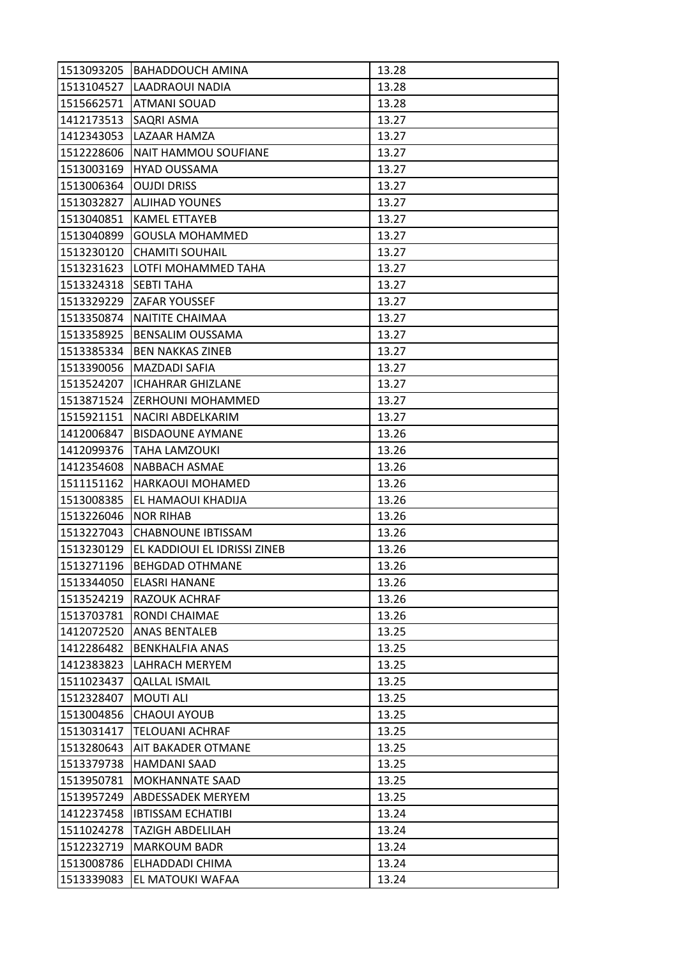| 1513093205 | <b>BAHADDOUCH AMINA</b>      | 13.28 |
|------------|------------------------------|-------|
| 1513104527 | <b>LAADRAOUI NADIA</b>       | 13.28 |
| 1515662571 | <b>ATMANI SOUAD</b>          | 13.28 |
| 1412173513 | SAQRI ASMA                   | 13.27 |
| 1412343053 | LAZAAR HAMZA                 | 13.27 |
| 1512228606 | NAIT HAMMOU SOUFIANE         | 13.27 |
| 1513003169 | <b>HYAD OUSSAMA</b>          | 13.27 |
| 1513006364 | <b>OUJDI DRISS</b>           | 13.27 |
| 1513032827 | <b>ALJIHAD YOUNES</b>        | 13.27 |
| 1513040851 | <b>KAMEL ETTAYEB</b>         | 13.27 |
| 1513040899 | <b>GOUSLA MOHAMMED</b>       | 13.27 |
| 1513230120 | <b>CHAMITI SOUHAIL</b>       | 13.27 |
| 1513231623 | LOTFI MOHAMMED TAHA          | 13.27 |
| 1513324318 | <b>SEBTI TAHA</b>            | 13.27 |
| 1513329229 | <b>ZAFAR YOUSSEF</b>         | 13.27 |
|            | 1513350874   NAITITE CHAIMAA | 13.27 |
| 1513358925 | <b>BENSALIM OUSSAMA</b>      | 13.27 |
| 1513385334 | <b>BEN NAKKAS ZINEB</b>      | 13.27 |
| 1513390056 | <b>MAZDADI SAFIA</b>         | 13.27 |
| 1513524207 | <b>ICHAHRAR GHIZLANE</b>     | 13.27 |
|            | 1513871524 ZERHOUNI MOHAMMED | 13.27 |
| 1515921151 | NACIRI ABDELKARIM            | 13.27 |
| 1412006847 | <b>BISDAOUNE AYMANE</b>      | 13.26 |
| 1412099376 | <b>TAHA LAMZOUKI</b>         | 13.26 |
| 1412354608 | NABBACH ASMAE                | 13.26 |
| 1511151162 | <b>HARKAOUI MOHAMED</b>      | 13.26 |
| 1513008385 | EL HAMAOUI KHADIJA           | 13.26 |
| 1513226046 | <b>NOR RIHAB</b>             | 13.26 |
| 1513227043 | <b>CHABNOUNE IBTISSAM</b>    | 13.26 |
| 1513230129 | EL KADDIOUI EL IDRISSI ZINEB | 13.26 |
| 1513271196 | <b>BEHGDAD OTHMANE</b>       | 13.26 |
| 1513344050 | <b>ELASRI HANANE</b>         | 13.26 |
| 1513524219 | <b>RAZOUK ACHRAF</b>         | 13.26 |
| 1513703781 | RONDI CHAIMAE                | 13.26 |
| 1412072520 | ANAS BENTALEB                | 13.25 |
| 1412286482 | <b>BENKHALFIA ANAS</b>       | 13.25 |
| 1412383823 | LAHRACH MERYEM               | 13.25 |
| 1511023437 | <b>QALLAL ISMAIL</b>         | 13.25 |
| 1512328407 | <b>MOUTI ALI</b>             | 13.25 |
| 1513004856 | <b>CHAOUI AYOUB</b>          | 13.25 |
| 1513031417 | <b>TELOUANI ACHRAF</b>       | 13.25 |
| 1513280643 | <b>AIT BAKADER OTMANE</b>    | 13.25 |
| 1513379738 | HAMDANI SAAD                 | 13.25 |
| 1513950781 | <b>MOKHANNATE SAAD</b>       | 13.25 |
| 1513957249 | <b>ABDESSADEK MERYEM</b>     | 13.25 |
| 1412237458 | <b>IBTISSAM ECHATIBI</b>     | 13.24 |
| 1511024278 | <b>TAZIGH ABDELILAH</b>      | 13.24 |
| 1512232719 | <b>MARKOUM BADR</b>          | 13.24 |
| 1513008786 | ELHADDADI CHIMA              | 13.24 |
| 1513339083 | EL MATOUKI WAFAA             | 13.24 |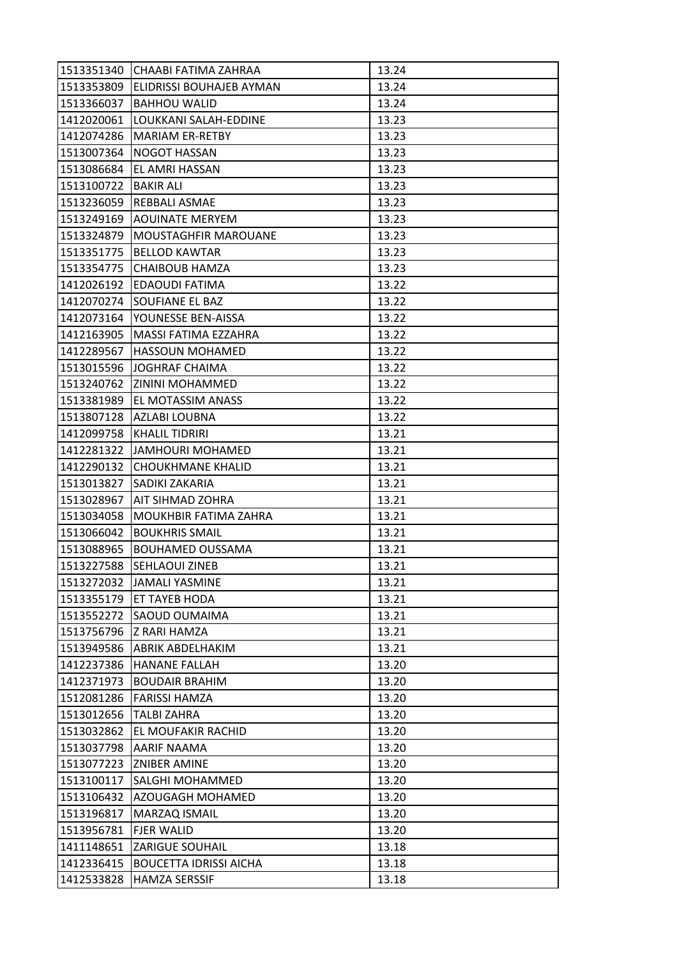| 1513351340 | CHAABI FATIMA ZAHRAA          | 13.24 |
|------------|-------------------------------|-------|
| 1513353809 | ELIDRISSI BOUHAJEB AYMAN      | 13.24 |
| 1513366037 | <b>BAHHOU WALID</b>           | 13.24 |
| 1412020061 | LOUKKANI SALAH-EDDINE         | 13.23 |
| 1412074286 | <b>MARIAM ER-RETBY</b>        | 13.23 |
| 1513007364 | <b>NOGOT HASSAN</b>           | 13.23 |
| 1513086684 | <b>EL AMRI HASSAN</b>         | 13.23 |
| 1513100722 | <b>BAKIR ALI</b>              | 13.23 |
| 1513236059 | <b>REBBALI ASMAE</b>          | 13.23 |
| 1513249169 | <b>AOUINATE MERYEM</b>        | 13.23 |
| 1513324879 | <b>MOUSTAGHFIR MAROUANE</b>   | 13.23 |
| 1513351775 | <b>BELLOD KAWTAR</b>          | 13.23 |
| 1513354775 | CHAIBOUB HAMZA                | 13.23 |
| 1412026192 | <b>EDAOUDI FATIMA</b>         | 13.22 |
| 1412070274 | SOUFIANE EL BAZ               | 13.22 |
| 1412073164 | YOUNESSE BEN-AISSA            | 13.22 |
| 1412163905 | MASSI FATIMA EZZAHRA          | 13.22 |
| 1412289567 | <b>HASSOUN MOHAMED</b>        | 13.22 |
| 1513015596 | JOGHRAF CHAIMA                | 13.22 |
| 1513240762 | ZININI MOHAMMED               | 13.22 |
| 1513381989 | EL MOTASSIM ANASS             | 13.22 |
| 1513807128 | AZLABI LOUBNA                 | 13.22 |
| 1412099758 | <b>KHALIL TIDRIRI</b>         | 13.21 |
| 1412281322 | JAMHOURI MOHAMED              | 13.21 |
| 1412290132 | <b>CHOUKHMANE KHALID</b>      | 13.21 |
| 1513013827 | SADIKI ZAKARIA                | 13.21 |
| 1513028967 | AIT SIHMAD ZOHRA              | 13.21 |
| 1513034058 | MOUKHBIR FATIMA ZAHRA         | 13.21 |
| 1513066042 | <b>BOUKHRIS SMAIL</b>         | 13.21 |
| 1513088965 | <b>BOUHAMED OUSSAMA</b>       | 13.21 |
| 1513227588 | SEHLAOUI ZINEB                | 13.21 |
| 1513272032 | JAMALI YASMINE                | 13.21 |
| 1513355179 | <b>ET TAYEB HODA</b>          | 13.21 |
| 1513552272 | SAOUD OUMAIMA                 | 13.21 |
| 1513756796 | Z RARI HAMZA                  | 13.21 |
| 1513949586 | <b>ABRIK ABDELHAKIM</b>       | 13.21 |
| 1412237386 | <b>HANANE FALLAH</b>          | 13.20 |
| 1412371973 | <b>BOUDAIR BRAHIM</b>         | 13.20 |
| 1512081286 | <b>FARISSI HAMZA</b>          | 13.20 |
| 1513012656 | <b>TALBI ZAHRA</b>            | 13.20 |
| 1513032862 | EL MOUFAKIR RACHID            | 13.20 |
|            | 1513037798 AARIF NAAMA        | 13.20 |
| 1513077223 | <b>ZNIBER AMINE</b>           | 13.20 |
| 1513100117 | SALGHI MOHAMMED               | 13.20 |
| 1513106432 | <b>AZOUGAGH MOHAMED</b>       | 13.20 |
| 1513196817 | MARZAQ ISMAIL                 | 13.20 |
| 1513956781 | <b>FJER WALID</b>             | 13.20 |
| 1411148651 | <b>ZARIGUE SOUHAIL</b>        | 13.18 |
| 1412336415 | <b>BOUCETTA IDRISSI AICHA</b> | 13.18 |
| 1412533828 | <b>HAMZA SERSSIF</b>          | 13.18 |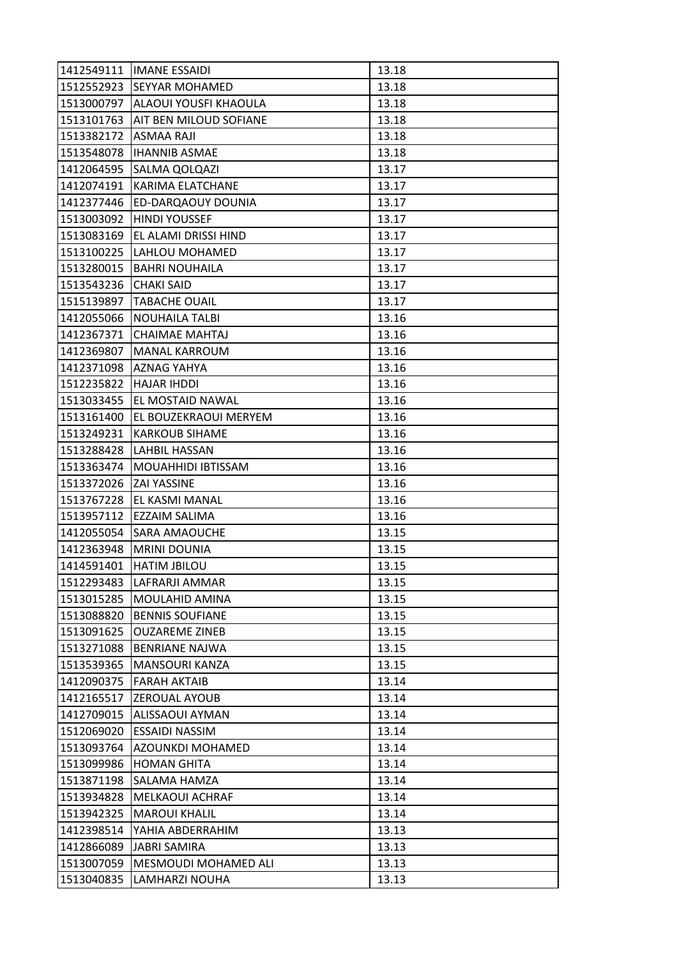| 1412549111 | <b>IIMANE ESSAIDI</b>            | 13.18 |
|------------|----------------------------------|-------|
| 1512552923 | <b>SEYYAR MOHAMED</b>            | 13.18 |
|            | 1513000797 ALAOUI YOUSFI KHAOULA | 13.18 |
| 1513101763 | AIT BEN MILOUD SOFIANE           | 13.18 |
| 1513382172 | <b>ASMAA RAJI</b>                | 13.18 |
| 1513548078 | <b>IHANNIB ASMAE</b>             | 13.18 |
| 1412064595 | SALMA QOLQAZI                    | 13.17 |
| 1412074191 | KARIMA ELATCHANE                 | 13.17 |
| 1412377446 | <b>ED-DARQAOUY DOUNIA</b>        | 13.17 |
| 1513003092 | <b>HINDI YOUSSEF</b>             | 13.17 |
| 1513083169 | EL ALAMI DRISSI HIND             | 13.17 |
| 1513100225 | LAHLOU MOHAMED                   | 13.17 |
| 1513280015 | <b>BAHRI NOUHAILA</b>            | 13.17 |
| 1513543236 | <b>CHAKI SAID</b>                | 13.17 |
| 1515139897 | <b>TABACHE OUAIL</b>             | 13.17 |
| 1412055066 | <b>NOUHAILA TALBI</b>            | 13.16 |
| 1412367371 | CHAIMAE MAHTAJ                   | 13.16 |
| 1412369807 | <b>MANAL KARROUM</b>             | 13.16 |
| 1412371098 | <b>AZNAG YAHYA</b>               | 13.16 |
| 1512235822 | <b>HAJAR IHDDI</b>               | 13.16 |
|            | 1513033455 EL MOSTAID NAWAL      | 13.16 |
| 1513161400 | EL BOUZEKRAOUI MERYEM            | 13.16 |
| 1513249231 | <b>KARKOUB SIHAME</b>            | 13.16 |
| 1513288428 | <b>LAHBIL HASSAN</b>             | 13.16 |
| 1513363474 | MOUAHHIDI IBTISSAM               | 13.16 |
| 1513372026 | <b>ZAI YASSINE</b>               | 13.16 |
| 1513767228 | EL KASMI MANAL                   | 13.16 |
| 1513957112 | <b>EZZAIM SALIMA</b>             | 13.16 |
| 1412055054 | <b>SARA AMAOUCHE</b>             | 13.15 |
| 1412363948 | <b>MRINI DOUNIA</b>              | 13.15 |
| 1414591401 | <b>HATIM JBILOU</b>              | 13.15 |
| 1512293483 | LAFRARJI AMMAR                   | 13.15 |
| 1513015285 | <b>MOULAHID AMINA</b>            | 13.15 |
| 1513088820 | <b>BENNIS SOUFIANE</b>           | 13.15 |
| 1513091625 | <b>OUZAREME ZINEB</b>            | 13.15 |
| 1513271088 | <b>BENRIANE NAJWA</b>            | 13.15 |
| 1513539365 | <b>MANSOURI KANZA</b>            | 13.15 |
| 1412090375 | <b>FARAH AKTAIB</b>              | 13.14 |
| 1412165517 | <b>ZEROUAL AYOUB</b>             | 13.14 |
| 1412709015 | <b>ALISSAOUI AYMAN</b>           | 13.14 |
| 1512069020 | <b>ESSAIDI NASSIM</b>            | 13.14 |
| 1513093764 | AZOUNKDI MOHAMED                 | 13.14 |
| 1513099986 | <b>HOMAN GHITA</b>               | 13.14 |
| 1513871198 | SALAMA HAMZA                     | 13.14 |
| 1513934828 | <b>MELKAOUI ACHRAF</b>           | 13.14 |
| 1513942325 | <b>MAROUI KHALIL</b>             | 13.14 |
| 1412398514 | YAHIA ABDERRAHIM                 | 13.13 |
| 1412866089 | <b>JABRI SAMIRA</b>              | 13.13 |
| 1513007059 | MESMOUDI MOHAMED ALI             | 13.13 |
| 1513040835 | LAMHARZI NOUHA                   | 13.13 |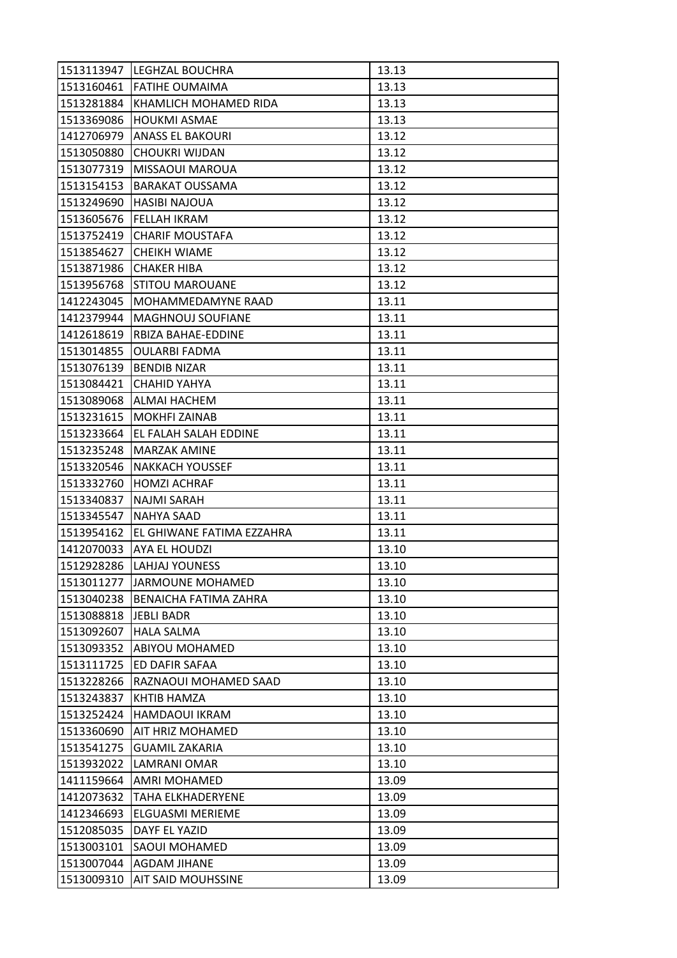| 1513113947 | <b>LEGHZAL BOUCHRA</b>       | 13.13 |
|------------|------------------------------|-------|
|            | 1513160461 FATIHE OUMAIMA    | 13.13 |
| 1513281884 | <b>KHAMLICH MOHAMED RIDA</b> | 13.13 |
| 1513369086 | <b>HOUKMI ASMAE</b>          | 13.13 |
| 1412706979 | <b>ANASS EL BAKOURI</b>      | 13.12 |
| 1513050880 | <b>CHOUKRI WIJDAN</b>        | 13.12 |
| 1513077319 | <b>MISSAOUI MAROUA</b>       | 13.12 |
| 1513154153 | <b>BARAKAT OUSSAMA</b>       | 13.12 |
| 1513249690 | <b>HASIBI NAJOUA</b>         | 13.12 |
| 1513605676 | IFELLAH IKRAM                | 13.12 |
| 1513752419 | <b>CHARIF MOUSTAFA</b>       | 13.12 |
| 1513854627 | <b>CHEIKH WIAME</b>          | 13.12 |
| 1513871986 | <b>CHAKER HIBA</b>           | 13.12 |
| 1513956768 | <b>STITOU MAROUANE</b>       | 13.12 |
| 1412243045 | MOHAMMEDAMYNE RAAD           | 13.11 |
| 1412379944 | <b>MAGHNOUJ SOUFIANE</b>     | 13.11 |
| 1412618619 | RBIZA BAHAE-EDDINE           | 13.11 |
| 1513014855 | OULARBI FADMA                | 13.11 |
| 1513076139 | <b>BENDIB NIZAR</b>          | 13.11 |
| 1513084421 | CHAHID YAHYA                 | 13.11 |
|            | 1513089068 ALMAI HACHEM      | 13.11 |
| 1513231615 | <b>MOKHFI ZAINAB</b>         | 13.11 |
| 1513233664 | EL FALAH SALAH EDDINE        | 13.11 |
| 1513235248 | <b>MARZAK AMINE</b>          | 13.11 |
| 1513320546 | <b>NAKKACH YOUSSEF</b>       | 13.11 |
| 1513332760 | <b>HOMZI ACHRAF</b>          | 13.11 |
| 1513340837 | NAJMI SARAH                  | 13.11 |
| 1513345547 | <b>NAHYA SAAD</b>            | 13.11 |
| 1513954162 | EL GHIWANE FATIMA EZZAHRA    | 13.11 |
|            | 1412070033 AYA EL HOUDZI     | 13.10 |
| 1512928286 | LAHJAJ YOUNESS               | 13.10 |
| 1513011277 | <b>JARMOUNE MOHAMED</b>      | 13.10 |
| 1513040238 | <b>BENAICHA FATIMA ZAHRA</b> | 13.10 |
| 1513088818 | <b>JEBLI BADR</b>            | 13.10 |
| 1513092607 | <b>HALA SALMA</b>            | 13.10 |
| 1513093352 | <b>ABIYOU MOHAMED</b>        | 13.10 |
| 1513111725 | ED DAFIR SAFAA               | 13.10 |
| 1513228266 | RAZNAOUI MOHAMED SAAD        | 13.10 |
| 1513243837 | KHTIB HAMZA                  | 13.10 |
| 1513252424 | <b>HAMDAOUI IKRAM</b>        | 13.10 |
| 1513360690 | AIT HRIZ MOHAMED             | 13.10 |
| 1513541275 | <b>GUAMIL ZAKARIA</b>        | 13.10 |
| 1513932022 | LAMRANI OMAR                 | 13.10 |
| 1411159664 | AMRI MOHAMED                 | 13.09 |
| 1412073632 | <b>TAHA ELKHADERYENE</b>     | 13.09 |
| 1412346693 | ELGUASMI MERIEME             | 13.09 |
| 1512085035 | DAYF EL YAZID                | 13.09 |
| 1513003101 | <b>SAOUI MOHAMED</b>         | 13.09 |
| 1513007044 | <b>AGDAM JIHANE</b>          | 13.09 |
| 1513009310 | <b>AIT SAID MOUHSSINE</b>    | 13.09 |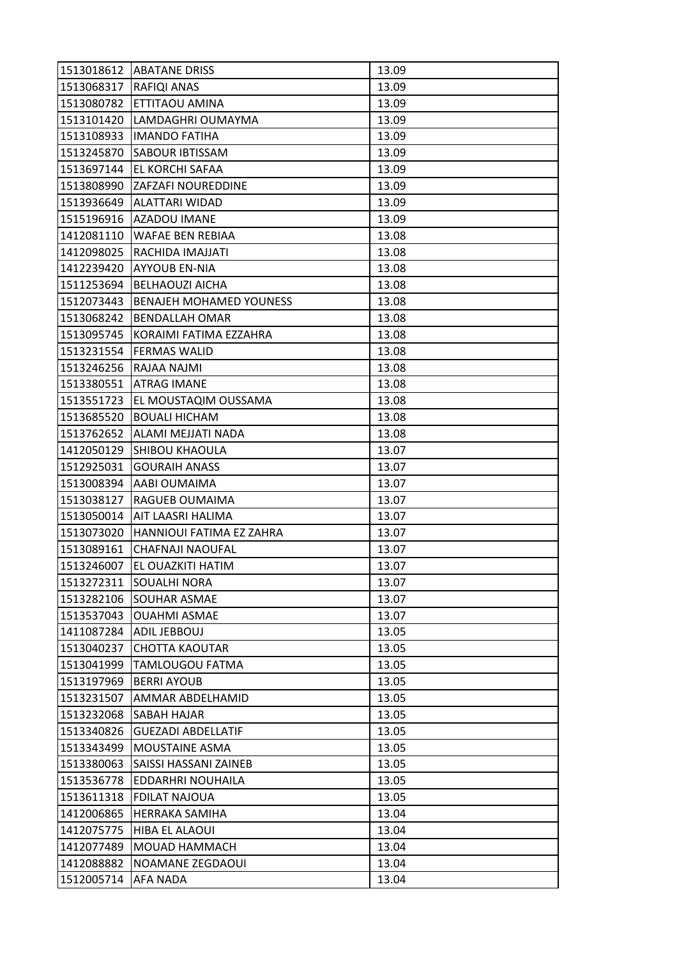| 1513018612 | <b>ABATANE DRISS</b>           | 13.09 |
|------------|--------------------------------|-------|
| 1513068317 | <b>RAFIQI ANAS</b>             | 13.09 |
| 1513080782 | ETTITAOU AMINA                 | 13.09 |
| 1513101420 | LAMDAGHRI OUMAYMA              | 13.09 |
| 1513108933 | <b>IMANDO FATIHA</b>           | 13.09 |
| 1513245870 | <b>SABOUR IBTISSAM</b>         | 13.09 |
| 1513697144 | <b>EL KORCHI SAFAA</b>         | 13.09 |
| 1513808990 | ZAFZAFI NOUREDDINE             | 13.09 |
| 1513936649 | <b>ALATTARI WIDAD</b>          | 13.09 |
| 1515196916 | <b>AZADOU IMANE</b>            | 13.09 |
| 1412081110 | WAFAE BEN REBIAA               | 13.08 |
| 1412098025 | RACHIDA IMAJJATI               | 13.08 |
| 1412239420 | AYYOUB EN-NIA                  | 13.08 |
| 1511253694 | <b>BELHAOUZI AICHA</b>         | 13.08 |
| 1512073443 | <b>BENAJEH MOHAMED YOUNESS</b> | 13.08 |
| 1513068242 | <b>BENDALLAH OMAR</b>          | 13.08 |
| 1513095745 | KORAIMI FATIMA EZZAHRA         | 13.08 |
| 1513231554 | <b>FERMAS WALID</b>            | 13.08 |
| 1513246256 | RAJAA NAJMI                    | 13.08 |
| 1513380551 | <b>ATRAG IMANE</b>             | 13.08 |
| 1513551723 | EL MOUSTAQIM OUSSAMA           | 13.08 |
| 1513685520 | <b>BOUALI HICHAM</b>           | 13.08 |
| 1513762652 | ALAMI MEJJATI NADA             | 13.08 |
| 1412050129 | <b>SHIBOU KHAOULA</b>          | 13.07 |
| 1512925031 | <b>GOURAIH ANASS</b>           | 13.07 |
| 1513008394 | <b>AABI OUMAIMA</b>            | 13.07 |
| 1513038127 | RAGUEB OUMAIMA                 | 13.07 |
| 1513050014 | <b>AIT LAASRI HALIMA</b>       | 13.07 |
| 1513073020 | HANNIOUI FATIMA EZ ZAHRA       | 13.07 |
| 1513089161 | CHAFNAJI NAOUFAL               | 13.07 |
| 1513246007 | EL OUAZKITI HATIM              | 13.07 |
| 1513272311 | <b>SOUALHI NORA</b>            | 13.07 |
| 1513282106 | <b>SOUHAR ASMAE</b>            | 13.07 |
| 1513537043 | <b>OUAHMI ASMAE</b>            | 13.07 |
| 1411087284 | <b>ADIL JEBBOUJ</b>            | 13.05 |
| 1513040237 | <b>CHOTTA KAOUTAR</b>          | 13.05 |
| 1513041999 | TAMLOUGOU FATMA                | 13.05 |
| 1513197969 | <b>BERRI AYOUB</b>             | 13.05 |
| 1513231507 | AMMAR ABDELHAMID               | 13.05 |
| 1513232068 | <b>SABAH HAJAR</b>             | 13.05 |
| 1513340826 | <b>GUEZADI ABDELLATIF</b>      | 13.05 |
| 1513343499 | MOUSTAINE ASMA                 | 13.05 |
| 1513380063 | SAISSI HASSANI ZAINEB          | 13.05 |
| 1513536778 | EDDARHRI NOUHAILA              | 13.05 |
| 1513611318 | <b>FDILAT NAJOUA</b>           | 13.05 |
| 1412006865 | <b>HERRAKA SAMIHA</b>          | 13.04 |
| 1412075775 | <b>HIBA EL ALAOUI</b>          | 13.04 |
| 1412077489 | MOUAD HAMMACH                  | 13.04 |
| 1412088882 | NOAMANE ZEGDAOUI               | 13.04 |
| 1512005714 | AFA NADA                       | 13.04 |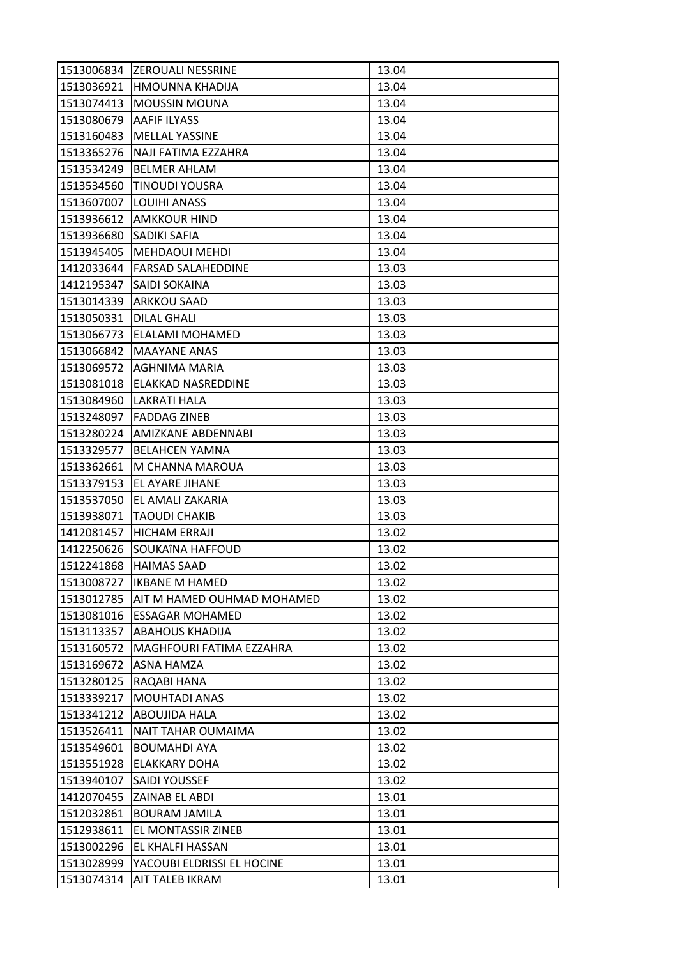| 1513036921<br><b>HMOUNNA KHADIJA</b><br>13.04<br>1513074413<br><b>MOUSSIN MOUNA</b><br>13.04<br>1513080679<br><b>AAFIF ILYASS</b><br>13.04<br><b>MELLAL YASSINE</b><br>13.04<br>1513160483<br>1513365276<br>NAJI FATIMA EZZAHRA<br>13.04<br>13.04<br>1513534249<br><b>BELMER AHLAM</b><br>1513534560<br>TINOUDI YOUSRA<br>13.04<br>1513607007<br><b>LOUIHI ANASS</b><br>13.04<br>1513936612<br><b>AMKKOUR HIND</b><br>13.04<br>1513936680<br><b>SADIKI SAFIA</b><br>13.04<br>13.04<br>1513945405<br><b>MEHDAOUI MEHDI</b><br>1412033644<br><b>FARSAD SALAHEDDINE</b><br>13.03<br>1412195347<br><b>SAIDI SOKAINA</b><br>13.03 |
|------------------------------------------------------------------------------------------------------------------------------------------------------------------------------------------------------------------------------------------------------------------------------------------------------------------------------------------------------------------------------------------------------------------------------------------------------------------------------------------------------------------------------------------------------------------------------------------------------------------------------|
|                                                                                                                                                                                                                                                                                                                                                                                                                                                                                                                                                                                                                              |
|                                                                                                                                                                                                                                                                                                                                                                                                                                                                                                                                                                                                                              |
|                                                                                                                                                                                                                                                                                                                                                                                                                                                                                                                                                                                                                              |
|                                                                                                                                                                                                                                                                                                                                                                                                                                                                                                                                                                                                                              |
|                                                                                                                                                                                                                                                                                                                                                                                                                                                                                                                                                                                                                              |
|                                                                                                                                                                                                                                                                                                                                                                                                                                                                                                                                                                                                                              |
|                                                                                                                                                                                                                                                                                                                                                                                                                                                                                                                                                                                                                              |
|                                                                                                                                                                                                                                                                                                                                                                                                                                                                                                                                                                                                                              |
|                                                                                                                                                                                                                                                                                                                                                                                                                                                                                                                                                                                                                              |
|                                                                                                                                                                                                                                                                                                                                                                                                                                                                                                                                                                                                                              |
|                                                                                                                                                                                                                                                                                                                                                                                                                                                                                                                                                                                                                              |
|                                                                                                                                                                                                                                                                                                                                                                                                                                                                                                                                                                                                                              |
|                                                                                                                                                                                                                                                                                                                                                                                                                                                                                                                                                                                                                              |
| 1513014339<br>ARKKOU SAAD<br>13.03                                                                                                                                                                                                                                                                                                                                                                                                                                                                                                                                                                                           |
| 1513050331<br><b>DILAL GHALI</b><br>13.03                                                                                                                                                                                                                                                                                                                                                                                                                                                                                                                                                                                    |
| 1513066773<br>ELALAMI MOHAMED<br>13.03                                                                                                                                                                                                                                                                                                                                                                                                                                                                                                                                                                                       |
| 1513066842<br><b>MAAYANE ANAS</b><br>13.03                                                                                                                                                                                                                                                                                                                                                                                                                                                                                                                                                                                   |
| AGHNIMA MARIA<br>13.03<br>1513069572                                                                                                                                                                                                                                                                                                                                                                                                                                                                                                                                                                                         |
| 1513081018<br>ELAKKAD NASREDDINE<br>13.03                                                                                                                                                                                                                                                                                                                                                                                                                                                                                                                                                                                    |
| 1513084960<br><b>LAKRATI HALA</b><br>13.03                                                                                                                                                                                                                                                                                                                                                                                                                                                                                                                                                                                   |
| <b>FADDAG ZINEB</b><br>1513248097<br>13.03                                                                                                                                                                                                                                                                                                                                                                                                                                                                                                                                                                                   |
| 1513280224<br>AMIZKANE ABDENNABI<br>13.03                                                                                                                                                                                                                                                                                                                                                                                                                                                                                                                                                                                    |
| 13.03<br>1513329577<br><b>BELAHCEN YAMNA</b>                                                                                                                                                                                                                                                                                                                                                                                                                                                                                                                                                                                 |
| 1513362661<br>M CHANNA MAROUA<br>13.03                                                                                                                                                                                                                                                                                                                                                                                                                                                                                                                                                                                       |
| 13.03<br>1513379153<br><b>EL AYARE JIHANE</b>                                                                                                                                                                                                                                                                                                                                                                                                                                                                                                                                                                                |
| 1513537050<br>EL AMALI ZAKARIA<br>13.03                                                                                                                                                                                                                                                                                                                                                                                                                                                                                                                                                                                      |
| 1513938071<br><b>TAOUDI CHAKIB</b><br>13.03                                                                                                                                                                                                                                                                                                                                                                                                                                                                                                                                                                                  |
| 1412081457<br><b>HICHAM ERRAJI</b><br>13.02                                                                                                                                                                                                                                                                                                                                                                                                                                                                                                                                                                                  |
| 1412250626<br>SOUKAÎNA HAFFOUD<br>13.02                                                                                                                                                                                                                                                                                                                                                                                                                                                                                                                                                                                      |
| 1512241868<br><b>HAIMAS SAAD</b><br>13.02                                                                                                                                                                                                                                                                                                                                                                                                                                                                                                                                                                                    |
| 1513008727<br><b>IKBANE M HAMED</b><br>13.02                                                                                                                                                                                                                                                                                                                                                                                                                                                                                                                                                                                 |
| 1513012785<br><b>AIT M HAMED OUHMAD MOHAMED</b><br>13.02                                                                                                                                                                                                                                                                                                                                                                                                                                                                                                                                                                     |
| 1513081016<br><b>ESSAGAR MOHAMED</b><br>13.02                                                                                                                                                                                                                                                                                                                                                                                                                                                                                                                                                                                |
| 1513113357<br><b>ABAHOUS KHADIJA</b><br>13.02                                                                                                                                                                                                                                                                                                                                                                                                                                                                                                                                                                                |
| 1513160572<br>MAGHFOURI FATIMA EZZAHRA<br>13.02                                                                                                                                                                                                                                                                                                                                                                                                                                                                                                                                                                              |
| 1513169672<br>13.02<br>ASNA HAMZA                                                                                                                                                                                                                                                                                                                                                                                                                                                                                                                                                                                            |
| 1513280125<br>13.02<br>RAQABI HANA                                                                                                                                                                                                                                                                                                                                                                                                                                                                                                                                                                                           |
| 1513339217<br><b>MOUHTADI ANAS</b><br>13.02                                                                                                                                                                                                                                                                                                                                                                                                                                                                                                                                                                                  |
| 1513341212<br><b>ABOUJIDA HALA</b><br>13.02                                                                                                                                                                                                                                                                                                                                                                                                                                                                                                                                                                                  |
| 1513526411<br>NAIT TAHAR OUMAIMA<br>13.02                                                                                                                                                                                                                                                                                                                                                                                                                                                                                                                                                                                    |
| 1513549601<br><b>BOUMAHDI AYA</b><br>13.02                                                                                                                                                                                                                                                                                                                                                                                                                                                                                                                                                                                   |
| 13.02<br>1513551928<br><b>ELAKKARY DOHA</b>                                                                                                                                                                                                                                                                                                                                                                                                                                                                                                                                                                                  |
| 1513940107<br>SAIDI YOUSSEF<br>13.02                                                                                                                                                                                                                                                                                                                                                                                                                                                                                                                                                                                         |
| 1412070455<br>13.01<br><b>ZAINAB EL ABDI</b>                                                                                                                                                                                                                                                                                                                                                                                                                                                                                                                                                                                 |
| 1512032861<br><b>BOURAM JAMILA</b><br>13.01                                                                                                                                                                                                                                                                                                                                                                                                                                                                                                                                                                                  |
| EL MONTASSIR ZINEB<br>1512938611<br>13.01                                                                                                                                                                                                                                                                                                                                                                                                                                                                                                                                                                                    |
| 1513002296<br>EL KHALFI HASSAN<br>13.01                                                                                                                                                                                                                                                                                                                                                                                                                                                                                                                                                                                      |
| 1513028999<br>YACOUBI ELDRISSI EL HOCINE<br>13.01                                                                                                                                                                                                                                                                                                                                                                                                                                                                                                                                                                            |
| 1513074314<br>AIT TALEB IKRAM<br>13.01                                                                                                                                                                                                                                                                                                                                                                                                                                                                                                                                                                                       |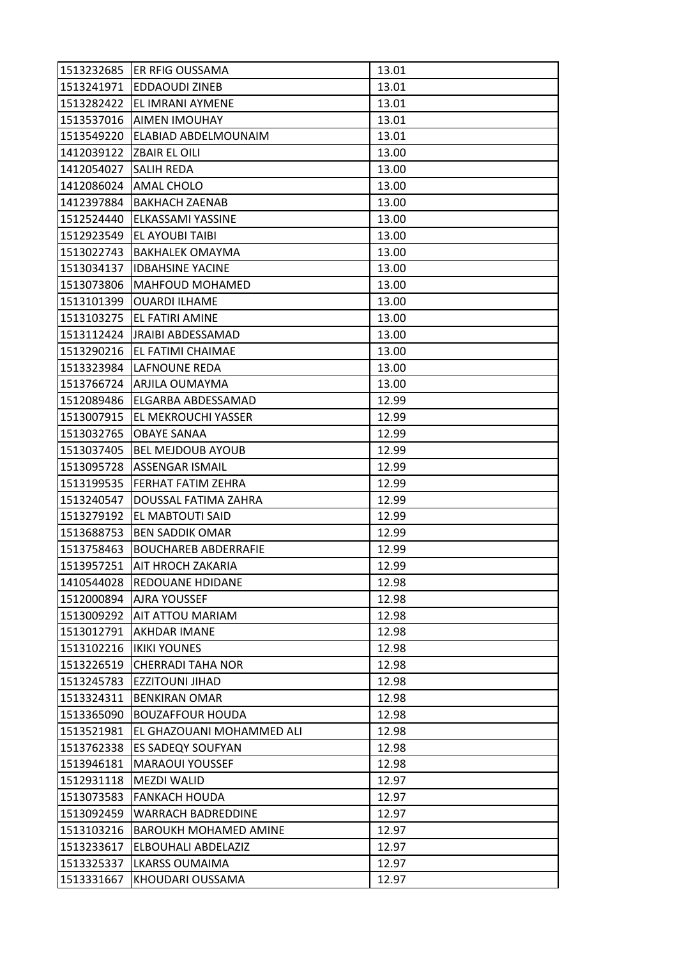|            | 1513232685 ER RFIG OUSSAMA  | 13.01 |
|------------|-----------------------------|-------|
| 1513241971 | <b>EDDAOUDI ZINEB</b>       | 13.01 |
| 1513282422 | EL IMRANI AYMENE            | 13.01 |
| 1513537016 | <b>AIMEN IMOUHAY</b>        | 13.01 |
| 1513549220 | ELABIAD ABDELMOUNAIM        | 13.01 |
| 1412039122 | <b>ZBAIR EL OILI</b>        | 13.00 |
| 1412054027 | <b>SALIH REDA</b>           | 13.00 |
| 1412086024 | AMAL CHOLO                  | 13.00 |
| 1412397884 | <b>BAKHACH ZAENAB</b>       | 13.00 |
| 1512524440 | ELKASSAMI YASSINE           | 13.00 |
| 1512923549 | <b>EL AYOUBI TAIBI</b>      | 13.00 |
| 1513022743 | <b>BAKHALEK OMAYMA</b>      | 13.00 |
| 1513034137 | <b>IDBAHSINE YACINE</b>     | 13.00 |
| 1513073806 | MAHFOUD MOHAMED             | 13.00 |
| 1513101399 | <b>OUARDI ILHAME</b>        | 13.00 |
| 1513103275 | EL FATIRI AMINE             | 13.00 |
| 1513112424 | <b>JRAIBI ABDESSAMAD</b>    | 13.00 |
| 1513290216 | EL FATIMI CHAIMAE           | 13.00 |
| 1513323984 | <b>LAFNOUNE REDA</b>        | 13.00 |
|            | 1513766724   ARJILA OUMAYMA | 13.00 |
| 1512089486 | ELGARBA ABDESSAMAD          | 12.99 |
| 1513007915 | EL MEKROUCHI YASSER         | 12.99 |
| 1513032765 | <b>OBAYE SANAA</b>          | 12.99 |
| 1513037405 | <b>BEL MEJDOUB AYOUB</b>    | 12.99 |
| 1513095728 | ASSENGAR ISMAIL             | 12.99 |
| 1513199535 | <b>FERHAT FATIM ZEHRA</b>   | 12.99 |
| 1513240547 | DOUSSAL FATIMA ZAHRA        | 12.99 |
| 1513279192 | EL MABTOUTI SAID            | 12.99 |
| 1513688753 | <b>BEN SADDIK OMAR</b>      | 12.99 |
| 1513758463 | <b>BOUCHAREB ABDERRAFIE</b> | 12.99 |
| 1513957251 | AIT HROCH ZAKARIA           | 12.99 |
| 1410544028 | REDOUANE HDIDANE            | 12.98 |
| 1512000894 | <b>AJRA YOUSSEF</b>         | 12.98 |
| 1513009292 | <b>AIT ATTOU MARIAM</b>     | 12.98 |
| 1513012791 | <b>AKHDAR IMANE</b>         | 12.98 |
| 1513102216 | <b>IKIKI YOUNES</b>         | 12.98 |
| 1513226519 | <b>CHERRADI TAHA NOR</b>    | 12.98 |
| 1513245783 | <b>EZZITOUNI JIHAD</b>      | 12.98 |
| 1513324311 | <b>BENKIRAN OMAR</b>        | 12.98 |
| 1513365090 | <b>BOUZAFFOUR HOUDA</b>     | 12.98 |
| 1513521981 | EL GHAZOUANI MOHAMMED ALI   | 12.98 |
| 1513762338 | ES SADEQY SOUFYAN           | 12.98 |
| 1513946181 | <b>MARAOUI YOUSSEF</b>      | 12.98 |
| 1512931118 | <b>MEZDI WALID</b>          | 12.97 |
| 1513073583 | <b>FANKACH HOUDA</b>        | 12.97 |
| 1513092459 | <b>WARRACH BADREDDINE</b>   | 12.97 |
| 1513103216 | BAROUKH MOHAMED AMINE       | 12.97 |
| 1513233617 | ELBOUHALI ABDELAZIZ         | 12.97 |
| 1513325337 | <b>LKARSS OUMAIMA</b>       | 12.97 |
| 1513331667 | KHOUDARI OUSSAMA            | 12.97 |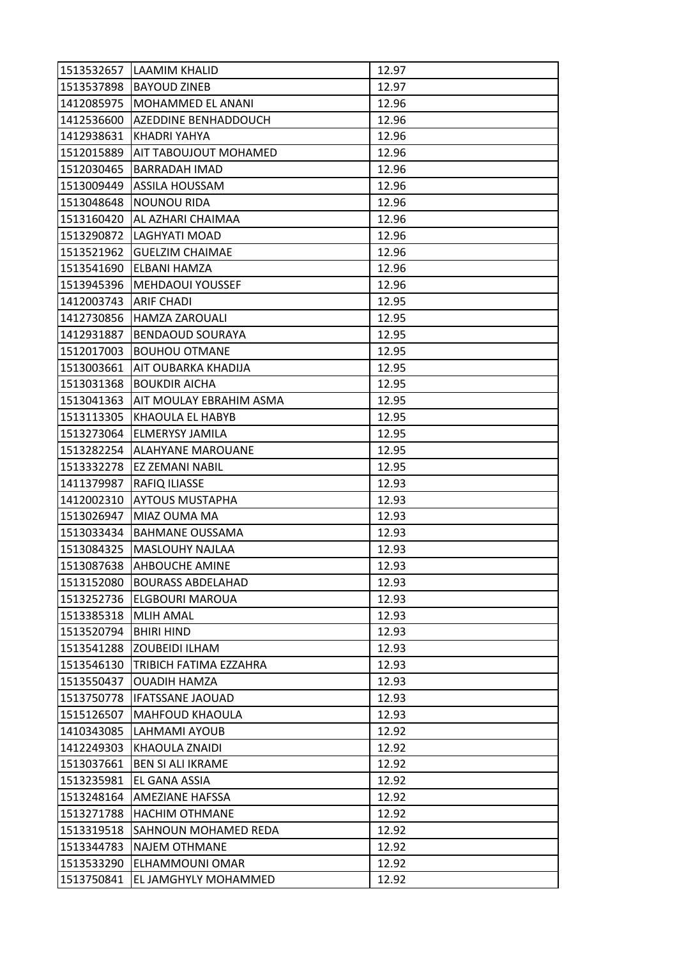| 1513532657 | LAAMIM KHALID                  | 12.97 |
|------------|--------------------------------|-------|
| 1513537898 | <b>BAYOUD ZINEB</b>            | 12.97 |
| 1412085975 | MOHAMMED EL ANANI              | 12.96 |
| 1412536600 | AZEDDINE BENHADDOUCH           | 12.96 |
| 1412938631 | KHADRI YAHYA                   | 12.96 |
| 1512015889 | <b>AIT TABOUJOUT MOHAMED</b>   | 12.96 |
| 1512030465 | <b>BARRADAH IMAD</b>           | 12.96 |
| 1513009449 | ASSILA HOUSSAM                 | 12.96 |
| 1513048648 | <b>NOUNOU RIDA</b>             | 12.96 |
| 1513160420 | AL AZHARI CHAIMAA              | 12.96 |
| 1513290872 | LAGHYATI MOAD                  | 12.96 |
| 1513521962 | <b>GUELZIM CHAIMAE</b>         | 12.96 |
| 1513541690 | ELBANI HAMZA                   | 12.96 |
| 1513945396 | <b>MEHDAOUI YOUSSEF</b>        | 12.96 |
| 1412003743 | <b>ARIF CHADI</b>              | 12.95 |
| 1412730856 | <b>HAMZA ZAROUALI</b>          | 12.95 |
| 1412931887 | <b>BENDAOUD SOURAYA</b>        | 12.95 |
| 1512017003 | <b>BOUHOU OTMANE</b>           | 12.95 |
| 1513003661 | <b>AIT OUBARKA KHADIJA</b>     | 12.95 |
| 1513031368 | <b>BOUKDIR AICHA</b>           | 12.95 |
| 1513041363 | <b>AIT MOULAY EBRAHIM ASMA</b> | 12.95 |
| 1513113305 | KHAOULA EL HABYB               | 12.95 |
| 1513273064 | <b>ELMERYSY JAMILA</b>         | 12.95 |
| 1513282254 | <b>ALAHYANE MAROUANE</b>       | 12.95 |
| 1513332278 | EZ ZEMANI NABIL                | 12.95 |
| 1411379987 | <b>RAFIQ ILIASSE</b>           | 12.93 |
| 1412002310 | <b>AYTOUS MUSTAPHA</b>         | 12.93 |
| 1513026947 | MIAZ OUMA MA                   | 12.93 |
| 1513033434 | <b>BAHMANE OUSSAMA</b>         | 12.93 |
| 1513084325 | <b>MASLOUHY NAJLAA</b>         | 12.93 |
| 1513087638 | <b>AHBOUCHE AMINE</b>          | 12.93 |
| 1513152080 | <b>BOURASS ABDELAHAD</b>       | 12.93 |
| 1513252736 | <b>ELGBOURI MAROUA</b>         | 12.93 |
| 1513385318 | <b>MLIH AMAL</b>               | 12.93 |
| 1513520794 | <b>BHIRI HIND</b>              | 12.93 |
| 1513541288 | <b>ZOUBEIDI ILHAM</b>          | 12.93 |
| 1513546130 | TRIBICH FATIMA EZZAHRA         | 12.93 |
| 1513550437 | <b>OUADIH HAMZA</b>            | 12.93 |
| 1513750778 | <b>IFATSSANE JAOUAD</b>        | 12.93 |
| 1515126507 | <b>MAHFOUD KHAOULA</b>         | 12.93 |
| 1410343085 | LAHMAMI AYOUB                  | 12.92 |
| 1412249303 | KHAOULA ZNAIDI                 | 12.92 |
| 1513037661 | <b>BEN SI ALI IKRAME</b>       | 12.92 |
| 1513235981 | EL GANA ASSIA                  | 12.92 |
| 1513248164 | <b>AMEZIANE HAFSSA</b>         | 12.92 |
| 1513271788 | <b>HACHIM OTHMANE</b>          | 12.92 |
| 1513319518 | <b>SAHNOUN MOHAMED REDA</b>    | 12.92 |
| 1513344783 | <b>NAJEM OTHMANE</b>           | 12.92 |
| 1513533290 | ELHAMMOUNI OMAR                | 12.92 |
| 1513750841 | EL JAMGHYLY MOHAMMED           | 12.92 |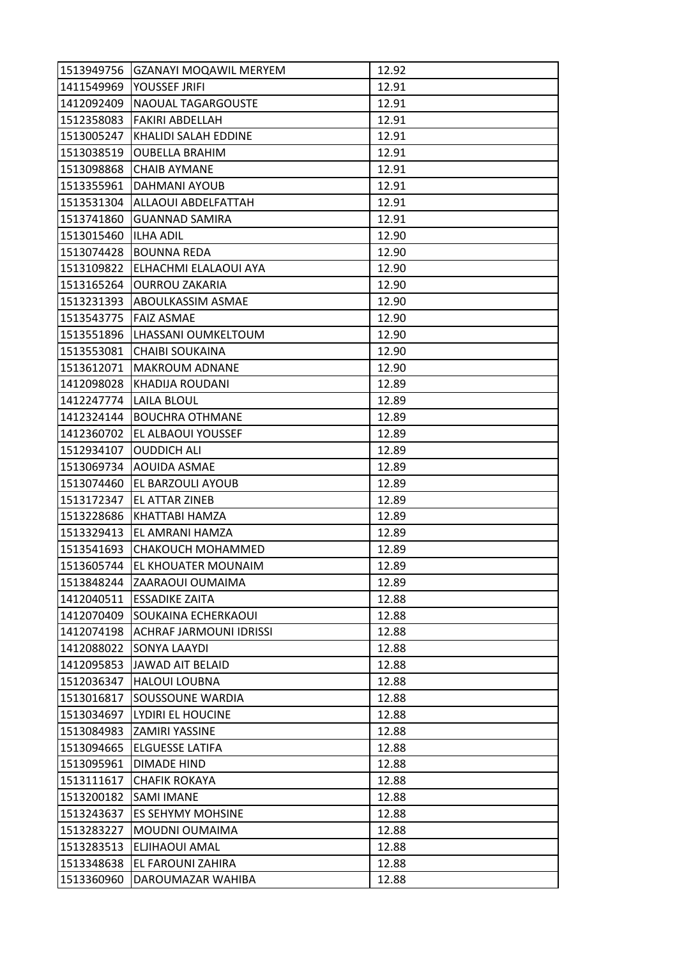| 1513949756 | <b>GZANAYI MOQAWIL MERYEM</b>  | 12.92 |
|------------|--------------------------------|-------|
| 1411549969 | YOUSSEF JRIFI                  | 12.91 |
| 1412092409 | NAOUAL TAGARGOUSTE             | 12.91 |
| 1512358083 | <b>FAKIRI ABDELLAH</b>         | 12.91 |
| 1513005247 | KHALIDI SALAH EDDINE           | 12.91 |
| 1513038519 | <b>OUBELLA BRAHIM</b>          | 12.91 |
| 1513098868 | <b>CHAIB AYMANE</b>            | 12.91 |
| 1513355961 | DAHMANI AYOUB                  | 12.91 |
| 1513531304 | ALLAOUI ABDELFATTAH            | 12.91 |
| 1513741860 | <b>GUANNAD SAMIRA</b>          | 12.91 |
| 1513015460 | <b>ILHA ADIL</b>               | 12.90 |
| 1513074428 | <b>BOUNNA REDA</b>             | 12.90 |
| 1513109822 | ELHACHMI ELALAOUI AYA          | 12.90 |
| 1513165264 | <b>OURROU ZAKARIA</b>          | 12.90 |
| 1513231393 | ABOULKASSIM ASMAE              | 12.90 |
| 1513543775 | <b>FAIZ ASMAE</b>              | 12.90 |
| 1513551896 | LHASSANI OUMKELTOUM            | 12.90 |
| 1513553081 | <b>CHAIBI SOUKAINA</b>         | 12.90 |
| 1513612071 | <b>MAKROUM ADNANE</b>          | 12.90 |
| 1412098028 | KHADIJA ROUDANI                | 12.89 |
| 1412247774 | LAILA BLOUL                    | 12.89 |
| 1412324144 | <b>BOUCHRA OTHMANE</b>         | 12.89 |
| 1412360702 | EL ALBAOUI YOUSSEF             | 12.89 |
| 1512934107 | <b>OUDDICH ALI</b>             | 12.89 |
| 1513069734 | AOUIDA ASMAE                   | 12.89 |
| 1513074460 | <b>EL BARZOULI AYOUB</b>       | 12.89 |
| 1513172347 | EL ATTAR ZINEB                 | 12.89 |
| 1513228686 | KHATTABI HAMZA                 | 12.89 |
| 1513329413 | EL AMRANI HAMZA                | 12.89 |
| 1513541693 | CHAKOUCH MOHAMMED              | 12.89 |
| 1513605744 | EL KHOUATER MOUNAIM            | 12.89 |
| 1513848244 | ZAARAOUI OUMAIMA               | 12.89 |
| 1412040511 | <b>ESSADIKE ZAITA</b>          | 12.88 |
| 1412070409 | SOUKAINA ECHERKAOUI            | 12.88 |
| 1412074198 | <b>ACHRAF JARMOUNI IDRISSI</b> | 12.88 |
| 1412088022 | SONYA LAAYDI                   | 12.88 |
| 1412095853 | JAWAD AIT BELAID               | 12.88 |
| 1512036347 | <b>HALOUI LOUBNA</b>           | 12.88 |
| 1513016817 | SOUSSOUNE WARDIA               | 12.88 |
| 1513034697 | LYDIRI EL HOUCINE              | 12.88 |
| 1513084983 | <b>ZAMIRI YASSINE</b>          | 12.88 |
| 1513094665 | ELGUESSE LATIFA                | 12.88 |
| 1513095961 | DIMADE HIND                    | 12.88 |
| 1513111617 | <b>CHAFIK ROKAYA</b>           | 12.88 |
| 1513200182 | <b>SAMI IMANE</b>              | 12.88 |
| 1513243637 | ES SEHYMY MOHSINE              | 12.88 |
| 1513283227 | MOUDNI OUMAIMA                 | 12.88 |
| 1513283513 | ELJIHAOUI AMAL                 | 12.88 |
| 1513348638 | EL FAROUNI ZAHIRA              | 12.88 |
| 1513360960 | DAROUMAZAR WAHIBA              | 12.88 |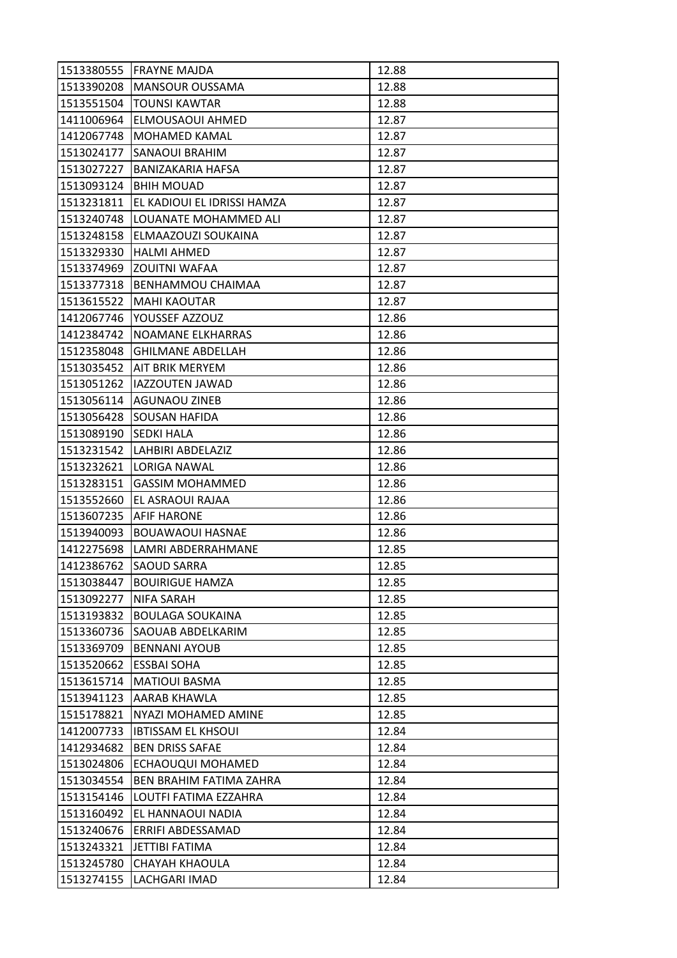| 1513380555 | lFRAYNE MAJDA               | 12.88 |
|------------|-----------------------------|-------|
| 1513390208 | <b>MANSOUR OUSSAMA</b>      | 12.88 |
| 1513551504 | <b>TOUNSI KAWTAR</b>        | 12.88 |
| 1411006964 | ELMOUSAOUI AHMED            | 12.87 |
| 1412067748 | MOHAMED KAMAL               | 12.87 |
| 1513024177 | <b>SANAOUI BRAHIM</b>       | 12.87 |
| 1513027227 | <b>BANIZAKARIA HAFSA</b>    | 12.87 |
| 1513093124 | <b>BHIH MOUAD</b>           | 12.87 |
| 1513231811 | EL KADIOUI EL IDRISSI HAMZA | 12.87 |
| 1513240748 | LOUANATE MOHAMMED ALI       | 12.87 |
| 1513248158 | ELMAAZOUZI SOUKAINA         | 12.87 |
| 1513329330 | <b>HALMI AHMED</b>          | 12.87 |
| 1513374969 | <b>ZOUITNI WAFAA</b>        | 12.87 |
| 1513377318 | <b>BENHAMMOU CHAIMAA</b>    | 12.87 |
| 1513615522 | <b>MAHI KAOUTAR</b>         | 12.87 |
| 1412067746 | YOUSSEF AZZOUZ              | 12.86 |
| 1412384742 | NOAMANE ELKHARRAS           | 12.86 |
| 1512358048 | <b>GHILMANE ABDELLAH</b>    | 12.86 |
| 1513035452 | <b>AIT BRIK MERYEM</b>      | 12.86 |
| 1513051262 | <b>IAZZOUTEN JAWAD</b>      | 12.86 |
| 1513056114 | <b>AGUNAOU ZINEB</b>        | 12.86 |
| 1513056428 | SOUSAN HAFIDA               | 12.86 |
| 1513089190 | <b>SEDKI HALA</b>           | 12.86 |
| 1513231542 | LAHBIRI ABDELAZIZ           | 12.86 |
| 1513232621 | LORIGA NAWAL                | 12.86 |
| 1513283151 | <b>GASSIM MOHAMMED</b>      | 12.86 |
| 1513552660 | EL ASRAOUI RAJAA            | 12.86 |
| 1513607235 | <b>AFIF HARONE</b>          | 12.86 |
| 1513940093 | <b>BOUAWAOUI HASNAE</b>     | 12.86 |
| 1412275698 | LAMRI ABDERRAHMANE          | 12.85 |
| 1412386762 | <b>SAOUD SARRA</b>          | 12.85 |
| 1513038447 | <b>BOUIRIGUE HAMZA</b>      | 12.85 |
| 1513092277 | <b>NIFA SARAH</b>           | 12.85 |
| 1513193832 | <b>BOULAGA SOUKAINA</b>     | 12.85 |
| 1513360736 | <b>SAOUAB ABDELKARIM</b>    | 12.85 |
| 1513369709 | <b>BENNANI AYOUB</b>        | 12.85 |
| 1513520662 | <b>ESSBAI SOHA</b>          | 12.85 |
| 1513615714 | <b>MATIOUI BASMA</b>        | 12.85 |
| 1513941123 | AARAB KHAWLA                | 12.85 |
| 1515178821 | NYAZI MOHAMED AMINE         | 12.85 |
| 1412007733 | <b>IBTISSAM EL KHSOUI</b>   | 12.84 |
| 1412934682 | <b>BEN DRISS SAFAE</b>      | 12.84 |
| 1513024806 | ECHAOUQUI MOHAMED           | 12.84 |
| 1513034554 | BEN BRAHIM FATIMA ZAHRA     | 12.84 |
| 1513154146 | LOUTFI FATIMA EZZAHRA       | 12.84 |
| 1513160492 | EL HANNAOUI NADIA           | 12.84 |
| 1513240676 | ERRIFI ABDESSAMAD           | 12.84 |
| 1513243321 | <b>JETTIBI FATIMA</b>       | 12.84 |
| 1513245780 | <b>CHAYAH KHAOULA</b>       | 12.84 |
| 1513274155 | LACHGARI IMAD               | 12.84 |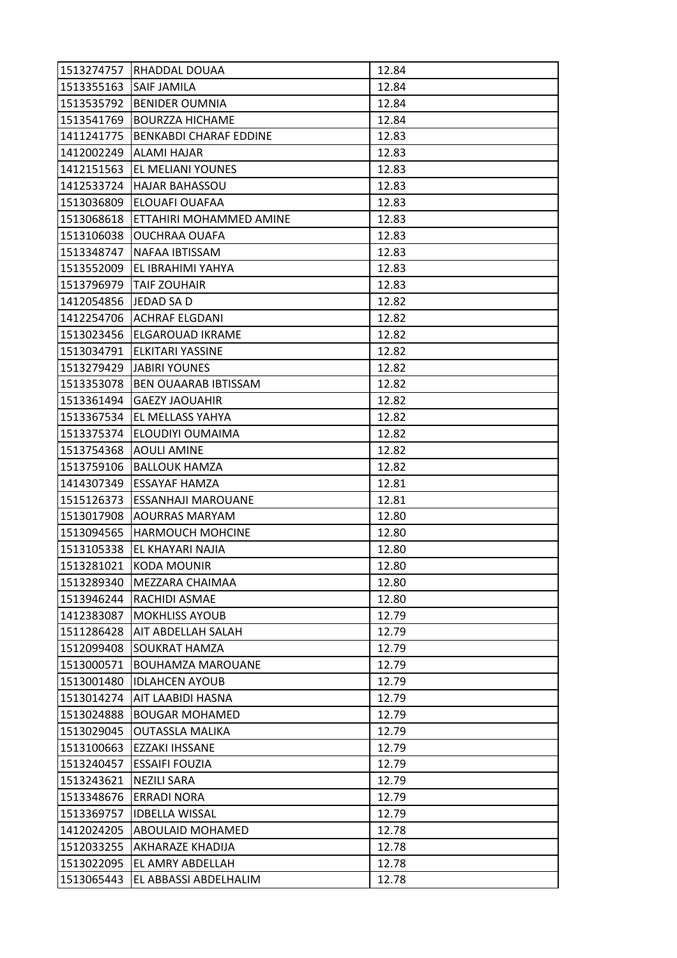| 1513274757 | RHADDAL DOUAA               | 12.84 |
|------------|-----------------------------|-------|
| 1513355163 | <b>SAIF JAMILA</b>          | 12.84 |
| 1513535792 | <b>BENIDER OUMNIA</b>       | 12.84 |
| 1513541769 | <b>BOURZZA HICHAME</b>      | 12.84 |
| 1411241775 | BENKABDI CHARAF EDDINE      | 12.83 |
| 1412002249 | ALAMI HAJAR                 | 12.83 |
| 1412151563 | <b>EL MELIANI YOUNES</b>    | 12.83 |
| 1412533724 | <b>HAJAR BAHASSOU</b>       | 12.83 |
| 1513036809 | ELOUAFI OUAFAA              | 12.83 |
| 1513068618 | ETTAHIRI MOHAMMED AMINE     | 12.83 |
| 1513106038 | OUCHRAA OUAFA               | 12.83 |
| 1513348747 | NAFAA IBTISSAM              | 12.83 |
| 1513552009 | EL IBRAHIMI YAHYA           | 12.83 |
| 1513796979 | <b>TAIF ZOUHAIR</b>         | 12.83 |
| 1412054856 | JEDAD SA D                  | 12.82 |
|            | 1412254706 ACHRAF ELGDANI   | 12.82 |
| 1513023456 | lELGAROUAD IKRAME           | 12.82 |
| 1513034791 | ELKITARI YASSINE            | 12.82 |
| 1513279429 | <b>JABIRI YOUNES</b>        | 12.82 |
| 1513353078 | <b>BEN OUAARAB IBTISSAM</b> | 12.82 |
| 1513361494 | <b>GAEZY JAOUAHIR</b>       | 12.82 |
| 1513367534 | EL MELLASS YAHYA            | 12.82 |
| 1513375374 | ELOUDIYI OUMAIMA            | 12.82 |
| 1513754368 | <b>AOULI AMINE</b>          | 12.82 |
| 1513759106 | <b>BALLOUK HAMZA</b>        | 12.82 |
| 1414307349 | <b>ESSAYAF HAMZA</b>        | 12.81 |
| 1515126373 | ESSANHAJI MAROUANE          | 12.81 |
| 1513017908 | AOURRAS MARYAM              | 12.80 |
| 1513094565 | <b>HARMOUCH MOHCINE</b>     | 12.80 |
| 1513105338 | EL KHAYARI NAJIA            | 12.80 |
| 1513281021 | <b>KODA MOUNIR</b>          | 12.80 |
| 1513289340 | MEZZARA CHAIMAA             | 12.80 |
| 1513946244 | RACHIDI ASMAE               | 12.80 |
| 1412383087 | <b>MOKHLISS AYOUB</b>       | 12.79 |
| 1511286428 | AIT ABDELLAH SALAH          | 12.79 |
| 1512099408 | <b>SOUKRAT HAMZA</b>        | 12.79 |
| 1513000571 | <b>BOUHAMZA MAROUANE</b>    | 12.79 |
| 1513001480 | <b>IDLAHCEN AYOUB</b>       | 12.79 |
| 1513014274 | AIT LAABIDI HASNA           | 12.79 |
| 1513024888 | <b>BOUGAR MOHAMED</b>       | 12.79 |
| 1513029045 | OUTASSLA MALIKA             | 12.79 |
| 1513100663 | EZZAKI IHSSANE              | 12.79 |
| 1513240457 | <b>ESSAIFI FOUZIA</b>       | 12.79 |
| 1513243621 | NEZILI SARA                 | 12.79 |
| 1513348676 | <b>ERRADI NORA</b>          | 12.79 |
| 1513369757 | <b>IDBELLA WISSAL</b>       | 12.79 |
| 1412024205 | <b>ABOULAID MOHAMED</b>     | 12.78 |
| 1512033255 | AKHARAZE KHADIJA            | 12.78 |
| 1513022095 | EL AMRY ABDELLAH            | 12.78 |
| 1513065443 | EL ABBASSI ABDELHALIM       | 12.78 |
|            |                             |       |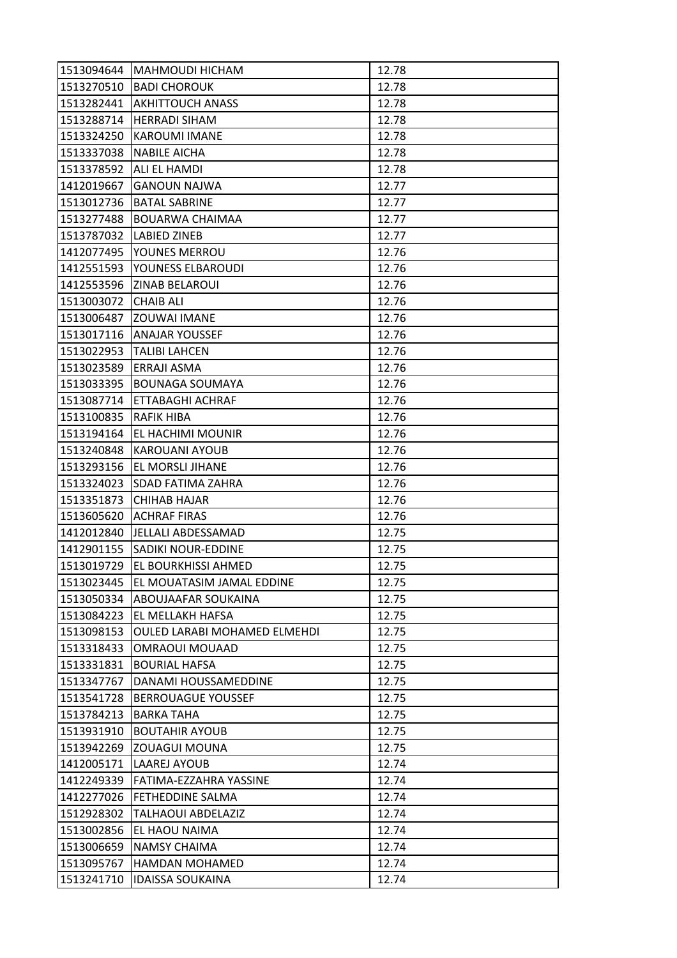| 1513094644 | <b>MAHMOUDI HICHAM</b>              | 12.78 |
|------------|-------------------------------------|-------|
| 1513270510 | <b>BADI CHOROUK</b>                 | 12.78 |
| 1513282441 | <b>AKHITTOUCH ANASS</b>             | 12.78 |
| 1513288714 | <b>HERRADI SIHAM</b>                | 12.78 |
| 1513324250 | <b>KAROUMI IMANE</b>                | 12.78 |
| 1513337038 | <b>NABILE AICHA</b>                 | 12.78 |
| 1513378592 | <b>ALI EL HAMDI</b>                 | 12.78 |
| 1412019667 | <b>GANOUN NAJWA</b>                 | 12.77 |
| 1513012736 | <b>BATAL SABRINE</b>                | 12.77 |
| 1513277488 | BOUARWA CHAIMAA                     | 12.77 |
| 1513787032 | <b>LABIED ZINEB</b>                 | 12.77 |
| 1412077495 | YOUNES MERROU                       | 12.76 |
| 1412551593 | YOUNESS ELBAROUDI                   | 12.76 |
|            | 1412553596 ZINAB BELAROUI           | 12.76 |
| 1513003072 | <b>CHAIB ALI</b>                    | 12.76 |
|            | 1513006487 ZOUWAI IMANE             | 12.76 |
| 1513017116 | <b>ANAJAR YOUSSEF</b>               | 12.76 |
| 1513022953 | <b>TALIBI LAHCEN</b>                | 12.76 |
| 1513023589 | ERRAJI ASMA                         | 12.76 |
| 1513033395 | <b>BOUNAGA SOUMAYA</b>              | 12.76 |
| 1513087714 | ETTABAGHI ACHRAF                    | 12.76 |
| 1513100835 | <b>RAFIK HIBA</b>                   | 12.76 |
| 1513194164 | EL HACHIMI MOUNIR                   | 12.76 |
| 1513240848 | <b>KAROUANI AYOUB</b>               | 12.76 |
| 1513293156 | EL MORSLI JIHANE                    | 12.76 |
| 1513324023 | <b>SDAD FATIMA ZAHRA</b>            | 12.76 |
| 1513351873 | CHIHAB HAJAR                        | 12.76 |
| 1513605620 | <b>ACHRAF FIRAS</b>                 | 12.76 |
| 1412012840 | JELLALI ABDESSAMAD                  | 12.75 |
|            | 1412901155 SADIKI NOUR-EDDINE       | 12.75 |
| 1513019729 | EL BOURKHISSI AHMED                 | 12.75 |
| 1513023445 | EL MOUATASIM JAMAL EDDINE           | 12.75 |
| 1513050334 | <b>ABOUJAAFAR SOUKAINA</b>          | 12.75 |
| 1513084223 | EL MELLAKH HAFSA                    | 12.75 |
| 1513098153 | <b>OULED LARABI MOHAMED ELMEHDI</b> | 12.75 |
| 1513318433 | OMRAOUI MOUAAD                      | 12.75 |
| 1513331831 | <b>BOURIAL HAFSA</b>                | 12.75 |
| 1513347767 | DANAMI HOUSSAMEDDINE                | 12.75 |
| 1513541728 | <b>BERROUAGUE YOUSSEF</b>           | 12.75 |
| 1513784213 | <b>BARKA TAHA</b>                   | 12.75 |
| 1513931910 | <b>BOUTAHIR AYOUB</b>               | 12.75 |
| 1513942269 | <b>ZOUAGUI MOUNA</b>                | 12.75 |
| 1412005171 | LAAREJ AYOUB                        | 12.74 |
| 1412249339 | FATIMA-EZZAHRA YASSINE              | 12.74 |
| 1412277026 | <b>FETHEDDINE SALMA</b>             | 12.74 |
| 1512928302 | TALHAOUI ABDELAZIZ                  | 12.74 |
| 1513002856 | EL HAOU NAIMA                       | 12.74 |
| 1513006659 | NAMSY CHAIMA                        | 12.74 |
| 1513095767 | <b>HAMDAN MOHAMED</b>               | 12.74 |
| 1513241710 | <b>IDAISSA SOUKAINA</b>             | 12.74 |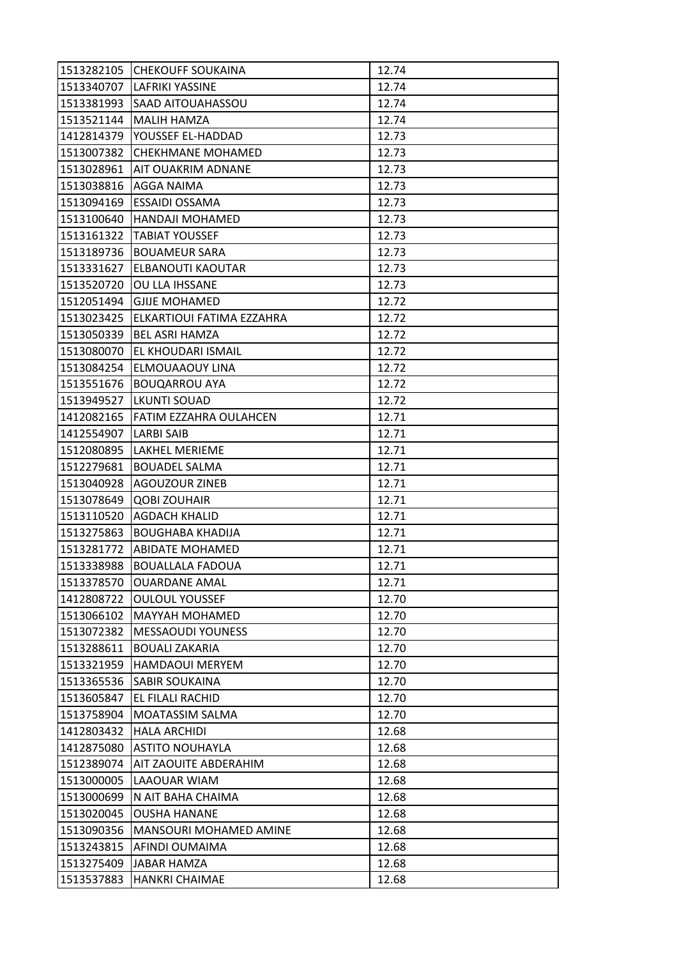| 1513282105 | <b>CHEKOUFF SOUKAINA</b>             | 12.74 |
|------------|--------------------------------------|-------|
| 1513340707 | <b>LAFRIKI YASSINE</b>               | 12.74 |
| 1513381993 | <b>SAAD AITOUAHASSOU</b>             | 12.74 |
| 1513521144 | <b>MALIH HAMZA</b>                   | 12.74 |
| 1412814379 | YOUSSEF EL-HADDAD                    | 12.73 |
| 1513007382 | CHEKHMANE MOHAMED                    | 12.73 |
| 1513028961 | <b>AIT OUAKRIM ADNANE</b>            | 12.73 |
| 1513038816 | AGGA NAIMA                           | 12.73 |
| 1513094169 | <b>ESSAIDI OSSAMA</b>                | 12.73 |
| 1513100640 | <b>HANDAJI MOHAMED</b>               | 12.73 |
| 1513161322 | <b>TABIAT YOUSSEF</b>                | 12.73 |
| 1513189736 | <b>BOUAMEUR SARA</b>                 | 12.73 |
| 1513331627 | ELBANOUTI KAOUTAR                    | 12.73 |
| 1513520720 | OU LLA IHSSANE                       | 12.73 |
| 1512051494 | <b>GJIJE MOHAMED</b>                 | 12.72 |
|            | 1513023425 ELKARTIOUI FATIMA EZZAHRA | 12.72 |
| 1513050339 | <b>BEL ASRI HAMZA</b>                | 12.72 |
| 1513080070 | EL KHOUDARI ISMAIL                   | 12.72 |
| 1513084254 | ELMOUAAOUY LINA                      | 12.72 |
| 1513551676 | <b>BOUQARROU AYA</b>                 | 12.72 |
| 1513949527 | <b>LKUNTI SOUAD</b>                  | 12.72 |
| 1412082165 | <b>FATIM EZZAHRA OULAHCEN</b>        | 12.71 |
| 1412554907 | <b>LARBI SAIB</b>                    | 12.71 |
| 1512080895 | LAKHEL MERIEME                       | 12.71 |
| 1512279681 | <b>BOUADEL SALMA</b>                 | 12.71 |
| 1513040928 | <b>AGOUZOUR ZINEB</b>                | 12.71 |
| 1513078649 | <b>QOBI ZOUHAIR</b>                  | 12.71 |
| 1513110520 | <b>AGDACH KHALID</b>                 | 12.71 |
| 1513275863 | <b>BOUGHABA KHADIJA</b>              | 12.71 |
| 1513281772 | <b>ABIDATE MOHAMED</b>               | 12.71 |
| 1513338988 | <b>BOUALLALA FADOUA</b>              | 12.71 |
| 1513378570 | <b>OUARDANE AMAL</b>                 | 12.71 |
| 1412808722 | <b>OULOUL YOUSSEF</b>                | 12.70 |
| 1513066102 | MAYYAH MOHAMED                       | 12.70 |
| 1513072382 | <b>MESSAOUDI YOUNESS</b>             | 12.70 |
| 1513288611 | <b>BOUALI ZAKARIA</b>                | 12.70 |
| 1513321959 | <b>HAMDAOUI MERYEM</b>               | 12.70 |
| 1513365536 | <b>SABIR SOUKAINA</b>                | 12.70 |
| 1513605847 | EL FILALI RACHID                     | 12.70 |
| 1513758904 | MOATASSIM SALMA                      | 12.70 |
| 1412803432 | <b>HALA ARCHIDI</b>                  | 12.68 |
| 1412875080 | <b>ASTITO NOUHAYLA</b>               | 12.68 |
| 1512389074 | <b>AIT ZAOUITE ABDERAHIM</b>         | 12.68 |
| 1513000005 | LAAOUAR WIAM                         | 12.68 |
| 1513000699 | N AIT BAHA CHAIMA                    | 12.68 |
| 1513020045 | <b>OUSHA HANANE</b>                  | 12.68 |
| 1513090356 | <b>MANSOURI MOHAMED AMINE</b>        | 12.68 |
| 1513243815 | AFINDI OUMAIMA                       | 12.68 |
| 1513275409 | <b>JABAR HAMZA</b>                   | 12.68 |
| 1513537883 | <b>HANKRI CHAIMAE</b>                | 12.68 |
|            |                                      |       |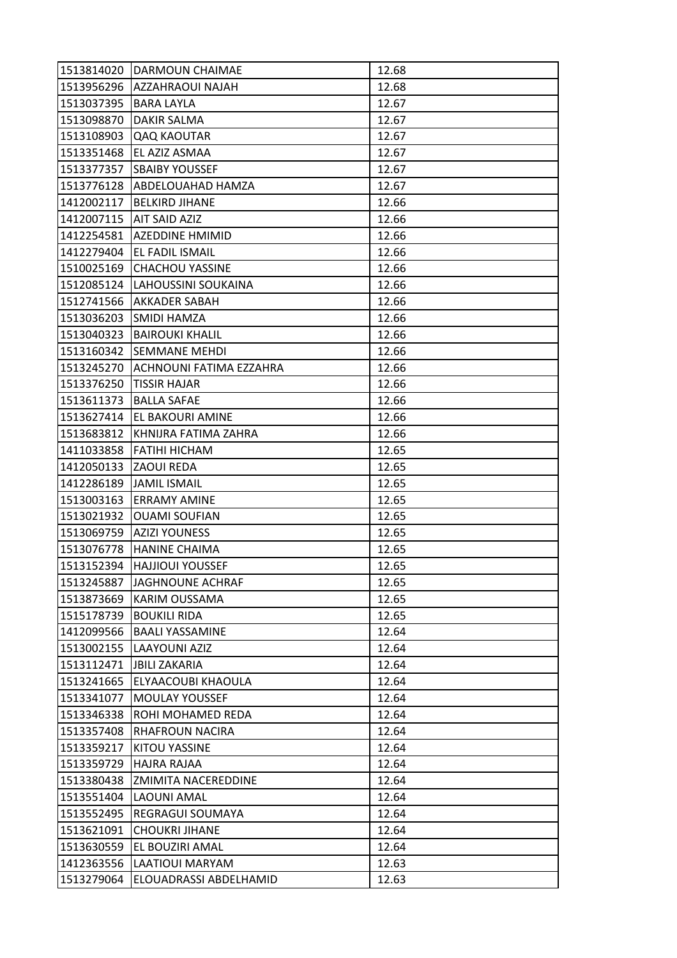| 1513814020 | DARMOUN CHAIMAE                | 12.68 |
|------------|--------------------------------|-------|
| 1513956296 | <b>AZZAHRAOUI NAJAH</b>        | 12.68 |
| 1513037395 | <b>BARA LAYLA</b>              | 12.67 |
| 1513098870 | <b>DAKIR SALMA</b>             | 12.67 |
| 1513108903 | QAQ KAOUTAR                    | 12.67 |
| 1513351468 | EL AZIZ ASMAA                  | 12.67 |
| 1513377357 | <b>SBAIBY YOUSSEF</b>          | 12.67 |
| 1513776128 | ABDELOUAHAD HAMZA              | 12.67 |
| 1412002117 | <b>BELKIRD JIHANE</b>          | 12.66 |
| 1412007115 | <b>AIT SAID AZIZ</b>           | 12.66 |
| 1412254581 | <b>AZEDDINE HMIMID</b>         | 12.66 |
| 1412279404 | <b>EL FADIL ISMAIL</b>         | 12.66 |
| 1510025169 | <b>CHACHOU YASSINE</b>         | 12.66 |
| 1512085124 | LAHOUSSINI SOUKAINA            | 12.66 |
| 1512741566 | <b>AKKADER SABAH</b>           | 12.66 |
|            | 1513036203 SMIDI HAMZA         | 12.66 |
| 1513040323 | <b>BAIROUKI KHALIL</b>         | 12.66 |
| 1513160342 | <b>SEMMANE MEHDI</b>           | 12.66 |
| 1513245270 | <b>ACHNOUNI FATIMA EZZAHRA</b> | 12.66 |
| 1513376250 | <b>TISSIR HAJAR</b>            | 12.66 |
| 1513611373 | <b>BALLA SAFAE</b>             | 12.66 |
| 1513627414 | EL BAKOURI AMINE               | 12.66 |
| 1513683812 | KHNIJRA FATIMA ZAHRA           | 12.66 |
| 1411033858 | <b>FATIHI HICHAM</b>           | 12.65 |
| 1412050133 | ZAOUI REDA                     | 12.65 |
| 1412286189 | <b>JAMIL ISMAIL</b>            | 12.65 |
| 1513003163 | <b>ERRAMY AMINE</b>            | 12.65 |
| 1513021932 | <b>OUAMI SOUFIAN</b>           | 12.65 |
| 1513069759 | <b>AZIZI YOUNESS</b>           | 12.65 |
| 1513076778 | <b>HANINE CHAIMA</b>           | 12.65 |
| 1513152394 | <b>HAJJIOUI YOUSSEF</b>        | 12.65 |
| 1513245887 | <b>JAGHNOUNE ACHRAF</b>        | 12.65 |
| 1513873669 | <b>KARIM OUSSAMA</b>           | 12.65 |
| 1515178739 | <b>BOUKILI RIDA</b>            | 12.65 |
| 1412099566 | <b>BAALI YASSAMINE</b>         | 12.64 |
| 1513002155 | LAAYOUNI AZIZ                  | 12.64 |
| 1513112471 | <b>JBILI ZAKARIA</b>           | 12.64 |
| 1513241665 | ELYAACOUBI KHAOULA             | 12.64 |
| 1513341077 | <b>MOULAY YOUSSEF</b>          | 12.64 |
| 1513346338 | ROHI MOHAMED REDA              | 12.64 |
| 1513357408 | <b>RHAFROUN NACIRA</b>         | 12.64 |
| 1513359217 | KITOU YASSINE                  | 12.64 |
| 1513359729 | HAJRA RAJAA                    | 12.64 |
| 1513380438 | <b>ZMIMITA NACEREDDINE</b>     | 12.64 |
| 1513551404 | <b>LAOUNI AMAL</b>             | 12.64 |
| 1513552495 | <b>REGRAGUI SOUMAYA</b>        | 12.64 |
| 1513621091 | <b>CHOUKRI JIHANE</b>          | 12.64 |
| 1513630559 | EL BOUZIRI AMAL                | 12.64 |
| 1412363556 | LAATIOUI MARYAM                | 12.63 |
| 1513279064 | ELOUADRASSI ABDELHAMID         | 12.63 |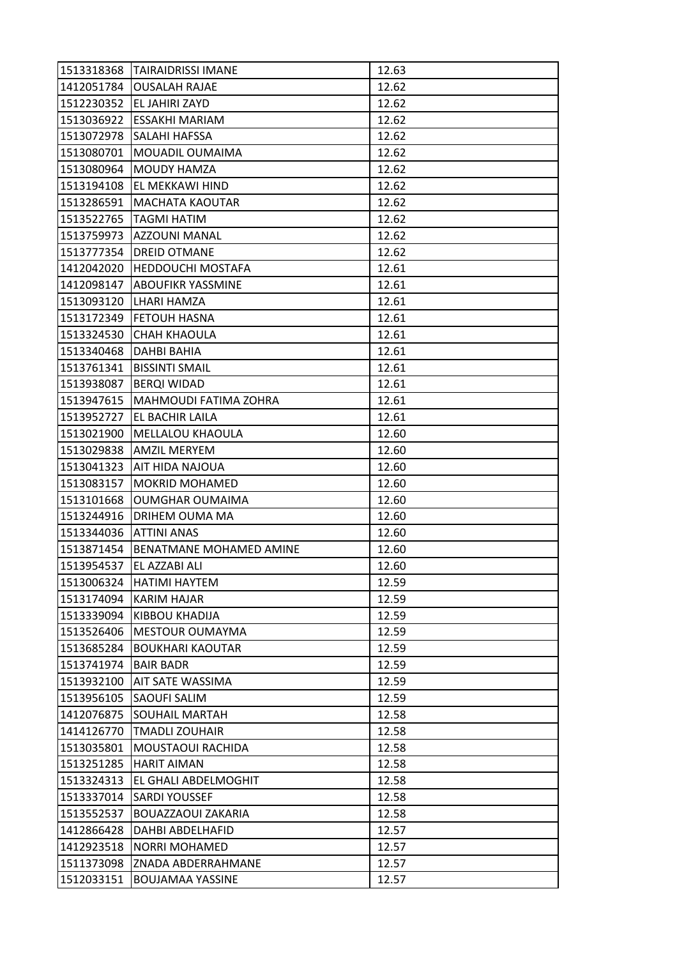| 1513318368 | <b>TAIRAIDRISSI IMANE</b>    | 12.63 |
|------------|------------------------------|-------|
| 1412051784 | <b>OUSALAH RAJAE</b>         | 12.62 |
| 1512230352 | EL JAHIRI ZAYD               | 12.62 |
| 1513036922 | <b>ESSAKHI MARIAM</b>        | 12.62 |
| 1513072978 | SALAHI HAFSSA                | 12.62 |
| 1513080701 | MOUADIL OUMAIMA              | 12.62 |
| 1513080964 | <b>MOUDY HAMZA</b>           | 12.62 |
| 1513194108 | EL MEKKAWI HIND              | 12.62 |
| 1513286591 | <b>MACHATA KAOUTAR</b>       | 12.62 |
| 1513522765 | <b>TAGMI HATIM</b>           | 12.62 |
| 1513759973 | AZZOUNI MANAL                | 12.62 |
| 1513777354 | <b>DREID OTMANE</b>          | 12.62 |
| 1412042020 | <b>HEDDOUCHI MOSTAFA</b>     | 12.61 |
| 1412098147 | <b>ABOUFIKR YASSMINE</b>     | 12.61 |
| 1513093120 | LHARI HAMZA                  | 12.61 |
| 1513172349 | FETOUH HASNA                 | 12.61 |
| 1513324530 | <b>CHAH KHAOULA</b>          | 12.61 |
| 1513340468 | <b>DAHBI BAHIA</b>           | 12.61 |
| 1513761341 | <b>BISSINTI SMAIL</b>        | 12.61 |
| 1513938087 | <b>BERQI WIDAD</b>           | 12.61 |
| 1513947615 | <b>MAHMOUDI FATIMA ZOHRA</b> | 12.61 |
| 1513952727 | <b>EL BACHIR LAILA</b>       | 12.61 |
| 1513021900 | MELLALOU KHAOULA             | 12.60 |
| 1513029838 | <b>AMZIL MERYEM</b>          | 12.60 |
| 1513041323 | AIT HIDA NAJOUA              | 12.60 |
| 1513083157 | <b>MOKRID MOHAMED</b>        | 12.60 |
| 1513101668 | <b>OUMGHAR OUMAIMA</b>       | 12.60 |
| 1513244916 | DRIHEM OUMA MA               | 12.60 |
| 1513344036 | <b>ATTINI ANAS</b>           | 12.60 |
| 1513871454 | BENATMANE MOHAMED AMINE      | 12.60 |
| 1513954537 | EL AZZABI ALI                | 12.60 |
| 1513006324 | <b>HATIMI HAYTEM</b>         | 12.59 |
| 1513174094 | <b>KARIM HAJAR</b>           | 12.59 |
| 1513339094 | KIBBOU KHADIJA               | 12.59 |
| 1513526406 | <b>MESTOUR OUMAYMA</b>       | 12.59 |
| 1513685284 | <b>BOUKHARI KAOUTAR</b>      | 12.59 |
| 1513741974 | <b>BAIR BADR</b>             | 12.59 |
| 1513932100 | <b>AIT SATE WASSIMA</b>      | 12.59 |
| 1513956105 | <b>SAOUFI SALIM</b>          | 12.59 |
| 1412076875 | <b>SOUHAIL MARTAH</b>        | 12.58 |
| 1414126770 | <b>TMADLI ZOUHAIR</b>        | 12.58 |
| 1513035801 | MOUSTAOUI RACHIDA            | 12.58 |
| 1513251285 | <b>HARIT AIMAN</b>           | 12.58 |
| 1513324313 | EL GHALI ABDELMOGHIT         | 12.58 |
| 1513337014 | <b>SARDI YOUSSEF</b>         | 12.58 |
| 1513552537 | <b>BOUAZZAOUI ZAKARIA</b>    | 12.58 |
| 1412866428 | DAHBI ABDELHAFID             | 12.57 |
| 1412923518 | <b>NORRI MOHAMED</b>         | 12.57 |
| 1511373098 | ZNADA ABDERRAHMANE           | 12.57 |
| 1512033151 | <b>BOUJAMAA YASSINE</b>      | 12.57 |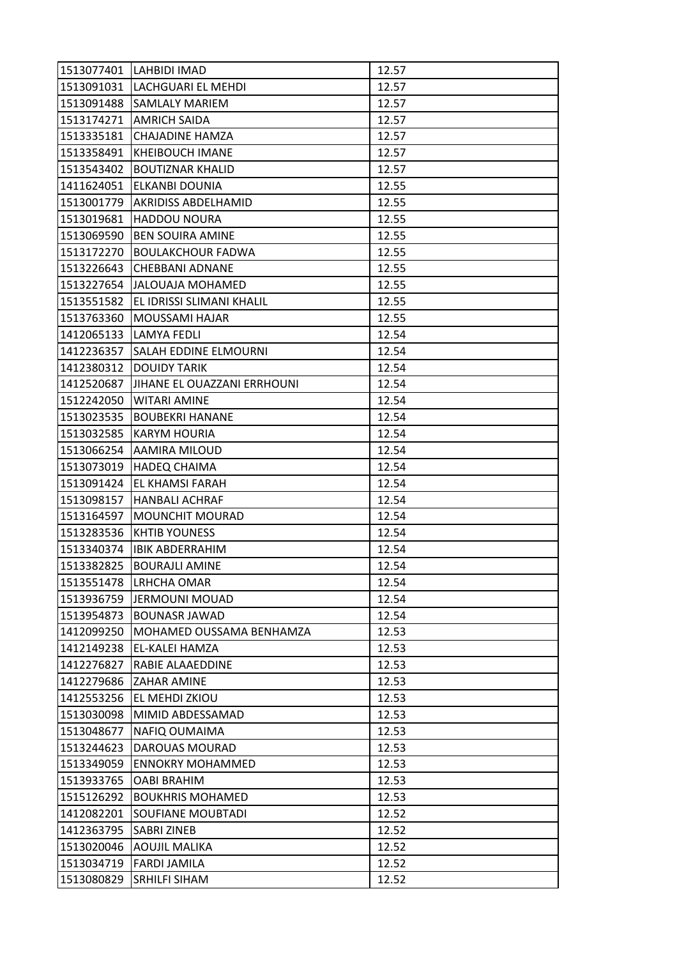| 1513077401 | LAHBIDI IMAD                  | 12.57 |
|------------|-------------------------------|-------|
|            | 1513091031 LACHGUARI EL MEHDI | 12.57 |
| 1513091488 | <b>SAMLALY MARIEM</b>         | 12.57 |
| 1513174271 | <b>AMRICH SAIDA</b>           | 12.57 |
| 1513335181 | CHAJADINE HAMZA               | 12.57 |
| 1513358491 | <b>KHEIBOUCH IMANE</b>        | 12.57 |
| 1513543402 | <b>BOUTIZNAR KHALID</b>       | 12.57 |
| 1411624051 | ELKANBI DOUNIA                | 12.55 |
| 1513001779 | <b>AKRIDISS ABDELHAMID</b>    | 12.55 |
| 1513019681 | <b>HADDOU NOURA</b>           | 12.55 |
| 1513069590 | <b>BEN SOUIRA AMINE</b>       | 12.55 |
| 1513172270 | <b>BOULAKCHOUR FADWA</b>      | 12.55 |
| 1513226643 | <b>CHEBBANI ADNANE</b>        | 12.55 |
| 1513227654 | <b>JALOUAJA MOHAMED</b>       | 12.55 |
| 1513551582 | EL IDRISSI SLIMANI KHALIL     | 12.55 |
| 1513763360 | <b>MOUSSAMI HAJAR</b>         | 12.55 |
| 1412065133 | LAMYA FEDLI                   | 12.54 |
| 1412236357 | SALAH EDDINE ELMOURNI         | 12.54 |
| 1412380312 | <b>DOUIDY TARIK</b>           | 12.54 |
| 1412520687 | JIHANE EL OUAZZANI ERRHOUNI   | 12.54 |
| 1512242050 | WITARI AMINE                  | 12.54 |
| 1513023535 | <b>BOUBEKRI HANANE</b>        | 12.54 |
| 1513032585 | <b>KARYM HOURIA</b>           | 12.54 |
| 1513066254 | AAMIRA MILOUD                 | 12.54 |
| 1513073019 | <b>HADEQ CHAIMA</b>           | 12.54 |
| 1513091424 | EL KHAMSI FARAH               | 12.54 |
| 1513098157 | <b>HANBALI ACHRAF</b>         | 12.54 |
| 1513164597 | <b>MOUNCHIT MOURAD</b>        | 12.54 |
| 1513283536 | <b>KHTIB YOUNESS</b>          | 12.54 |
| 1513340374 | <b>IBIK ABDERRAHIM</b>        | 12.54 |
| 1513382825 | <b>BOURAJLI AMINE</b>         | 12.54 |
| 1513551478 | <b>LRHCHA OMAR</b>            | 12.54 |
| 1513936759 | JERMOUNI MOUAD                | 12.54 |
| 1513954873 | <b>BOUNASR JAWAD</b>          | 12.54 |
| 1412099250 | MOHAMED OUSSAMA BENHAMZA      | 12.53 |
| 1412149238 | EL-KALEI HAMZA                | 12.53 |
| 1412276827 | RABIE ALAAEDDINE              | 12.53 |
| 1412279686 | <b>ZAHAR AMINE</b>            | 12.53 |
| 1412553256 | EL MEHDI ZKIOU                | 12.53 |
| 1513030098 | MIMID ABDESSAMAD              | 12.53 |
| 1513048677 | NAFIQ OUMAIMA                 | 12.53 |
| 1513244623 | DAROUAS MOURAD                | 12.53 |
| 1513349059 | <b>ENNOKRY MOHAMMED</b>       | 12.53 |
| 1513933765 | <b>OABI BRAHIM</b>            | 12.53 |
| 1515126292 | <b>BOUKHRIS MOHAMED</b>       | 12.53 |
| 1412082201 | <b>SOUFIANE MOUBTADI</b>      | 12.52 |
| 1412363795 | <b>SABRI ZINEB</b>            | 12.52 |
| 1513020046 | <b>AOUJIL MALIKA</b>          | 12.52 |
| 1513034719 | <b>FARDI JAMILA</b>           | 12.52 |
| 1513080829 | SRHILFI SIHAM                 | 12.52 |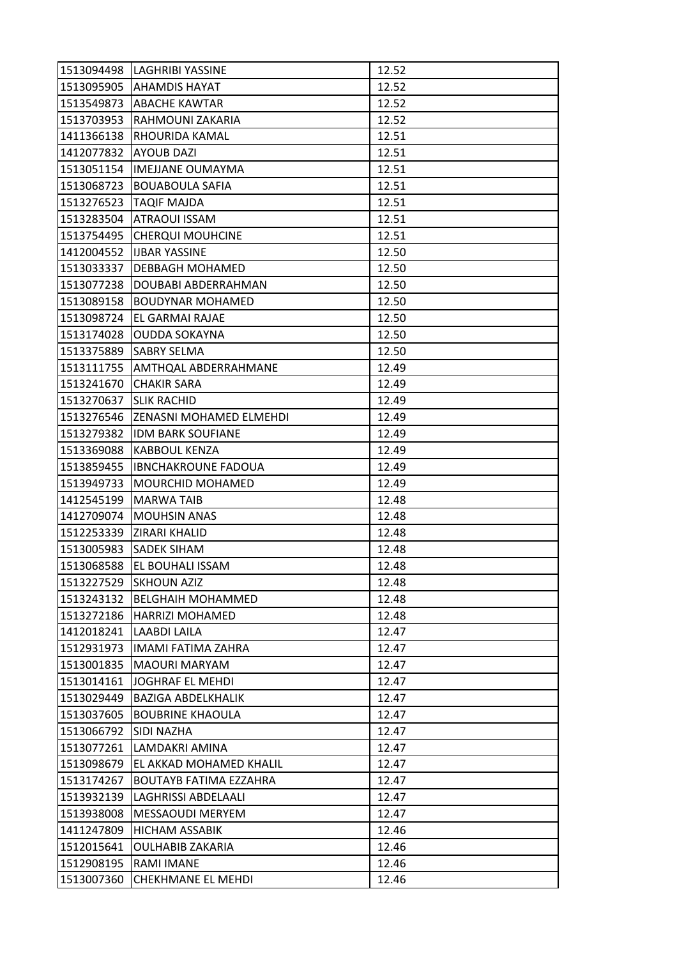| 1513094498 | <b>LAGHRIBI YASSINE</b>       | 12.52 |
|------------|-------------------------------|-------|
|            | 1513095905 AHAMDIS HAYAT      | 12.52 |
| 1513549873 | <b>ABACHE KAWTAR</b>          | 12.52 |
| 1513703953 | RAHMOUNI ZAKARIA              | 12.52 |
| 1411366138 | RHOURIDA KAMAL                | 12.51 |
| 1412077832 | <b>AYOUB DAZI</b>             | 12.51 |
| 1513051154 | <b>IMEJJANE OUMAYMA</b>       | 12.51 |
| 1513068723 | <b>BOUABOULA SAFIA</b>        | 12.51 |
| 1513276523 | TAQIF MAJDA                   | 12.51 |
| 1513283504 | <b>ATRAOUI ISSAM</b>          | 12.51 |
| 1513754495 | <b>CHERQUI MOUHCINE</b>       | 12.51 |
| 1412004552 | <b>IJBAR YASSINE</b>          | 12.50 |
| 1513033337 | DEBBAGH MOHAMED               | 12.50 |
| 1513077238 | DOUBABI ABDERRAHMAN           | 12.50 |
| 1513089158 | <b>BOUDYNAR MOHAMED</b>       | 12.50 |
| 1513098724 | EL GARMAI RAJAE               | 12.50 |
| 1513174028 | <b>OUDDA SOKAYNA</b>          | 12.50 |
| 1513375889 | <b>SABRY SELMA</b>            | 12.50 |
| 1513111755 | AMTHQAL ABDERRAHMANE          | 12.49 |
| 1513241670 | <b>CHAKIR SARA</b>            | 12.49 |
| 1513270637 | <b>SLIK RACHID</b>            | 12.49 |
| 1513276546 | ZENASNI MOHAMED ELMEHDI       | 12.49 |
| 1513279382 | <b>IDM BARK SOUFIANE</b>      | 12.49 |
| 1513369088 | <b>KABBOUL KENZA</b>          | 12.49 |
| 1513859455 | <b>IBNCHAKROUNE FADOUA</b>    | 12.49 |
| 1513949733 | <b>MOURCHID MOHAMED</b>       | 12.49 |
| 1412545199 | <b>MARWA TAIB</b>             | 12.48 |
| 1412709074 | <b>MOUHSIN ANAS</b>           | 12.48 |
| 1512253339 | <b>ZIRARI KHALID</b>          | 12.48 |
| 1513005983 | <b>SADEK SIHAM</b>            | 12.48 |
| 1513068588 | EL BOUHALI ISSAM              | 12.48 |
| 1513227529 | <b>SKHOUN AZIZ</b>            | 12.48 |
| 1513243132 | <b>BELGHAIH MOHAMMED</b>      | 12.48 |
| 1513272186 | <b>HARRIZI MOHAMED</b>        | 12.48 |
| 1412018241 | <b>LAABDI LAILA</b>           | 12.47 |
| 1512931973 | IMAMI FATIMA ZAHRA            | 12.47 |
| 1513001835 | <b>MAOURI MARYAM</b>          | 12.47 |
| 1513014161 | JOGHRAF EL MEHDI              | 12.47 |
| 1513029449 | <b>BAZIGA ABDELKHALIK</b>     | 12.47 |
| 1513037605 | <b>BOUBRINE KHAOULA</b>       | 12.47 |
| 1513066792 | ISIDI NAZHA                   | 12.47 |
| 1513077261 | LAMDAKRI AMINA                | 12.47 |
| 1513098679 | EL AKKAD MOHAMED KHALIL       | 12.47 |
| 1513174267 | <b>BOUTAYB FATIMA EZZAHRA</b> | 12.47 |
| 1513932139 | LAGHRISSI ABDELAALI           | 12.47 |
| 1513938008 | <b>MESSAOUDI MERYEM</b>       | 12.47 |
| 1411247809 | <b>HICHAM ASSABIK</b>         | 12.46 |
| 1512015641 | <b>OULHABIB ZAKARIA</b>       | 12.46 |
| 1512908195 | <b>RAMI IMANE</b>             | 12.46 |
| 1513007360 | <b>CHEKHMANE EL MEHDI</b>     | 12.46 |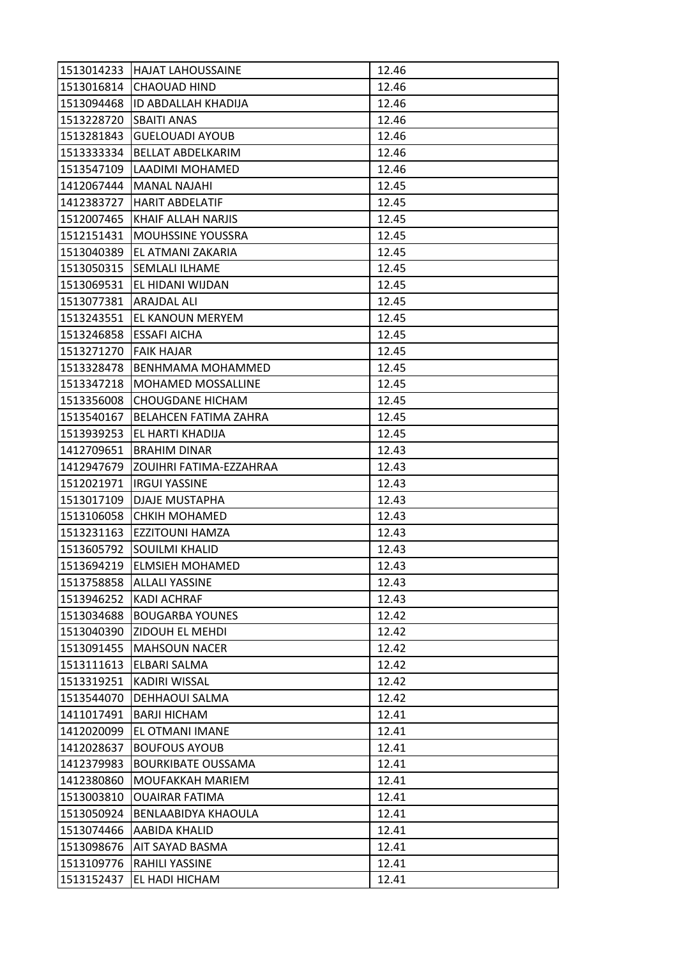| 1513014233 | <b>HAJAT LAHOUSSAINE</b>           | 12.46 |
|------------|------------------------------------|-------|
| 1513016814 | <b>CHAOUAD HIND</b>                | 12.46 |
|            | 1513094468 ID ABDALLAH KHADIJA     | 12.46 |
| 1513228720 | <b>SBAITI ANAS</b>                 | 12.46 |
| 1513281843 | <b>GUELOUADI AYOUB</b>             | 12.46 |
| 1513333334 | <b>BELLAT ABDELKARIM</b>           | 12.46 |
| 1513547109 | LAADIMI MOHAMED                    | 12.46 |
| 1412067444 | <b>MANAL NAJAHI</b>                | 12.45 |
|            | 1412383727 HARIT ABDELATIF         | 12.45 |
| 1512007465 | KHAIF ALLAH NARJIS                 | 12.45 |
| 1512151431 | <b>MOUHSSINE YOUSSRA</b>           | 12.45 |
| 1513040389 | lEL ATMANI ZAKARIA                 | 12.45 |
|            | 1513050315 SEMLALI ILHAME          | 12.45 |
|            | 1513069531 EL HIDANI WIJDAN        | 12.45 |
| 1513077381 | <b>ARAJDAL ALI</b>                 | 12.45 |
|            | 1513243551 EL KANOUN MERYEM        | 12.45 |
| 1513246858 | ESSAFI AICHA                       | 12.45 |
| 1513271270 | <b>FAIK HAJAR</b>                  | 12.45 |
| 1513328478 | <b>BENHMAMA MOHAMMED</b>           | 12.45 |
| 1513347218 | <b>MOHAMED MOSSALLINE</b>          | 12.45 |
| 1513356008 | <b>CHOUGDANE HICHAM</b>            | 12.45 |
| 1513540167 | BELAHCEN FATIMA ZAHRA              | 12.45 |
| 1513939253 | EL HARTI KHADIJA                   | 12.45 |
| 1412709651 | <b>BRAHIM DINAR</b>                | 12.43 |
|            | 1412947679 ZOUIHRI FATIMA-EZZAHRAA | 12.43 |
| 1512021971 | <b>IRGUI YASSINE</b>               | 12.43 |
| 1513017109 | DJAJE MUSTAPHA                     | 12.43 |
| 1513106058 | <b>CHKIH MOHAMED</b>               | 12.43 |
| 1513231163 | EZZITOUNI HAMZA                    | 12.43 |
|            | 1513605792 SOUILMI KHALID          | 12.43 |
| 1513694219 | <b>ELMSIEH MOHAMED</b>             | 12.43 |
| 1513758858 | <b>ALLALI YASSINE</b>              | 12.43 |
| 1513946252 | <b>KADI ACHRAF</b>                 | 12.43 |
| 1513034688 | <b>BOUGARBA YOUNES</b>             | 12.42 |
| 1513040390 | ZIDOUH EL MEHDI                    | 12.42 |
| 1513091455 | <b>MAHSOUN NACER</b>               | 12.42 |
| 1513111613 | ELBARI SALMA                       | 12.42 |
| 1513319251 | KADIRI WISSAL                      | 12.42 |
| 1513544070 | DEHHAOUI SALMA                     | 12.42 |
| 1411017491 | <b>BARJI HICHAM</b>                | 12.41 |
| 1412020099 | EL OTMANI IMANE                    | 12.41 |
| 1412028637 | <b>BOUFOUS AYOUB</b>               | 12.41 |
| 1412379983 | <b>BOURKIBATE OUSSAMA</b>          | 12.41 |
| 1412380860 | MOUFAKKAH MARIEM                   | 12.41 |
| 1513003810 | <b>OUAIRAR FATIMA</b>              | 12.41 |
| 1513050924 | BENLAABIDYA KHAOULA                | 12.41 |
| 1513074466 | <b>AABIDA KHALID</b>               | 12.41 |
| 1513098676 | AIT SAYAD BASMA                    | 12.41 |
| 1513109776 | RAHILI YASSINE                     | 12.41 |
| 1513152437 | EL HADI HICHAM                     | 12.41 |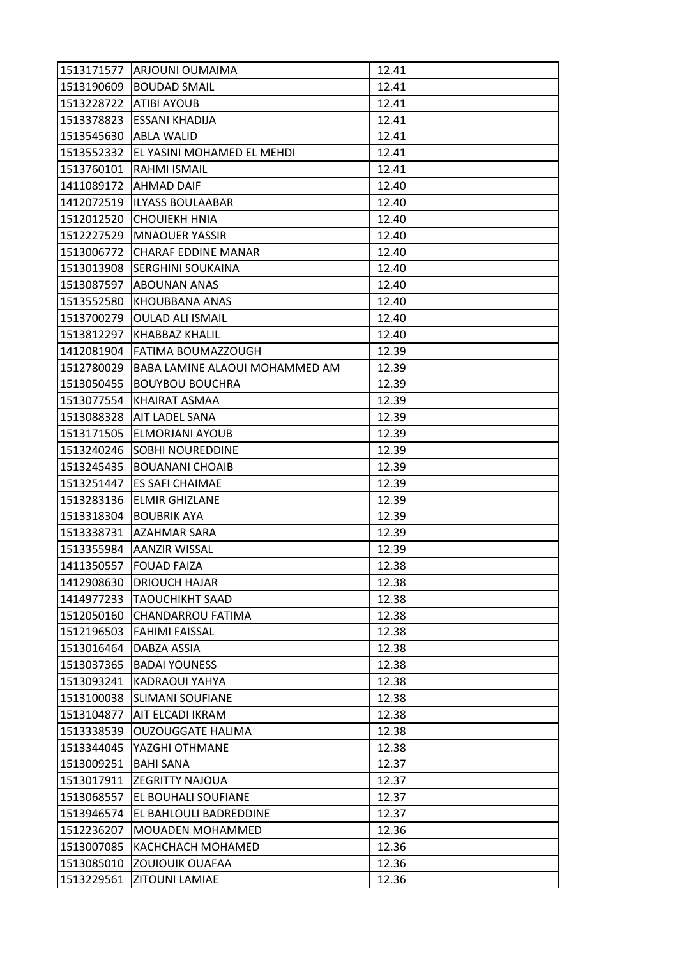| 1513171577 | <b>ARJOUNI OUMAIMA</b>         | 12.41 |
|------------|--------------------------------|-------|
| 1513190609 | <b>BOUDAD SMAIL</b>            | 12.41 |
| 1513228722 | <b>ATIBI AYOUB</b>             | 12.41 |
| 1513378823 | ESSANI KHADIJA                 | 12.41 |
| 1513545630 | <b>ABLA WALID</b>              | 12.41 |
| 1513552332 | EL YASINI MOHAMED EL MEHDI     | 12.41 |
| 1513760101 | <b>RAHMI ISMAIL</b>            | 12.41 |
| 1411089172 | <b>AHMAD DAIF</b>              | 12.40 |
| 1412072519 | <b>ILYASS BOULAABAR</b>        | 12.40 |
| 1512012520 | <b>CHOUIEKH HNIA</b>           | 12.40 |
| 1512227529 | <b>MNAOUER YASSIR</b>          | 12.40 |
| 1513006772 | <b>CHARAF EDDINE MANAR</b>     | 12.40 |
| 1513013908 | <b>SERGHINI SOUKAINA</b>       | 12.40 |
| 1513087597 | <b>ABOUNAN ANAS</b>            | 12.40 |
| 1513552580 | KHOUBBANA ANAS                 | 12.40 |
| 1513700279 | <b>OULAD ALI ISMAIL</b>        | 12.40 |
| 1513812297 | KHABBAZ KHALIL                 | 12.40 |
| 1412081904 | FATIMA BOUMAZZOUGH             | 12.39 |
| 1512780029 | BABA LAMINE ALAOUI MOHAMMED AM | 12.39 |
| 1513050455 | <b>BOUYBOU BOUCHRA</b>         | 12.39 |
| 1513077554 | KHAIRAT ASMAA                  | 12.39 |
| 1513088328 | AIT LADEL SANA                 | 12.39 |
| 1513171505 | ELMORJANI AYOUB                | 12.39 |
| 1513240246 | <b>SOBHI NOUREDDINE</b>        | 12.39 |
| 1513245435 | <b>BOUANANI CHOAIB</b>         | 12.39 |
| 1513251447 | <b>ES SAFI CHAIMAE</b>         | 12.39 |
| 1513283136 | <b>ELMIR GHIZLANE</b>          | 12.39 |
| 1513318304 | <b>BOUBRIK AYA</b>             | 12.39 |
| 1513338731 | <b>AZAHMAR SARA</b>            | 12.39 |
| 1513355984 | <b>AANZIR WISSAL</b>           | 12.39 |
| 1411350557 | <b>FOUAD FAIZA</b>             | 12.38 |
| 1412908630 | <b>DRIOUCH HAJAR</b>           | 12.38 |
| 1414977233 | <b>TAOUCHIKHT SAAD</b>         | 12.38 |
| 1512050160 | CHANDARROU FATIMA              | 12.38 |
| 1512196503 | <b>FAHIMI FAISSAL</b>          | 12.38 |
| 1513016464 | DABZA ASSIA                    | 12.38 |
| 1513037365 | <b>BADAI YOUNESS</b>           | 12.38 |
| 1513093241 | KADRAOUI YAHYA                 | 12.38 |
| 1513100038 | <b>SLIMANI SOUFIANE</b>        | 12.38 |
| 1513104877 | AIT ELCADI IKRAM               | 12.38 |
| 1513338539 | <b>OUZOUGGATE HALIMA</b>       | 12.38 |
| 1513344045 | YAZGHI OTHMANE                 | 12.38 |
| 1513009251 | <b>BAHI SANA</b>               | 12.37 |
| 1513017911 | <b>ZEGRITTY NAJOUA</b>         | 12.37 |
| 1513068557 | EL BOUHALI SOUFIANE            | 12.37 |
| 1513946574 | EL BAHLOULI BADREDDINE         | 12.37 |
| 1512236207 | MOUADEN MOHAMMED               | 12.36 |
| 1513007085 | KACHCHACH MOHAMED              | 12.36 |
| 1513085010 | <b>ZOUIOUIK OUAFAA</b>         | 12.36 |
| 1513229561 | <b>ZITOUNI LAMIAE</b>          | 12.36 |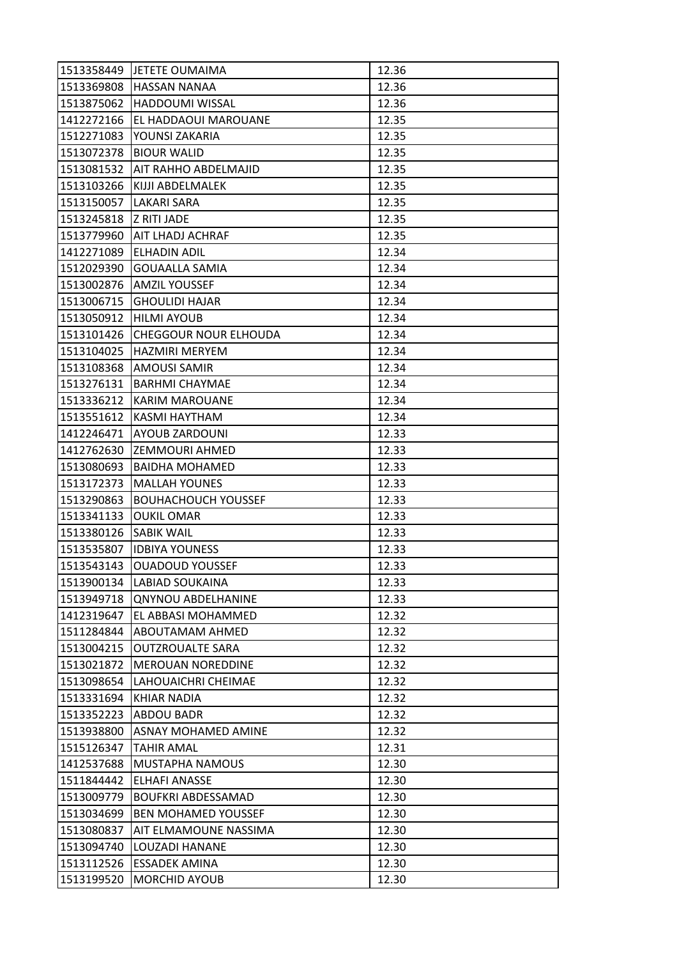| 1513358449 | <b>JETETE OUMAIMA</b>        | 12.36 |
|------------|------------------------------|-------|
| 1513369808 | <b>HASSAN NANAA</b>          | 12.36 |
| 1513875062 | <b>HADDOUMI WISSAL</b>       | 12.36 |
| 1412272166 | EL HADDAOUI MAROUANE         | 12.35 |
| 1512271083 | YOUNSI ZAKARIA               | 12.35 |
| 1513072378 | <b>BIOUR WALID</b>           | 12.35 |
| 1513081532 | <b>AIT RAHHO ABDELMAJID</b>  | 12.35 |
| 1513103266 | KIJJI ABDELMALEK             | 12.35 |
| 1513150057 | LAKARI SARA                  | 12.35 |
| 1513245818 | <b>Z RITI JADE</b>           | 12.35 |
|            | 1513779960 AIT LHADJ ACHRAF  | 12.35 |
| 1412271089 | <b>ELHADIN ADIL</b>          | 12.34 |
| 1512029390 | <b>GOUAALLA SAMIA</b>        | 12.34 |
| 1513002876 | <b>AMZIL YOUSSEF</b>         | 12.34 |
| 1513006715 | <b>GHOULIDI HAJAR</b>        | 12.34 |
|            | 1513050912   HILMI AYOUB     | 12.34 |
| 1513101426 | <b>CHEGGOUR NOUR ELHOUDA</b> | 12.34 |
| 1513104025 | <b>HAZMIRI MERYEM</b>        | 12.34 |
| 1513108368 | <b>AMOUSI SAMIR</b>          | 12.34 |
| 1513276131 | <b>BARHMI CHAYMAE</b>        | 12.34 |
| 1513336212 | <b>KARIM MAROUANE</b>        | 12.34 |
| 1513551612 | KASMI HAYTHAM                | 12.34 |
| 1412246471 | <b>AYOUB ZARDOUNI</b>        | 12.33 |
| 1412762630 | <b>ZEMMOURI AHMED</b>        | 12.33 |
| 1513080693 | <b>BAIDHA MOHAMED</b>        | 12.33 |
| 1513172373 | <b>MALLAH YOUNES</b>         | 12.33 |
| 1513290863 | <b>BOUHACHOUCH YOUSSEF</b>   | 12.33 |
| 1513341133 | <b>OUKIL OMAR</b>            | 12.33 |
| 1513380126 | <b>SABIK WAIL</b>            | 12.33 |
| 1513535807 | <b>IDBIYA YOUNESS</b>        | 12.33 |
| 1513543143 | <b>OUADOUD YOUSSEF</b>       | 12.33 |
| 1513900134 | <b>LABIAD SOUKAINA</b>       | 12.33 |
| 1513949718 | <b>QNYNOU ABDELHANINE</b>    | 12.33 |
| 1412319647 | EL ABBASI MOHAMMED           | 12.32 |
| 1511284844 | <b>ABOUTAMAM AHMED</b>       | 12.32 |
| 1513004215 | <b>OUTZROUALTE SARA</b>      | 12.32 |
| 1513021872 | <b>MEROUAN NOREDDINE</b>     | 12.32 |
| 1513098654 | LAHOUAICHRI CHEIMAE          | 12.32 |
| 1513331694 | KHIAR NADIA                  | 12.32 |
| 1513352223 | <b>ABDOU BADR</b>            | 12.32 |
| 1513938800 | <b>ASNAY MOHAMED AMINE</b>   | 12.32 |
| 1515126347 | <b>TAHIR AMAL</b>            | 12.31 |
| 1412537688 | MUSTAPHA NAMOUS              | 12.30 |
| 1511844442 | ELHAFI ANASSE                | 12.30 |
| 1513009779 | <b>BOUFKRI ABDESSAMAD</b>    | 12.30 |
| 1513034699 | <b>BEN MOHAMED YOUSSEF</b>   | 12.30 |
| 1513080837 | AIT ELMAMOUNE NASSIMA        | 12.30 |
| 1513094740 | LOUZADI HANANE               | 12.30 |
| 1513112526 | <b>ESSADEK AMINA</b>         | 12.30 |
| 1513199520 | <b>MORCHID AYOUB</b>         | 12.30 |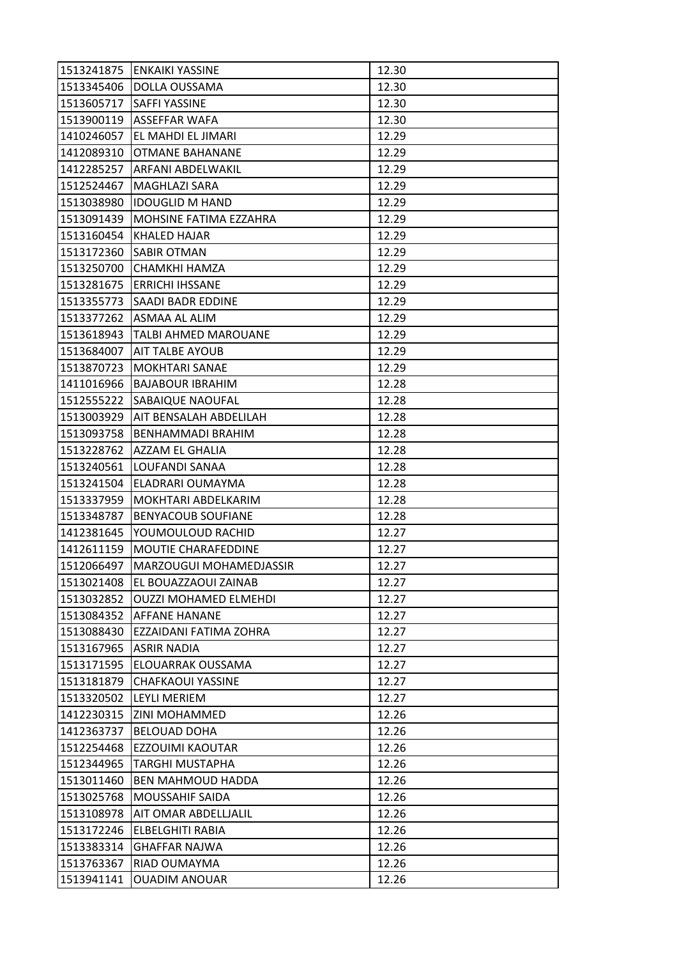| 1513241875 | <b>ENKAIKI YASSINE</b>       | 12.30 |
|------------|------------------------------|-------|
| 1513345406 | DOLLA OUSSAMA                | 12.30 |
| 1513605717 | <b>SAFFI YASSINE</b>         | 12.30 |
| 1513900119 | ASSEFFAR WAFA                | 12.30 |
| 1410246057 | EL MAHDI EL JIMARI           | 12.29 |
| 1412089310 | OTMANE BAHANANE              | 12.29 |
| 1412285257 | ARFANI ABDELWAKIL            | 12.29 |
| 1512524467 | MAGHLAZI SARA                | 12.29 |
| 1513038980 | <b>IDOUGLID M HAND</b>       | 12.29 |
| 1513091439 | MOHSINE FATIMA EZZAHRA       | 12.29 |
| 1513160454 | KHALED HAJAR                 | 12.29 |
| 1513172360 | <b>SABIR OTMAN</b>           | 12.29 |
| 1513250700 | CHAMKHI HAMZA                | 12.29 |
| 1513281675 | <b>ERRICHI IHSSANE</b>       | 12.29 |
| 1513355773 | SAADI BADR EDDINE            | 12.29 |
|            | 1513377262 ASMAA AL ALIM     | 12.29 |
| 1513618943 | <b>TALBI AHMED MAROUANE</b>  | 12.29 |
| 1513684007 | <b>AIT TALBE AYOUB</b>       | 12.29 |
| 1513870723 | <b>MOKHTARI SANAE</b>        | 12.29 |
| 1411016966 | <b>BAJABOUR IBRAHIM</b>      | 12.28 |
| 1512555222 | <b>SABAIQUE NAOUFAL</b>      | 12.28 |
| 1513003929 | AIT BENSALAH ABDELILAH       | 12.28 |
| 1513093758 | BENHAMMADI BRAHIM            | 12.28 |
| 1513228762 | AZZAM EL GHALIA              | 12.28 |
| 1513240561 | LOUFANDI SANAA               | 12.28 |
| 1513241504 | <b>ELADRARI OUMAYMA</b>      | 12.28 |
| 1513337959 | MOKHTARI ABDELKARIM          | 12.28 |
| 1513348787 | <b>BENYACOUB SOUFIANE</b>    | 12.28 |
| 1412381645 | YOUMOULOUD RACHID            | 12.27 |
| 1412611159 | MOUTIE CHARAFEDDINE          | 12.27 |
| 1512066497 | MARZOUGUI MOHAMEDJASSIR      | 12.27 |
| 1513021408 | EL BOUAZZAOUI ZAINAB         | 12.27 |
| 1513032852 | <b>OUZZI MOHAMED ELMEHDI</b> | 12.27 |
| 1513084352 | AFFANE HANANE                | 12.27 |
| 1513088430 | EZZAIDANI FATIMA ZOHRA       | 12.27 |
| 1513167965 | <b>ASRIR NADIA</b>           | 12.27 |
| 1513171595 | ELOUARRAK OUSSAMA            | 12.27 |
| 1513181879 | <b>CHAFKAOUI YASSINE</b>     | 12.27 |
| 1513320502 | LEYLI MERIEM                 | 12.27 |
| 1412230315 | <b>ZINI MOHAMMED</b>         | 12.26 |
| 1412363737 | <b>BELOUAD DOHA</b>          | 12.26 |
| 1512254468 | EZZOUIMI KAOUTAR             | 12.26 |
| 1512344965 | <b>TARGHI MUSTAPHA</b>       | 12.26 |
| 1513011460 | <b>BEN MAHMOUD HADDA</b>     | 12.26 |
| 1513025768 | MOUSSAHIF SAIDA              | 12.26 |
| 1513108978 | <b>AIT OMAR ABDELLJALIL</b>  | 12.26 |
| 1513172246 | <b>ELBELGHITI RABIA</b>      | 12.26 |
| 1513383314 | <b>GHAFFAR NAJWA</b>         | 12.26 |
| 1513763367 | RIAD OUMAYMA                 | 12.26 |
| 1513941141 | <b>OUADIM ANOUAR</b>         | 12.26 |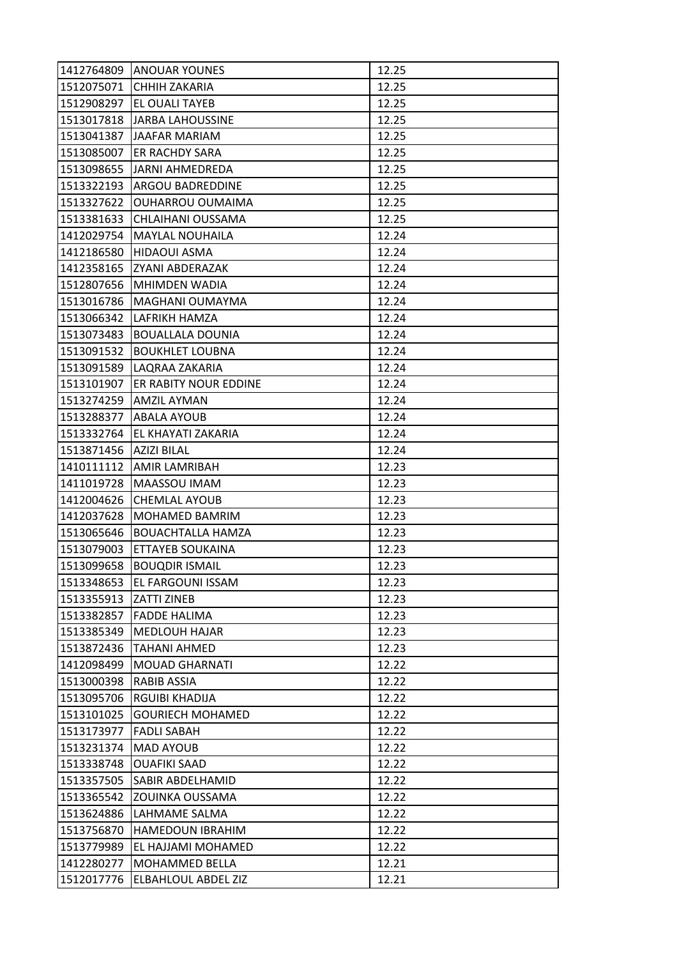| 1412764809 | <b>JANOUAR YOUNES</b>      | 12.25 |
|------------|----------------------------|-------|
| 1512075071 | <b>CHHIH ZAKARIA</b>       | 12.25 |
| 1512908297 | EL OUALI TAYEB             | 12.25 |
| 1513017818 | <b>JARBA LAHOUSSINE</b>    | 12.25 |
| 1513041387 | JAAFAR MARIAM              | 12.25 |
| 1513085007 | <b>ER RACHDY SARA</b>      | 12.25 |
| 1513098655 | JARNI AHMEDREDA            | 12.25 |
| 1513322193 | ARGOU BADREDDINE           | 12.25 |
| 1513327622 | <b>OUHARROU OUMAIMA</b>    | 12.25 |
| 1513381633 | CHLAIHANI OUSSAMA          | 12.25 |
| 1412029754 | <b>MAYLAL NOUHAILA</b>     | 12.24 |
| 1412186580 | <b>HIDAOUI ASMA</b>        | 12.24 |
| 1412358165 | ZYANI ABDERAZAK            | 12.24 |
| 1512807656 | <b>MHIMDEN WADIA</b>       | 12.24 |
| 1513016786 | MAGHANI OUMAYMA            | 12.24 |
| 1513066342 | <b>LAFRIKH HAMZA</b>       | 12.24 |
| 1513073483 | <b>BOUALLALA DOUNIA</b>    | 12.24 |
| 1513091532 | <b>BOUKHLET LOUBNA</b>     | 12.24 |
| 1513091589 | <b>LAQRAA ZAKARIA</b>      | 12.24 |
| 1513101907 | ER RABITY NOUR EDDINE      | 12.24 |
| 1513274259 | <b>AMZIL AYMAN</b>         | 12.24 |
| 1513288377 | <b>ABALA AYOUB</b>         | 12.24 |
| 1513332764 | EL KHAYATI ZAKARIA         | 12.24 |
| 1513871456 | <b>AZIZI BILAL</b>         | 12.24 |
| 1410111112 | AMIR LAMRIBAH              | 12.23 |
| 1411019728 | MAASSOU IMAM               | 12.23 |
| 1412004626 | <b>CHEMLAL AYOUB</b>       | 12.23 |
| 1412037628 | MOHAMED BAMRIM             | 12.23 |
| 1513065646 | <b>BOUACHTALLA HAMZA</b>   | 12.23 |
| 1513079003 | <b>ETTAYEB SOUKAINA</b>    | 12.23 |
| 1513099658 | <b>BOUQDIR ISMAIL</b>      | 12.23 |
| 1513348653 | EL FARGOUNI ISSAM          | 12.23 |
| 1513355913 | <b>ZATTI ZINEB</b>         | 12.23 |
| 1513382857 | <b>FADDE HALIMA</b>        | 12.23 |
| 1513385349 | <b>MEDLOUH HAJAR</b>       | 12.23 |
| 1513872436 | TAHANI AHMED               | 12.23 |
| 1412098499 | <b>MOUAD GHARNATI</b>      | 12.22 |
| 1513000398 | RABIB ASSIA                | 12.22 |
| 1513095706 | <b>RGUIBI KHADIJA</b>      | 12.22 |
| 1513101025 | <b>GOURIECH MOHAMED</b>    | 12.22 |
| 1513173977 | <b>FADLI SABAH</b>         | 12.22 |
| 1513231374 | <b>MAD AYOUB</b>           | 12.22 |
| 1513338748 | <b>OUAFIKI SAAD</b>        | 12.22 |
| 1513357505 | SABIR ABDELHAMID           | 12.22 |
| 1513365542 | <b>ZOUINKA OUSSAMA</b>     | 12.22 |
| 1513624886 | LAHMAME SALMA              | 12.22 |
| 1513756870 | <b>HAMEDOUN IBRAHIM</b>    | 12.22 |
| 1513779989 | EL HAJJAMI MOHAMED         | 12.22 |
| 1412280277 | <b>MOHAMMED BELLA</b>      | 12.21 |
| 1512017776 | <b>ELBAHLOUL ABDEL ZIZ</b> | 12.21 |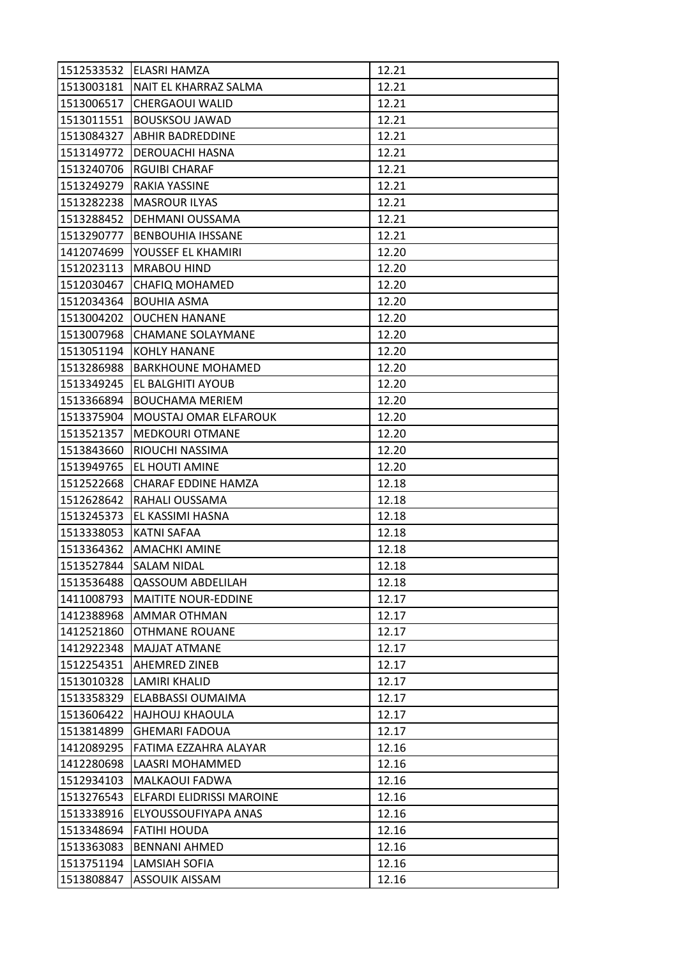| 1512533532 | ELASRI HAMZA               | 12.21 |
|------------|----------------------------|-------|
| 1513003181 | NAIT EL KHARRAZ SALMA      | 12.21 |
| 1513006517 | <b>CHERGAOUI WALID</b>     | 12.21 |
| 1513011551 | <b>BOUSKSOU JAWAD</b>      | 12.21 |
| 1513084327 | <b>ABHIR BADREDDINE</b>    | 12.21 |
| 1513149772 | DEROUACHI HASNA            | 12.21 |
| 1513240706 | <b>RGUIBI CHARAF</b>       | 12.21 |
| 1513249279 | RAKIA YASSINE              | 12.21 |
| 1513282238 | <b>MASROUR ILYAS</b>       | 12.21 |
| 1513288452 | DEHMANI OUSSAMA            | 12.21 |
| 1513290777 | <b>BENBOUHIA IHSSANE</b>   | 12.21 |
| 1412074699 | YOUSSEF EL KHAMIRI         | 12.20 |
| 1512023113 | <b>MRABOU HIND</b>         | 12.20 |
| 1512030467 | <b>CHAFIQ MOHAMED</b>      | 12.20 |
| 1512034364 | <b>BOUHIA ASMA</b>         | 12.20 |
| 1513004202 | <b>OUCHEN HANANE</b>       | 12.20 |
| 1513007968 | <b>CHAMANE SOLAYMANE</b>   | 12.20 |
| 1513051194 | <b>KOHLY HANANE</b>        | 12.20 |
| 1513286988 | <b>BARKHOUNE MOHAMED</b>   | 12.20 |
| 1513349245 | EL BALGHITI AYOUB          | 12.20 |
| 1513366894 | <b>BOUCHAMA MERIEM</b>     | 12.20 |
| 1513375904 | MOUSTAJ OMAR ELFAROUK      | 12.20 |
| 1513521357 | <b>MEDKOURI OTMANE</b>     | 12.20 |
| 1513843660 | RIOUCHI NASSIMA            | 12.20 |
| 1513949765 | EL HOUTI AMINE             | 12.20 |
| 1512522668 | CHARAF EDDINE HAMZA        | 12.18 |
| 1512628642 | RAHALI OUSSAMA             | 12.18 |
| 1513245373 | EL KASSIMI HASNA           | 12.18 |
| 1513338053 | <b>KATNI SAFAA</b>         | 12.18 |
| 1513364362 | <b>AMACHKI AMINE</b>       | 12.18 |
| 1513527844 | <b>SALAM NIDAL</b>         | 12.18 |
| 1513536488 | <b>QASSOUM ABDELILAH</b>   | 12.18 |
| 1411008793 | <b>MAITITE NOUR-EDDINE</b> | 12.17 |
| 1412388968 | AMMAR OTHMAN               | 12.17 |
| 1412521860 | <b>OTHMANE ROUANE</b>      | 12.17 |
| 1412922348 | MAJJAT ATMANE              | 12.17 |
| 1512254351 | <b>AHEMRED ZINEB</b>       | 12.17 |
| 1513010328 | <b>LAMIRI KHALID</b>       | 12.17 |
| 1513358329 | ELABBASSI OUMAIMA          | 12.17 |
| 1513606422 | <b>HAJHOUJ KHAOULA</b>     | 12.17 |
| 1513814899 | <b>GHEMARI FADOUA</b>      | 12.17 |
| 1412089295 | FATIMA EZZAHRA ALAYAR      | 12.16 |
| 1412280698 | LAASRI MOHAMMED            | 12.16 |
| 1512934103 | MALKAOUI FADWA             | 12.16 |
| 1513276543 | ELFARDI ELIDRISSI MAROINE  | 12.16 |
| 1513338916 | ELYOUSSOUFIYAPA ANAS       | 12.16 |
| 1513348694 | FATIHI HOUDA               | 12.16 |
| 1513363083 | <b>BENNANI AHMED</b>       | 12.16 |
| 1513751194 | <b>LAMSIAH SOFIA</b>       | 12.16 |
| 1513808847 | ASSOUIK AISSAM             | 12.16 |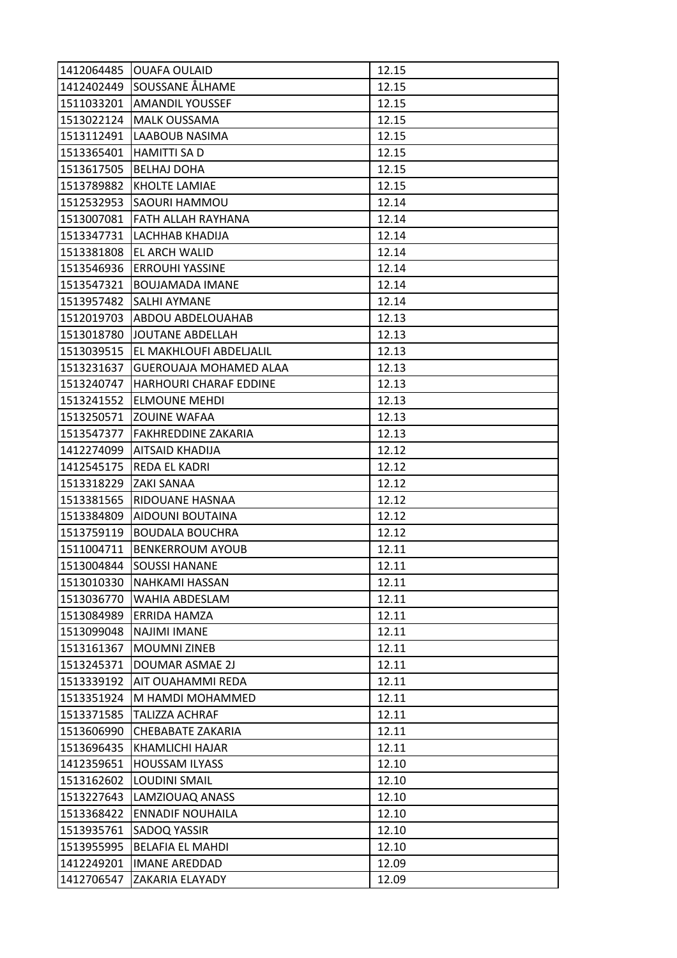| 1412064485 | <b>OUAFA OULAID</b>           | 12.15 |
|------------|-------------------------------|-------|
|            | 1412402449 SOUSSANE ÅLHAME    | 12.15 |
| 1511033201 | <b>AMANDIL YOUSSEF</b>        | 12.15 |
| 1513022124 | <b>MALK OUSSAMA</b>           | 12.15 |
| 1513112491 | LAABOUB NASIMA                | 12.15 |
| 1513365401 | HAMITTI SA D                  | 12.15 |
| 1513617505 | <b>BELHAJ DOHA</b>            | 12.15 |
| 1513789882 | <b>KHOLTE LAMIAE</b>          | 12.15 |
| 1512532953 | <b>SAOURI HAMMOU</b>          | 12.14 |
| 1513007081 | FATH ALLAH RAYHANA            | 12.14 |
| 1513347731 | LACHHAB KHADIJA               | 12.14 |
| 1513381808 | <b>EL ARCH WALID</b>          | 12.14 |
| 1513546936 | <b>ERROUHI YASSINE</b>        | 12.14 |
| 1513547321 | <b>BOUJAMADA IMANE</b>        | 12.14 |
| 1513957482 | <b>SALHI AYMANE</b>           | 12.14 |
|            | 1512019703 ABDOU ABDELOUAHAB  | 12.13 |
| 1513018780 | JOUTANE ABDELLAH              | 12.13 |
| 1513039515 | EL MAKHLOUFI ABDELJALIL       | 12.13 |
| 1513231637 | <b>GUEROUAJA MOHAMED ALAA</b> | 12.13 |
| 1513240747 | HARHOURI CHARAF EDDINE        | 12.13 |
| 1513241552 | <b>ELMOUNE MEHDI</b>          | 12.13 |
| 1513250571 | IZOUINE WAFAA                 | 12.13 |
| 1513547377 | FAKHREDDINE ZAKARIA           | 12.13 |
| 1412274099 | AITSAID KHADIJA               | 12.12 |
| 1412545175 | REDA EL KADRI                 | 12.12 |
| 1513318229 | <b>ZAKI SANAA</b>             | 12.12 |
| 1513381565 | RIDOUANE HASNAA               | 12.12 |
| 1513384809 | <b>AIDOUNI BOUTAINA</b>       | 12.12 |
| 1513759119 | <b>BOUDALA BOUCHRA</b>        | 12.12 |
| 1511004711 | <b>BENKERROUM AYOUB</b>       | 12.11 |
| 1513004844 | <b>SOUSSI HANANE</b>          | 12.11 |
| 1513010330 | <b>NAHKAMI HASSAN</b>         | 12.11 |
| 1513036770 | WAHIA ABDESLAM                | 12.11 |
| 1513084989 | ERRIDA HAMZA                  | 12.11 |
| 1513099048 | <b>NAJIMI IMANE</b>           | 12.11 |
| 1513161367 | <b>MOUMNI ZINEB</b>           | 12.11 |
| 1513245371 | <b>DOUMAR ASMAE 2J</b>        | 12.11 |
| 1513339192 | AIT OUAHAMMI REDA             | 12.11 |
| 1513351924 | M HAMDI MOHAMMED              | 12.11 |
| 1513371585 | <b>TALIZZA ACHRAF</b>         | 12.11 |
| 1513606990 | CHEBABATE ZAKARIA             | 12.11 |
| 1513696435 | KHAMLICHI HAJAR               | 12.11 |
| 1412359651 | <b>HOUSSAM ILYASS</b>         | 12.10 |
| 1513162602 | <b>LOUDINI SMAIL</b>          | 12.10 |
| 1513227643 | LAMZIOUAQ ANASS               | 12.10 |
| 1513368422 | <b>ENNADIF NOUHAILA</b>       | 12.10 |
| 1513935761 | SADOQ YASSIR                  | 12.10 |
| 1513955995 | <b>BELAFIA EL MAHDI</b>       | 12.10 |
| 1412249201 | <b>IMANE AREDDAD</b>          | 12.09 |
| 1412706547 | ZAKARIA ELAYADY               | 12.09 |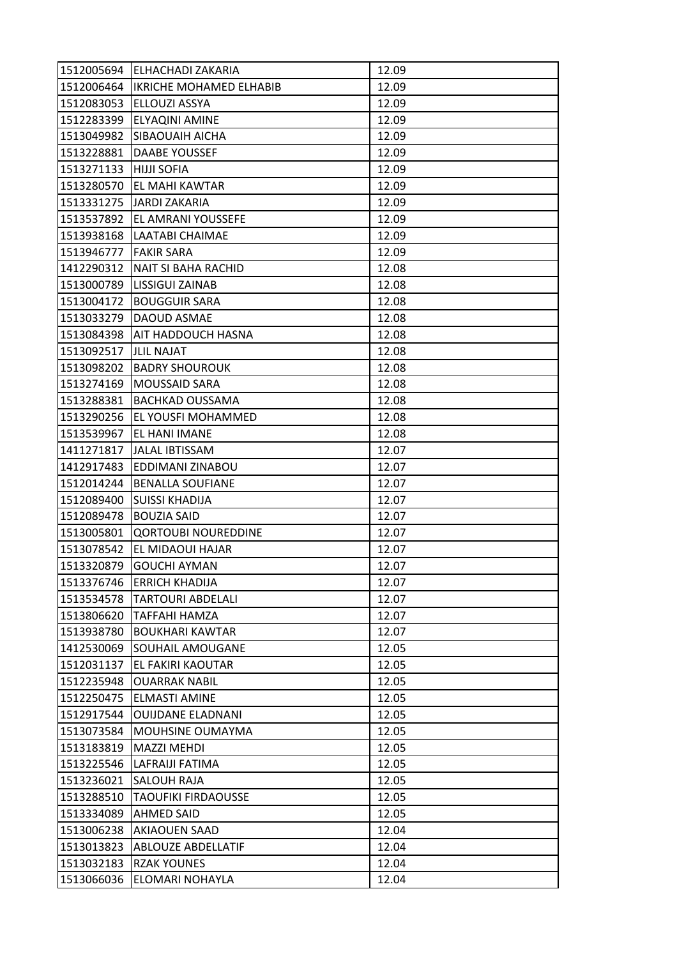| 1512005694 | <b>LELHACHADI ZAKARIA</b>            | 12.09 |
|------------|--------------------------------------|-------|
|            | 1512006464   IKRICHE MOHAMED ELHABIB | 12.09 |
| 1512083053 | ELLOUZI ASSYA                        | 12.09 |
| 1512283399 | ELYAQINI AMINE                       | 12.09 |
| 1513049982 | <b>SIBAOUAIH AICHA</b>               | 12.09 |
| 1513228881 | DAABE YOUSSEF                        | 12.09 |
| 1513271133 | <b>HIJJI SOFIA</b>                   | 12.09 |
| 1513280570 | <b>EL MAHI KAWTAR</b>                | 12.09 |
|            | 1513331275 JARDI ZAKARIA             | 12.09 |
| 1513537892 | <b>EL AMRANI YOUSSEFE</b>            | 12.09 |
| 1513938168 | <b>LAATABI CHAIMAE</b>               | 12.09 |
| 1513946777 | <b>FAKIR SARA</b>                    | 12.09 |
| 1412290312 | NAIT SI BAHA RACHID                  | 12.08 |
| 1513000789 | <b>LISSIGUI ZAINAB</b>               | 12.08 |
| 1513004172 | <b>BOUGGUIR SARA</b>                 | 12.08 |
| 1513033279 | <b>DAOUD ASMAE</b>                   | 12.08 |
| 1513084398 | AIT HADDOUCH HASNA                   | 12.08 |
| 1513092517 | <b>JLIL NAJAT</b>                    | 12.08 |
| 1513098202 | <b>BADRY SHOUROUK</b>                | 12.08 |
| 1513274169 | <b>MOUSSAID SARA</b>                 | 12.08 |
| 1513288381 | <b>BACHKAD OUSSAMA</b>               | 12.08 |
| 1513290256 | EL YOUSFI MOHAMMED                   | 12.08 |
| 1513539967 | EL HANI IMANE                        | 12.08 |
| 1411271817 | JALAL IBTISSAM                       | 12.07 |
| 1412917483 | EDDIMANI ZINABOU                     | 12.07 |
| 1512014244 | <b>BENALLA SOUFIANE</b>              | 12.07 |
| 1512089400 | <b>SUISSI KHADIJA</b>                | 12.07 |
| 1512089478 | <b>BOUZIA SAID</b>                   | 12.07 |
| 1513005801 | <b>QORTOUBI NOUREDDINE</b>           | 12.07 |
| 1513078542 | EL MIDAOUI HAJAR                     | 12.07 |
| 1513320879 | <b>GOUCHI AYMAN</b>                  | 12.07 |
| 1513376746 | <b>ERRICH KHADIJA</b>                | 12.07 |
| 1513534578 | <b>TARTOURI ABDELALI</b>             | 12.07 |
| 1513806620 | TAFFAHI HAMZA                        | 12.07 |
| 1513938780 | <b>BOUKHARI KAWTAR</b>               | 12.07 |
| 1412530069 | SOUHAIL AMOUGANE                     | 12.05 |
| 1512031137 | EL FAKIRI KAOUTAR                    | 12.05 |
| 1512235948 | <b>OUARRAK NABIL</b>                 | 12.05 |
| 1512250475 | ELMASTI AMINE                        | 12.05 |
| 1512917544 | <b>OUIJDANE ELADNANI</b>             | 12.05 |
| 1513073584 | MOUHSINE OUMAYMA                     | 12.05 |
| 1513183819 | <b>MAZZI MEHDI</b>                   | 12.05 |
| 1513225546 | LAFRAIJI FATIMA                      | 12.05 |
| 1513236021 | SALOUH RAJA                          | 12.05 |
| 1513288510 | <b>TAOUFIKI FIRDAOUSSE</b>           | 12.05 |
| 1513334089 | <b>AHMED SAID</b>                    | 12.05 |
| 1513006238 | <b>AKIAOUEN SAAD</b>                 | 12.04 |
| 1513013823 | <b>ABLOUZE ABDELLATIF</b>            | 12.04 |
| 1513032183 | <b>RZAK YOUNES</b>                   | 12.04 |
| 1513066036 | ELOMARI NOHAYLA                      | 12.04 |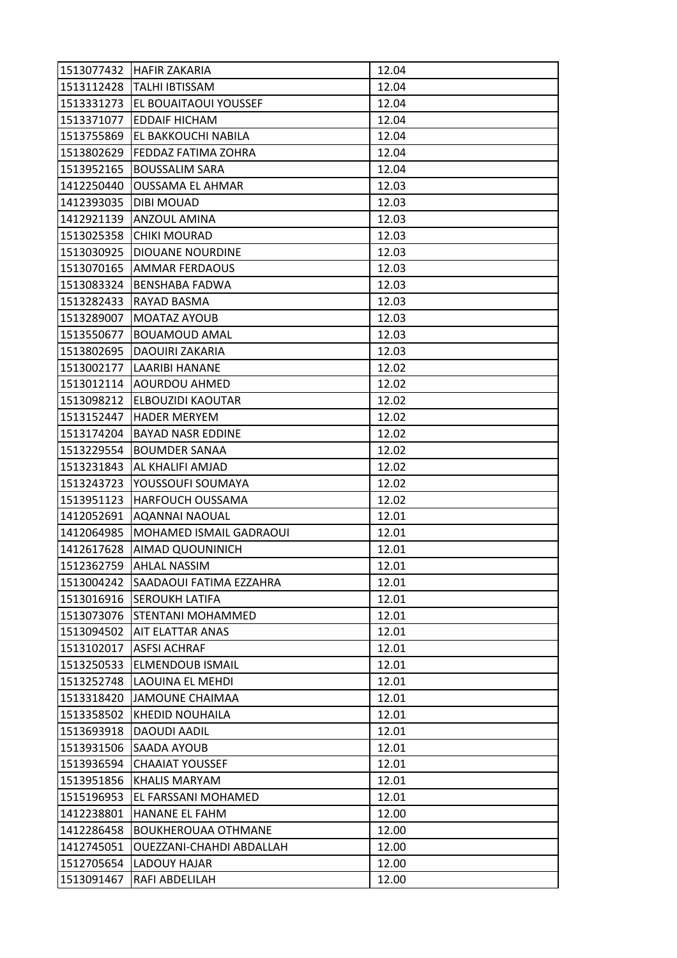| 1513077432 | <b>HAFIR ZAKARIA</b>       | 12.04 |
|------------|----------------------------|-------|
| 1513112428 | <b>TALHI IBTISSAM</b>      | 12.04 |
| 1513331273 | EL BOUAITAOUI YOUSSEF      | 12.04 |
| 1513371077 | <b>EDDAIF HICHAM</b>       | 12.04 |
| 1513755869 | EL BAKKOUCHI NABILA        | 12.04 |
| 1513802629 | FEDDAZ FATIMA ZOHRA        | 12.04 |
| 1513952165 | <b>BOUSSALIM SARA</b>      | 12.04 |
| 1412250440 | <b>OUSSAMA EL AHMAR</b>    | 12.03 |
| 1412393035 | <b>DIBI MOUAD</b>          | 12.03 |
| 1412921139 | <b>ANZOUL AMINA</b>        | 12.03 |
| 1513025358 | <b>CHIKI MOURAD</b>        | 12.03 |
| 1513030925 | DIOUANE NOURDINE           | 12.03 |
| 1513070165 | AMMAR FERDAOUS             | 12.03 |
| 1513083324 | <b>BENSHABA FADWA</b>      | 12.03 |
| 1513282433 | RAYAD BASMA                | 12.03 |
| 1513289007 | <b>MOATAZ AYOUB</b>        | 12.03 |
| 1513550677 | <b>BOUAMOUD AMAL</b>       | 12.03 |
| 1513802695 | <b>DAOUIRI ZAKARIA</b>     | 12.03 |
| 1513002177 | <b>LAARIBI HANANE</b>      | 12.02 |
| 1513012114 | <b>AOURDOU AHMED</b>       | 12.02 |
| 1513098212 | <b>ELBOUZIDI KAOUTAR</b>   | 12.02 |
| 1513152447 | <b>HADER MERYEM</b>        | 12.02 |
| 1513174204 | <b>BAYAD NASR EDDINE</b>   | 12.02 |
| 1513229554 | <b>BOUMDER SANAA</b>       | 12.02 |
| 1513231843 | AL KHALIFI AMJAD           | 12.02 |
| 1513243723 | YOUSSOUFI SOUMAYA          | 12.02 |
| 1513951123 | <b>HARFOUCH OUSSAMA</b>    | 12.02 |
| 1412052691 | <b>AQANNAI NAOUAL</b>      | 12.01 |
| 1412064985 | MOHAMED ISMAIL GADRAOUI    | 12.01 |
| 1412617628 | <b>AIMAD QUOUNINICH</b>    | 12.01 |
| 1512362759 | <b>AHLAL NASSIM</b>        | 12.01 |
| 1513004242 | SAADAOUI FATIMA EZZAHRA    | 12.01 |
| 1513016916 | <b>SEROUKH LATIFA</b>      | 12.01 |
| 1513073076 | STENTANI MOHAMMED          | 12.01 |
| 1513094502 | <b>AIT ELATTAR ANAS</b>    | 12.01 |
| 1513102017 | <b>ASFSI ACHRAF</b>        | 12.01 |
| 1513250533 | <b>ELMENDOUB ISMAIL</b>    | 12.01 |
| 1513252748 | <b>LAOUINA EL MEHDI</b>    | 12.01 |
| 1513318420 | <b>JAMOUNE CHAIMAA</b>     | 12.01 |
| 1513358502 | <b>KHEDID NOUHAILA</b>     | 12.01 |
| 1513693918 | <b>DAOUDI AADIL</b>        | 12.01 |
| 1513931506 | <b>SAADA AYOUB</b>         | 12.01 |
| 1513936594 | <b>CHAAIAT YOUSSEF</b>     | 12.01 |
| 1513951856 | KHALIS MARYAM              | 12.01 |
| 1515196953 | EL FARSSANI MOHAMED        | 12.01 |
| 1412238801 | HANANE EL FAHM             | 12.00 |
| 1412286458 | <b>BOUKHEROUAA OTHMANE</b> | 12.00 |
| 1412745051 | OUEZZANI-CHAHDI ABDALLAH   | 12.00 |
| 1512705654 | LADOUY HAJAR               | 12.00 |
| 1513091467 | RAFI ABDELILAH             | 12.00 |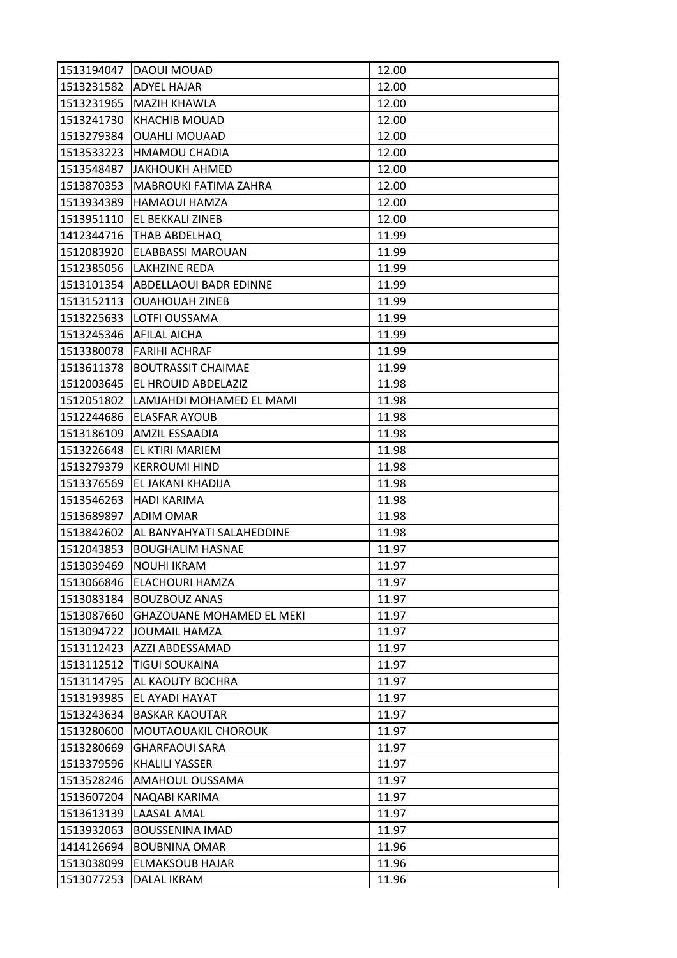| 1513194047 | DAOUI MOUAD                       | 12.00 |
|------------|-----------------------------------|-------|
| 1513231582 | <b>ADYEL HAJAR</b>                | 12.00 |
| 1513231965 | <b>MAZIH KHAWLA</b>               | 12.00 |
| 1513241730 | <b>KHACHIB MOUAD</b>              | 12.00 |
| 1513279384 | <b>OUAHLI MOUAAD</b>              | 12.00 |
| 1513533223 | <b>HMAMOU CHADIA</b>              | 12.00 |
| 1513548487 | ЈАКНОИКН АНМЕД                    | 12.00 |
| 1513870353 | MABROUKI FATIMA ZAHRA             | 12.00 |
| 1513934389 | <b>HAMAOUI HAMZA</b>              | 12.00 |
| 1513951110 | EL BEKKALI ZINEB                  | 12.00 |
|            | 1412344716   THAB ABDELHAQ        | 11.99 |
| 1512083920 | <b>ELABBASSI MAROUAN</b>          | 11.99 |
| 1512385056 | LAKHZINE REDA                     | 11.99 |
|            | 1513101354 ABDELLAOUI BADR EDINNE | 11.99 |
| 1513152113 | <b>OUAHOUAH ZINEB</b>             | 11.99 |
| 1513225633 | LOTFI OUSSAMA                     | 11.99 |
| 1513245346 | <b>AFILAL AICHA</b>               | 11.99 |
| 1513380078 | <b>FARIHI ACHRAF</b>              | 11.99 |
| 1513611378 | <b>BOUTRASSIT CHAIMAE</b>         | 11.99 |
| 1512003645 | EL HROUID ABDELAZIZ               | 11.98 |
| 1512051802 | LAMJAHDI MOHAMED EL MAMI          | 11.98 |
| 1512244686 | <b>ELASFAR AYOUB</b>              | 11.98 |
| 1513186109 | AMZIL ESSAADIA                    | 11.98 |
| 1513226648 | EL KTIRI MARIEM                   | 11.98 |
| 1513279379 | IKERROUMI HIND                    | 11.98 |
| 1513376569 | EL JAKANI KHADIJA                 | 11.98 |
| 1513546263 | HADI KARIMA                       | 11.98 |
| 1513689897 | <b>ADIM OMAR</b>                  | 11.98 |
| 1513842602 | AL BANYAHYATI SALAHEDDINE         | 11.98 |
| 1512043853 | <b>BOUGHALIM HASNAE</b>           | 11.97 |
| 1513039469 | <b>NOUHI IKRAM</b>                | 11.97 |
| 1513066846 | ELACHOURI HAMZA                   | 11.97 |
| 1513083184 | <b>BOUZBOUZ ANAS</b>              | 11.97 |
| 1513087660 | <b>GHAZOUANE MOHAMED EL MEKI</b>  | 11.97 |
| 1513094722 | JOUMAIL HAMZA                     | 11.97 |
| 1513112423 | AZZI ABDESSAMAD                   | 11.97 |
| 1513112512 | <b>TIGUI SOUKAINA</b>             | 11.97 |
| 1513114795 | <b>AL KAOUTY BOCHRA</b>           | 11.97 |
| 1513193985 | EL AYADI HAYAT                    | 11.97 |
| 1513243634 | <b>BASKAR KAOUTAR</b>             | 11.97 |
| 1513280600 | MOUTAOUAKIL CHOROUK               | 11.97 |
| 1513280669 | <b>GHARFAOUI SARA</b>             | 11.97 |
| 1513379596 | <b>KHALILI YASSER</b>             | 11.97 |
| 1513528246 | AMAHOUL OUSSAMA                   | 11.97 |
| 1513607204 | NAQABI KARIMA                     | 11.97 |
| 1513613139 | LAASAL AMAL                       | 11.97 |
| 1513932063 | <b>BOUSSENINA IMAD</b>            | 11.97 |
| 1414126694 | <b>BOUBNINA OMAR</b>              | 11.96 |
| 1513038099 | <b>ELMAKSOUB HAJAR</b>            | 11.96 |
| 1513077253 | DALAL IKRAM                       | 11.96 |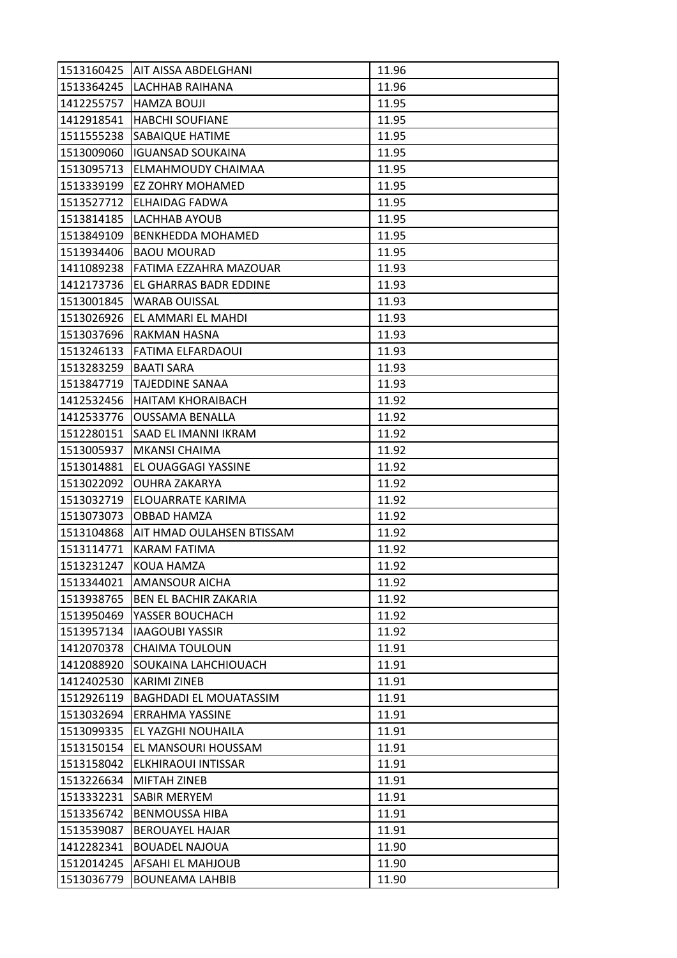| 1513160425 | <b>AIT AISSA ABDELGHANI</b>    | 11.96 |
|------------|--------------------------------|-------|
|            | 1513364245   LACHHAB RAIHANA   | 11.96 |
| 1412255757 | <b>HAMZA BOUJI</b>             | 11.95 |
| 1412918541 | <b>HABCHI SOUFIANE</b>         | 11.95 |
| 1511555238 | <b>SABAIQUE HATIME</b>         | 11.95 |
| 1513009060 | <b>IGUANSAD SOUKAINA</b>       | 11.95 |
| 1513095713 | <b>ELMAHMOUDY CHAIMAA</b>      | 11.95 |
| 1513339199 | <b>EZ ZOHRY MOHAMED</b>        | 11.95 |
| 1513527712 | <b>ELHAIDAG FADWA</b>          | 11.95 |
| 1513814185 | <b>LACHHAB AYOUB</b>           | 11.95 |
| 1513849109 | <b>BENKHEDDA MOHAMED</b>       | 11.95 |
| 1513934406 | <b>BAOU MOURAD</b>             | 11.95 |
| 1411089238 | FATIMA EZZAHRA MAZOUAR         | 11.93 |
| 1412173736 | EL GHARRAS BADR EDDINE         | 11.93 |
| 1513001845 | <b>WARAB OUISSAL</b>           | 11.93 |
|            | 1513026926 EL AMMARI EL MAHDI  | 11.93 |
| 1513037696 | RAKMAN HASNA                   | 11.93 |
| 1513246133 | FATIMA ELFARDAOUI              | 11.93 |
| 1513283259 | <b>BAATI SARA</b>              | 11.93 |
| 1513847719 | <b>TAJEDDINE SANAA</b>         | 11.93 |
|            | 1412532456   HAITAM KHORAIBACH | 11.92 |
| 1412533776 | <b>OUSSAMA BENALLA</b>         | 11.92 |
| 1512280151 | SAAD EL IMANNI IKRAM           | 11.92 |
| 1513005937 | <b>MKANSI CHAIMA</b>           | 11.92 |
| 1513014881 | EL OUAGGAGI YASSINE            | 11.92 |
| 1513022092 | <b>OUHRA ZAKARYA</b>           | 11.92 |
| 1513032719 | ELOUARRATE KARIMA              | 11.92 |
| 1513073073 | OBBAD HAMZA                    | 11.92 |
| 1513104868 | AIT HMAD OULAHSEN BTISSAM      | 11.92 |
| 1513114771 | KARAM FATIMA                   | 11.92 |
| 1513231247 | KOUA HAMZA                     | 11.92 |
| 1513344021 | <b>AMANSOUR AICHA</b>          | 11.92 |
| 1513938765 | <b>BEN EL BACHIR ZAKARIA</b>   | 11.92 |
| 1513950469 | YASSER BOUCHACH                | 11.92 |
| 1513957134 | <b>IAAGOUBI YASSIR</b>         | 11.92 |
| 1412070378 | CHAIMA TOULOUN                 | 11.91 |
| 1412088920 | SOUKAINA LAHCHIOUACH           | 11.91 |
| 1412402530 | <b>KARIMI ZINEB</b>            | 11.91 |
| 1512926119 | <b>BAGHDADI EL MOUATASSIM</b>  | 11.91 |
| 1513032694 | <b>ERRAHMA YASSINE</b>         | 11.91 |
| 1513099335 | EL YAZGHI NOUHAILA             | 11.91 |
| 1513150154 | EL MANSOURI HOUSSAM            | 11.91 |
| 1513158042 | ELKHIRAOUI INTISSAR            | 11.91 |
| 1513226634 | MIFTAH ZINEB                   | 11.91 |
| 1513332231 | <b>SABIR MERYEM</b>            | 11.91 |
| 1513356742 | <b>BENMOUSSA HIBA</b>          | 11.91 |
| 1513539087 | <b>BEROUAYEL HAJAR</b>         | 11.91 |
| 1412282341 | <b>BOUADEL NAJOUA</b>          | 11.90 |
| 1512014245 | AFSAHI EL MAHJOUB              | 11.90 |
| 1513036779 | <b>BOUNEAMA LAHBIB</b>         | 11.90 |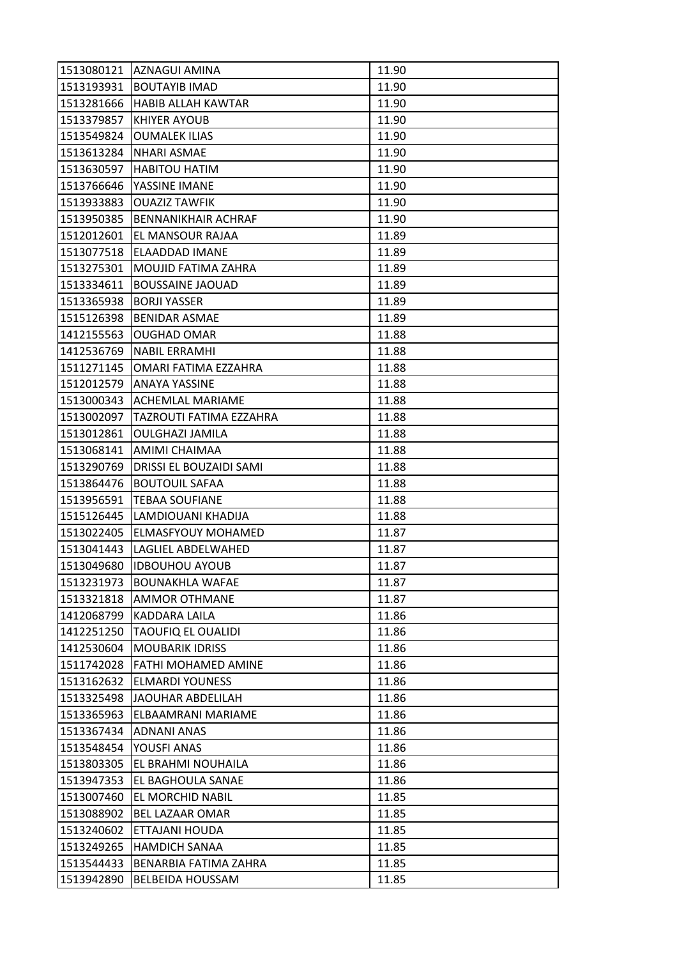| 1513080121 | LAZNAGUI AMINA              | 11.90 |
|------------|-----------------------------|-------|
| 1513193931 | <b>BOUTAYIB IMAD</b>        | 11.90 |
| 1513281666 | HABIB ALLAH KAWTAR          | 11.90 |
| 1513379857 | KHIYER AYOUB                | 11.90 |
| 1513549824 | <b>OUMALEK ILIAS</b>        | 11.90 |
| 1513613284 | NHARI ASMAE                 | 11.90 |
| 1513630597 | <b>HABITOU HATIM</b>        | 11.90 |
| 1513766646 | YASSINE IMANE               | 11.90 |
| 1513933883 | <b>OUAZIZ TAWFIK</b>        | 11.90 |
| 1513950385 | BENNANIKHAIR ACHRAF         | 11.90 |
| 1512012601 | EL MANSOUR RAJAA            | 11.89 |
| 1513077518 | <b>ELAADDAD IMANE</b>       | 11.89 |
| 1513275301 | MOUJID FATIMA ZAHRA         | 11.89 |
| 1513334611 | <b>BOUSSAINE JAOUAD</b>     | 11.89 |
| 1513365938 | <b>BORJI YASSER</b>         | 11.89 |
| 1515126398 | <b>BENIDAR ASMAE</b>        | 11.89 |
| 1412155563 | <b>OUGHAD OMAR</b>          | 11.88 |
| 1412536769 | <b>NABIL ERRAMHI</b>        | 11.88 |
| 1511271145 | OMARI FATIMA EZZAHRA        | 11.88 |
| 1512012579 | <b>ANAYA YASSINE</b>        | 11.88 |
|            | 1513000343 ACHEMLAL MARIAME | 11.88 |
| 1513002097 | TAZROUTI FATIMA EZZAHRA     | 11.88 |
| 1513012861 | <b>OULGHAZI JAMILA</b>      | 11.88 |
| 1513068141 | AMIMI CHAIMAA               | 11.88 |
| 1513290769 | DRISSI EL BOUZAIDI SAMI     | 11.88 |
| 1513864476 | <b>BOUTOUIL SAFAA</b>       | 11.88 |
| 1513956591 | <b>TEBAA SOUFIANE</b>       | 11.88 |
| 1515126445 | LAMDIOUANI KHADIJA          | 11.88 |
| 1513022405 | <b>ELMASFYOUY MOHAMED</b>   | 11.87 |
| 1513041443 | LAGLIEL ABDELWAHED          | 11.87 |
| 1513049680 | <b>IDBOUHOU AYOUB</b>       | 11.87 |
| 1513231973 | <b>BOUNAKHLA WAFAE</b>      | 11.87 |
| 1513321818 | <b>AMMOR OTHMANE</b>        | 11.87 |
| 1412068799 | KADDARA LAILA               | 11.86 |
| 1412251250 | <b>TAOUFIQ EL OUALIDI</b>   | 11.86 |
| 1412530604 | <b>MOUBARIK IDRISS</b>      | 11.86 |
| 1511742028 | FATHI MOHAMED AMINE         | 11.86 |
| 1513162632 | <b>ELMARDI YOUNESS</b>      | 11.86 |
| 1513325498 | JAOUHAR ABDELILAH           | 11.86 |
| 1513365963 | ELBAAMRANI MARIAME          | 11.86 |
| 1513367434 | ADNANI ANAS                 | 11.86 |
| 1513548454 | YOUSFI ANAS                 | 11.86 |
| 1513803305 | EL BRAHMI NOUHAILA          | 11.86 |
| 1513947353 | EL BAGHOULA SANAE           | 11.86 |
| 1513007460 | EL MORCHID NABIL            | 11.85 |
| 1513088902 | <b>BEL LAZAAR OMAR</b>      | 11.85 |
| 1513240602 | ETTAJANI HOUDA              | 11.85 |
| 1513249265 | <b>HAMDICH SANAA</b>        | 11.85 |
| 1513544433 | BENARBIA FATIMA ZAHRA       | 11.85 |
| 1513942890 | <b>BELBEIDA HOUSSAM</b>     | 11.85 |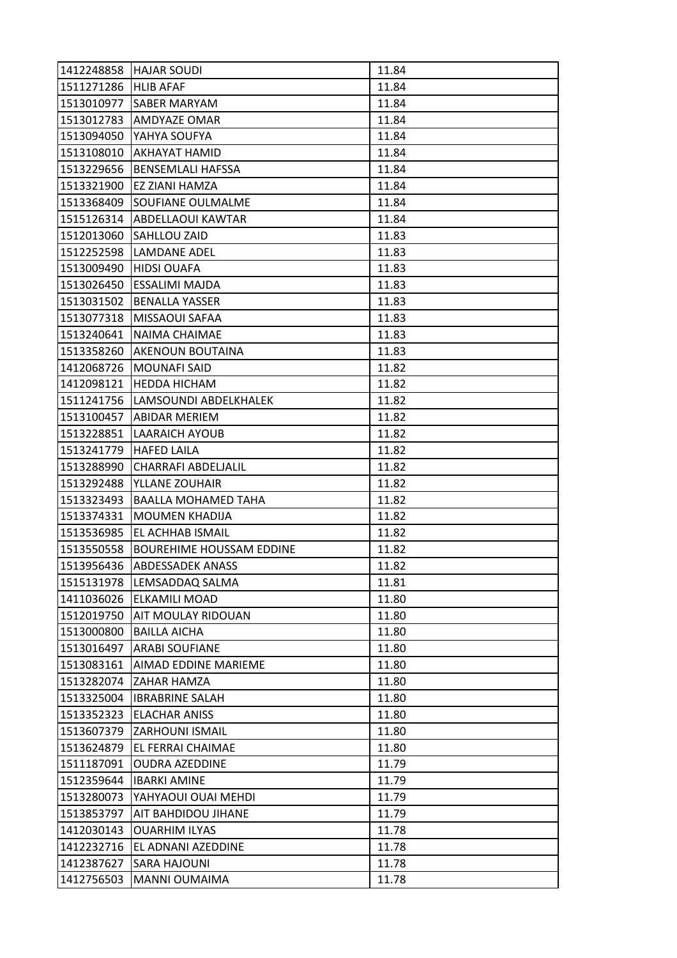| 1412248858 | <b>HAJAR SOUDI</b>              | 11.84 |
|------------|---------------------------------|-------|
| 1511271286 | <b>HLIB AFAF</b>                | 11.84 |
| 1513010977 | <b>SABER MARYAM</b>             | 11.84 |
| 1513012783 | AMDYAZE OMAR                    | 11.84 |
| 1513094050 | YAHYA SOUFYA                    | 11.84 |
| 1513108010 | <b>AKHAYAT HAMID</b>            | 11.84 |
| 1513229656 | <b>BENSEMLALI HAFSSA</b>        | 11.84 |
| 1513321900 | EZ ZIANI HAMZA                  | 11.84 |
| 1513368409 | <b>SOUFIANE OULMALME</b>        | 11.84 |
| 1515126314 | <b>ABDELLAOUI KAWTAR</b>        | 11.84 |
| 1512013060 | <b>SAHLLOU ZAID</b>             | 11.83 |
| 1512252598 | LAMDANE ADEL                    | 11.83 |
| 1513009490 | <b>HIDSI OUAFA</b>              | 11.83 |
| 1513026450 | <b>ESSALIMI MAJDA</b>           | 11.83 |
| 1513031502 | <b>BENALLA YASSER</b>           | 11.83 |
| 1513077318 | <b>MISSAOUI SAFAA</b>           | 11.83 |
| 1513240641 | NAIMA CHAIMAE                   | 11.83 |
| 1513358260 | <b>AKENOUN BOUTAINA</b>         | 11.83 |
| 1412068726 | <b>MOUNAFI SAID</b>             | 11.82 |
| 1412098121 | <b>HEDDA HICHAM</b>             | 11.82 |
| 1511241756 | LAMSOUNDI ABDELKHALEK           | 11.82 |
| 1513100457 | ABIDAR MERIEM                   | 11.82 |
| 1513228851 | <b>LAARAICH AYOUB</b>           | 11.82 |
| 1513241779 | <b>HAFED LAILA</b>              | 11.82 |
| 1513288990 | CHARRAFI ABDELJALIL             | 11.82 |
| 1513292488 | YLLANE ZOUHAIR                  | 11.82 |
| 1513323493 | BAALLA MOHAMED TAHA             | 11.82 |
| 1513374331 | <b>MOUMEN KHADIJA</b>           | 11.82 |
| 1513536985 | EL ACHHAB ISMAIL                | 11.82 |
| 1513550558 | <b>BOUREHIME HOUSSAM EDDINE</b> | 11.82 |
| 1513956436 | <b>ABDESSADEK ANASS</b>         | 11.82 |
| 1515131978 | LEMSADDAQ SALMA                 | 11.81 |
| 1411036026 | <b>ELKAMILI MOAD</b>            | 11.80 |
| 1512019750 | <b>AIT MOULAY RIDOUAN</b>       | 11.80 |
| 1513000800 | <b>BAILLA AICHA</b>             | 11.80 |
| 1513016497 | <b>ARABI SOUFIANE</b>           | 11.80 |
| 1513083161 | AIMAD EDDINE MARIEME            | 11.80 |
| 1513282074 | <b>ZAHAR HAMZA</b>              | 11.80 |
| 1513325004 | <b>IBRABRINE SALAH</b>          | 11.80 |
| 1513352323 | <b>ELACHAR ANISS</b>            | 11.80 |
| 1513607379 | <b>ZARHOUNI ISMAIL</b>          | 11.80 |
| 1513624879 | <b>EL FERRAI CHAIMAE</b>        | 11.80 |
| 1511187091 | <b>OUDRA AZEDDINE</b>           | 11.79 |
| 1512359644 | <b>IBARKI AMINE</b>             | 11.79 |
| 1513280073 | YAHYAOUI OUAI MEHDI             | 11.79 |
| 1513853797 | AIT BAHDIDOU JIHANE             | 11.79 |
| 1412030143 | <b>OUARHIM ILYAS</b>            | 11.78 |
| 1412232716 | EL ADNANI AZEDDINE              | 11.78 |
| 1412387627 | <b>SARA HAJOUNI</b>             | 11.78 |
| 1412756503 | <b>MANNI OUMAIMA</b>            | 11.78 |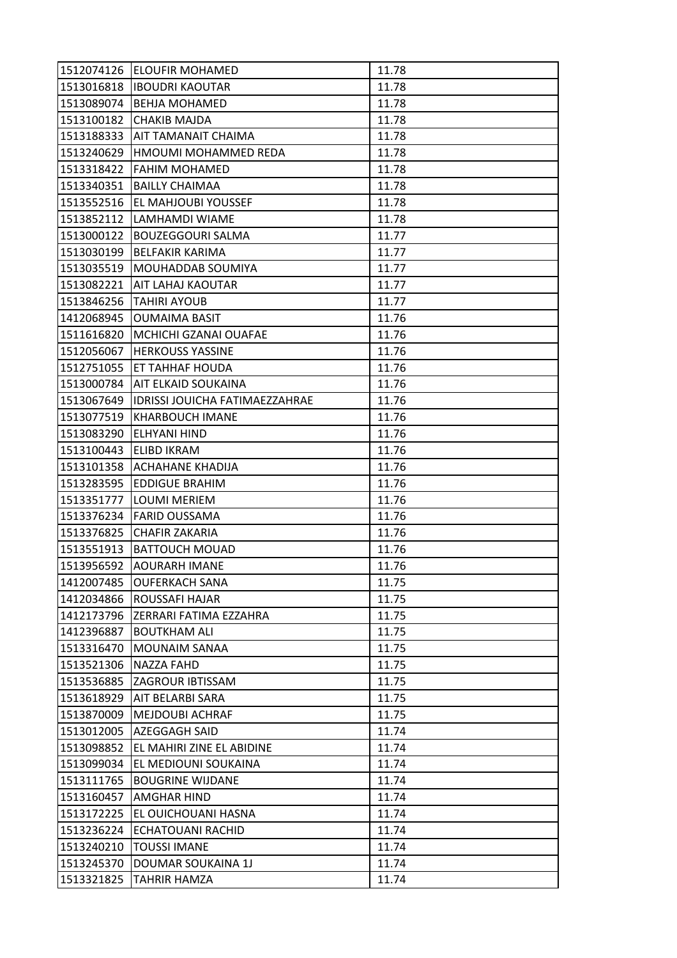| 1512074126 | <b>ELOUFIR MOHAMED</b>                | 11.78 |
|------------|---------------------------------------|-------|
| 1513016818 | <b>IBOUDRI KAOUTAR</b>                | 11.78 |
| 1513089074 | <b>BEHJA MOHAMED</b>                  | 11.78 |
| 1513100182 | <b>CHAKIB MAJDA</b>                   | 11.78 |
| 1513188333 | AIT TAMANAIT CHAIMA                   | 11.78 |
| 1513240629 | HMOUMI MOHAMMED REDA                  | 11.78 |
| 1513318422 | FAHIM MOHAMED                         | 11.78 |
| 1513340351 | <b>BAILLY CHAIMAA</b>                 | 11.78 |
| 1513552516 | <b>EL MAHJOUBI YOUSSEF</b>            | 11.78 |
| 1513852112 | LAMHAMDI WIAME                        | 11.78 |
| 1513000122 | <b>BOUZEGGOURI SALMA</b>              | 11.77 |
| 1513030199 | <b>BELFAKIR KARIMA</b>                | 11.77 |
| 1513035519 | MOUHADDAB SOUMIYA                     | 11.77 |
| 1513082221 | <b>AIT LAHAJ KAOUTAR</b>              | 11.77 |
| 1513846256 | <b>TAHIRI AYOUB</b>                   | 11.77 |
| 1412068945 | <b>OUMAIMA BASIT</b>                  | 11.76 |
| 1511616820 | MCHICHI GZANAI OUAFAE                 | 11.76 |
| 1512056067 | <b>HERKOUSS YASSINE</b>               | 11.76 |
| 1512751055 | ET TAHHAF HOUDA                       | 11.76 |
| 1513000784 | AIT ELKAID SOUKAINA                   | 11.76 |
| 1513067649 | <b>IDRISSI JOUICHA FATIMAEZZAHRAE</b> | 11.76 |
| 1513077519 | <b>KHARBOUCH IMANE</b>                | 11.76 |
| 1513083290 | ELHYANI HIND                          | 11.76 |
| 1513100443 | ELIBD IKRAM                           | 11.76 |
|            | 1513101358 ACHAHANE KHADIJA           | 11.76 |
| 1513283595 | <b>EDDIGUE BRAHIM</b>                 | 11.76 |
| 1513351777 | LOUMI MERIEM                          | 11.76 |
| 1513376234 | <b>FARID OUSSAMA</b>                  | 11.76 |
| 1513376825 | CHAFIR ZAKARIA                        | 11.76 |
| 1513551913 | <b>BATTOUCH MOUAD</b>                 | 11.76 |
| 1513956592 | AOURARH IMANE                         | 11.76 |
| 1412007485 | <b>OUFERKACH SANA</b>                 | 11.75 |
| 1412034866 | ROUSSAFI HAJAR                        | 11.75 |
| 1412173796 | ZERRARI FATIMA EZZAHRA                | 11.75 |
| 1412396887 | <b>BOUTKHAM ALI</b>                   | 11.75 |
| 1513316470 | <b>MOUNAIM SANAA</b>                  | 11.75 |
| 1513521306 | NAZZA FAHD                            | 11.75 |
| 1513536885 | ZAGROUR IBTISSAM                      | 11.75 |
| 1513618929 | AIT BELARBI SARA                      | 11.75 |
| 1513870009 | <b>MEJDOUBI ACHRAF</b>                | 11.75 |
| 1513012005 | <b>AZEGGAGH SAID</b>                  | 11.74 |
| 1513098852 | EL MAHIRI ZINE EL ABIDINE             | 11.74 |
| 1513099034 | EL MEDIOUNI SOUKAINA                  | 11.74 |
| 1513111765 | <b>BOUGRINE WIJDANE</b>               | 11.74 |
| 1513160457 | <b>AMGHAR HIND</b>                    | 11.74 |
| 1513172225 | EL OUICHOUANI HASNA                   | 11.74 |
| 1513236224 | <b>ECHATOUANI RACHID</b>              | 11.74 |
| 1513240210 | <b>TOUSSI IMANE</b>                   | 11.74 |
| 1513245370 | DOUMAR SOUKAINA 1J                    | 11.74 |
| 1513321825 | TAHRIR HAMZA                          | 11.74 |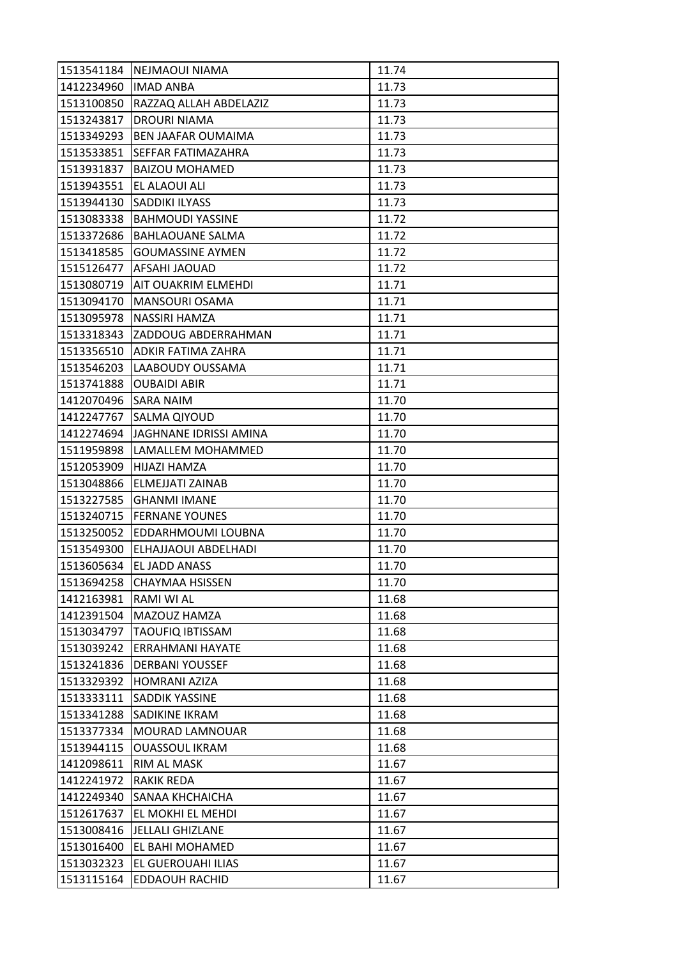| 1513541184 | <b>NEJMAOUI NIAMA</b>      | 11.74 |
|------------|----------------------------|-------|
| 1412234960 | <b>IMAD ANBA</b>           | 11.73 |
| 1513100850 | RAZZAQ ALLAH ABDELAZIZ     | 11.73 |
| 1513243817 | <b>DROURI NIAMA</b>        | 11.73 |
| 1513349293 | <b>BEN JAAFAR OUMAIMA</b>  | 11.73 |
| 1513533851 | SEFFAR FATIMAZAHRA         | 11.73 |
| 1513931837 | <b>BAIZOU MOHAMED</b>      | 11.73 |
| 1513943551 | EL ALAOUI ALI              | 11.73 |
| 1513944130 | <b>SADDIKI ILYASS</b>      | 11.73 |
| 1513083338 | <b>BAHMOUDI YASSINE</b>    | 11.72 |
| 1513372686 | <b>BAHLAOUANE SALMA</b>    | 11.72 |
| 1513418585 | <b>GOUMASSINE AYMEN</b>    | 11.72 |
| 1515126477 | AFSAHI JAOUAD              | 11.72 |
| 1513080719 | <b>AIT OUAKRIM ELMEHDI</b> | 11.71 |
| 1513094170 | MANSOURI OSAMA             | 11.71 |
|            | 1513095978   NASSIRI HAMZA | 11.71 |
| 1513318343 | <b>ZADDOUG ABDERRAHMAN</b> | 11.71 |
| 1513356510 | <b>ADKIR FATIMA ZAHRA</b>  | 11.71 |
| 1513546203 | LAABOUDY OUSSAMA           | 11.71 |
| 1513741888 | <b>OUBAIDI ABIR</b>        | 11.71 |
| 1412070496 | <b>SARA NAIM</b>           | 11.70 |
| 1412247767 | SALMA QIYOUD               | 11.70 |
| 1412274694 | JAGHNANE IDRISSI AMINA     | 11.70 |
| 1511959898 | LAMALLEM MOHAMMED          | 11.70 |
| 1512053909 | HIJAZI HAMZA               | 11.70 |
| 1513048866 | ELMEJJATI ZAINAB           | 11.70 |
| 1513227585 | <b>GHANMI IMANE</b>        | 11.70 |
|            | 1513240715  FERNANE YOUNES | 11.70 |
| 1513250052 | EDDARHMOUMI LOUBNA         | 11.70 |
| 1513549300 | ELHAJJAOUI ABDELHADI       | 11.70 |
| 1513605634 | <b>EL JADD ANASS</b>       | 11.70 |
| 1513694258 | <b>CHAYMAA HSISSEN</b>     | 11.70 |
| 1412163981 | RAMI WI AL                 | 11.68 |
| 1412391504 | MAZOUZ HAMZA               | 11.68 |
| 1513034797 | <b>TAOUFIQ IBTISSAM</b>    | 11.68 |
| 1513039242 | ERRAHMANI HAYATE           | 11.68 |
| 1513241836 | <b>DERBANI YOUSSEF</b>     | 11.68 |
| 1513329392 | HOMRANI AZIZA              | 11.68 |
| 1513333111 | SADDIK YASSINE             | 11.68 |
| 1513341288 | SADIKINE IKRAM             | 11.68 |
| 1513377334 | MOURAD LAMNOUAR            | 11.68 |
| 1513944115 | <b>OUASSOUL IKRAM</b>      | 11.68 |
| 1412098611 | RIM AL MASK                | 11.67 |
| 1412241972 | <b>RAKIK REDA</b>          | 11.67 |
| 1412249340 | SANAA KHCHAICHA            | 11.67 |
| 1512617637 | EL MOKHI EL MEHDI          | 11.67 |
| 1513008416 | <b>JELLALI GHIZLANE</b>    | 11.67 |
| 1513016400 | EL BAHI MOHAMED            | 11.67 |
| 1513032323 | EL GUEROUAHI ILIAS         | 11.67 |
| 1513115164 | EDDAOUH RACHID             | 11.67 |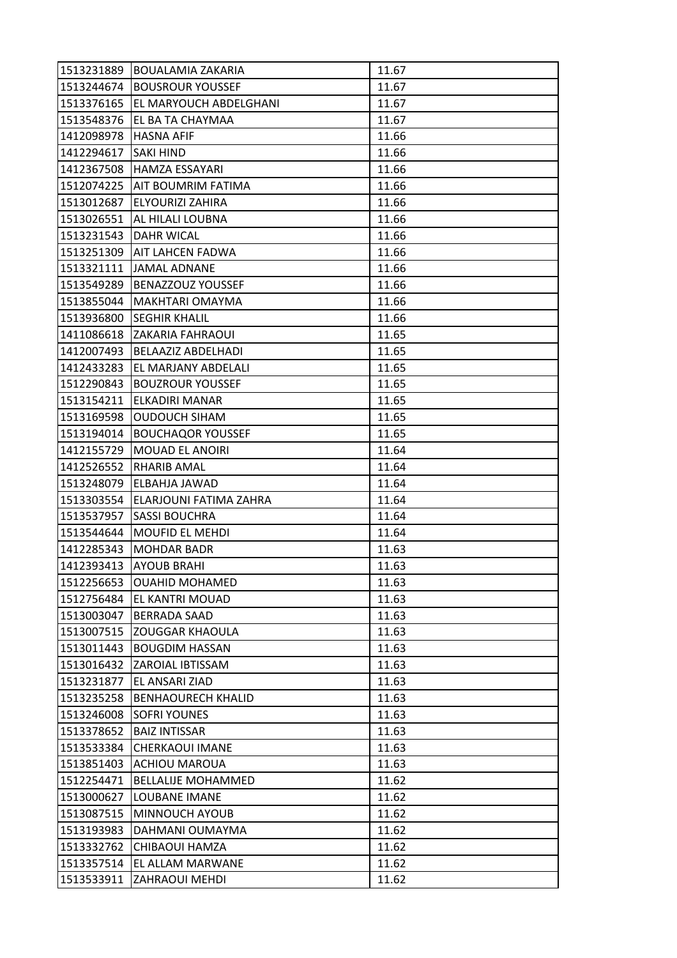| 1513231889 | BOUALAMIA ZAKARIA             | 11.67 |
|------------|-------------------------------|-------|
| 1513244674 | <b>BOUSROUR YOUSSEF</b>       | 11.67 |
| 1513376165 | EL MARYOUCH ABDELGHANI        | 11.67 |
| 1513548376 | EL BA TA CHAYMAA              | 11.67 |
| 1412098978 | <b>HASNA AFIF</b>             | 11.66 |
| 1412294617 | <b>SAKI HIND</b>              | 11.66 |
| 1412367508 | <b>HAMZA ESSAYARI</b>         | 11.66 |
|            | 1512074225 AIT BOUMRIM FATIMA | 11.66 |
| 1513012687 | <b>ELYOURIZI ZAHIRA</b>       | 11.66 |
| 1513026551 | AL HILALI LOUBNA              | 11.66 |
| 1513231543 | <b>DAHR WICAL</b>             | 11.66 |
|            | 1513251309 AIT LAHCEN FADWA   | 11.66 |
| 1513321111 | <b>JAMAL ADNANE</b>           | 11.66 |
| 1513549289 | <b>BENAZZOUZ YOUSSEF</b>      | 11.66 |
| 1513855044 | MAKHTARI OMAYMA               | 11.66 |
|            | 1513936800 SEGHIR KHALIL      | 11.66 |
| 1411086618 | ZAKARIA FAHRAOUI              | 11.65 |
| 1412007493 | BELAAZIZ ABDELHADI            | 11.65 |
| 1412433283 | EL MARJANY ABDELALI           | 11.65 |
| 1512290843 | <b>BOUZROUR YOUSSEF</b>       | 11.65 |
| 1513154211 | ELKADIRI MANAR                | 11.65 |
| 1513169598 | <b>OUDOUCH SIHAM</b>          | 11.65 |
| 1513194014 | <b>BOUCHAQOR YOUSSEF</b>      | 11.65 |
| 1412155729 | MOUAD EL ANOIRI               | 11.64 |
| 1412526552 | RHARIB AMAL                   | 11.64 |
| 1513248079 | <b>ELBAHJA JAWAD</b>          | 11.64 |
| 1513303554 | ELARJOUNI FATIMA ZAHRA        | 11.64 |
| 1513537957 | <b>SASSI BOUCHRA</b>          | 11.64 |
| 1513544644 | <b>MOUFID EL MEHDI</b>        | 11.64 |
| 1412285343 | <b>MOHDAR BADR</b>            | 11.63 |
| 1412393413 | <b>AYOUB BRAHI</b>            | 11.63 |
| 1512256653 | <b>OUAHID MOHAMED</b>         | 11.63 |
| 1512756484 | <b>EL KANTRI MOUAD</b>        | 11.63 |
| 1513003047 | <b>BERRADA SAAD</b>           | 11.63 |
| 1513007515 | <b>ZOUGGAR KHAOULA</b>        | 11.63 |
| 1513011443 | <b>BOUGDIM HASSAN</b>         | 11.63 |
| 1513016432 | <b>ZAROIAL IBTISSAM</b>       | 11.63 |
| 1513231877 | EL ANSARI ZIAD                | 11.63 |
| 1513235258 | <b>BENHAOURECH KHALID</b>     | 11.63 |
| 1513246008 | <b>SOFRI YOUNES</b>           | 11.63 |
| 1513378652 | <b>BAIZ INTISSAR</b>          | 11.63 |
| 1513533384 | <b>CHERKAOUI IMANE</b>        | 11.63 |
| 1513851403 | <b>ACHIOU MAROUA</b>          | 11.63 |
| 1512254471 | <b>BELLALIJE MOHAMMED</b>     | 11.62 |
| 1513000627 | <b>LOUBANE IMANE</b>          | 11.62 |
| 1513087515 | MINNOUCH AYOUB                | 11.62 |
| 1513193983 | DAHMANI OUMAYMA               | 11.62 |
| 1513332762 | CHIBAOUI HAMZA                | 11.62 |
| 1513357514 | EL ALLAM MARWANE              | 11.62 |
| 1513533911 | <b>ZAHRAOUI MEHDI</b>         | 11.62 |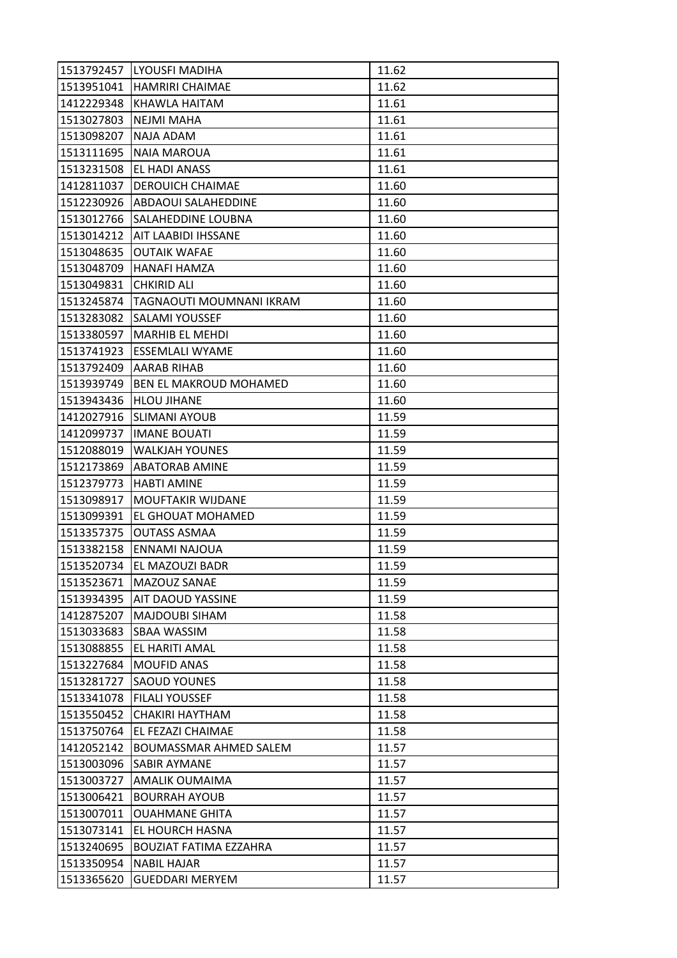| 1513792457 | <b>LYOUSFI MADIHA</b>            | 11.62 |
|------------|----------------------------------|-------|
|            | 1513951041   HAMRIRI CHAIMAE     | 11.62 |
| 1412229348 | KHAWLA HAITAM                    | 11.61 |
| 1513027803 | <b>NEJMI MAHA</b>                | 11.61 |
| 1513098207 | NAJA ADAM                        | 11.61 |
| 1513111695 | <b>NAIA MAROUA</b>               | 11.61 |
| 1513231508 | <b>EL HADI ANASS</b>             | 11.61 |
| 1412811037 | <b>DEROUICH CHAIMAE</b>          | 11.60 |
|            | 1512230926 ABDAOUI SALAHEDDINE   | 11.60 |
| 1513012766 | SALAHEDDINE LOUBNA               | 11.60 |
|            | 1513014212   AIT LAABIDI IHSSANE | 11.60 |
| 1513048635 | <b>OUTAIK WAFAE</b>              | 11.60 |
| 1513048709 | HANAFI HAMZA                     | 11.60 |
| 1513049831 | <b>CHKIRID ALI</b>               | 11.60 |
| 1513245874 | TAGNAOUTI MOUMNANI IKRAM         | 11.60 |
|            | 1513283082 SALAMI YOUSSEF        | 11.60 |
| 1513380597 | <b>MARHIB EL MEHDI</b>           | 11.60 |
| 1513741923 | <b>ESSEMLALI WYAME</b>           | 11.60 |
| 1513792409 | <b>AARAB RIHAB</b>               | 11.60 |
| 1513939749 | BEN EL MAKROUD MOHAMED           | 11.60 |
|            | 1513943436 HLOU JIHANE           | 11.60 |
| 1412027916 | SLIMANI AYOUB                    | 11.59 |
| 1412099737 | <b>IMANE BOUATI</b>              | 11.59 |
| 1512088019 | <b>WALKJAH YOUNES</b>            | 11.59 |
|            | 1512173869   ABATORAB AMINE      | 11.59 |
| 1512379773 | <b>HABTI AMINE</b>               | 11.59 |
| 1513098917 | MOUFTAKIR WIJDANE                | 11.59 |
| 1513099391 | EL GHOUAT MOHAMED                | 11.59 |
| 1513357375 | <b>OUTASS ASMAA</b>              | 11.59 |
| 1513382158 | ENNAMI NAJOUA                    | 11.59 |
| 1513520734 | EL MAZOUZI BADR                  | 11.59 |
| 1513523671 | MAZOUZ SANAE                     | 11.59 |
| 1513934395 | <b>AIT DAOUD YASSINE</b>         | 11.59 |
| 1412875207 | MAJDOUBI SIHAM                   | 11.58 |
| 1513033683 | <b>SBAA WASSIM</b>               | 11.58 |
| 1513088855 | EL HARITI AMAL                   | 11.58 |
| 1513227684 | <b>MOUFID ANAS</b>               | 11.58 |
| 1513281727 | <b>SAOUD YOUNES</b>              | 11.58 |
| 1513341078 | <b>FILALI YOUSSEF</b>            | 11.58 |
| 1513550452 | <b>CHAKIRI HAYTHAM</b>           | 11.58 |
| 1513750764 | EL FEZAZI CHAIMAE                | 11.58 |
| 1412052142 | BOUMASSMAR AHMED SALEM           | 11.57 |
| 1513003096 | <b>SABIR AYMANE</b>              | 11.57 |
| 1513003727 | AMALIK OUMAIMA                   | 11.57 |
| 1513006421 | <b>BOURRAH AYOUB</b>             | 11.57 |
| 1513007011 | <b>OUAHMANE GHITA</b>            | 11.57 |
| 1513073141 | EL HOURCH HASNA                  | 11.57 |
| 1513240695 | <b>BOUZIAT FATIMA EZZAHRA</b>    | 11.57 |
| 1513350954 | <b>NABIL HAJAR</b>               | 11.57 |
| 1513365620 | <b>GUEDDARI MERYEM</b>           | 11.57 |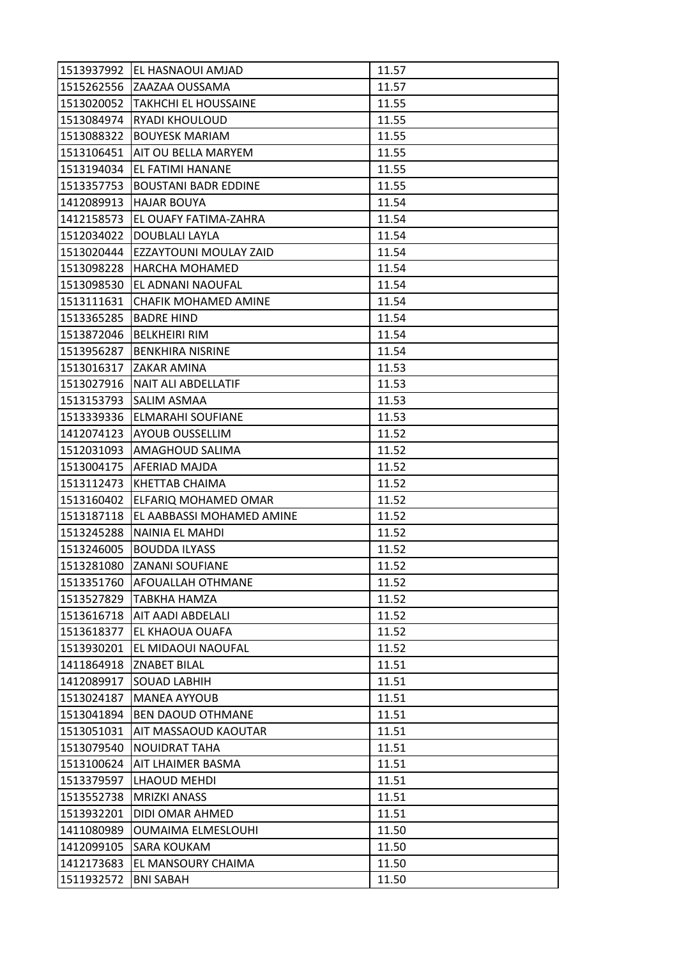| 1513937992 | IEL HASNAOUI AMJAD            | 11.57 |
|------------|-------------------------------|-------|
|            | 1515262556 ZAAZAA OUSSAMA     | 11.57 |
| 1513020052 | <b>TAKHCHI EL HOUSSAINE</b>   | 11.55 |
| 1513084974 | <b>RYADI KHOULOUD</b>         | 11.55 |
| 1513088322 | <b>BOUYESK MARIAM</b>         | 11.55 |
| 1513106451 | <b>JAIT OU BELLA MARYEM</b>   | 11.55 |
| 1513194034 | <b>EL FATIMI HANANE</b>       | 11.55 |
| 1513357753 | <b>BOUSTANI BADR EDDINE</b>   | 11.55 |
| 1412089913 | <b>HAJAR BOUYA</b>            | 11.54 |
| 1412158573 | <b>EL OUAFY FATIMA-ZAHRA</b>  | 11.54 |
| 1512034022 | <b>DOUBLALI LAYLA</b>         | 11.54 |
| 1513020444 | <b>EZZAYTOUNI MOULAY ZAID</b> | 11.54 |
| 1513098228 | <b>HARCHA MOHAMED</b>         | 11.54 |
| 1513098530 | EL ADNANI NAOUFAL             | 11.54 |
| 1513111631 | CHAFIK MOHAMED AMINE          | 11.54 |
| 1513365285 | <b>BADRE HIND</b>             | 11.54 |
| 1513872046 | <b>BELKHEIRI RIM</b>          | 11.54 |
| 1513956287 | <b>BENKHIRA NISRINE</b>       | 11.54 |
| 1513016317 | <b>ZAKAR AMINA</b>            | 11.53 |
| 1513027916 | <b>NAIT ALI ABDELLATIF</b>    | 11.53 |
| 1513153793 | <b>SALIM ASMAA</b>            | 11.53 |
| 1513339336 | ELMARAHI SOUFIANE             | 11.53 |
| 1412074123 | <b>AYOUB OUSSELLIM</b>        | 11.52 |
| 1512031093 | AMAGHOUD SALIMA               | 11.52 |
|            | 1513004175   AFERIAD MAJDA    | 11.52 |
| 1513112473 | <b>KHETTAB CHAIMA</b>         | 11.52 |
| 1513160402 | ELFARIQ MOHAMED OMAR          | 11.52 |
| 1513187118 | EL AABBASSI MOHAMED AMINE     | 11.52 |
| 1513245288 | NAINIA EL MAHDI               | 11.52 |
| 1513246005 | <b>BOUDDA ILYASS</b>          | 11.52 |
| 1513281080 | <b>ZANANI SOUFIANE</b>        | 11.52 |
| 1513351760 | AFOUALLAH OTHMANE             | 11.52 |
| 1513527829 | <b>TABKHA HAMZA</b>           | 11.52 |
| 1513616718 | AIT AADI ABDELALI             | 11.52 |
| 1513618377 | EL KHAOUA OUAFA               | 11.52 |
| 1513930201 | EL MIDAOUI NAOUFAL            | 11.52 |
| 1411864918 | <b>ZNABET BILAL</b>           | 11.51 |
| 1412089917 | <b>SOUAD LABHIH</b>           | 11.51 |
| 1513024187 | <b>MANEA AYYOUB</b>           | 11.51 |
| 1513041894 | <b>BEN DAOUD OTHMANE</b>      | 11.51 |
| 1513051031 | AIT MASSAOUD KAOUTAR          | 11.51 |
| 1513079540 | NOUIDRAT TAHA                 | 11.51 |
| 1513100624 | AIT LHAIMER BASMA             | 11.51 |
| 1513379597 | LHAOUD MEHDI                  | 11.51 |
| 1513552738 | <b>MRIZKI ANASS</b>           | 11.51 |
| 1513932201 | DIDI OMAR AHMED               | 11.51 |
| 1411080989 | <b>OUMAIMA ELMESLOUHI</b>     | 11.50 |
| 1412099105 | <b>SARA KOUKAM</b>            | 11.50 |
| 1412173683 | EL MANSOURY CHAIMA            | 11.50 |
| 1511932572 | <b>BNI SABAH</b>              | 11.50 |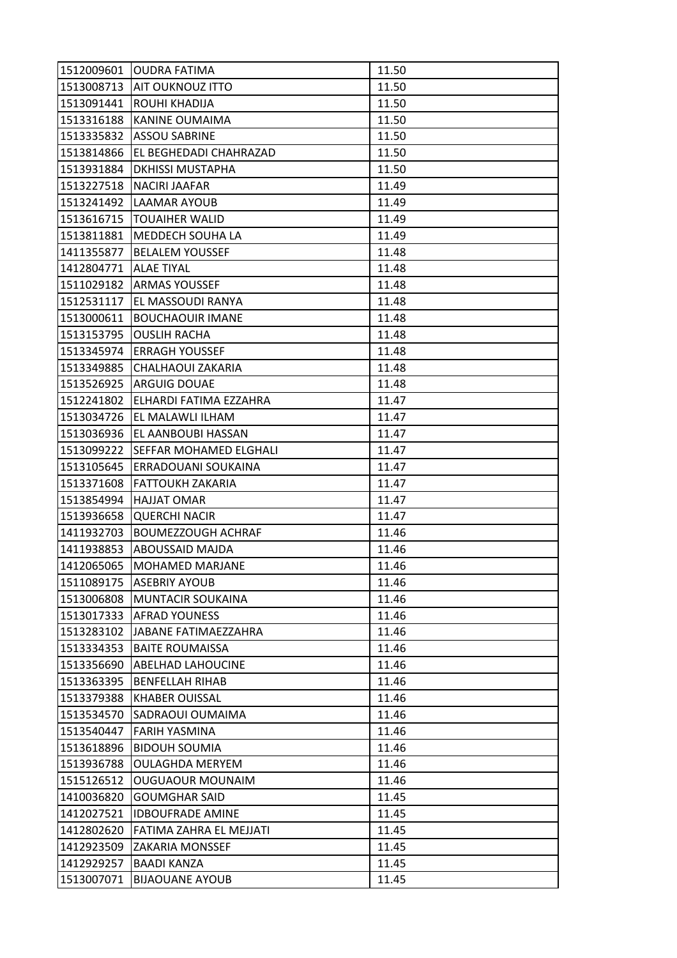| 1512009601 | <b>OUDRA FATIMA</b>           | 11.50 |
|------------|-------------------------------|-------|
|            | 1513008713   AIT OUKNOUZ ITTO | 11.50 |
| 1513091441 | ROUHI KHADIJA                 | 11.50 |
| 1513316188 | <b>KANINE OUMAIMA</b>         | 11.50 |
| 1513335832 | <b>ASSOU SABRINE</b>          | 11.50 |
| 1513814866 | EL BEGHEDADI CHAHRAZAD        | 11.50 |
| 1513931884 | <b>DKHISSI MUSTAPHA</b>       | 11.50 |
| 1513227518 | <b>NACIRI JAAFAR</b>          | 11.49 |
| 1513241492 | LAAMAR AYOUB                  | 11.49 |
| 1513616715 | <b>ITOUAIHER WALID</b>        | 11.49 |
| 1513811881 | <b>MEDDECH SOUHA LA</b>       | 11.49 |
| 1411355877 | <b>BELALEM YOUSSEF</b>        | 11.48 |
| 1412804771 | <b>ALAE TIYAL</b>             | 11.48 |
| 1511029182 | <b>ARMAS YOUSSEF</b>          | 11.48 |
| 1512531117 | EL MASSOUDI RANYA             | 11.48 |
| 1513000611 | <b>BOUCHAOUIR IMANE</b>       | 11.48 |
| 1513153795 | <b>OUSLIH RACHA</b>           | 11.48 |
| 1513345974 | <b>ERRAGH YOUSSEF</b>         | 11.48 |
| 1513349885 | CHALHAOUI ZAKARIA             | 11.48 |
|            | 1513526925   ARGUIG DOUAE     | 11.48 |
| 1512241802 | <b>ELHARDI FATIMA EZZAHRA</b> | 11.47 |
| 1513034726 | EL MALAWLI ILHAM              | 11.47 |
| 1513036936 | EL AANBOUBI HASSAN            | 11.47 |
| 1513099222 | <b>SEFFAR MOHAMED ELGHALI</b> | 11.47 |
| 1513105645 | ERRADOUANI SOUKAINA           | 11.47 |
| 1513371608 | <b>FATTOUKH ZAKARIA</b>       | 11.47 |
| 1513854994 | <b>HAJJAT OMAR</b>            | 11.47 |
| 1513936658 | <b>QUERCHI NACIR</b>          | 11.47 |
| 1411932703 | <b>BOUMEZZOUGH ACHRAF</b>     | 11.46 |
|            | 1411938853 ABOUSSAID MAJDA    | 11.46 |
| 1412065065 | <b>MOHAMED MARJANE</b>        | 11.46 |
| 1511089175 | <b>ASEBRIY AYOUB</b>          | 11.46 |
| 1513006808 | <b>MUNTACIR SOUKAINA</b>      | 11.46 |
| 1513017333 | <b>AFRAD YOUNESS</b>          | 11.46 |
| 1513283102 | JABANE FATIMAEZZAHRA          | 11.46 |
| 1513334353 | <b>BAITE ROUMAISSA</b>        | 11.46 |
| 1513356690 | <b>ABELHAD LAHOUCINE</b>      | 11.46 |
| 1513363395 | <b>BENFELLAH RIHAB</b>        | 11.46 |
| 1513379388 | <b>KHABER OUISSAL</b>         | 11.46 |
| 1513534570 | SADRAOUI OUMAIMA              | 11.46 |
| 1513540447 | FARIH YASMINA                 | 11.46 |
| 1513618896 | <b>BIDOUH SOUMIA</b>          | 11.46 |
| 1513936788 | <b>OULAGHDA MERYEM</b>        | 11.46 |
| 1515126512 | <b>OUGUAOUR MOUNAIM</b>       | 11.46 |
| 1410036820 | <b>GOUMGHAR SAID</b>          | 11.45 |
| 1412027521 | <b>IDBOUFRADE AMINE</b>       | 11.45 |
| 1412802620 | FATIMA ZAHRA EL MEJJATI       | 11.45 |
| 1412923509 | <b>ZAKARIA MONSSEF</b>        | 11.45 |
| 1412929257 | <b>BAADI KANZA</b>            | 11.45 |
| 1513007071 | <b>BIJAOUANE AYOUB</b>        | 11.45 |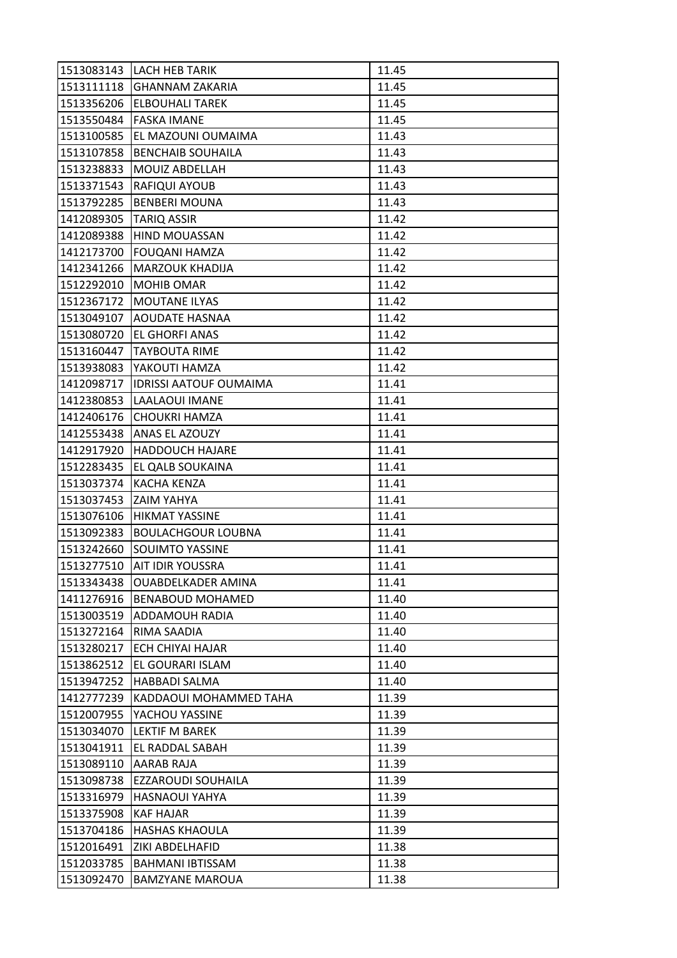| 1513083143 | <b>LACH HEB TARIK</b>         | 11.45 |
|------------|-------------------------------|-------|
| 1513111118 | <b>GHANNAM ZAKARIA</b>        | 11.45 |
| 1513356206 | <b>ELBOUHALI TAREK</b>        | 11.45 |
| 1513550484 | <b>FASKA IMANE</b>            | 11.45 |
| 1513100585 | EL MAZOUNI OUMAIMA            | 11.43 |
| 1513107858 | <b>BENCHAIB SOUHAILA</b>      | 11.43 |
| 1513238833 | MOUIZ ABDELLAH                | 11.43 |
| 1513371543 | RAFIQUI AYOUB                 | 11.43 |
| 1513792285 | <b>BENBERI MOUNA</b>          | 11.43 |
| 1412089305 | <b>TARIQ ASSIR</b>            | 11.42 |
| 1412089388 | HIND MOUASSAN                 | 11.42 |
| 1412173700 | <b>FOUQANI HAMZA</b>          | 11.42 |
| 1412341266 | MARZOUK KHADIJA               | 11.42 |
| 1512292010 | <b>MOHIB OMAR</b>             | 11.42 |
| 1512367172 | <b>MOUTANE ILYAS</b>          | 11.42 |
| 1513049107 | <b>AOUDATE HASNAA</b>         | 11.42 |
| 1513080720 | <b>EL GHORFI ANAS</b>         | 11.42 |
| 1513160447 | <b>TAYBOUTA RIME</b>          | 11.42 |
| 1513938083 | YAKOUTI HAMZA                 | 11.42 |
| 1412098717 | <b>IDRISSI AATOUF OUMAIMA</b> | 11.41 |
| 1412380853 | LAALAOUI IMANE                | 11.41 |
| 1412406176 | CHOUKRI HAMZA                 | 11.41 |
| 1412553438 | ANAS EL AZOUZY                | 11.41 |
| 1412917920 | <b>HADDOUCH HAJARE</b>        | 11.41 |
| 1512283435 | EL QALB SOUKAINA              | 11.41 |
| 1513037374 | <b>KACHA KENZA</b>            | 11.41 |
| 1513037453 | <b>ZAIM YAHYA</b>             | 11.41 |
| 1513076106 | <b>HIKMAT YASSINE</b>         | 11.41 |
| 1513092383 | <b>BOULACHGOUR LOUBNA</b>     | 11.41 |
| 1513242660 | <b>SOUIMTO YASSINE</b>        | 11.41 |
| 1513277510 | <b>AIT IDIR YOUSSRA</b>       | 11.41 |
| 1513343438 | <b>OUABDELKADER AMINA</b>     | 11.41 |
| 1411276916 | <b>BENABOUD MOHAMED</b>       | 11.40 |
| 1513003519 | <b>ADDAMOUH RADIA</b>         | 11.40 |
| 1513272164 | RIMA SAADIA                   | 11.40 |
| 1513280217 | <b>ECH CHIYAI HAJAR</b>       | 11.40 |
| 1513862512 | EL GOURARI ISLAM              | 11.40 |
| 1513947252 | <b>HABBADI SALMA</b>          | 11.40 |
| 1412777239 | KADDAOUI MOHAMMED TAHA        | 11.39 |
| 1512007955 | YACHOU YASSINE                | 11.39 |
| 1513034070 | LEKTIF M BAREK                | 11.39 |
| 1513041911 | EL RADDAL SABAH               | 11.39 |
| 1513089110 | AARAB RAJA                    | 11.39 |
| 1513098738 | EZZAROUDI SOUHAILA            | 11.39 |
| 1513316979 | <b>HASNAOUI YAHYA</b>         | 11.39 |
| 1513375908 | KAF HAJAR                     | 11.39 |
| 1513704186 | <b>HASHAS KHAOULA</b>         | 11.39 |
| 1512016491 | ZIKI ABDELHAFID               | 11.38 |
| 1512033785 | <b>BAHMANI IBTISSAM</b>       | 11.38 |
| 1513092470 | <b>BAMZYANE MAROUA</b>        | 11.38 |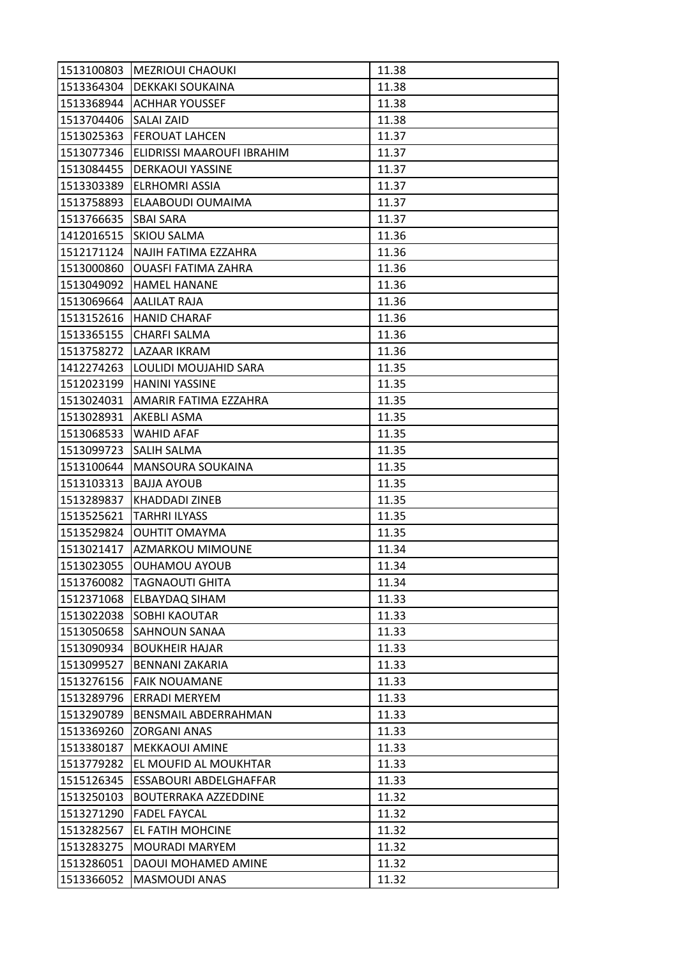| 1513100803 | <b>MEZRIOUI CHAOUKI</b>          | 11.38 |
|------------|----------------------------------|-------|
|            | 1513364304   DEKKAKI SOUKAINA    | 11.38 |
|            | 1513368944 ACHHAR YOUSSEF        | 11.38 |
| 1513704406 | <b>SALAI ZAID</b>                | 11.38 |
| 1513025363 | <b>FEROUAT LAHCEN</b>            | 11.37 |
| 1513077346 | ELIDRISSI MAAROUFI IBRAHIM       | 11.37 |
| 1513084455 | <b>DERKAOUI YASSINE</b>          | 11.37 |
| 1513303389 | <b>ELRHOMRI ASSIA</b>            | 11.37 |
| 1513758893 | ELAABOUDI OUMAIMA                | 11.37 |
| 1513766635 | <b>SBAI SARA</b>                 | 11.37 |
|            | 1412016515 SKIOU SALMA           | 11.36 |
| 1512171124 | NAJIH FATIMA EZZAHRA             | 11.36 |
| 1513000860 | <b>OUASFI FATIMA ZAHRA</b>       | 11.36 |
| 1513049092 | <b>HAMEL HANANE</b>              | 11.36 |
|            | 1513069664   AALILAT RAJA        | 11.36 |
|            | 1513152616   HANID CHARAF        | 11.36 |
| 1513365155 | <b>CHARFI SALMA</b>              | 11.36 |
| 1513758272 | LAZAAR IKRAM                     | 11.36 |
| 1412274263 | <b>LOULIDI MOUJAHID SARA</b>     | 11.35 |
|            | 1512023199   HANINI YASSINE      | 11.35 |
|            | 1513024031 AMARIR FATIMA EZZAHRA | 11.35 |
| 1513028931 | <b>AKEBLI ASMA</b>               | 11.35 |
| 1513068533 | WAHID AFAF                       | 11.35 |
| 1513099723 | <b>SALIH SALMA</b>               | 11.35 |
| 1513100644 | MANSOURA SOUKAINA                | 11.35 |
| 1513103313 | <b>BAJJA AYOUB</b>               | 11.35 |
| 1513289837 | KHADDADI ZINEB                   | 11.35 |
| 1513525621 | <b>TARHRI ILYASS</b>             | 11.35 |
| 1513529824 | <b>OUHTIT OMAYMA</b>             | 11.35 |
|            | 1513021417 AZMARKOU MIMOUNE      | 11.34 |
| 1513023055 | <b>OUHAMOU AYOUB</b>             | 11.34 |
| 1513760082 | <b>TAGNAOUTI GHITA</b>           | 11.34 |
| 1512371068 | <b>ELBAYDAQ SIHAM</b>            | 11.33 |
| 1513022038 | <b>SOBHI KAOUTAR</b>             | 11.33 |
| 1513050658 | <b>SAHNOUN SANAA</b>             | 11.33 |
| 1513090934 | <b>BOUKHEIR HAJAR</b>            | 11.33 |
| 1513099527 | <b>BENNANI ZAKARIA</b>           | 11.33 |
| 1513276156 | <b>FAIK NOUAMANE</b>             | 11.33 |
| 1513289796 | ERRADI MERYEM                    | 11.33 |
| 1513290789 | BENSMAIL ABDERRAHMAN             | 11.33 |
| 1513369260 | <b>ZORGANI ANAS</b>              | 11.33 |
| 1513380187 | <b>MEKKAOUI AMINE</b>            | 11.33 |
| 1513779282 | EL MOUFID AL MOUKHTAR            | 11.33 |
| 1515126345 | ESSABOURI ABDELGHAFFAR           | 11.33 |
| 1513250103 | <b>BOUTERRAKA AZZEDDINE</b>      | 11.32 |
| 1513271290 | <b>FADEL FAYCAL</b>              | 11.32 |
| 1513282567 | <b>EL FATIH MOHCINE</b>          | 11.32 |
| 1513283275 | <b>MOURADI MARYEM</b>            | 11.32 |
| 1513286051 | DAOUI MOHAMED AMINE              | 11.32 |
| 1513366052 | MASMOUDI ANAS                    | 11.32 |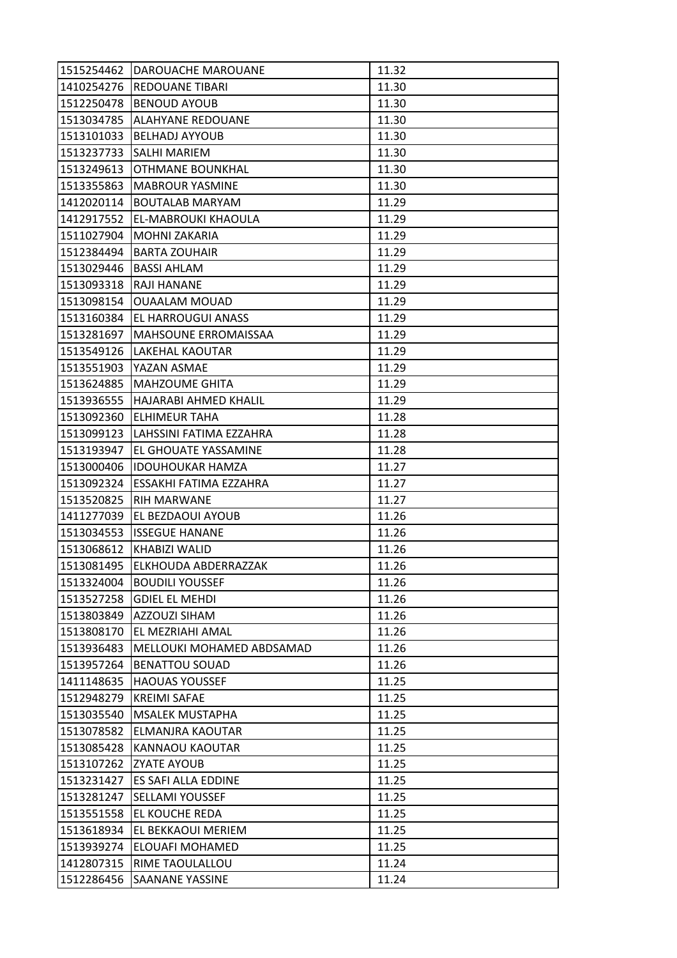| 1515254462 | DAROUACHE MAROUANE               | 11.32 |
|------------|----------------------------------|-------|
| 1410254276 | <b>REDOUANE TIBARI</b>           | 11.30 |
| 1512250478 | <b>BENOUD AYOUB</b>              | 11.30 |
| 1513034785 | <b>ALAHYANE REDOUANE</b>         | 11.30 |
| 1513101033 | <b>BELHADJ AYYOUB</b>            | 11.30 |
|            | 1513237733 SALHI MARIEM          | 11.30 |
| 1513249613 | <b>OTHMANE BOUNKHAL</b>          | 11.30 |
| 1513355863 | <b>MABROUR YASMINE</b>           | 11.30 |
| 1412020114 | <b>BOUTALAB MARYAM</b>           | 11.29 |
| 1412917552 | EL-MABROUKI KHAOULA              | 11.29 |
| 1511027904 | <b>MOHNI ZAKARIA</b>             | 11.29 |
| 1512384494 | <b>BARTA ZOUHAIR</b>             | 11.29 |
| 1513029446 | <b>BASSI AHLAM</b>               | 11.29 |
| 1513093318 | <b>RAJI HANANE</b>               | 11.29 |
| 1513098154 | <b>OUAALAM MOUAD</b>             | 11.29 |
|            | 1513160384 EL HARROUGUI ANASS    | 11.29 |
| 1513281697 | <b>MAHSOUNE ERROMAISSAA</b>      | 11.29 |
| 1513549126 | LAKEHAL KAOUTAR                  | 11.29 |
| 1513551903 | YAZAN ASMAE                      | 11.29 |
| 1513624885 | <b>MAHZOUME GHITA</b>            | 11.29 |
|            | 1513936555 HAJARABI AHMED KHALIL | 11.29 |
| 1513092360 | <b>ELHIMEUR TAHA</b>             | 11.28 |
| 1513099123 | LAHSSINI FATIMA EZZAHRA          | 11.28 |
| 1513193947 | EL GHOUATE YASSAMINE             | 11.28 |
| 1513000406 | <b>IDOUHOUKAR HAMZA</b>          | 11.27 |
| 1513092324 | <b>IESSAKHI FATIMA EZZAHRA</b>   | 11.27 |
| 1513520825 | <b>RIH MARWANE</b>               | 11.27 |
| 1411277039 | EL BEZDAOUI AYOUB                | 11.26 |
| 1513034553 | <b>ISSEGUE HANANE</b>            | 11.26 |
| 1513068612 | <b>KHABIZI WALID</b>             | 11.26 |
| 1513081495 | ELKHOUDA ABDERRAZZAK             | 11.26 |
| 1513324004 | <b>BOUDILI YOUSSEF</b>           | 11.26 |
| 1513527258 | <b>GDIEL EL MEHDI</b>            | 11.26 |
| 1513803849 | <b>AZZOUZI SIHAM</b>             | 11.26 |
| 1513808170 | EL MEZRIAHI AMAL                 | 11.26 |
| 1513936483 | MELLOUKI MOHAMED ABDSAMAD        | 11.26 |
| 1513957264 | <b>BENATTOU SOUAD</b>            | 11.26 |
| 1411148635 | <b>HAOUAS YOUSSEF</b>            | 11.25 |
| 1512948279 | <b>KREIMI SAFAE</b>              | 11.25 |
| 1513035540 | <b>MSALEK MUSTAPHA</b>           | 11.25 |
| 1513078582 | ELMANJRA KAOUTAR                 | 11.25 |
| 1513085428 | KANNAOU KAOUTAR                  | 11.25 |
| 1513107262 | <b>ZYATE AYOUB</b>               | 11.25 |
| 1513231427 | ES SAFI ALLA EDDINE              | 11.25 |
| 1513281247 | <b>SELLAMI YOUSSEF</b>           | 11.25 |
| 1513551558 | EL KOUCHE REDA                   | 11.25 |
| 1513618934 | EL BEKKAOUI MERIEM               | 11.25 |
| 1513939274 | <b>ELOUAFI MOHAMED</b>           | 11.25 |
| 1412807315 | RIME TAOULALLOU                  | 11.24 |
| 1512286456 | SAANANE YASSINE                  | 11.24 |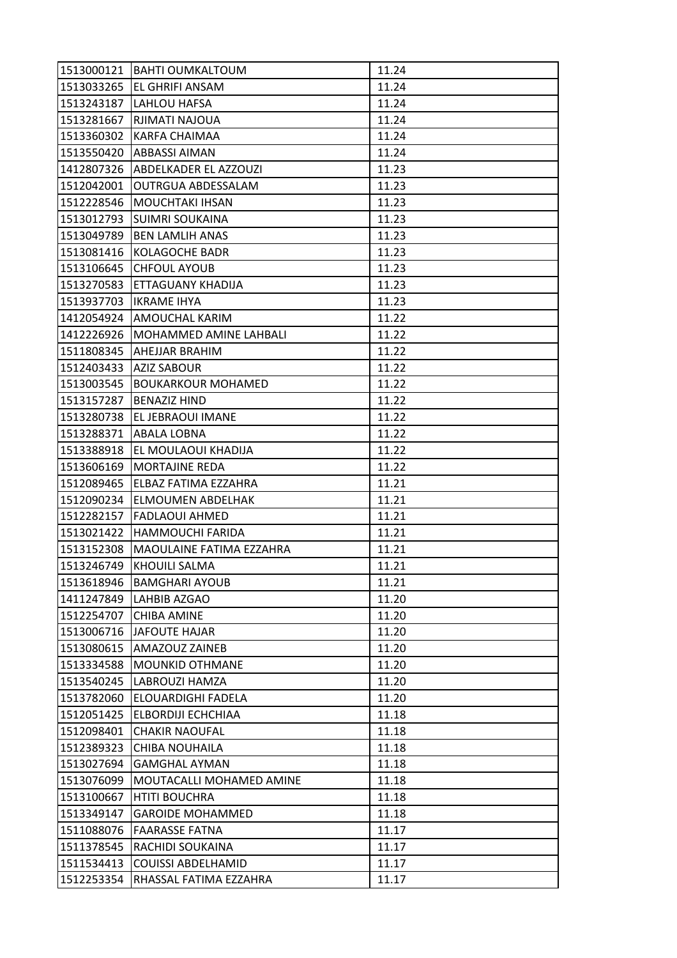| 1513000121 | <b>BAHTI OUMKALTOUM</b>    | 11.24 |
|------------|----------------------------|-------|
| 1513033265 | <b>EL GHRIFI ANSAM</b>     | 11.24 |
| 1513243187 | LAHLOU HAFSA               | 11.24 |
| 1513281667 | RJIMATI NAJOUA             | 11.24 |
| 1513360302 | <b>KARFA CHAIMAA</b>       | 11.24 |
|            | 1513550420   ABBASSI AIMAN | 11.24 |
| 1412807326 | ABDELKADER EL AZZOUZI      | 11.23 |
| 1512042001 | <b>OUTRGUA ABDESSALAM</b>  | 11.23 |
| 1512228546 | MOUCHTAKI IHSAN            | 11.23 |
| 1513012793 | <b>SUIMRI SOUKAINA</b>     | 11.23 |
| 1513049789 | <b>BEN LAMLIH ANAS</b>     | 11.23 |
| 1513081416 | KOLAGOCHE BADR             | 11.23 |
| 1513106645 | <b>CHFOUL AYOUB</b>        | 11.23 |
| 1513270583 | <b>ETTAGUANY KHADIJA</b>   | 11.23 |
| 1513937703 | <b>IKRAME IHYA</b>         | 11.23 |
|            | 1412054924 AMOUCHAL KARIM  | 11.22 |
| 1412226926 | MOHAMMED AMINE LAHBALI     | 11.22 |
| 1511808345 | AHEJJAR BRAHIM             | 11.22 |
| 1512403433 | <b>AZIZ SABOUR</b>         | 11.22 |
| 1513003545 | <b>BOUKARKOUR MOHAMED</b>  | 11.22 |
| 1513157287 | <b>BENAZIZ HIND</b>        | 11.22 |
| 1513280738 | EL JEBRAOUI IMANE          | 11.22 |
| 1513288371 | <b>ABALA LOBNA</b>         | 11.22 |
| 1513388918 | EL MOULAOUI KHADIJA        | 11.22 |
| 1513606169 | <b>MORTAJINE REDA</b>      | 11.22 |
| 1512089465 | ELBAZ FATIMA EZZAHRA       | 11.21 |
| 1512090234 | ELMOUMEN ABDELHAK          | 11.21 |
| 1512282157 | <b>FADLAOUI AHMED</b>      | 11.21 |
| 1513021422 | <b>HAMMOUCHI FARIDA</b>    | 11.21 |
| 1513152308 | MAOULAINE FATIMA EZZAHRA   | 11.21 |
| 1513246749 | KHOUILI SALMA              | 11.21 |
| 1513618946 | <b>BAMGHARI AYOUB</b>      | 11.21 |
| 1411247849 | <b>LAHBIB AZGAO</b>        | 11.20 |
| 1512254707 | <b>CHIBA AMINE</b>         | 11.20 |
| 1513006716 | JAFOUTE HAJAR              | 11.20 |
| 1513080615 | <b>AMAZOUZ ZAINEB</b>      | 11.20 |
| 1513334588 | <b>MOUNKID OTHMANE</b>     | 11.20 |
| 1513540245 | <b>LABROUZI HAMZA</b>      | 11.20 |
| 1513782060 | ELOUARDIGHI FADELA         | 11.20 |
| 1512051425 | ELBORDIJI ECHCHIAA         | 11.18 |
| 1512098401 | <b>CHAKIR NAOUFAL</b>      | 11.18 |
| 1512389323 | CHIBA NOUHAILA             | 11.18 |
| 1513027694 | <b>GAMGHAL AYMAN</b>       | 11.18 |
| 1513076099 | MOUTACALLI MOHAMED AMINE   | 11.18 |
| 1513100667 | <b>HTITI BOUCHRA</b>       | 11.18 |
| 1513349147 | <b>GAROIDE MOHAMMED</b>    | 11.18 |
| 1511088076 | <b>FAARASSE FATNA</b>      | 11.17 |
| 1511378545 | RACHIDI SOUKAINA           | 11.17 |
| 1511534413 | <b>COUISSI ABDELHAMID</b>  | 11.17 |
| 1512253354 | RHASSAL FATIMA EZZAHRA     | 11.17 |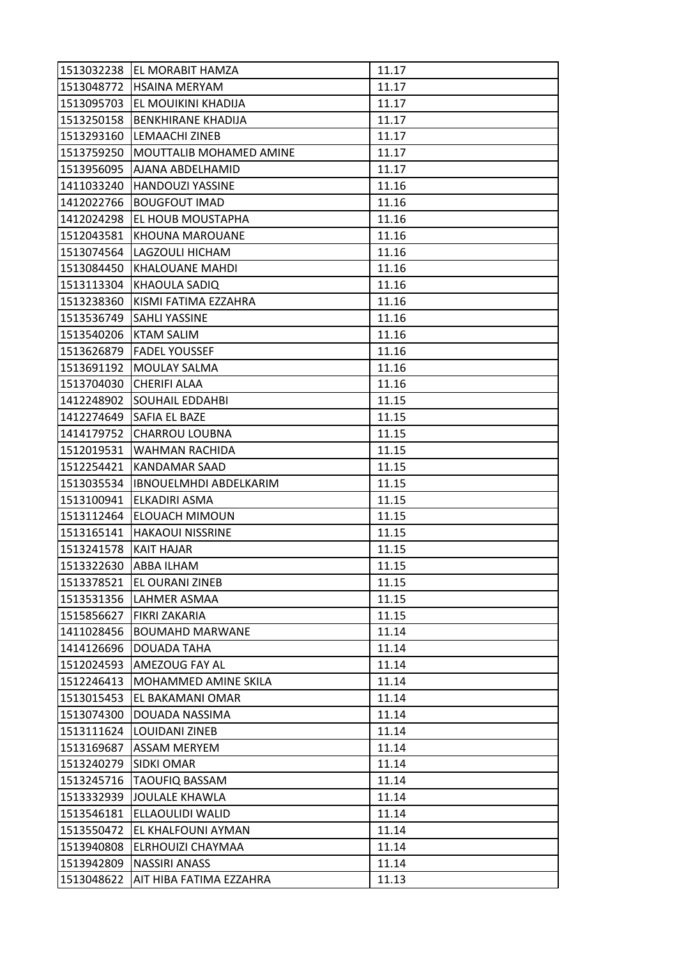| 1513032238 | IEL MORABIT HAMZA              | 11.17 |
|------------|--------------------------------|-------|
|            | 1513048772 HSAINA MERYAM       | 11.17 |
| 1513095703 | EL MOUIKINI KHADIJA            | 11.17 |
| 1513250158 | <b>BENKHIRANE KHADIJA</b>      | 11.17 |
| 1513293160 | LEMAACHI ZINEB                 | 11.17 |
| 1513759250 | <b>MOUTTALIB MOHAMED AMINE</b> | 11.17 |
| 1513956095 | <b>AJANA ABDELHAMID</b>        | 11.17 |
| 1411033240 | <b>HANDOUZI YASSINE</b>        | 11.16 |
| 1412022766 | <b>BOUGFOUT IMAD</b>           | 11.16 |
| 1412024298 | EL HOUB MOUSTAPHA              | 11.16 |
| 1512043581 | <b>KHOUNA MAROUANE</b>         | 11.16 |
| 1513074564 | LAGZOULI HICHAM                | 11.16 |
| 1513084450 | KHALOUANE MAHDI                | 11.16 |
| 1513113304 | <b>KHAOULA SADIQ</b>           | 11.16 |
| 1513238360 | KISMI FATIMA EZZAHRA           | 11.16 |
|            | 1513536749 SAHLI YASSINE       | 11.16 |
| 1513540206 | <b>KTAM SALIM</b>              | 11.16 |
| 1513626879 | <b>FADEL YOUSSEF</b>           | 11.16 |
| 1513691192 | <b>MOULAY SALMA</b>            | 11.16 |
| 1513704030 | <b>CHERIFI ALAA</b>            | 11.16 |
| 1412248902 | <b>SOUHAIL EDDAHBI</b>         | 11.15 |
| 1412274649 | <b>SAFIA EL BAZE</b>           | 11.15 |
| 1414179752 | <b>CHARROU LOUBNA</b>          | 11.15 |
| 1512019531 | WAHMAN RACHIDA                 | 11.15 |
| 1512254421 | KANDAMAR SAAD                  | 11.15 |
| 1513035534 | <b>IBNOUELMHDI ABDELKARIM</b>  | 11.15 |
| 1513100941 | ELKADIRI ASMA                  | 11.15 |
| 1513112464 | <b>ELOUACH MIMOUN</b>          | 11.15 |
| 1513165141 | <b>HAKAOUI NISSRINE</b>        | 11.15 |
| 1513241578 | <b>KAIT HAJAR</b>              | 11.15 |
| 1513322630 | ABBA ILHAM                     | 11.15 |
| 1513378521 | EL OURANI ZINEB                | 11.15 |
| 1513531356 | LAHMER ASMAA                   | 11.15 |
| 1515856627 | <b>FIKRI ZAKARIA</b>           | 11.15 |
| 1411028456 | <b>BOUMAHD MARWANE</b>         | 11.14 |
| 1414126696 | DOUADA TAHA                    | 11.14 |
| 1512024593 | AMEZOUG FAY AL                 | 11.14 |
| 1512246413 | MOHAMMED AMINE SKILA           | 11.14 |
| 1513015453 | EL BAKAMANI OMAR               | 11.14 |
| 1513074300 | DOUADA NASSIMA                 | 11.14 |
| 1513111624 | LOUIDANI ZINEB                 | 11.14 |
|            | 1513169687   ASSAM MERYEM      | 11.14 |
| 1513240279 | <b>SIDKI OMAR</b>              | 11.14 |
| 1513245716 | <b>TAOUFIQ BASSAM</b>          | 11.14 |
| 1513332939 | JOULALE KHAWLA                 | 11.14 |
| 1513546181 | ELLAOULIDI WALID               | 11.14 |
| 1513550472 | EL KHALFOUNI AYMAN             | 11.14 |
| 1513940808 | ELRHOUIZI CHAYMAA              | 11.14 |
| 1513942809 | <b>NASSIRI ANASS</b>           | 11.14 |
| 1513048622 | AIT HIBA FATIMA EZZAHRA        | 11.13 |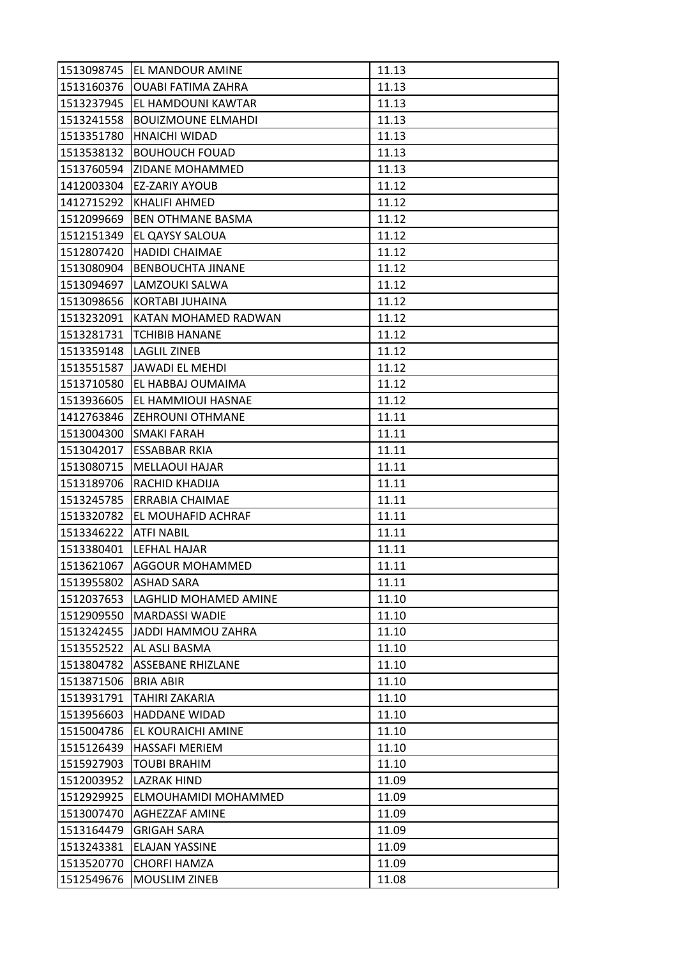| 1513098745 | <b>EL MANDOUR AMINE</b>     | 11.13 |
|------------|-----------------------------|-------|
| 1513160376 | <b>OUABI FATIMA ZAHRA</b>   | 11.13 |
| 1513237945 | EL HAMDOUNI KAWTAR          | 11.13 |
| 1513241558 | <b>BOUIZMOUNE ELMAHDI</b>   | 11.13 |
| 1513351780 | <b>HNAICHI WIDAD</b>        | 11.13 |
| 1513538132 | <b>BOUHOUCH FOUAD</b>       | 11.13 |
| 1513760594 | <b>ZIDANE MOHAMMED</b>      | 11.13 |
| 1412003304 | EZ-ZARIY AYOUB              | 11.12 |
| 1412715292 | <b>KHALIFI AHMED</b>        | 11.12 |
| 1512099669 | <b>BEN OTHMANE BASMA</b>    | 11.12 |
| 1512151349 | EL QAYSY SALOUA             | 11.12 |
| 1512807420 | <b>HADIDI CHAIMAE</b>       | 11.12 |
| 1513080904 | <b>BENBOUCHTA JINANE</b>    | 11.12 |
| 1513094697 | LAMZOUKI SALWA              | 11.12 |
| 1513098656 | KORTABI JUHAINA             | 11.12 |
| 1513232091 | <b>KATAN MOHAMED RADWAN</b> | 11.12 |
| 1513281731 | <b>TCHIBIB HANANE</b>       | 11.12 |
| 1513359148 | <b>LAGLIL ZINEB</b>         | 11.12 |
| 1513551587 | <b>JAWADI EL MEHDI</b>      | 11.12 |
| 1513710580 | EL HABBAJ OUMAIMA           | 11.12 |
| 1513936605 | <b>EL HAMMIOUI HASNAE</b>   | 11.12 |
| 1412763846 | <b>ZEHROUNI OTHMANE</b>     | 11.11 |
| 1513004300 | <b>SMAKI FARAH</b>          | 11.11 |
| 1513042017 | <b>ESSABBAR RKIA</b>        | 11.11 |
| 1513080715 | <b>MELLAOUI HAJAR</b>       | 11.11 |
| 1513189706 | RACHID KHADIJA              | 11.11 |
| 1513245785 | <b>ERRABIA CHAIMAE</b>      | 11.11 |
| 1513320782 | EL MOUHAFID ACHRAF          | 11.11 |
| 1513346222 | <b>ATFI NABIL</b>           | 11.11 |
| 1513380401 | LEFHAL HAJAR                | 11.11 |
| 1513621067 | <b>AGGOUR MOHAMMED</b>      | 11.11 |
| 1513955802 | <b>ASHAD SARA</b>           | 11.11 |
| 1512037653 | LAGHLID MOHAMED AMINE       | 11.10 |
| 1512909550 | <b>MARDASSI WADIE</b>       | 11.10 |
| 1513242455 | JADDI HAMMOU ZAHRA          | 11.10 |
| 1513552522 | AL ASLI BASMA               | 11.10 |
| 1513804782 | <b>ASSEBANE RHIZLANE</b>    | 11.10 |
| 1513871506 | <b>BRIA ABIR</b>            | 11.10 |
| 1513931791 | <b>TAHIRI ZAKARIA</b>       | 11.10 |
| 1513956603 | <b>HADDANE WIDAD</b>        | 11.10 |
| 1515004786 | IEL KOURAICHI AMINE         | 11.10 |
| 1515126439 | <b>HASSAFI MERIEM</b>       | 11.10 |
| 1515927903 | <b>TOUBI BRAHIM</b>         | 11.10 |
| 1512003952 | <b>LAZRAK HIND</b>          | 11.09 |
| 1512929925 | ELMOUHAMIDI MOHAMMED        | 11.09 |
| 1513007470 | <b>AGHEZZAF AMINE</b>       | 11.09 |
| 1513164479 | <b>GRIGAH SARA</b>          | 11.09 |
| 1513243381 | <b>ELAJAN YASSINE</b>       | 11.09 |
| 1513520770 | <b>CHORFI HAMZA</b>         | 11.09 |
| 1512549676 | <b>MOUSLIM ZINEB</b>        | 11.08 |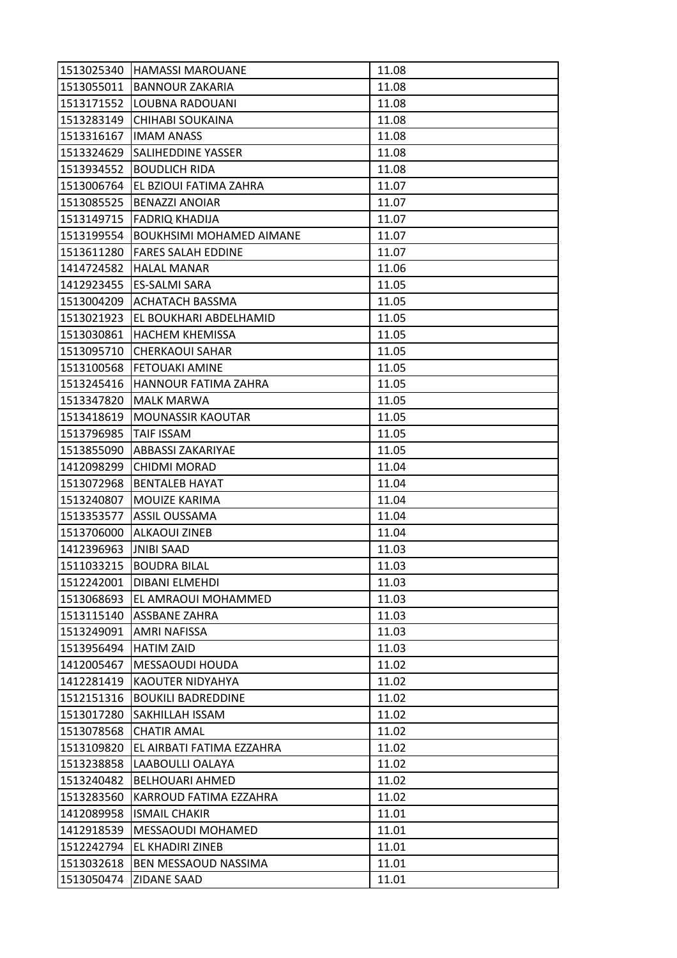| 11.08<br><b>BANNOUR ZAKARIA</b><br>11.08<br>LOUBNA RADOUANI<br>CHIHABI SOUKAINA<br>11.08<br><b>IMAM ANASS</b><br>11.08<br><b>SALIHEDDINE YASSER</b><br>11.08<br><b>BOUDLICH RIDA</b><br>11.08<br>1513006764<br>EL BZIOUI FATIMA ZAHRA<br>11.07<br><b>BENAZZI ANOIAR</b><br>11.07<br><b>FADRIQ KHADIJA</b><br>11.07<br><b>BOUKHSIMI MOHAMED AIMANE</b><br>11.07<br>11.07<br>FARES SALAH EDDINE<br>11.06<br>1414724582<br><b>HALAL MANAR</b><br><b>ES-SALMI SARA</b><br>11.05<br><b>ACHATACH BASSMA</b><br>11.05<br>1513021923  EL BOUKHARI ABDELHAMID<br>11.05<br>11.05<br><b>HACHEM KHEMISSA</b><br><b>CHERKAOUI SAHAR</b><br>11.05<br>11.05<br><b>FETOUAKI AMINE</b><br>11.05<br>HANNOUR FATIMA ZAHRA<br>11.05<br><b>MALK MARWA</b><br>11.05<br><b>MOUNASSIR KAOUTAR</b><br><b>TAIF ISSAM</b><br>11.05<br><b>ABBASSI ZAKARIYAE</b><br>11.05<br>11.04<br><b>CHIDMI MORAD</b><br><b>BENTALEB HAYAT</b><br>11.04<br>MOUIZE KARIMA<br>11.04<br><b>ASSIL OUSSAMA</b><br>11.04<br><b>ALKAOUI ZINEB</b><br>11.04<br><b>JNIBI SAAD</b><br>11.03<br>1511033215<br><b>BOUDRA BILAL</b><br>11.03<br>1512242001<br><b>DIBANI ELMEHDI</b><br>11.03<br>EL AMRAOUI MOHAMMED<br>11.03<br><b>ASSBANE ZAHRA</b><br>11.03<br><b>AMRI NAFISSA</b><br>11.03<br><b>HATIM ZAID</b><br>1513956494<br>11.03<br>MESSAOUDI HOUDA<br>11.02<br>11.02<br>1412281419<br><b>KAOUTER NIDYAHYA</b><br><b>BOUKILI BADREDDINE</b><br>11.02<br>1512151316<br>1513017280<br><b>SAKHILLAH ISSAM</b><br>11.02<br><b>CHATIR AMAL</b><br>11.02<br>1513078568<br>EL AIRBATI FATIMA EZZAHRA<br>11.02<br>11.02<br>1513238858<br>LAABOULLI OALAYA<br>1513240482<br><b>BELHOUARI AHMED</b><br>11.02<br>1513283560<br>KARROUD FATIMA EZZAHRA<br>11.02<br>1412089958<br><b>ISMAIL CHAKIR</b><br>11.01<br>MESSAOUDI MOHAMED<br>11.01<br><b>EL KHADIRI ZINEB</b><br>11.01<br>1513032618<br>BEN MESSAOUD NASSIMA<br>11.01<br>1513050474<br><b>ZIDANE SAAD</b><br>11.01 | 1513025340 | <b>HAMASSI MAROUANE</b> | 11.08 |
|---------------------------------------------------------------------------------------------------------------------------------------------------------------------------------------------------------------------------------------------------------------------------------------------------------------------------------------------------------------------------------------------------------------------------------------------------------------------------------------------------------------------------------------------------------------------------------------------------------------------------------------------------------------------------------------------------------------------------------------------------------------------------------------------------------------------------------------------------------------------------------------------------------------------------------------------------------------------------------------------------------------------------------------------------------------------------------------------------------------------------------------------------------------------------------------------------------------------------------------------------------------------------------------------------------------------------------------------------------------------------------------------------------------------------------------------------------------------------------------------------------------------------------------------------------------------------------------------------------------------------------------------------------------------------------------------------------------------------------------------------------------------------------------------------------------------------------------------------------------------------------------------------------------------|------------|-------------------------|-------|
|                                                                                                                                                                                                                                                                                                                                                                                                                                                                                                                                                                                                                                                                                                                                                                                                                                                                                                                                                                                                                                                                                                                                                                                                                                                                                                                                                                                                                                                                                                                                                                                                                                                                                                                                                                                                                                                                                                                     | 1513055011 |                         |       |
|                                                                                                                                                                                                                                                                                                                                                                                                                                                                                                                                                                                                                                                                                                                                                                                                                                                                                                                                                                                                                                                                                                                                                                                                                                                                                                                                                                                                                                                                                                                                                                                                                                                                                                                                                                                                                                                                                                                     | 1513171552 |                         |       |
|                                                                                                                                                                                                                                                                                                                                                                                                                                                                                                                                                                                                                                                                                                                                                                                                                                                                                                                                                                                                                                                                                                                                                                                                                                                                                                                                                                                                                                                                                                                                                                                                                                                                                                                                                                                                                                                                                                                     | 1513283149 |                         |       |
|                                                                                                                                                                                                                                                                                                                                                                                                                                                                                                                                                                                                                                                                                                                                                                                                                                                                                                                                                                                                                                                                                                                                                                                                                                                                                                                                                                                                                                                                                                                                                                                                                                                                                                                                                                                                                                                                                                                     | 1513316167 |                         |       |
|                                                                                                                                                                                                                                                                                                                                                                                                                                                                                                                                                                                                                                                                                                                                                                                                                                                                                                                                                                                                                                                                                                                                                                                                                                                                                                                                                                                                                                                                                                                                                                                                                                                                                                                                                                                                                                                                                                                     | 1513324629 |                         |       |
|                                                                                                                                                                                                                                                                                                                                                                                                                                                                                                                                                                                                                                                                                                                                                                                                                                                                                                                                                                                                                                                                                                                                                                                                                                                                                                                                                                                                                                                                                                                                                                                                                                                                                                                                                                                                                                                                                                                     | 1513934552 |                         |       |
|                                                                                                                                                                                                                                                                                                                                                                                                                                                                                                                                                                                                                                                                                                                                                                                                                                                                                                                                                                                                                                                                                                                                                                                                                                                                                                                                                                                                                                                                                                                                                                                                                                                                                                                                                                                                                                                                                                                     |            |                         |       |
|                                                                                                                                                                                                                                                                                                                                                                                                                                                                                                                                                                                                                                                                                                                                                                                                                                                                                                                                                                                                                                                                                                                                                                                                                                                                                                                                                                                                                                                                                                                                                                                                                                                                                                                                                                                                                                                                                                                     | 1513085525 |                         |       |
|                                                                                                                                                                                                                                                                                                                                                                                                                                                                                                                                                                                                                                                                                                                                                                                                                                                                                                                                                                                                                                                                                                                                                                                                                                                                                                                                                                                                                                                                                                                                                                                                                                                                                                                                                                                                                                                                                                                     | 1513149715 |                         |       |
|                                                                                                                                                                                                                                                                                                                                                                                                                                                                                                                                                                                                                                                                                                                                                                                                                                                                                                                                                                                                                                                                                                                                                                                                                                                                                                                                                                                                                                                                                                                                                                                                                                                                                                                                                                                                                                                                                                                     | 1513199554 |                         |       |
|                                                                                                                                                                                                                                                                                                                                                                                                                                                                                                                                                                                                                                                                                                                                                                                                                                                                                                                                                                                                                                                                                                                                                                                                                                                                                                                                                                                                                                                                                                                                                                                                                                                                                                                                                                                                                                                                                                                     | 1513611280 |                         |       |
|                                                                                                                                                                                                                                                                                                                                                                                                                                                                                                                                                                                                                                                                                                                                                                                                                                                                                                                                                                                                                                                                                                                                                                                                                                                                                                                                                                                                                                                                                                                                                                                                                                                                                                                                                                                                                                                                                                                     |            |                         |       |
|                                                                                                                                                                                                                                                                                                                                                                                                                                                                                                                                                                                                                                                                                                                                                                                                                                                                                                                                                                                                                                                                                                                                                                                                                                                                                                                                                                                                                                                                                                                                                                                                                                                                                                                                                                                                                                                                                                                     | 1412923455 |                         |       |
|                                                                                                                                                                                                                                                                                                                                                                                                                                                                                                                                                                                                                                                                                                                                                                                                                                                                                                                                                                                                                                                                                                                                                                                                                                                                                                                                                                                                                                                                                                                                                                                                                                                                                                                                                                                                                                                                                                                     | 1513004209 |                         |       |
|                                                                                                                                                                                                                                                                                                                                                                                                                                                                                                                                                                                                                                                                                                                                                                                                                                                                                                                                                                                                                                                                                                                                                                                                                                                                                                                                                                                                                                                                                                                                                                                                                                                                                                                                                                                                                                                                                                                     |            |                         |       |
|                                                                                                                                                                                                                                                                                                                                                                                                                                                                                                                                                                                                                                                                                                                                                                                                                                                                                                                                                                                                                                                                                                                                                                                                                                                                                                                                                                                                                                                                                                                                                                                                                                                                                                                                                                                                                                                                                                                     | 1513030861 |                         |       |
|                                                                                                                                                                                                                                                                                                                                                                                                                                                                                                                                                                                                                                                                                                                                                                                                                                                                                                                                                                                                                                                                                                                                                                                                                                                                                                                                                                                                                                                                                                                                                                                                                                                                                                                                                                                                                                                                                                                     | 1513095710 |                         |       |
|                                                                                                                                                                                                                                                                                                                                                                                                                                                                                                                                                                                                                                                                                                                                                                                                                                                                                                                                                                                                                                                                                                                                                                                                                                                                                                                                                                                                                                                                                                                                                                                                                                                                                                                                                                                                                                                                                                                     | 1513100568 |                         |       |
|                                                                                                                                                                                                                                                                                                                                                                                                                                                                                                                                                                                                                                                                                                                                                                                                                                                                                                                                                                                                                                                                                                                                                                                                                                                                                                                                                                                                                                                                                                                                                                                                                                                                                                                                                                                                                                                                                                                     | 1513245416 |                         |       |
|                                                                                                                                                                                                                                                                                                                                                                                                                                                                                                                                                                                                                                                                                                                                                                                                                                                                                                                                                                                                                                                                                                                                                                                                                                                                                                                                                                                                                                                                                                                                                                                                                                                                                                                                                                                                                                                                                                                     | 1513347820 |                         |       |
|                                                                                                                                                                                                                                                                                                                                                                                                                                                                                                                                                                                                                                                                                                                                                                                                                                                                                                                                                                                                                                                                                                                                                                                                                                                                                                                                                                                                                                                                                                                                                                                                                                                                                                                                                                                                                                                                                                                     | 1513418619 |                         |       |
|                                                                                                                                                                                                                                                                                                                                                                                                                                                                                                                                                                                                                                                                                                                                                                                                                                                                                                                                                                                                                                                                                                                                                                                                                                                                                                                                                                                                                                                                                                                                                                                                                                                                                                                                                                                                                                                                                                                     | 1513796985 |                         |       |
|                                                                                                                                                                                                                                                                                                                                                                                                                                                                                                                                                                                                                                                                                                                                                                                                                                                                                                                                                                                                                                                                                                                                                                                                                                                                                                                                                                                                                                                                                                                                                                                                                                                                                                                                                                                                                                                                                                                     | 1513855090 |                         |       |
|                                                                                                                                                                                                                                                                                                                                                                                                                                                                                                                                                                                                                                                                                                                                                                                                                                                                                                                                                                                                                                                                                                                                                                                                                                                                                                                                                                                                                                                                                                                                                                                                                                                                                                                                                                                                                                                                                                                     | 1412098299 |                         |       |
|                                                                                                                                                                                                                                                                                                                                                                                                                                                                                                                                                                                                                                                                                                                                                                                                                                                                                                                                                                                                                                                                                                                                                                                                                                                                                                                                                                                                                                                                                                                                                                                                                                                                                                                                                                                                                                                                                                                     | 1513072968 |                         |       |
|                                                                                                                                                                                                                                                                                                                                                                                                                                                                                                                                                                                                                                                                                                                                                                                                                                                                                                                                                                                                                                                                                                                                                                                                                                                                                                                                                                                                                                                                                                                                                                                                                                                                                                                                                                                                                                                                                                                     | 1513240807 |                         |       |
|                                                                                                                                                                                                                                                                                                                                                                                                                                                                                                                                                                                                                                                                                                                                                                                                                                                                                                                                                                                                                                                                                                                                                                                                                                                                                                                                                                                                                                                                                                                                                                                                                                                                                                                                                                                                                                                                                                                     | 1513353577 |                         |       |
|                                                                                                                                                                                                                                                                                                                                                                                                                                                                                                                                                                                                                                                                                                                                                                                                                                                                                                                                                                                                                                                                                                                                                                                                                                                                                                                                                                                                                                                                                                                                                                                                                                                                                                                                                                                                                                                                                                                     | 1513706000 |                         |       |
|                                                                                                                                                                                                                                                                                                                                                                                                                                                                                                                                                                                                                                                                                                                                                                                                                                                                                                                                                                                                                                                                                                                                                                                                                                                                                                                                                                                                                                                                                                                                                                                                                                                                                                                                                                                                                                                                                                                     | 1412396963 |                         |       |
|                                                                                                                                                                                                                                                                                                                                                                                                                                                                                                                                                                                                                                                                                                                                                                                                                                                                                                                                                                                                                                                                                                                                                                                                                                                                                                                                                                                                                                                                                                                                                                                                                                                                                                                                                                                                                                                                                                                     |            |                         |       |
|                                                                                                                                                                                                                                                                                                                                                                                                                                                                                                                                                                                                                                                                                                                                                                                                                                                                                                                                                                                                                                                                                                                                                                                                                                                                                                                                                                                                                                                                                                                                                                                                                                                                                                                                                                                                                                                                                                                     |            |                         |       |
|                                                                                                                                                                                                                                                                                                                                                                                                                                                                                                                                                                                                                                                                                                                                                                                                                                                                                                                                                                                                                                                                                                                                                                                                                                                                                                                                                                                                                                                                                                                                                                                                                                                                                                                                                                                                                                                                                                                     | 1513068693 |                         |       |
|                                                                                                                                                                                                                                                                                                                                                                                                                                                                                                                                                                                                                                                                                                                                                                                                                                                                                                                                                                                                                                                                                                                                                                                                                                                                                                                                                                                                                                                                                                                                                                                                                                                                                                                                                                                                                                                                                                                     | 1513115140 |                         |       |
|                                                                                                                                                                                                                                                                                                                                                                                                                                                                                                                                                                                                                                                                                                                                                                                                                                                                                                                                                                                                                                                                                                                                                                                                                                                                                                                                                                                                                                                                                                                                                                                                                                                                                                                                                                                                                                                                                                                     | 1513249091 |                         |       |
|                                                                                                                                                                                                                                                                                                                                                                                                                                                                                                                                                                                                                                                                                                                                                                                                                                                                                                                                                                                                                                                                                                                                                                                                                                                                                                                                                                                                                                                                                                                                                                                                                                                                                                                                                                                                                                                                                                                     |            |                         |       |
|                                                                                                                                                                                                                                                                                                                                                                                                                                                                                                                                                                                                                                                                                                                                                                                                                                                                                                                                                                                                                                                                                                                                                                                                                                                                                                                                                                                                                                                                                                                                                                                                                                                                                                                                                                                                                                                                                                                     | 1412005467 |                         |       |
|                                                                                                                                                                                                                                                                                                                                                                                                                                                                                                                                                                                                                                                                                                                                                                                                                                                                                                                                                                                                                                                                                                                                                                                                                                                                                                                                                                                                                                                                                                                                                                                                                                                                                                                                                                                                                                                                                                                     |            |                         |       |
|                                                                                                                                                                                                                                                                                                                                                                                                                                                                                                                                                                                                                                                                                                                                                                                                                                                                                                                                                                                                                                                                                                                                                                                                                                                                                                                                                                                                                                                                                                                                                                                                                                                                                                                                                                                                                                                                                                                     |            |                         |       |
|                                                                                                                                                                                                                                                                                                                                                                                                                                                                                                                                                                                                                                                                                                                                                                                                                                                                                                                                                                                                                                                                                                                                                                                                                                                                                                                                                                                                                                                                                                                                                                                                                                                                                                                                                                                                                                                                                                                     |            |                         |       |
|                                                                                                                                                                                                                                                                                                                                                                                                                                                                                                                                                                                                                                                                                                                                                                                                                                                                                                                                                                                                                                                                                                                                                                                                                                                                                                                                                                                                                                                                                                                                                                                                                                                                                                                                                                                                                                                                                                                     |            |                         |       |
|                                                                                                                                                                                                                                                                                                                                                                                                                                                                                                                                                                                                                                                                                                                                                                                                                                                                                                                                                                                                                                                                                                                                                                                                                                                                                                                                                                                                                                                                                                                                                                                                                                                                                                                                                                                                                                                                                                                     | 1513109820 |                         |       |
|                                                                                                                                                                                                                                                                                                                                                                                                                                                                                                                                                                                                                                                                                                                                                                                                                                                                                                                                                                                                                                                                                                                                                                                                                                                                                                                                                                                                                                                                                                                                                                                                                                                                                                                                                                                                                                                                                                                     |            |                         |       |
|                                                                                                                                                                                                                                                                                                                                                                                                                                                                                                                                                                                                                                                                                                                                                                                                                                                                                                                                                                                                                                                                                                                                                                                                                                                                                                                                                                                                                                                                                                                                                                                                                                                                                                                                                                                                                                                                                                                     |            |                         |       |
|                                                                                                                                                                                                                                                                                                                                                                                                                                                                                                                                                                                                                                                                                                                                                                                                                                                                                                                                                                                                                                                                                                                                                                                                                                                                                                                                                                                                                                                                                                                                                                                                                                                                                                                                                                                                                                                                                                                     |            |                         |       |
|                                                                                                                                                                                                                                                                                                                                                                                                                                                                                                                                                                                                                                                                                                                                                                                                                                                                                                                                                                                                                                                                                                                                                                                                                                                                                                                                                                                                                                                                                                                                                                                                                                                                                                                                                                                                                                                                                                                     |            |                         |       |
|                                                                                                                                                                                                                                                                                                                                                                                                                                                                                                                                                                                                                                                                                                                                                                                                                                                                                                                                                                                                                                                                                                                                                                                                                                                                                                                                                                                                                                                                                                                                                                                                                                                                                                                                                                                                                                                                                                                     | 1412918539 |                         |       |
|                                                                                                                                                                                                                                                                                                                                                                                                                                                                                                                                                                                                                                                                                                                                                                                                                                                                                                                                                                                                                                                                                                                                                                                                                                                                                                                                                                                                                                                                                                                                                                                                                                                                                                                                                                                                                                                                                                                     | 1512242794 |                         |       |
|                                                                                                                                                                                                                                                                                                                                                                                                                                                                                                                                                                                                                                                                                                                                                                                                                                                                                                                                                                                                                                                                                                                                                                                                                                                                                                                                                                                                                                                                                                                                                                                                                                                                                                                                                                                                                                                                                                                     |            |                         |       |
|                                                                                                                                                                                                                                                                                                                                                                                                                                                                                                                                                                                                                                                                                                                                                                                                                                                                                                                                                                                                                                                                                                                                                                                                                                                                                                                                                                                                                                                                                                                                                                                                                                                                                                                                                                                                                                                                                                                     |            |                         |       |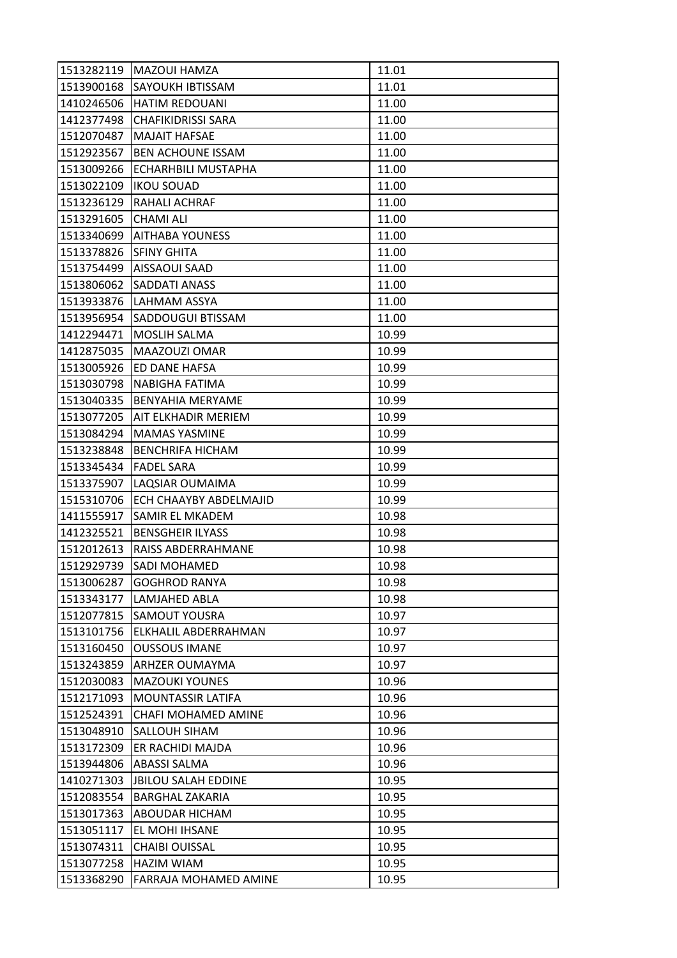| 1513282119 | <b>MAZOUI HAMZA</b>        | 11.01 |
|------------|----------------------------|-------|
| 1513900168 | <b>SAYOUKH IBTISSAM</b>    | 11.01 |
| 1410246506 | <b>HATIM REDOUANI</b>      | 11.00 |
| 1412377498 | <b>CHAFIKIDRISSI SARA</b>  | 11.00 |
| 1512070487 | <b>MAJAIT HAFSAE</b>       | 11.00 |
| 1512923567 | <b>BEN ACHOUNE ISSAM</b>   | 11.00 |
| 1513009266 | <b>ECHARHBILI MUSTAPHA</b> | 11.00 |
| 1513022109 | <b>IKOU SOUAD</b>          | 11.00 |
| 1513236129 | RAHALI ACHRAF              | 11.00 |
| 1513291605 | <b>CHAMI ALI</b>           | 11.00 |
| 1513340699 | <b>AITHABA YOUNESS</b>     | 11.00 |
| 1513378826 | <b>SFINY GHITA</b>         | 11.00 |
| 1513754499 | AISSAOUI SAAD              | 11.00 |
| 1513806062 | <b>SADDATI ANASS</b>       | 11.00 |
| 1513933876 | LAHMAM ASSYA               | 11.00 |
| 1513956954 | <b>SADDOUGUI BTISSAM</b>   | 11.00 |
| 1412294471 | MOSLIH SALMA               | 10.99 |
| 1412875035 | MAAZOUZI OMAR              | 10.99 |
| 1513005926 | ED DANE HAFSA              | 10.99 |
| 1513030798 | NABIGHA FATIMA             | 10.99 |
| 1513040335 | <b>BENYAHIA MERYAME</b>    | 10.99 |
| 1513077205 | AIT ELKHADIR MERIEM        | 10.99 |
| 1513084294 | <b>MAMAS YASMINE</b>       | 10.99 |
| 1513238848 | <b>BENCHRIFA HICHAM</b>    | 10.99 |
| 1513345434 | <b>FADEL SARA</b>          | 10.99 |
| 1513375907 | LAQSIAR OUMAIMA            | 10.99 |
| 1515310706 | ECH CHAAYBY ABDELMAJID     | 10.99 |
| 1411555917 | SAMIR EL MKADEM            | 10.98 |
| 1412325521 | <b>BENSGHEIR ILYASS</b>    | 10.98 |
| 1512012613 | RAISS ABDERRAHMANE         | 10.98 |
| 1512929739 | <b>SADI MOHAMED</b>        | 10.98 |
| 1513006287 | <b>GOGHROD RANYA</b>       | 10.98 |
| 1513343177 | LAMJAHED ABLA              | 10.98 |
| 1512077815 | <b>SAMOUT YOUSRA</b>       | 10.97 |
| 1513101756 | ELKHALIL ABDERRAHMAN       | 10.97 |
| 1513160450 | <b>OUSSOUS IMANE</b>       | 10.97 |
| 1513243859 | <b>ARHZER OUMAYMA</b>      | 10.97 |
| 1512030083 | <b>MAZOUKI YOUNES</b>      | 10.96 |
| 1512171093 | <b>MOUNTASSIR LATIFA</b>   | 10.96 |
| 1512524391 | CHAFI MOHAMED AMINE        | 10.96 |
| 1513048910 | <b>SALLOUH SIHAM</b>       | 10.96 |
| 1513172309 | ER RACHIDI MAJDA           | 10.96 |
| 1513944806 | ABASSI SALMA               | 10.96 |
| 1410271303 | <b>JBILOU SALAH EDDINE</b> | 10.95 |
| 1512083554 | <b>BARGHAL ZAKARIA</b>     | 10.95 |
| 1513017363 | <b>ABOUDAR HICHAM</b>      | 10.95 |
| 1513051117 | EL MOHI IHSANE             | 10.95 |
| 1513074311 | <b>CHAIBI OUISSAL</b>      | 10.95 |
| 1513077258 | HAZIM WIAM                 | 10.95 |
| 1513368290 | FARRAJA MOHAMED AMINE      | 10.95 |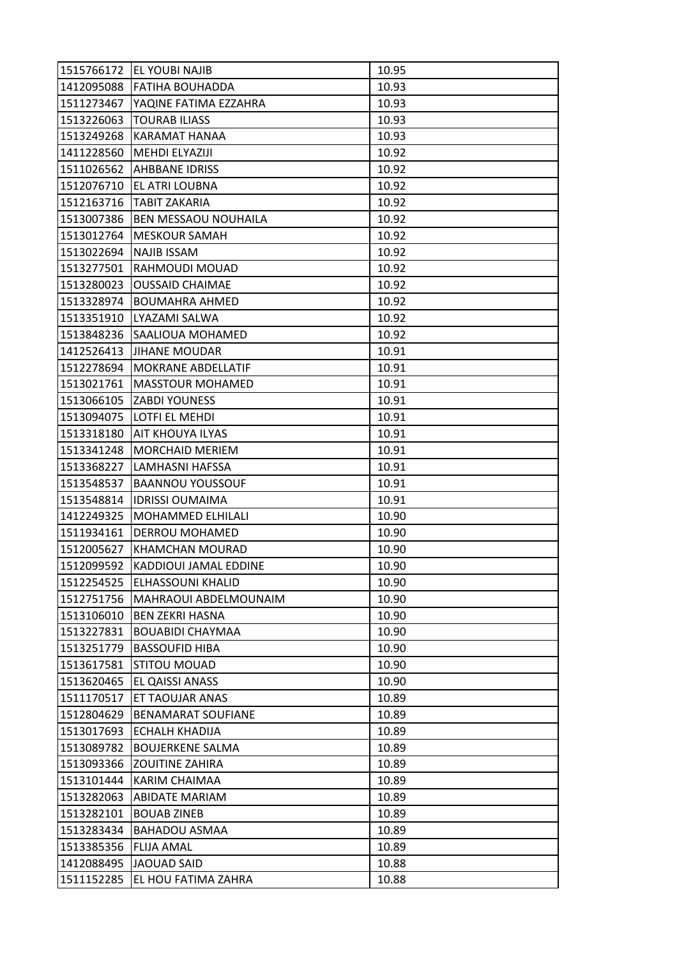| 1515766172 | <b>EL YOUBI NAJIB</b>       | 10.95 |
|------------|-----------------------------|-------|
| 1412095088 | <b>FATIHA BOUHADDA</b>      | 10.93 |
| 1511273467 | YAQINE FATIMA EZZAHRA       | 10.93 |
| 1513226063 | <b>TOURAB ILIASS</b>        | 10.93 |
| 1513249268 | KARAMAT HANAA               | 10.93 |
| 1411228560 | <b>MEHDI ELYAZIJI</b>       | 10.92 |
| 1511026562 | <b>AHBBANE IDRISS</b>       | 10.92 |
| 1512076710 | EL ATRI LOUBNA              | 10.92 |
| 1512163716 | <b>TABIT ZAKARIA</b>        | 10.92 |
| 1513007386 | <b>BEN MESSAOU NOUHAILA</b> | 10.92 |
| 1513012764 | <b>MESKOUR SAMAH</b>        | 10.92 |
| 1513022694 | NAJIB ISSAM                 | 10.92 |
| 1513277501 | RAHMOUDI MOUAD              | 10.92 |
| 1513280023 | <b>OUSSAID CHAIMAE</b>      | 10.92 |
| 1513328974 | <b>BOUMAHRA AHMED</b>       | 10.92 |
| 1513351910 | LYAZAMI SALWA               | 10.92 |
| 1513848236 | <b>SAALIOUA MOHAMED</b>     | 10.92 |
| 1412526413 | <b>JIHANE MOUDAR</b>        | 10.91 |
| 1512278694 | <b>MOKRANE ABDELLATIF</b>   | 10.91 |
| 1513021761 | <b>MASSTOUR MOHAMED</b>     | 10.91 |
| 1513066105 | <b>ZABDI YOUNESS</b>        | 10.91 |
| 1513094075 | LOTFI EL MEHDI              | 10.91 |
| 1513318180 | <b>AIT KHOUYA ILYAS</b>     | 10.91 |
| 1513341248 | <b>MORCHAID MERIEM</b>      | 10.91 |
| 1513368227 | LAMHASNI HAFSSA             | 10.91 |
| 1513548537 | <b>BAANNOU YOUSSOUF</b>     | 10.91 |
| 1513548814 | <b>IDRISSI OUMAIMA</b>      | 10.91 |
| 1412249325 | MOHAMMED ELHILALI           | 10.90 |
| 1511934161 | <b>DERROU MOHAMED</b>       | 10.90 |
| 1512005627 | <b>KHAMCHAN MOURAD</b>      | 10.90 |
| 1512099592 | KADDIOUI JAMAL EDDINE       | 10.90 |
| 1512254525 | <b>ELHASSOUNI KHALID</b>    | 10.90 |
| 1512751756 | MAHRAOUI ABDELMOUNAIM       | 10.90 |
| 1513106010 | <b>BEN ZEKRI HASNA</b>      | 10.90 |
| 1513227831 | <b>BOUABIDI CHAYMAA</b>     | 10.90 |
| 1513251779 | <b>BASSOUFID HIBA</b>       | 10.90 |
| 1513617581 | <b>STITOU MOUAD</b>         | 10.90 |
| 1513620465 | EL QAISSI ANASS             | 10.90 |
| 1511170517 | ET TAOUJAR ANAS             | 10.89 |
| 1512804629 | <b>BENAMARAT SOUFIANE</b>   | 10.89 |
| 1513017693 | ECHALH KHADIJA              | 10.89 |
| 1513089782 | <b>BOUJERKENE SALMA</b>     | 10.89 |
| 1513093366 | <b>ZOUITINE ZAHIRA</b>      | 10.89 |
| 1513101444 | KARIM CHAIMAA               | 10.89 |
| 1513282063 | <b>ABIDATE MARIAM</b>       | 10.89 |
| 1513282101 | <b>BOUAB ZINEB</b>          | 10.89 |
| 1513283434 | <b>BAHADOU ASMAA</b>        | 10.89 |
| 1513385356 | <b>FLIJA AMAL</b>           | 10.89 |
| 1412088495 | <b>JAOUAD SAID</b>          | 10.88 |
| 1511152285 | EL HOU FATIMA ZAHRA         | 10.88 |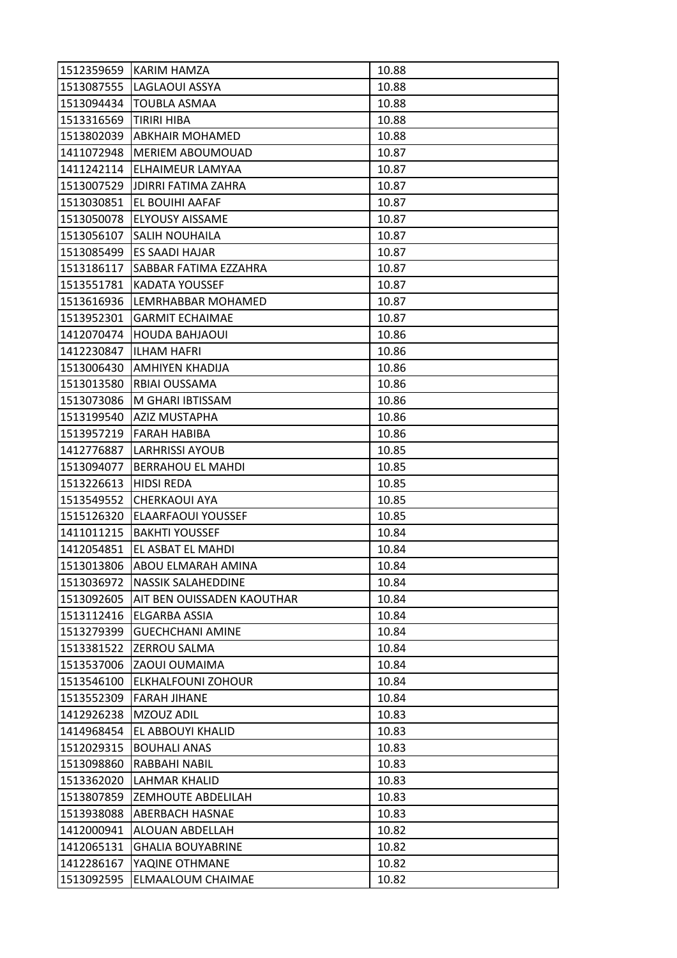| 1512359659 | KARIM HAMZA                | 10.88 |
|------------|----------------------------|-------|
| 1513087555 | LAGLAOUI ASSYA             | 10.88 |
| 1513094434 | <b>TOUBLA ASMAA</b>        | 10.88 |
| 1513316569 | TIRIRI HIBA                | 10.88 |
| 1513802039 | <b>ABKHAIR MOHAMED</b>     | 10.88 |
| 1411072948 | <b>MERIEM ABOUMOUAD</b>    | 10.87 |
| 1411242114 | <b>ELHAIMEUR LAMYAA</b>    | 10.87 |
| 1513007529 | JDIRRI FATIMA ZAHRA        | 10.87 |
| 1513030851 | EL BOUIHI AAFAF            | 10.87 |
| 1513050078 | <b>ELYOUSY AISSAME</b>     | 10.87 |
| 1513056107 | <b>SALIH NOUHAILA</b>      | 10.87 |
| 1513085499 | ES SAADI HAJAR             | 10.87 |
| 1513186117 | SABBAR FATIMA EZZAHRA      | 10.87 |
| 1513551781 | KADATA YOUSSEF             | 10.87 |
| 1513616936 | LEMRHABBAR MOHAMED         | 10.87 |
| 1513952301 | <b>GARMIT ECHAIMAE</b>     | 10.87 |
| 1412070474 | <b>HOUDA BAHJAOUI</b>      | 10.86 |
| 1412230847 | <b>ILHAM HAFRI</b>         | 10.86 |
| 1513006430 | <b>AMHIYEN KHADIJA</b>     | 10.86 |
| 1513013580 | RBIAI OUSSAMA              | 10.86 |
| 1513073086 | M GHARI IBTISSAM           | 10.86 |
| 1513199540 | <b>AZIZ MUSTAPHA</b>       | 10.86 |
| 1513957219 | <b>FARAH HABIBA</b>        | 10.86 |
| 1412776887 | <b>LARHRISSI AYOUB</b>     | 10.85 |
| 1513094077 | <b>BERRAHOU EL MAHDI</b>   | 10.85 |
| 1513226613 | <b>HIDSI REDA</b>          | 10.85 |
| 1513549552 | <b>CHERKAOUI AYA</b>       | 10.85 |
| 1515126320 | <b>ELAARFAOUI YOUSSEF</b>  | 10.85 |
| 1411011215 | <b>BAKHTI YOUSSEF</b>      | 10.84 |
| 1412054851 | EL ASBAT EL MAHDI          | 10.84 |
| 1513013806 | ABOU ELMARAH AMINA         | 10.84 |
| 1513036972 | NASSIK SALAHEDDINE         | 10.84 |
| 1513092605 | AIT BEN OUISSADEN KAOUTHAR | 10.84 |
| 1513112416 | ELGARBA ASSIA              | 10.84 |
| 1513279399 | <b>GUECHCHANI AMINE</b>    | 10.84 |
| 1513381522 | <b>ZERROU SALMA</b>        | 10.84 |
| 1513537006 | ZAOUI OUMAIMA              | 10.84 |
| 1513546100 | <b>ELKHALFOUNI ZOHOUR</b>  | 10.84 |
| 1513552309 | <b>FARAH JIHANE</b>        | 10.84 |
| 1412926238 | MZOUZ ADIL                 | 10.83 |
| 1414968454 | EL ABBOUYI KHALID          | 10.83 |
| 1512029315 | <b>BOUHALI ANAS</b>        | 10.83 |
| 1513098860 | RABBAHI NABIL              | 10.83 |
| 1513362020 | LAHMAR KHALID              | 10.83 |
| 1513807859 | <b>ZEMHOUTE ABDELILAH</b>  | 10.83 |
| 1513938088 | <b>ABERBACH HASNAE</b>     | 10.83 |
| 1412000941 | ALOUAN ABDELLAH            | 10.82 |
| 1412065131 | <b>GHALIA BOUYABRINE</b>   | 10.82 |
| 1412286167 | YAQINE OTHMANE             | 10.82 |
| 1513092595 | ELMAALOUM CHAIMAE          | 10.82 |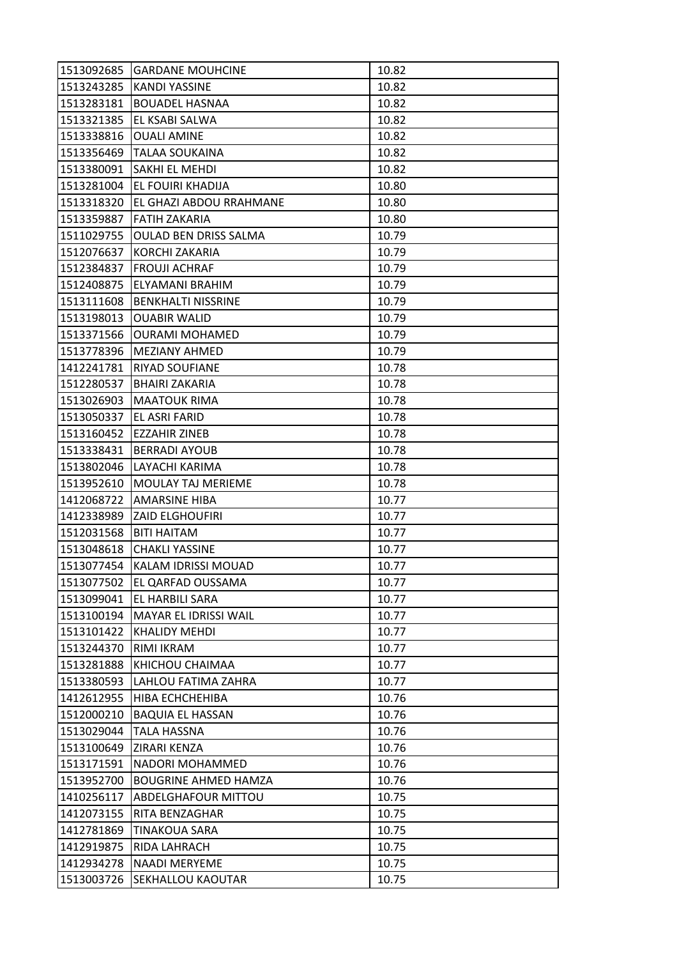| 1513092685 | <b>GARDANE MOUHCINE</b>      | 10.82 |
|------------|------------------------------|-------|
| 1513243285 | <b>KANDI YASSINE</b>         | 10.82 |
| 1513283181 | <b>BOUADEL HASNAA</b>        | 10.82 |
| 1513321385 | EL KSABI SALWA               | 10.82 |
| 1513338816 | <b>OUALI AMINE</b>           | 10.82 |
| 1513356469 | <b>TALAA SOUKAINA</b>        | 10.82 |
| 1513380091 | SAKHI EL MEHDI               | 10.82 |
| 1513281004 | EL FOUIRI KHADIJA            | 10.80 |
| 1513318320 | EL GHAZI ABDOU RRAHMANE      | 10.80 |
| 1513359887 | FATIH ZAKARIA                | 10.80 |
| 1511029755 | <b>OULAD BEN DRISS SALMA</b> | 10.79 |
| 1512076637 | KORCHI ZAKARIA               | 10.79 |
| 1512384837 | <b>FROUJI ACHRAF</b>         | 10.79 |
| 1512408875 | ELYAMANI BRAHIM              | 10.79 |
| 1513111608 | <b>BENKHALTI NISSRINE</b>    | 10.79 |
| 1513198013 | <b>OUABIR WALID</b>          | 10.79 |
| 1513371566 | <b>OURAMI MOHAMED</b>        | 10.79 |
| 1513778396 | <b>MEZIANY AHMED</b>         | 10.79 |
| 1412241781 | <b>RIYAD SOUFIANE</b>        | 10.78 |
| 1512280537 | <b>BHAIRI ZAKARIA</b>        | 10.78 |
| 1513026903 | <b>MAATOUK RIMA</b>          | 10.78 |
| 1513050337 | EL ASRI FARID                | 10.78 |
| 1513160452 | <b>EZZAHIR ZINEB</b>         | 10.78 |
| 1513338431 | <b>BERRADI AYOUB</b>         | 10.78 |
| 1513802046 | LAYACHI KARIMA               | 10.78 |
| 1513952610 | <b>MOULAY TAJ MERIEME</b>    | 10.78 |
| 1412068722 | AMARSINE HIBA                | 10.77 |
| 1412338989 | <b>ZAID ELGHOUFIRI</b>       | 10.77 |
| 1512031568 | <b>BITI HAITAM</b>           | 10.77 |
| 1513048618 | <b>CHAKLI YASSINE</b>        | 10.77 |
| 1513077454 | KALAM IDRISSI MOUAD          | 10.77 |
| 1513077502 | EL QARFAD OUSSAMA            | 10.77 |
| 1513099041 | EL HARBILI SARA              | 10.77 |
| 1513100194 | <b>MAYAR EL IDRISSI WAIL</b> | 10.77 |
| 1513101422 | <b>KHALIDY MEHDI</b>         | 10.77 |
| 1513244370 | RIMI IKRAM                   | 10.77 |
| 1513281888 | KHICHOU CHAIMAA              | 10.77 |
| 1513380593 | LAHLOU FATIMA ZAHRA          | 10.77 |
| 1412612955 | HIBA ECHCHEHIBA              | 10.76 |
| 1512000210 | <b>BAQUIA EL HASSAN</b>      | 10.76 |
| 1513029044 | <b>TALA HASSNA</b>           | 10.76 |
| 1513100649 | ZIRARI KENZA                 | 10.76 |
| 1513171591 | NADORI MOHAMMED              | 10.76 |
| 1513952700 | <b>BOUGRINE AHMED HAMZA</b>  | 10.76 |
| 1410256117 | <b>ABDELGHAFOUR MITTOU</b>   | 10.75 |
| 1412073155 | RITA BENZAGHAR               | 10.75 |
| 1412781869 | TINAKOUA SARA                | 10.75 |
| 1412919875 | RIDA LAHRACH                 | 10.75 |
| 1412934278 | <b>NAADI MERYEME</b>         | 10.75 |
| 1513003726 | SEKHALLOU KAOUTAR            | 10.75 |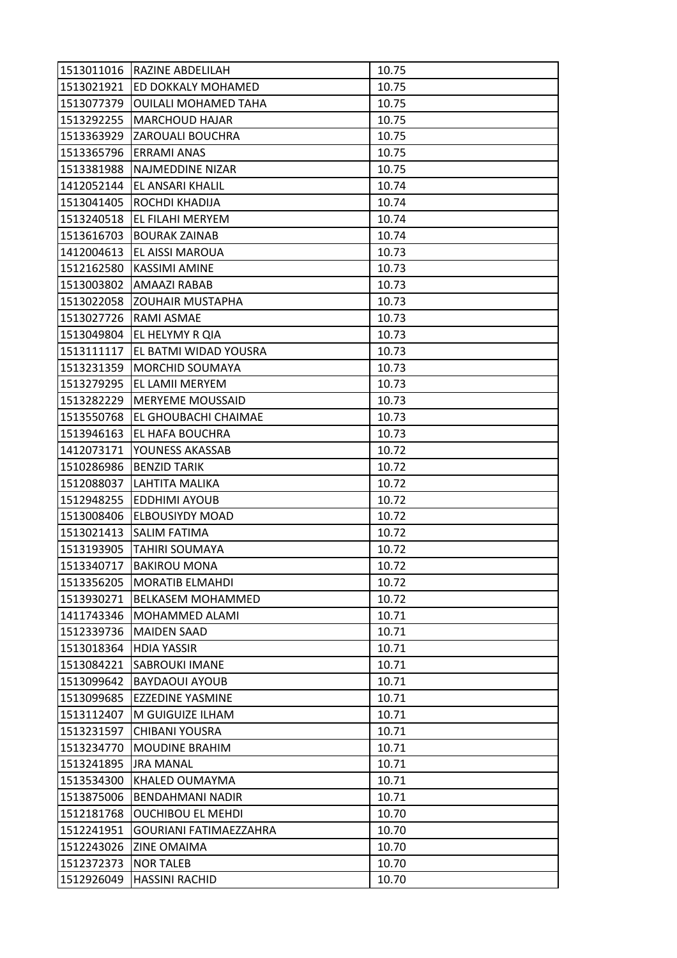| 1513021921<br>ED DOKKALY MOHAMED<br>10.75<br><b>OUILALI MOHAMED TAHA</b><br>1513077379<br>10.75<br>1513292255<br><b>MARCHOUD HAJAR</b><br>10.75<br>1513363929<br>ZAROUALI BOUCHRA<br>10.75<br>1513365796<br><b>ERRAMI ANAS</b><br>10.75<br>10.75<br>1513381988<br><b>NAJMEDDINE NIZAR</b><br>1412052144<br>EL ANSARI KHALIL<br>10.74<br>1513041405<br>ROCHDI KHADIJA<br>10.74<br>1513240518<br>EL FILAHI MERYEM<br>10.74<br>1513616703<br><b>BOURAK ZAINAB</b><br>10.74<br>10.73<br>1412004613<br>EL AISSI MAROUA<br>1512162580<br>KASSIMI AMINE<br>10.73<br>1513003802<br><b>AMAAZI RABAB</b><br>10.73<br>10.73<br>1513022058<br><b>ZOUHAIR MUSTAPHA</b><br>1513027726<br>RAMI ASMAE<br>10.73<br>10.73<br>1513049804<br>EL HELYMY R QIA<br>1513111117<br>EL BATMI WIDAD YOUSRA<br>10.73<br>1513231359<br><b>MORCHID SOUMAYA</b><br>10.73<br>1513279295<br>EL LAMII MERYEM<br>10.73<br>1513282229<br><b>MERYEME MOUSSAID</b><br>10.73<br>1513550768<br>EL GHOUBACHI CHAIMAE<br>10.73<br>1513946163<br>EL HAFA BOUCHRA<br>10.73<br>YOUNESS AKASSAB<br>10.72<br>1412073171<br>1510286986<br><b>BENZID TARIK</b><br>10.72<br>10.72<br>1512088037<br>LAHTITA MALIKA<br>1512948255<br><b>EDDHIMI AYOUB</b><br>10.72<br><b>ELBOUSIYDY MOAD</b><br>10.72<br>1513008406<br>1513021413<br><b>SALIM FATIMA</b><br>10.72<br>1513193905<br><b>TAHIRI SOUMAYA</b><br>10.72<br>1513340717<br><b>BAKIROU MONA</b><br>10.72<br>1513356205<br><b>MORATIB ELMAHDI</b><br>10.72<br>1513930271<br><b>BELKASEM MOHAMMED</b><br>10.72<br>1411743346<br>MOHAMMED ALAMI<br>10.71<br>1512339736<br><b>MAIDEN SAAD</b><br>10.71<br>10.71<br>1513018364<br><b>HDIA YASSIR</b><br>1513084221<br>10.71<br><b>SABROUKI IMANE</b><br>10.71<br>1513099642<br><b>BAYDAOUI AYOUB</b><br>1513099685<br><b>EZZEDINE YASMINE</b><br>10.71<br>1513112407<br>M GUIGUIZE ILHAM<br>10.71<br>1513231597<br><b>CHIBANI YOUSRA</b><br>10.71<br><b>MOUDINE BRAHIM</b><br>1513234770<br>10.71<br>1513241895<br>10.71<br><b>JRA MANAL</b><br>1513534300<br>KHALED OUMAYMA<br>10.71 | 1513011016 | <b>RAZINE ABDELILAH</b> | 10.75 |
|-------------------------------------------------------------------------------------------------------------------------------------------------------------------------------------------------------------------------------------------------------------------------------------------------------------------------------------------------------------------------------------------------------------------------------------------------------------------------------------------------------------------------------------------------------------------------------------------------------------------------------------------------------------------------------------------------------------------------------------------------------------------------------------------------------------------------------------------------------------------------------------------------------------------------------------------------------------------------------------------------------------------------------------------------------------------------------------------------------------------------------------------------------------------------------------------------------------------------------------------------------------------------------------------------------------------------------------------------------------------------------------------------------------------------------------------------------------------------------------------------------------------------------------------------------------------------------------------------------------------------------------------------------------------------------------------------------------------------------------------------------------------------------------------------------------------------------------------------------------------------------------------------------------------------------------------------------------------------------------------------------------------------------------|------------|-------------------------|-------|
|                                                                                                                                                                                                                                                                                                                                                                                                                                                                                                                                                                                                                                                                                                                                                                                                                                                                                                                                                                                                                                                                                                                                                                                                                                                                                                                                                                                                                                                                                                                                                                                                                                                                                                                                                                                                                                                                                                                                                                                                                                     |            |                         |       |
|                                                                                                                                                                                                                                                                                                                                                                                                                                                                                                                                                                                                                                                                                                                                                                                                                                                                                                                                                                                                                                                                                                                                                                                                                                                                                                                                                                                                                                                                                                                                                                                                                                                                                                                                                                                                                                                                                                                                                                                                                                     |            |                         |       |
|                                                                                                                                                                                                                                                                                                                                                                                                                                                                                                                                                                                                                                                                                                                                                                                                                                                                                                                                                                                                                                                                                                                                                                                                                                                                                                                                                                                                                                                                                                                                                                                                                                                                                                                                                                                                                                                                                                                                                                                                                                     |            |                         |       |
|                                                                                                                                                                                                                                                                                                                                                                                                                                                                                                                                                                                                                                                                                                                                                                                                                                                                                                                                                                                                                                                                                                                                                                                                                                                                                                                                                                                                                                                                                                                                                                                                                                                                                                                                                                                                                                                                                                                                                                                                                                     |            |                         |       |
|                                                                                                                                                                                                                                                                                                                                                                                                                                                                                                                                                                                                                                                                                                                                                                                                                                                                                                                                                                                                                                                                                                                                                                                                                                                                                                                                                                                                                                                                                                                                                                                                                                                                                                                                                                                                                                                                                                                                                                                                                                     |            |                         |       |
|                                                                                                                                                                                                                                                                                                                                                                                                                                                                                                                                                                                                                                                                                                                                                                                                                                                                                                                                                                                                                                                                                                                                                                                                                                                                                                                                                                                                                                                                                                                                                                                                                                                                                                                                                                                                                                                                                                                                                                                                                                     |            |                         |       |
|                                                                                                                                                                                                                                                                                                                                                                                                                                                                                                                                                                                                                                                                                                                                                                                                                                                                                                                                                                                                                                                                                                                                                                                                                                                                                                                                                                                                                                                                                                                                                                                                                                                                                                                                                                                                                                                                                                                                                                                                                                     |            |                         |       |
|                                                                                                                                                                                                                                                                                                                                                                                                                                                                                                                                                                                                                                                                                                                                                                                                                                                                                                                                                                                                                                                                                                                                                                                                                                                                                                                                                                                                                                                                                                                                                                                                                                                                                                                                                                                                                                                                                                                                                                                                                                     |            |                         |       |
|                                                                                                                                                                                                                                                                                                                                                                                                                                                                                                                                                                                                                                                                                                                                                                                                                                                                                                                                                                                                                                                                                                                                                                                                                                                                                                                                                                                                                                                                                                                                                                                                                                                                                                                                                                                                                                                                                                                                                                                                                                     |            |                         |       |
|                                                                                                                                                                                                                                                                                                                                                                                                                                                                                                                                                                                                                                                                                                                                                                                                                                                                                                                                                                                                                                                                                                                                                                                                                                                                                                                                                                                                                                                                                                                                                                                                                                                                                                                                                                                                                                                                                                                                                                                                                                     |            |                         |       |
|                                                                                                                                                                                                                                                                                                                                                                                                                                                                                                                                                                                                                                                                                                                                                                                                                                                                                                                                                                                                                                                                                                                                                                                                                                                                                                                                                                                                                                                                                                                                                                                                                                                                                                                                                                                                                                                                                                                                                                                                                                     |            |                         |       |
|                                                                                                                                                                                                                                                                                                                                                                                                                                                                                                                                                                                                                                                                                                                                                                                                                                                                                                                                                                                                                                                                                                                                                                                                                                                                                                                                                                                                                                                                                                                                                                                                                                                                                                                                                                                                                                                                                                                                                                                                                                     |            |                         |       |
|                                                                                                                                                                                                                                                                                                                                                                                                                                                                                                                                                                                                                                                                                                                                                                                                                                                                                                                                                                                                                                                                                                                                                                                                                                                                                                                                                                                                                                                                                                                                                                                                                                                                                                                                                                                                                                                                                                                                                                                                                                     |            |                         |       |
|                                                                                                                                                                                                                                                                                                                                                                                                                                                                                                                                                                                                                                                                                                                                                                                                                                                                                                                                                                                                                                                                                                                                                                                                                                                                                                                                                                                                                                                                                                                                                                                                                                                                                                                                                                                                                                                                                                                                                                                                                                     |            |                         |       |
|                                                                                                                                                                                                                                                                                                                                                                                                                                                                                                                                                                                                                                                                                                                                                                                                                                                                                                                                                                                                                                                                                                                                                                                                                                                                                                                                                                                                                                                                                                                                                                                                                                                                                                                                                                                                                                                                                                                                                                                                                                     |            |                         |       |
|                                                                                                                                                                                                                                                                                                                                                                                                                                                                                                                                                                                                                                                                                                                                                                                                                                                                                                                                                                                                                                                                                                                                                                                                                                                                                                                                                                                                                                                                                                                                                                                                                                                                                                                                                                                                                                                                                                                                                                                                                                     |            |                         |       |
|                                                                                                                                                                                                                                                                                                                                                                                                                                                                                                                                                                                                                                                                                                                                                                                                                                                                                                                                                                                                                                                                                                                                                                                                                                                                                                                                                                                                                                                                                                                                                                                                                                                                                                                                                                                                                                                                                                                                                                                                                                     |            |                         |       |
|                                                                                                                                                                                                                                                                                                                                                                                                                                                                                                                                                                                                                                                                                                                                                                                                                                                                                                                                                                                                                                                                                                                                                                                                                                                                                                                                                                                                                                                                                                                                                                                                                                                                                                                                                                                                                                                                                                                                                                                                                                     |            |                         |       |
|                                                                                                                                                                                                                                                                                                                                                                                                                                                                                                                                                                                                                                                                                                                                                                                                                                                                                                                                                                                                                                                                                                                                                                                                                                                                                                                                                                                                                                                                                                                                                                                                                                                                                                                                                                                                                                                                                                                                                                                                                                     |            |                         |       |
|                                                                                                                                                                                                                                                                                                                                                                                                                                                                                                                                                                                                                                                                                                                                                                                                                                                                                                                                                                                                                                                                                                                                                                                                                                                                                                                                                                                                                                                                                                                                                                                                                                                                                                                                                                                                                                                                                                                                                                                                                                     |            |                         |       |
|                                                                                                                                                                                                                                                                                                                                                                                                                                                                                                                                                                                                                                                                                                                                                                                                                                                                                                                                                                                                                                                                                                                                                                                                                                                                                                                                                                                                                                                                                                                                                                                                                                                                                                                                                                                                                                                                                                                                                                                                                                     |            |                         |       |
|                                                                                                                                                                                                                                                                                                                                                                                                                                                                                                                                                                                                                                                                                                                                                                                                                                                                                                                                                                                                                                                                                                                                                                                                                                                                                                                                                                                                                                                                                                                                                                                                                                                                                                                                                                                                                                                                                                                                                                                                                                     |            |                         |       |
|                                                                                                                                                                                                                                                                                                                                                                                                                                                                                                                                                                                                                                                                                                                                                                                                                                                                                                                                                                                                                                                                                                                                                                                                                                                                                                                                                                                                                                                                                                                                                                                                                                                                                                                                                                                                                                                                                                                                                                                                                                     |            |                         |       |
|                                                                                                                                                                                                                                                                                                                                                                                                                                                                                                                                                                                                                                                                                                                                                                                                                                                                                                                                                                                                                                                                                                                                                                                                                                                                                                                                                                                                                                                                                                                                                                                                                                                                                                                                                                                                                                                                                                                                                                                                                                     |            |                         |       |
|                                                                                                                                                                                                                                                                                                                                                                                                                                                                                                                                                                                                                                                                                                                                                                                                                                                                                                                                                                                                                                                                                                                                                                                                                                                                                                                                                                                                                                                                                                                                                                                                                                                                                                                                                                                                                                                                                                                                                                                                                                     |            |                         |       |
|                                                                                                                                                                                                                                                                                                                                                                                                                                                                                                                                                                                                                                                                                                                                                                                                                                                                                                                                                                                                                                                                                                                                                                                                                                                                                                                                                                                                                                                                                                                                                                                                                                                                                                                                                                                                                                                                                                                                                                                                                                     |            |                         |       |
|                                                                                                                                                                                                                                                                                                                                                                                                                                                                                                                                                                                                                                                                                                                                                                                                                                                                                                                                                                                                                                                                                                                                                                                                                                                                                                                                                                                                                                                                                                                                                                                                                                                                                                                                                                                                                                                                                                                                                                                                                                     |            |                         |       |
|                                                                                                                                                                                                                                                                                                                                                                                                                                                                                                                                                                                                                                                                                                                                                                                                                                                                                                                                                                                                                                                                                                                                                                                                                                                                                                                                                                                                                                                                                                                                                                                                                                                                                                                                                                                                                                                                                                                                                                                                                                     |            |                         |       |
|                                                                                                                                                                                                                                                                                                                                                                                                                                                                                                                                                                                                                                                                                                                                                                                                                                                                                                                                                                                                                                                                                                                                                                                                                                                                                                                                                                                                                                                                                                                                                                                                                                                                                                                                                                                                                                                                                                                                                                                                                                     |            |                         |       |
|                                                                                                                                                                                                                                                                                                                                                                                                                                                                                                                                                                                                                                                                                                                                                                                                                                                                                                                                                                                                                                                                                                                                                                                                                                                                                                                                                                                                                                                                                                                                                                                                                                                                                                                                                                                                                                                                                                                                                                                                                                     |            |                         |       |
|                                                                                                                                                                                                                                                                                                                                                                                                                                                                                                                                                                                                                                                                                                                                                                                                                                                                                                                                                                                                                                                                                                                                                                                                                                                                                                                                                                                                                                                                                                                                                                                                                                                                                                                                                                                                                                                                                                                                                                                                                                     |            |                         |       |
|                                                                                                                                                                                                                                                                                                                                                                                                                                                                                                                                                                                                                                                                                                                                                                                                                                                                                                                                                                                                                                                                                                                                                                                                                                                                                                                                                                                                                                                                                                                                                                                                                                                                                                                                                                                                                                                                                                                                                                                                                                     |            |                         |       |
|                                                                                                                                                                                                                                                                                                                                                                                                                                                                                                                                                                                                                                                                                                                                                                                                                                                                                                                                                                                                                                                                                                                                                                                                                                                                                                                                                                                                                                                                                                                                                                                                                                                                                                                                                                                                                                                                                                                                                                                                                                     |            |                         |       |
|                                                                                                                                                                                                                                                                                                                                                                                                                                                                                                                                                                                                                                                                                                                                                                                                                                                                                                                                                                                                                                                                                                                                                                                                                                                                                                                                                                                                                                                                                                                                                                                                                                                                                                                                                                                                                                                                                                                                                                                                                                     |            |                         |       |
|                                                                                                                                                                                                                                                                                                                                                                                                                                                                                                                                                                                                                                                                                                                                                                                                                                                                                                                                                                                                                                                                                                                                                                                                                                                                                                                                                                                                                                                                                                                                                                                                                                                                                                                                                                                                                                                                                                                                                                                                                                     |            |                         |       |
|                                                                                                                                                                                                                                                                                                                                                                                                                                                                                                                                                                                                                                                                                                                                                                                                                                                                                                                                                                                                                                                                                                                                                                                                                                                                                                                                                                                                                                                                                                                                                                                                                                                                                                                                                                                                                                                                                                                                                                                                                                     |            |                         |       |
|                                                                                                                                                                                                                                                                                                                                                                                                                                                                                                                                                                                                                                                                                                                                                                                                                                                                                                                                                                                                                                                                                                                                                                                                                                                                                                                                                                                                                                                                                                                                                                                                                                                                                                                                                                                                                                                                                                                                                                                                                                     |            |                         |       |
|                                                                                                                                                                                                                                                                                                                                                                                                                                                                                                                                                                                                                                                                                                                                                                                                                                                                                                                                                                                                                                                                                                                                                                                                                                                                                                                                                                                                                                                                                                                                                                                                                                                                                                                                                                                                                                                                                                                                                                                                                                     |            |                         |       |
|                                                                                                                                                                                                                                                                                                                                                                                                                                                                                                                                                                                                                                                                                                                                                                                                                                                                                                                                                                                                                                                                                                                                                                                                                                                                                                                                                                                                                                                                                                                                                                                                                                                                                                                                                                                                                                                                                                                                                                                                                                     |            |                         |       |
|                                                                                                                                                                                                                                                                                                                                                                                                                                                                                                                                                                                                                                                                                                                                                                                                                                                                                                                                                                                                                                                                                                                                                                                                                                                                                                                                                                                                                                                                                                                                                                                                                                                                                                                                                                                                                                                                                                                                                                                                                                     |            |                         |       |
|                                                                                                                                                                                                                                                                                                                                                                                                                                                                                                                                                                                                                                                                                                                                                                                                                                                                                                                                                                                                                                                                                                                                                                                                                                                                                                                                                                                                                                                                                                                                                                                                                                                                                                                                                                                                                                                                                                                                                                                                                                     |            |                         |       |
|                                                                                                                                                                                                                                                                                                                                                                                                                                                                                                                                                                                                                                                                                                                                                                                                                                                                                                                                                                                                                                                                                                                                                                                                                                                                                                                                                                                                                                                                                                                                                                                                                                                                                                                                                                                                                                                                                                                                                                                                                                     |            |                         |       |
|                                                                                                                                                                                                                                                                                                                                                                                                                                                                                                                                                                                                                                                                                                                                                                                                                                                                                                                                                                                                                                                                                                                                                                                                                                                                                                                                                                                                                                                                                                                                                                                                                                                                                                                                                                                                                                                                                                                                                                                                                                     |            |                         |       |
|                                                                                                                                                                                                                                                                                                                                                                                                                                                                                                                                                                                                                                                                                                                                                                                                                                                                                                                                                                                                                                                                                                                                                                                                                                                                                                                                                                                                                                                                                                                                                                                                                                                                                                                                                                                                                                                                                                                                                                                                                                     | 1513875006 | <b>BENDAHMANI NADIR</b> | 10.71 |
| 1512181768<br><b>OUCHIBOU EL MEHDI</b><br>10.70                                                                                                                                                                                                                                                                                                                                                                                                                                                                                                                                                                                                                                                                                                                                                                                                                                                                                                                                                                                                                                                                                                                                                                                                                                                                                                                                                                                                                                                                                                                                                                                                                                                                                                                                                                                                                                                                                                                                                                                     |            |                         |       |
| <b>GOURIANI FATIMAEZZAHRA</b><br>10.70<br>1512241951                                                                                                                                                                                                                                                                                                                                                                                                                                                                                                                                                                                                                                                                                                                                                                                                                                                                                                                                                                                                                                                                                                                                                                                                                                                                                                                                                                                                                                                                                                                                                                                                                                                                                                                                                                                                                                                                                                                                                                                |            |                         |       |
| <b>ZINE OMAIMA</b><br>1512243026<br>10.70                                                                                                                                                                                                                                                                                                                                                                                                                                                                                                                                                                                                                                                                                                                                                                                                                                                                                                                                                                                                                                                                                                                                                                                                                                                                                                                                                                                                                                                                                                                                                                                                                                                                                                                                                                                                                                                                                                                                                                                           |            |                         |       |
| 1512372373<br><b>NOR TALEB</b><br>10.70                                                                                                                                                                                                                                                                                                                                                                                                                                                                                                                                                                                                                                                                                                                                                                                                                                                                                                                                                                                                                                                                                                                                                                                                                                                                                                                                                                                                                                                                                                                                                                                                                                                                                                                                                                                                                                                                                                                                                                                             |            |                         |       |
| 1512926049<br><b>HASSINI RACHID</b><br>10.70                                                                                                                                                                                                                                                                                                                                                                                                                                                                                                                                                                                                                                                                                                                                                                                                                                                                                                                                                                                                                                                                                                                                                                                                                                                                                                                                                                                                                                                                                                                                                                                                                                                                                                                                                                                                                                                                                                                                                                                        |            |                         |       |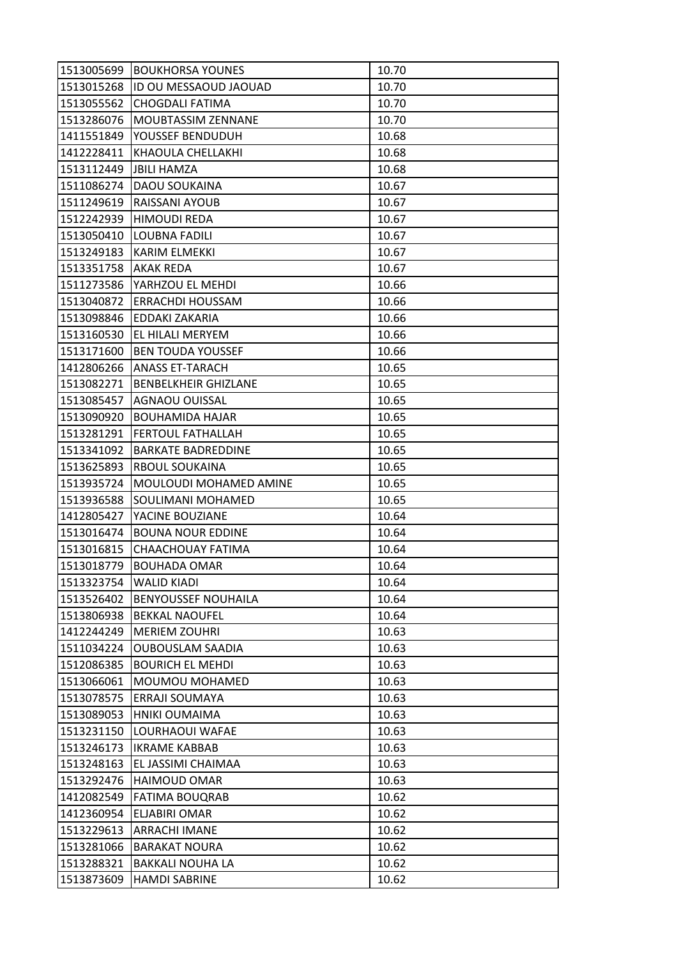| 1513005699 | <b>BOUKHORSA YOUNES</b>     | 10.70 |
|------------|-----------------------------|-------|
| 1513015268 | ID OU MESSAOUD JAOUAD       | 10.70 |
| 1513055562 | <b>CHOGDALI FATIMA</b>      | 10.70 |
| 1513286076 | MOUBTASSIM ZENNANE          | 10.70 |
| 1411551849 | YOUSSEF BENDUDUH            | 10.68 |
| 1412228411 | KHAOULA CHELLAKHI           | 10.68 |
| 1513112449 | <b>JBILI HAMZA</b>          | 10.68 |
| 1511086274 | <b>DAOU SOUKAINA</b>        | 10.67 |
| 1511249619 | RAISSANI AYOUB              | 10.67 |
| 1512242939 | <b>HIMOUDI REDA</b>         | 10.67 |
| 1513050410 | <b>LOUBNA FADILI</b>        | 10.67 |
| 1513249183 | <b>KARIM ELMEKKI</b>        | 10.67 |
| 1513351758 | AKAK REDA                   | 10.67 |
| 1511273586 | YARHZOU EL MEHDI            | 10.66 |
| 1513040872 | <b>ERRACHDI HOUSSAM</b>     | 10.66 |
| 1513098846 | EDDAKI ZAKARIA              | 10.66 |
| 1513160530 | EL HILALI MERYEM            | 10.66 |
| 1513171600 | <b>BEN TOUDA YOUSSEF</b>    | 10.66 |
| 1412806266 | <b>ANASS ET-TARACH</b>      | 10.65 |
| 1513082271 | <b>BENBELKHEIR GHIZLANE</b> | 10.65 |
| 1513085457 | <b>AGNAOU OUISSAL</b>       | 10.65 |
| 1513090920 | <b>BOUHAMIDA HAJAR</b>      | 10.65 |
| 1513281291 | <b>FERTOUL FATHALLAH</b>    | 10.65 |
| 1513341092 | <b>BARKATE BADREDDINE</b>   | 10.65 |
| 1513625893 | <b>RBOUL SOUKAINA</b>       | 10.65 |
| 1513935724 | MOULOUDI MOHAMED AMINE      | 10.65 |
| 1513936588 | SOULIMANI MOHAMED           | 10.65 |
| 1412805427 | YACINE BOUZIANE             | 10.64 |
| 1513016474 | <b>BOUNA NOUR EDDINE</b>    | 10.64 |
| 1513016815 | CHAACHOUAY FATIMA           | 10.64 |
| 1513018779 | <b>BOUHADA OMAR</b>         | 10.64 |
| 1513323754 | <b>WALID KIADI</b>          | 10.64 |
| 1513526402 | <b>BENYOUSSEF NOUHAILA</b>  | 10.64 |
| 1513806938 | <b>BEKKAL NAOUFEL</b>       | 10.64 |
| 1412244249 | <b>MERIEM ZOUHRI</b>        | 10.63 |
| 1511034224 | <b>OUBOUSLAM SAADIA</b>     | 10.63 |
| 1512086385 | <b>BOURICH EL MEHDI</b>     | 10.63 |
| 1513066061 | MOUMOU MOHAMED              | 10.63 |
| 1513078575 | <b>ERRAJI SOUMAYA</b>       | 10.63 |
| 1513089053 | HNIKI OUMAIMA               | 10.63 |
| 1513231150 | LOURHAOUI WAFAE             | 10.63 |
| 1513246173 | <b>IKRAME KABBAB</b>        | 10.63 |
| 1513248163 | EL JASSIMI CHAIMAA          | 10.63 |
| 1513292476 | HAIMOUD OMAR                | 10.63 |
| 1412082549 | <b>FATIMA BOUQRAB</b>       | 10.62 |
| 1412360954 | <b>ELJABIRI OMAR</b>        | 10.62 |
| 1513229613 | <b>ARRACHI IMANE</b>        | 10.62 |
| 1513281066 | <b>BARAKAT NOURA</b>        | 10.62 |
| 1513288321 | <b>BAKKALI NOUHA LA</b>     | 10.62 |
| 1513873609 | <b>HAMDI SABRINE</b>        | 10.62 |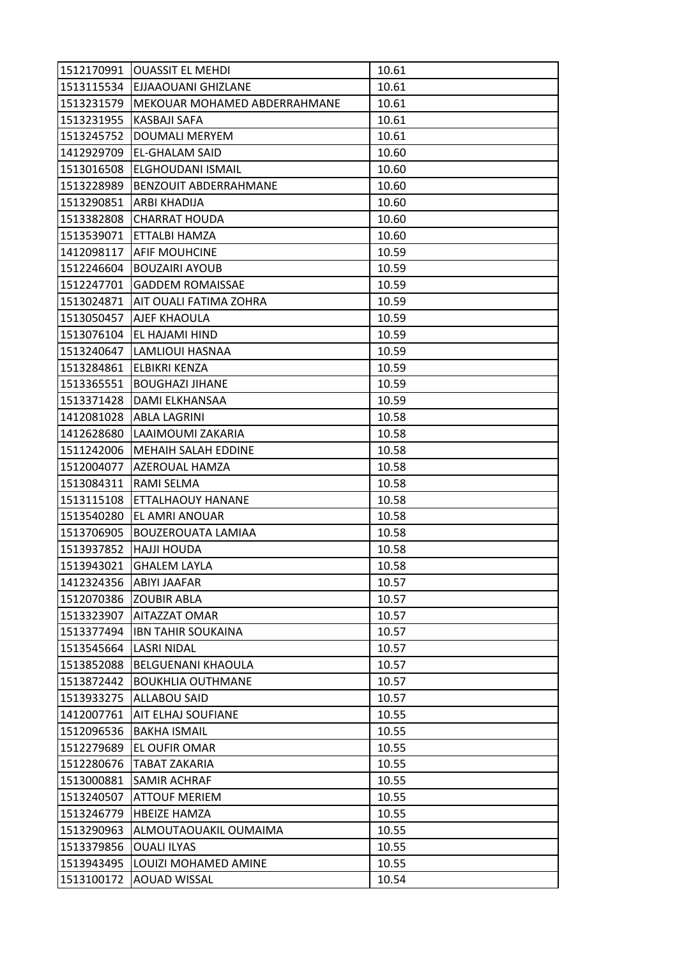| 1512170991 | <b>OUASSIT EL MEHDI</b>        | 10.61 |
|------------|--------------------------------|-------|
|            | 1513115534 EJJAAOUANI GHIZLANE | 10.61 |
| 1513231579 | MEKOUAR MOHAMED ABDERRAHMANE   | 10.61 |
| 1513231955 | KASBAJI SAFA                   | 10.61 |
| 1513245752 | <b>DOUMALI MERYEM</b>          | 10.61 |
| 1412929709 | EL-GHALAM SAID                 | 10.60 |
| 1513016508 | ELGHOUDANI ISMAIL              | 10.60 |
| 1513228989 | <b>BENZOUIT ABDERRAHMANE</b>   | 10.60 |
| 1513290851 | ARBI KHADIJA                   | 10.60 |
| 1513382808 | <b>CHARRAT HOUDA</b>           | 10.60 |
| 1513539071 | ETTALBI HAMZA                  | 10.60 |
| 1412098117 | <b>AFIF MOUHCINE</b>           | 10.59 |
| 1512246604 | <b>BOUZAIRI AYOUB</b>          | 10.59 |
| 1512247701 | <b>GADDEM ROMAISSAE</b>        | 10.59 |
| 1513024871 | IAIT OUALI FATIMA ZOHRA        | 10.59 |
|            | 1513050457   AJEF KHAOULA      | 10.59 |
| 1513076104 | EL HAJAMI HIND                 | 10.59 |
| 1513240647 | LAMLIOUI HASNAA                | 10.59 |
| 1513284861 | <b>ELBIKRI KENZA</b>           | 10.59 |
| 1513365551 | <b>BOUGHAZI JIHANE</b>         | 10.59 |
| 1513371428 | DAMI ELKHANSAA                 | 10.59 |
| 1412081028 | <b>ABLA LAGRINI</b>            | 10.58 |
| 1412628680 | LAAIMOUMI ZAKARIA              | 10.58 |
| 1511242006 | MEHAIH SALAH EDDINE            | 10.58 |
| 1512004077 | AZEROUAL HAMZA                 | 10.58 |
| 1513084311 | <b>RAMI SELMA</b>              | 10.58 |
| 1513115108 | ETTALHAOUY HANANE              | 10.58 |
| 1513540280 | EL AMRI ANOUAR                 | 10.58 |
| 1513706905 | <b>BOUZEROUATA LAMIAA</b>      | 10.58 |
| 1513937852 | <b>HAJJI HOUDA</b>             | 10.58 |
| 1513943021 | <b>GHALEM LAYLA</b>            | 10.58 |
| 1412324356 | ABIYI JAAFAR                   | 10.57 |
| 1512070386 | <b>ZOUBIR ABLA</b>             | 10.57 |
| 1513323907 | AITAZZAT OMAR                  | 10.57 |
| 1513377494 | <b>IBN TAHIR SOUKAINA</b>      | 10.57 |
| 1513545664 | <b>LASRI NIDAL</b>             | 10.57 |
| 1513852088 | <b>BELGUENANI KHAOULA</b>      | 10.57 |
| 1513872442 | <b>BOUKHLIA OUTHMANE</b>       | 10.57 |
| 1513933275 | <b>ALLABOU SAID</b>            | 10.57 |
| 1412007761 | <b>AIT ELHAJ SOUFIANE</b>      | 10.55 |
| 1512096536 | <b>BAKHA ISMAIL</b>            | 10.55 |
| 1512279689 | EL OUFIR OMAR                  | 10.55 |
| 1512280676 | <b>TABAT ZAKARIA</b>           | 10.55 |
| 1513000881 | SAMIR ACHRAF                   | 10.55 |
| 1513240507 | <b>ATTOUF MERIEM</b>           | 10.55 |
| 1513246779 | <b>HBEIZE HAMZA</b>            | 10.55 |
| 1513290963 | ALMOUTAOUAKIL OUMAIMA          | 10.55 |
| 1513379856 | <b>OUALI ILYAS</b>             | 10.55 |
| 1513943495 | LOUIZI MOHAMED AMINE           | 10.55 |
| 1513100172 | <b>AOUAD WISSAL</b>            | 10.54 |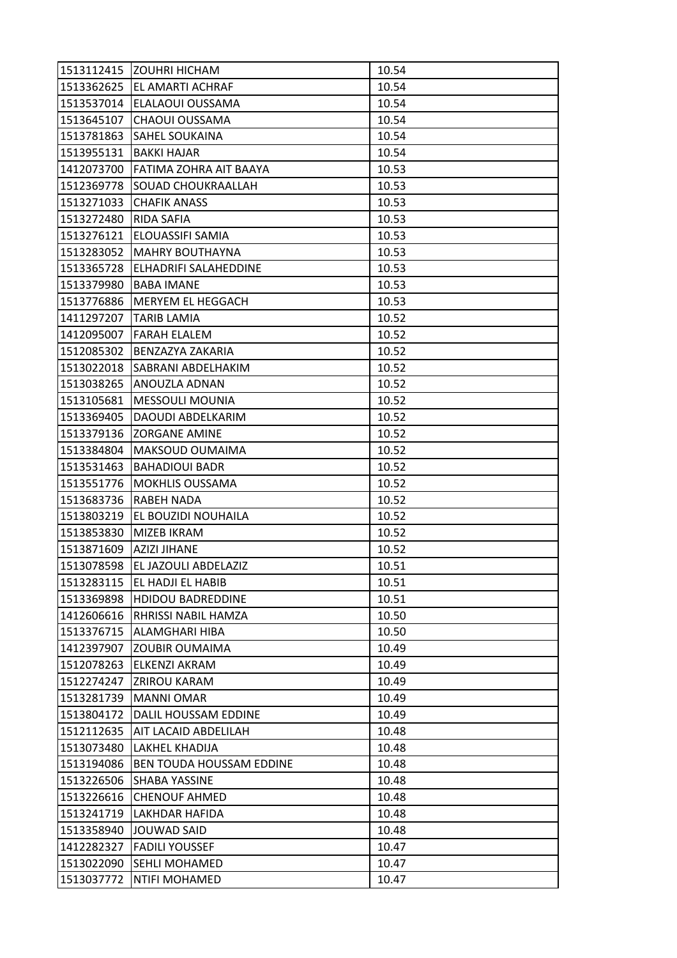| 1513112415 | IZOUHRI HICHAM              | 10.54 |
|------------|-----------------------------|-------|
|            | 1513362625 EL AMARTI ACHRAF | 10.54 |
| 1513537014 | ELALAOUI OUSSAMA            | 10.54 |
| 1513645107 | <b>CHAOUI OUSSAMA</b>       | 10.54 |
| 1513781863 | <b>SAHEL SOUKAINA</b>       | 10.54 |
| 1513955131 | <b>BAKKI HAJAR</b>          | 10.54 |
| 1412073700 | FATIMA ZOHRA AIT BAAYA      | 10.53 |
| 1512369778 | <b>SOUAD CHOUKRAALLAH</b>   | 10.53 |
| 1513271033 | <b>CHAFIK ANASS</b>         | 10.53 |
| 1513272480 | <b>RIDA SAFIA</b>           | 10.53 |
| 1513276121 | ELOUASSIFI SAMIA            | 10.53 |
| 1513283052 | <b>MAHRY BOUTHAYNA</b>      | 10.53 |
| 1513365728 | ELHADRIFI SALAHEDDINE       | 10.53 |
| 1513379980 | <b>BABA IMANE</b>           | 10.53 |
| 1513776886 | MERYEM EL HEGGACH           | 10.53 |
|            | 1411297207 TARIB LAMIA      | 10.52 |
| 1412095007 | <b>FARAH ELALEM</b>         | 10.52 |
| 1512085302 | BENZAZYA ZAKARIA            | 10.52 |
| 1513022018 | SABRANI ABDELHAKIM          | 10.52 |
| 1513038265 | ANOUZLA ADNAN               | 10.52 |
| 1513105681 | <b>MESSOULI MOUNIA</b>      | 10.52 |
| 1513369405 | DAOUDI ABDELKARIM           | 10.52 |
| 1513379136 | <b>ZORGANE AMINE</b>        | 10.52 |
| 1513384804 | <b>MAKSOUD OUMAIMA</b>      | 10.52 |
| 1513531463 | <b>BAHADIOUI BADR</b>       | 10.52 |
| 1513551776 | <b>MOKHLIS OUSSAMA</b>      | 10.52 |
| 1513683736 | RABEH NADA                  | 10.52 |
| 1513803219 | EL BOUZIDI NOUHAILA         | 10.52 |
| 1513853830 | MIZEB IKRAM                 | 10.52 |
| 1513871609 | <b>AZIZI JIHANE</b>         | 10.52 |
| 1513078598 | EL JAZOULI ABDELAZIZ        | 10.51 |
| 1513283115 | EL HADJI EL HABIB           | 10.51 |
| 1513369898 | <b>HDIDOU BADREDDINE</b>    | 10.51 |
| 1412606616 | RHRISSI NABIL HAMZA         | 10.50 |
| 1513376715 | ALAMGHARI HIBA              | 10.50 |
| 1412397907 | <b>ZOUBIR OUMAIMA</b>       | 10.49 |
| 1512078263 | ELKENZI AKRAM               | 10.49 |
| 1512274247 | <b>ZRIROU KARAM</b>         | 10.49 |
| 1513281739 | <b>MANNI OMAR</b>           | 10.49 |
| 1513804172 | DALIL HOUSSAM EDDINE        | 10.49 |
| 1512112635 | AIT LACAID ABDELILAH        | 10.48 |
| 1513073480 | LAKHEL KHADIJA              | 10.48 |
| 1513194086 | BEN TOUDA HOUSSAM EDDINE    | 10.48 |
| 1513226506 | SHABA YASSINE               | 10.48 |
| 1513226616 | <b>CHENOUF AHMED</b>        | 10.48 |
| 1513241719 | LAKHDAR HAFIDA              | 10.48 |
| 1513358940 | JOUWAD SAID                 | 10.48 |
| 1412282327 | <b>FADILI YOUSSEF</b>       | 10.47 |
| 1513022090 | <b>SEHLI MOHAMED</b>        | 10.47 |
| 1513037772 | NTIFI MOHAMED               | 10.47 |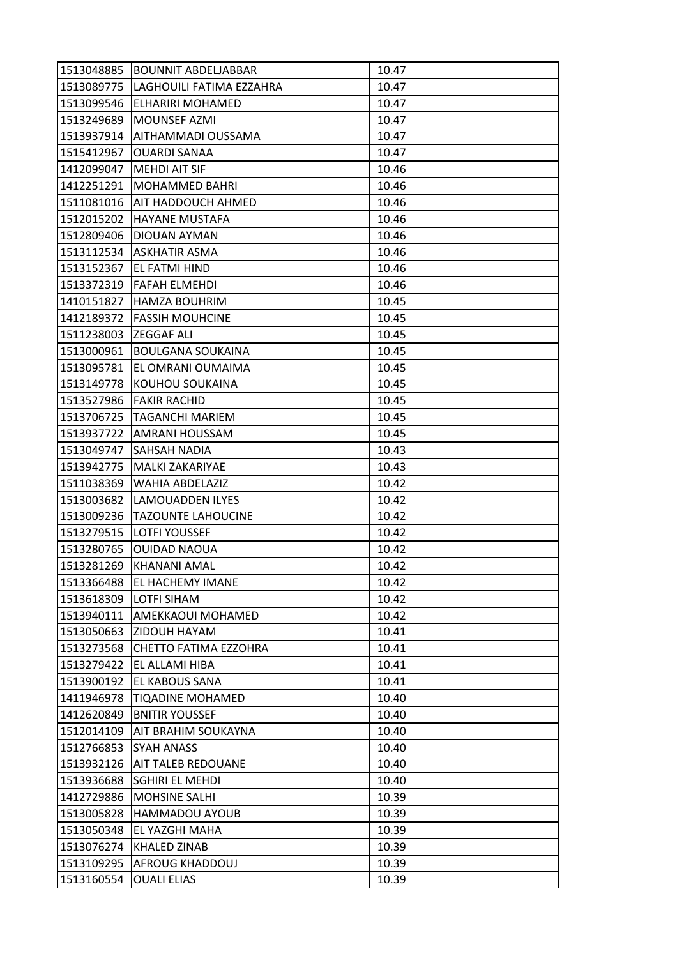| 1513048885 | <b>BOUNNIT ABDELJABBAR</b>   | 10.47 |
|------------|------------------------------|-------|
| 1513089775 | LAGHOUILI FATIMA EZZAHRA     | 10.47 |
| 1513099546 | ELHARIRI MOHAMED             | 10.47 |
| 1513249689 | <b>MOUNSEF AZMI</b>          | 10.47 |
| 1513937914 | AITHAMMADI OUSSAMA           | 10.47 |
| 1515412967 | <b>OUARDI SANAA</b>          | 10.47 |
| 1412099047 | <b>MEHDI AIT SIF</b>         | 10.46 |
| 1412251291 | <b>MOHAMMED BAHRI</b>        | 10.46 |
| 1511081016 | <b>AIT HADDOUCH AHMED</b>    | 10.46 |
| 1512015202 | <b>HAYANE MUSTAFA</b>        | 10.46 |
| 1512809406 | <b>DIOUAN AYMAN</b>          | 10.46 |
| 1513112534 | ASKHATIR ASMA                | 10.46 |
| 1513152367 | EL FATMI HIND                | 10.46 |
| 1513372319 | <b>FAFAH ELMEHDI</b>         | 10.46 |
| 1410151827 | <b>HAMZA BOUHRIM</b>         | 10.45 |
| 1412189372 | <b>FASSIH MOUHCINE</b>       | 10.45 |
| 1511238003 | <b>ZEGGAF ALI</b>            | 10.45 |
| 1513000961 | <b>BOULGANA SOUKAINA</b>     | 10.45 |
| 1513095781 | EL OMRANI OUMAIMA            | 10.45 |
| 1513149778 | KOUHOU SOUKAINA              | 10.45 |
| 1513527986 | FAKIR RACHID                 | 10.45 |
| 1513706725 | <b>TAGANCHI MARIEM</b>       | 10.45 |
| 1513937722 | AMRANI HOUSSAM               | 10.45 |
| 1513049747 | <b>SAHSAH NADIA</b>          | 10.43 |
| 1513942775 | <b>MALKI ZAKARIYAE</b>       | 10.43 |
| 1511038369 | <b>WAHIA ABDELAZIZ</b>       | 10.42 |
| 1513003682 | LAMOUADDEN ILYES             | 10.42 |
| 1513009236 | <b>TAZOUNTE LAHOUCINE</b>    | 10.42 |
| 1513279515 | <b>LOTFI YOUSSEF</b>         | 10.42 |
| 1513280765 | <b>OUIDAD NAOUA</b>          | 10.42 |
| 1513281269 | KHANANI AMAL                 | 10.42 |
| 1513366488 | EL HACHEMY IMANE             | 10.42 |
| 1513618309 | <b>LOTFI SIHAM</b>           | 10.42 |
| 1513940111 | AMEKKAOUI MOHAMED            | 10.42 |
| 1513050663 | ZIDOUH HAYAM                 | 10.41 |
| 1513273568 | <b>CHETTO FATIMA EZZOHRA</b> | 10.41 |
| 1513279422 | EL ALLAMI HIBA               | 10.41 |
| 1513900192 | EL KABOUS SANA               | 10.41 |
| 1411946978 | TIQADINE MOHAMED             | 10.40 |
| 1412620849 | <b>BNITIR YOUSSEF</b>        | 10.40 |
| 1512014109 | AIT BRAHIM SOUKAYNA          | 10.40 |
| 1512766853 | <b>SYAH ANASS</b>            | 10.40 |
| 1513932126 | <b>AIT TALEB REDOUANE</b>    | 10.40 |
| 1513936688 | <b>SGHIRI EL MEHDI</b>       | 10.40 |
| 1412729886 | <b>MOHSINE SALHI</b>         | 10.39 |
| 1513005828 | <b>HAMMADOU AYOUB</b>        | 10.39 |
| 1513050348 | EL YAZGHI MAHA               | 10.39 |
| 1513076274 | <b>KHALED ZINAB</b>          | 10.39 |
| 1513109295 | <b>AFROUG KHADDOUJ</b>       | 10.39 |
| 1513160554 | <b>OUALI ELIAS</b>           | 10.39 |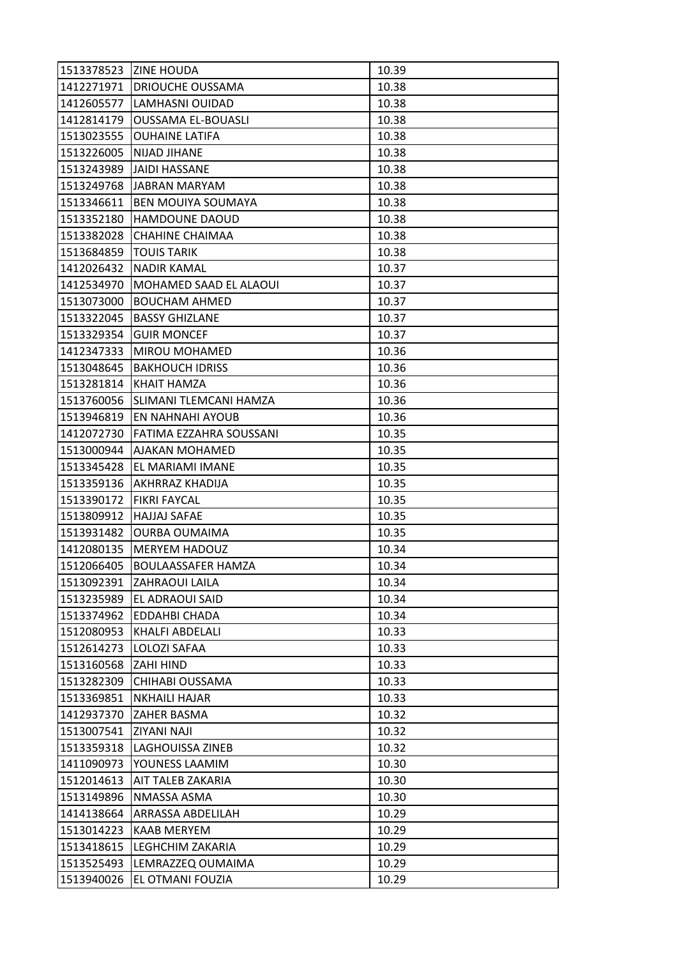| 1513378523 | <b>ZINE HOUDA</b>             | 10.39 |
|------------|-------------------------------|-------|
|            | 1412271971   DRIOUCHE OUSSAMA | 10.38 |
| 1412605577 | LAMHASNI OUIDAD               | 10.38 |
| 1412814179 | <b>OUSSAMA EL-BOUASLI</b>     | 10.38 |
| 1513023555 | <b>OUHAINE LATIFA</b>         | 10.38 |
| 1513226005 | <b>NIJAD JIHANE</b>           | 10.38 |
| 1513243989 | <b>JAIDI HASSANE</b>          | 10.38 |
| 1513249768 | JABRAN MARYAM                 | 10.38 |
| 1513346611 | BEN MOUIYA SOUMAYA            | 10.38 |
| 1513352180 | <b>HAMDOUNE DAOUD</b>         | 10.38 |
| 1513382028 | CHAHINE CHAIMAA               | 10.38 |
| 1513684859 | <b>TOUIS TARIK</b>            | 10.38 |
| 1412026432 | <b>NADIR KAMAL</b>            | 10.37 |
| 1412534970 | MOHAMED SAAD EL ALAOUI        | 10.37 |
| 1513073000 | <b>BOUCHAM AHMED</b>          | 10.37 |
| 1513322045 | <b>BASSY GHIZLANE</b>         | 10.37 |
| 1513329354 | <b>GUIR MONCEF</b>            | 10.37 |
| 1412347333 | <b>MIROU MOHAMED</b>          | 10.36 |
| 1513048645 | <b>BAKHOUCH IDRISS</b>        | 10.36 |
| 1513281814 | KHAIT HAMZA                   | 10.36 |
| 1513760056 | SLIMANI TLEMCANI HAMZA        | 10.36 |
| 1513946819 | EN NAHNAHI AYOUB              | 10.36 |
| 1412072730 | FATIMA EZZAHRA SOUSSANI       | 10.35 |
| 1513000944 | AJAKAN MOHAMED                | 10.35 |
| 1513345428 | EL MARIAMI IMANE              | 10.35 |
| 1513359136 | <b>AKHRRAZ KHADIJA</b>        | 10.35 |
| 1513390172 | <b>FIKRI FAYCAL</b>           | 10.35 |
| 1513809912 | <b>HAJJAJ SAFAE</b>           | 10.35 |
| 1513931482 | <b>OURBA OUMAIMA</b>          | 10.35 |
| 1412080135 | <b>MERYEM HADOUZ</b>          | 10.34 |
| 1512066405 | <b>BOULAASSAFER HAMZA</b>     | 10.34 |
| 1513092391 | <b>ZAHRAOUI LAILA</b>         | 10.34 |
| 1513235989 | <b>EL ADRAOUI SAID</b>        | 10.34 |
| 1513374962 | EDDAHBI CHADA                 | 10.34 |
| 1512080953 | KHALFI ABDELALI               | 10.33 |
| 1512614273 | LOLOZI SAFAA                  | 10.33 |
| 1513160568 | <b>ZAHI HIND</b>              | 10.33 |
| 1513282309 | CHIHABI OUSSAMA               | 10.33 |
| 1513369851 | <b>NKHAILI HAJAR</b>          | 10.33 |
| 1412937370 | <b>ZAHER BASMA</b>            | 10.32 |
| 1513007541 | <b>ZIYANI NAJI</b>            | 10.32 |
| 1513359318 | LAGHOUISSA ZINEB              | 10.32 |
| 1411090973 | YOUNESS LAAMIM                | 10.30 |
| 1512014613 | AIT TALEB ZAKARIA             | 10.30 |
| 1513149896 | NMASSA ASMA                   | 10.30 |
| 1414138664 | <b>ARRASSA ABDELILAH</b>      | 10.29 |
| 1513014223 | <b>KAAB MERYEM</b>            | 10.29 |
| 1513418615 | LEGHCHIM ZAKARIA              | 10.29 |
| 1513525493 | LEMRAZZEQ OUMAIMA             | 10.29 |
| 1513940026 | EL OTMANI FOUZIA              | 10.29 |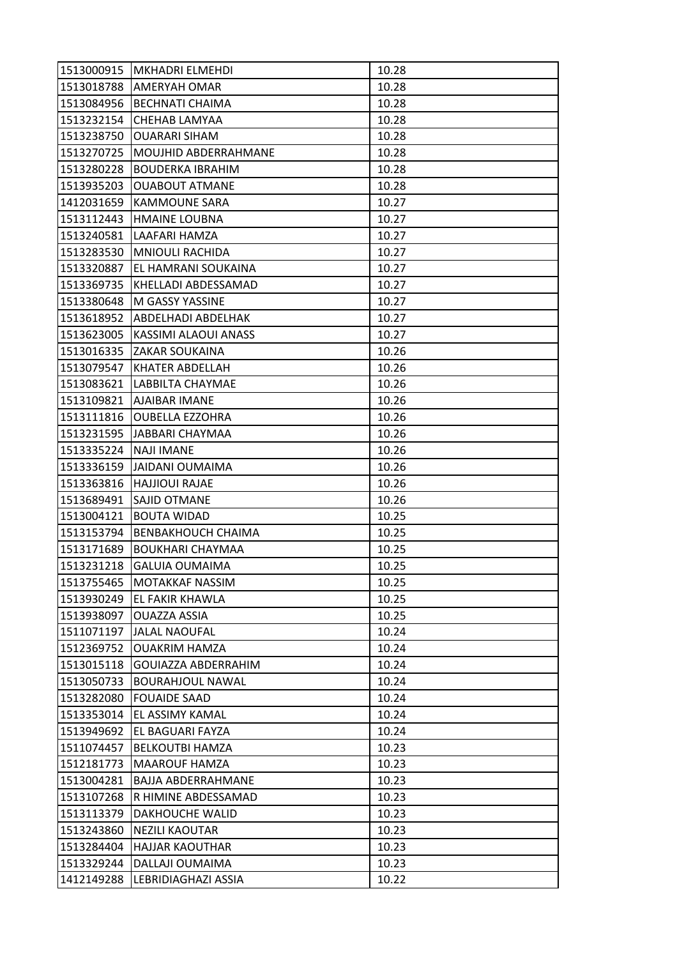| 1513000915 | <b>MKHADRI ELMEHDI</b>        | 10.28 |
|------------|-------------------------------|-------|
| 1513018788 | <b>AMERYAH OMAR</b>           | 10.28 |
| 1513084956 | <b>BECHNATI CHAIMA</b>        | 10.28 |
| 1513232154 | CHEHAB LAMYAA                 | 10.28 |
| 1513238750 | <b>OUARARI SIHAM</b>          | 10.28 |
| 1513270725 | <b>MOUJHID ABDERRAHMANE</b>   | 10.28 |
| 1513280228 | <b>BOUDERKA IBRAHIM</b>       | 10.28 |
| 1513935203 | <b>OUABOUT ATMANE</b>         | 10.28 |
| 1412031659 | <b>KAMMOUNE SARA</b>          | 10.27 |
| 1513112443 | <b>HMAINE LOUBNA</b>          | 10.27 |
| 1513240581 | LAAFARI HAMZA                 | 10.27 |
| 1513283530 | <b>MNIOULI RACHIDA</b>        | 10.27 |
| 1513320887 | EL HAMRANI SOUKAINA           | 10.27 |
| 1513369735 | KHELLADI ABDESSAMAD           | 10.27 |
| 1513380648 | M GASSY YASSINE               | 10.27 |
|            | 1513618952 ABDELHADI ABDELHAK | 10.27 |
| 1513623005 | KASSIMI ALAOUI ANASS          | 10.27 |
| 1513016335 | <b>ZAKAR SOUKAINA</b>         | 10.26 |
| 1513079547 | <b>KHATER ABDELLAH</b>        | 10.26 |
| 1513083621 | LABBILTA CHAYMAE              | 10.26 |
|            | 1513109821   AJAIBAR IMANE    | 10.26 |
| 1513111816 | <b>OUBELLA EZZOHRA</b>        | 10.26 |
| 1513231595 | <b>JABBARI CHAYMAA</b>        | 10.26 |
| 1513335224 | <b>NAJI IMANE</b>             | 10.26 |
| 1513336159 | <b>JAIDANI OUMAIMA</b>        | 10.26 |
| 1513363816 | <b>HAJJIOUI RAJAE</b>         | 10.26 |
| 1513689491 | SAJID OTMANE                  | 10.26 |
| 1513004121 | <b>BOUTA WIDAD</b>            | 10.25 |
| 1513153794 | <b>BENBAKHOUCH CHAIMA</b>     | 10.25 |
| 1513171689 | BOUKHARI CHAYMAA              | 10.25 |
| 1513231218 | <b>GALUIA OUMAIMA</b>         | 10.25 |
| 1513755465 | MOTAKKAF NASSIM               | 10.25 |
| 1513930249 | <b>EL FAKIR KHAWLA</b>        | 10.25 |
| 1513938097 | OUAZZA ASSIA                  | 10.25 |
| 1511071197 | <b>JALAL NAOUFAL</b>          | 10.24 |
| 1512369752 | <b>OUAKRIM HAMZA</b>          | 10.24 |
| 1513015118 | GOUIAZZA ABDERRAHIM           | 10.24 |
| 1513050733 | <b>BOURAHJOUL NAWAL</b>       | 10.24 |
| 1513282080 | <b>FOUAIDE SAAD</b>           | 10.24 |
| 1513353014 | EL ASSIMY KAMAL               | 10.24 |
| 1513949692 | EL BAGUARI FAYZA              | 10.24 |
| 1511074457 | <b>BELKOUTBI HAMZA</b>        | 10.23 |
| 1512181773 | <b>MAAROUF HAMZA</b>          | 10.23 |
| 1513004281 | <b>BAJJA ABDERRAHMANE</b>     | 10.23 |
| 1513107268 | R HIMINE ABDESSAMAD           | 10.23 |
| 1513113379 | DAKHOUCHE WALID               | 10.23 |
| 1513243860 | <b>NEZILI KAOUTAR</b>         | 10.23 |
| 1513284404 | <b>HAJJAR KAOUTHAR</b>        | 10.23 |
| 1513329244 | DALLAJI OUMAIMA               | 10.23 |
| 1412149288 | LEBRIDIAGHAZI ASSIA           | 10.22 |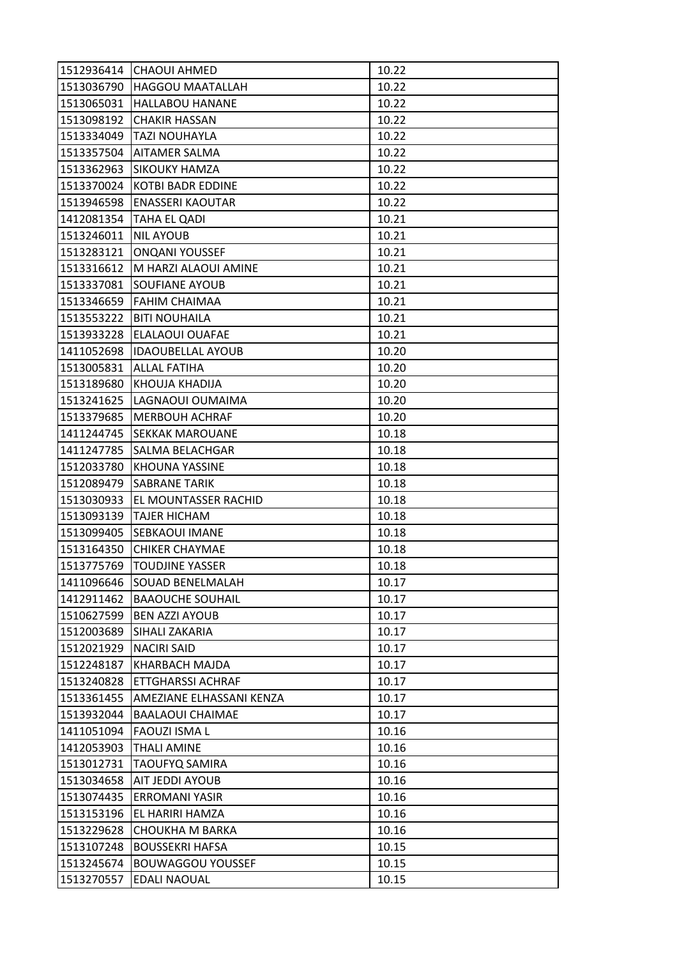| 1512936414 | <b>CHAOUI AHMED</b>      | 10.22 |
|------------|--------------------------|-------|
| 1513036790 | <b>HAGGOU MAATALLAH</b>  | 10.22 |
| 1513065031 | <b>HALLABOU HANANE</b>   | 10.22 |
| 1513098192 | <b>CHAKIR HASSAN</b>     | 10.22 |
| 1513334049 | <b>TAZI NOUHAYLA</b>     | 10.22 |
| 1513357504 | <b>AITAMER SALMA</b>     | 10.22 |
| 1513362963 | <b>SIKOUKY HAMZA</b>     | 10.22 |
| 1513370024 | KOTBI BADR EDDINE        | 10.22 |
| 1513946598 | <b>ENASSERI KAOUTAR</b>  | 10.22 |
| 1412081354 | TAHA EL QADI             | 10.21 |
| 1513246011 | <b>NIL AYOUB</b>         | 10.21 |
| 1513283121 | <b>ONQANI YOUSSEF</b>    | 10.21 |
| 1513316612 | M HARZI ALAOUI AMINE     | 10.21 |
| 1513337081 | <b>SOUFIANE AYOUB</b>    | 10.21 |
| 1513346659 | <b>FAHIM CHAIMAA</b>     | 10.21 |
| 1513553222 | <b>BITI NOUHAILA</b>     | 10.21 |
| 1513933228 | <b>ELALAOUI OUAFAE</b>   | 10.21 |
| 1411052698 | <b>IDAOUBELLAL AYOUB</b> | 10.20 |
| 1513005831 | <b>ALLAL FATIHA</b>      | 10.20 |
| 1513189680 | KHOUJA KHADIJA           | 10.20 |
| 1513241625 | LAGNAOUI OUMAIMA         | 10.20 |
| 1513379685 | <b>MERBOUH ACHRAF</b>    | 10.20 |
| 1411244745 | <b>SEKKAK MAROUANE</b>   | 10.18 |
| 1411247785 | SALMA BELACHGAR          | 10.18 |
| 1512033780 | <b>KHOUNA YASSINE</b>    | 10.18 |
| 1512089479 | <b>SABRANE TARIK</b>     | 10.18 |
| 1513030933 | EL MOUNTASSER RACHID     | 10.18 |
| 1513093139 | <b>TAJER HICHAM</b>      | 10.18 |
| 1513099405 | <b>SEBKAOUI IMANE</b>    | 10.18 |
| 1513164350 | <b>CHIKER CHAYMAE</b>    | 10.18 |
| 1513775769 | <b>TOUDJINE YASSER</b>   | 10.18 |
| 1411096646 | <b>SOUAD BENELMALAH</b>  | 10.17 |
| 1412911462 | <b>BAAOUCHE SOUHAIL</b>  | 10.17 |
| 1510627599 | <b>BEN AZZI AYOUB</b>    | 10.17 |
| 1512003689 | SIHALI ZAKARIA           | 10.17 |
| 1512021929 | <b>NACIRI SAID</b>       | 10.17 |
| 1512248187 | KHARBACH MAJDA           | 10.17 |
| 1513240828 | <b>ETTGHARSSI ACHRAF</b> | 10.17 |
| 1513361455 | AMEZIANE ELHASSANI KENZA | 10.17 |
| 1513932044 | <b>BAALAOUI CHAIMAE</b>  | 10.17 |
| 1411051094 | <b>FAOUZI ISMA L</b>     | 10.16 |
| 1412053903 | THALI AMINE              | 10.16 |
| 1513012731 | <b>TAOUFYQ SAMIRA</b>    | 10.16 |
| 1513034658 | AIT JEDDI AYOUB          | 10.16 |
| 1513074435 | <b>ERROMANI YASIR</b>    | 10.16 |
| 1513153196 | EL HARIRI HAMZA          | 10.16 |
| 1513229628 | CHOUKHA M BARKA          | 10.16 |
| 1513107248 | <b>BOUSSEKRI HAFSA</b>   | 10.15 |
| 1513245674 | <b>BOUWAGGOU YOUSSEF</b> | 10.15 |
| 1513270557 | EDALI NAOUAL             | 10.15 |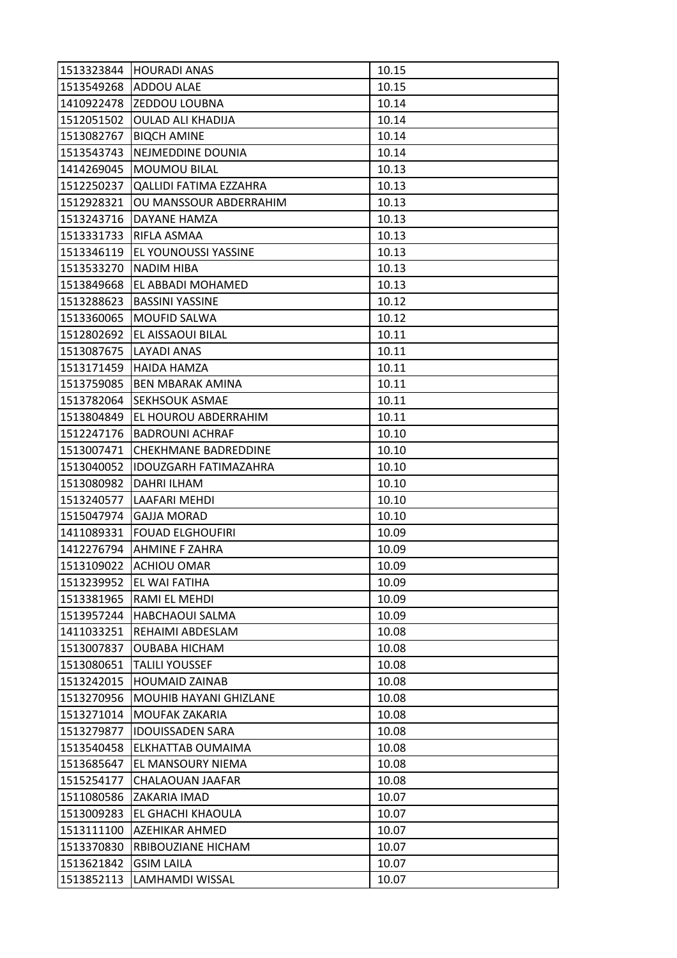| 1513323844 | <b>HOURADI ANAS</b>           | 10.15 |
|------------|-------------------------------|-------|
| 1513549268 | <b>ADDOU ALAE</b>             | 10.15 |
| 1410922478 | <b>ZEDDOU LOUBNA</b>          | 10.14 |
| 1512051502 | <b>OULAD ALI KHADIJA</b>      | 10.14 |
| 1513082767 | <b>BIQCH AMINE</b>            | 10.14 |
| 1513543743 | NEJMEDDINE DOUNIA             | 10.14 |
| 1414269045 | <b>MOUMOU BILAL</b>           | 10.13 |
| 1512250237 | <b>QALLIDI FATIMA EZZAHRA</b> | 10.13 |
| 1512928321 | OU MANSSOUR ABDERRAHIM        | 10.13 |
| 1513243716 | DAYANE HAMZA                  | 10.13 |
| 1513331733 | RIFLA ASMAA                   | 10.13 |
| 1513346119 | EL YOUNOUSSI YASSINE          | 10.13 |
| 1513533270 | NADIM HIBA                    | 10.13 |
| 1513849668 | EL ABBADI MOHAMED             | 10.13 |
| 1513288623 | <b>BASSINI YASSINE</b>        | 10.12 |
| 1513360065 | <b>MOUFID SALWA</b>           | 10.12 |
| 1512802692 | EL AISSAOUI BILAL             | 10.11 |
| 1513087675 | LAYADI ANAS                   | 10.11 |
| 1513171459 | <b>HAIDA HAMZA</b>            | 10.11 |
| 1513759085 | <b>BEN MBARAK AMINA</b>       | 10.11 |
| 1513782064 | <b>SEKHSOUK ASMAE</b>         | 10.11 |
| 1513804849 | EL HOUROU ABDERRAHIM          | 10.11 |
| 1512247176 | <b>BADROUNI ACHRAF</b>        | 10.10 |
| 1513007471 | <b>CHEKHMANE BADREDDINE</b>   | 10.10 |
| 1513040052 | <b>IDOUZGARH FATIMAZAHRA</b>  | 10.10 |
| 1513080982 | <b>DAHRI ILHAM</b>            | 10.10 |
| 1513240577 | <b>LAAFARI MEHDI</b>          | 10.10 |
| 1515047974 | <b>GAJJA MORAD</b>            | 10.10 |
| 1411089331 | <b>FOUAD ELGHOUFIRI</b>       | 10.09 |
|            | 1412276794 AHMINE F ZAHRA     | 10.09 |
| 1513109022 | <b>ACHIOU OMAR</b>            | 10.09 |
| 1513239952 | EL WAI FATIHA                 | 10.09 |
| 1513381965 | RAMI EL MEHDI                 | 10.09 |
| 1513957244 | <b>HABCHAOUI SALMA</b>        | 10.09 |
| 1411033251 | REHAIMI ABDESLAM              | 10.08 |
| 1513007837 | <b>OUBABA HICHAM</b>          | 10.08 |
| 1513080651 | <b>TALILI YOUSSEF</b>         | 10.08 |
| 1513242015 | <b>HOUMAID ZAINAB</b>         | 10.08 |
| 1513270956 | <b>MOUHIB HAYANI GHIZLANE</b> | 10.08 |
| 1513271014 | MOUFAK ZAKARIA                | 10.08 |
| 1513279877 | <b>IDOUISSADEN SARA</b>       | 10.08 |
| 1513540458 | ELKHATTAB OUMAIMA             | 10.08 |
| 1513685647 | EL MANSOURY NIEMA             | 10.08 |
| 1515254177 | CHALAOUAN JAAFAR              | 10.08 |
| 1511080586 | ZAKARIA IMAD                  | 10.07 |
| 1513009283 | EL GHACHI KHAOULA             | 10.07 |
| 1513111100 | AZEHIKAR AHMED                | 10.07 |
| 1513370830 | RBIBOUZIANE HICHAM            | 10.07 |
| 1513621842 | <b>GSIM LAILA</b>             | 10.07 |
| 1513852113 | LAMHAMDI WISSAL               | 10.07 |